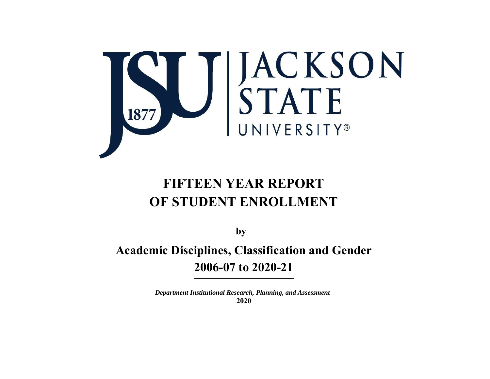

# **FIFTEEN YEAR REPORT OF STUDENT ENROLLMENT**

**by** 

**Academic Disciplines, Classification and Gender 2006-07 to 2020-21** 

> *Department Institutional Research, Planning, and Assessment*  **2020**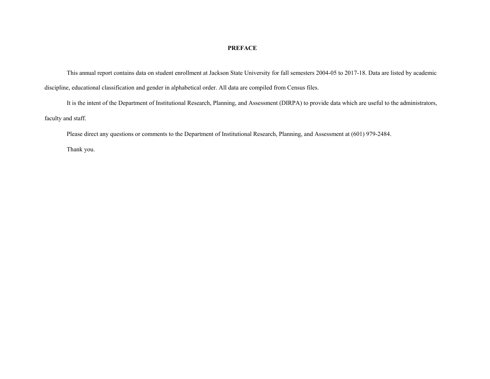#### **PREFACE**

This annual report contains data on student enrollment at Jackson State University for fall semesters 2004-05 to 2017-18. Data are listed by academic discipline, educational classification and gender in alphabetical order. All data are compiled from Census files.

It is the intent of the Department of Institutional Research, Planning, and Assessment (DIRPA) to provide data which are useful to the administrators, faculty and staff.

Please direct any questions or comments to the Department of Institutional Research, Planning, and Assessment at (601) 979-2484.

Thank you.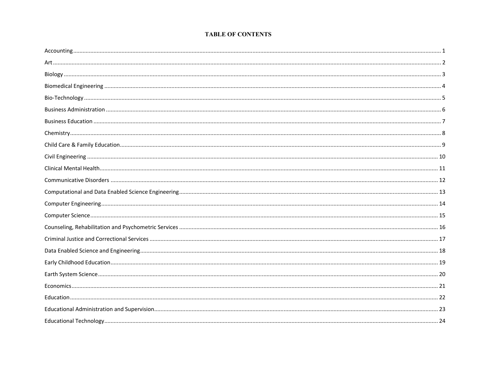#### **TABLE OF CONTENTS**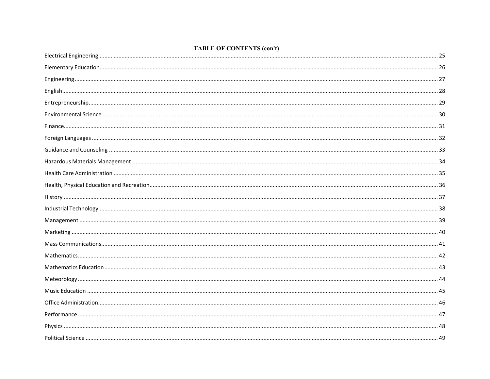#### **TABLE OF CONTENTS (con't)**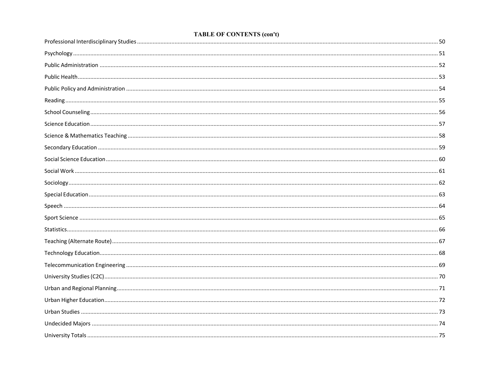#### **TABLE OF CONTENTS (con't)**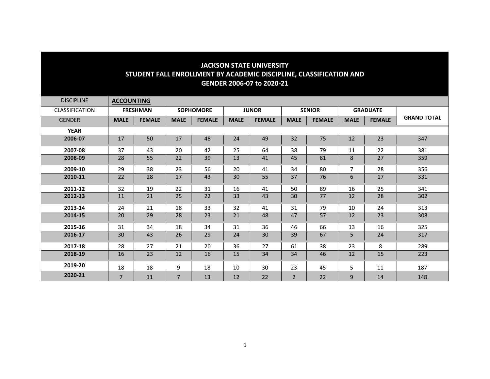| <b>DISCIPLINE</b> | <b>ACCOUNTING</b> |                 |                |                  |              |               |                |               |                 |               |                    |
|-------------------|-------------------|-----------------|----------------|------------------|--------------|---------------|----------------|---------------|-----------------|---------------|--------------------|
| CLASSIFICATION    |                   | <b>FRESHMAN</b> |                | <b>SOPHOMORE</b> | <b>JUNOR</b> |               | <b>SENIOR</b>  |               | <b>GRADUATE</b> |               |                    |
| <b>GENDER</b>     | <b>MALE</b>       | <b>FEMALE</b>   | <b>MALE</b>    | <b>FEMALE</b>    | <b>MALE</b>  | <b>FEMALE</b> | <b>MALE</b>    | <b>FEMALE</b> | <b>MALE</b>     | <b>FEMALE</b> | <b>GRAND TOTAL</b> |
| <b>YEAR</b>       |                   |                 |                |                  |              |               |                |               |                 |               |                    |
| 2006-07           | 17                | 50              | 17             | 48               | 24           | 49            | 32             | 75            | 12              | 23            | 347                |
| 2007-08           | 37                | 43              | 20             | 42               | 25           | 64            | 38             | 79            | 11              | 22            | 381                |
| 2008-09           | 28                | 55              | 22             | 39               | 13           | 41            | 45             | 81            | 8               | 27            | 359                |
| 2009-10           | 29                | 38              | 23             | 56               | 20           | 41            | 34             | 80            | $\overline{7}$  | 28            | 356                |
| 2010-11           | 22                | 28              | 17             | 43               | 30           | 55            | 37             | 76            | 6               | 17            | 331                |
| 2011-12           | 32                | 19              | 22             | 31               | 16           | 41            | 50             | 89            | 16              | 25            | 341                |
| 2012-13           | 11                | 21              | 25             | 22               | 33           | 43            | 30             | 77            | 12              | 28            | 302                |
| 2013-14           | 24                | 21              | 18             | 33               | 32           | 41            | 31             | 79            | 10              | 24            | 313                |
| 2014-15           | 20                | 29              | 28             | 23               | 21           | 48            | 47             | 57            | 12              | 23            | 308                |
| 2015-16           | 31                | 34              | 18             | 34               | 31           | 36            | 46             | 66            | 13              | 16            | 325                |
| 2016-17           | 30                | 43              | 26             | 29               | 24           | 30            | 39             | 67            | 5               | 24            | 317                |
| 2017-18           | 28                | 27              | 21             | 20               | 36           | 27            | 61             | 38            | 23              | 8             | 289                |
| 2018-19           | 16                | 23              | 12             | 16               | 15           | 34            | 34             | 46            | 12              | 15            | 223                |
| 2019-20           | 18                | 18              | 9              | 18               | 10           | 30            | 23             | 45            | 5               | 11            | 187                |
| 2020-21           | $\overline{7}$    | 11              | $\overline{7}$ | 13               | 12           | 22            | $\overline{2}$ | 22            | 9               | 14            | 148                |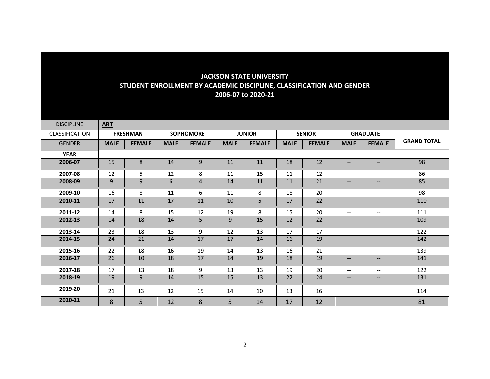| <b>DISCIPLINE</b> | <b>ART</b>  |                 |             |                  |             |               |             |               |                                       |                   |                    |
|-------------------|-------------|-----------------|-------------|------------------|-------------|---------------|-------------|---------------|---------------------------------------|-------------------|--------------------|
| CLASSIFICATION    |             | <b>FRESHMAN</b> |             | <b>SOPHOMORE</b> |             | <b>JUNIOR</b> |             | <b>SENIOR</b> |                                       | <b>GRADUATE</b>   |                    |
| <b>GENDER</b>     | <b>MALE</b> | <b>FEMALE</b>   | <b>MALE</b> | <b>FEMALE</b>    | <b>MALE</b> | <b>FEMALE</b> | <b>MALE</b> | <b>FEMALE</b> | <b>MALE</b>                           | <b>FEMALE</b>     | <b>GRAND TOTAL</b> |
| <b>YEAR</b>       |             |                 |             |                  |             |               |             |               |                                       |                   |                    |
| 2006-07           | 15          | 8               | 14          | 9                | 11          | 11            | 18          | 12            | $\qquad \qquad -$                     | $-$               | 98                 |
| 2007-08           | 12          | 5               | 12          | 8                | 11          | 15            | 11          | 12            | $\overline{\phantom{m}}$              | $\qquad \qquad -$ | 86                 |
| 2008-09           | 9           | 9               | 6           | $\overline{4}$   | 14          | 11            | 11          | 21            | $\overline{\phantom{m}}$              | --                | 85                 |
| 2009-10           | 16          | 8               | 11          | 6                | 11          | 8             | 18          | 20            | $\overline{\phantom{a}}$              | $\qquad \qquad -$ | 98                 |
| 2010-11           | 17          | 11              | 17          | 11               | 10          | 5             | 17          | 22            | $\overline{\phantom{a}}$              | --                | 110                |
| 2011-12           | 14          | 8               | 15          | 12               | 19          | 8             | 15          | 20            | $\overline{\phantom{m}}$              | --                | 111                |
| 2012-13           | 14          | 18              | 14          | 5                | 9           | 15            | 12          | 22            | $\overline{\phantom{a}}$              | $\qquad \qquad -$ | 109                |
| 2013-14           | 23          | 18              | 13          | 9                | 12          | 13            | 17          | 17            | $\overline{\phantom{a}}$              | $- -$             | 122                |
| 2014-15           | 24          | 21              | 14          | 17               | 17          | 14            | 16          | 19            | $\overline{\phantom{a}}$              | $- -$             | 142                |
| 2015-16           | 22          | 18              | 16          | 19               | 14          | 13            | 16          | 21            | $\overline{\phantom{a}}$              | $- -$             | 139                |
| 2016-17           | 26          | 10              | 18          | 17               | 14          | 19            | 18          | 19            | $\overline{\phantom{a}}$              | $\qquad \qquad -$ | 141                |
| 2017-18           | 17          | 13              | 18          | 9                | 13          | 13            | 19          | 20            | $\overline{\phantom{a}}$              | $\qquad \qquad -$ | 122                |
| 2018-19           | 19          | 9               | 14          | 15               | 15          | 13            | 22          | 24            | $\qquad \qquad -$                     | $\qquad \qquad -$ | 131                |
| 2019-20           | 21          | 13              | 12          | 15               | 14          | 10            | 13          | 16            | $\hspace{0.05cm}$ – $\hspace{0.05cm}$ | $- -$             | 114                |
| 2020-21           | 8           | 5               | 12          | 8                | 5           | 14            | 17          | 12            | $\overline{\phantom{m}}$              | $- -$             | 81                 |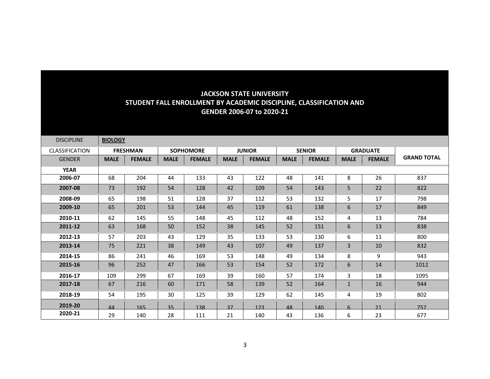| <b>DISCIPLINE</b> | <b>BIOLOGY</b> |                 |             |                                   |             |               |               |               |                  |                 |                    |
|-------------------|----------------|-----------------|-------------|-----------------------------------|-------------|---------------|---------------|---------------|------------------|-----------------|--------------------|
| CLASSIFICATION    |                | <b>FRESHMAN</b> |             | <b>JUNIOR</b><br><b>SOPHOMORE</b> |             |               | <b>SENIOR</b> |               |                  | <b>GRADUATE</b> |                    |
| <b>GENDER</b>     | <b>MALE</b>    | <b>FEMALE</b>   | <b>MALE</b> | <b>FEMALE</b>                     | <b>MALE</b> | <b>FEMALE</b> | <b>MALE</b>   | <b>FEMALE</b> | <b>MALE</b>      | <b>FEMALE</b>   | <b>GRAND TOTAL</b> |
| <b>YEAR</b>       |                |                 |             |                                   |             |               |               |               |                  |                 |                    |
| 2006-07           | 68             | 204             | 44          | 133                               | 43          | 122           | 48            | 141           | 8                | 26              | 837                |
| 2007-08           | 73             | 192             | 54          | 128                               | 42          | 109           | 54            | 143           | 5                | 22              | 822                |
| 2008-09           | 65             | 198             | 51          | 128                               | 37          | 112           | 53            | 132           | 5                | 17              | 798                |
| 2009-10           | 65             | 201             | 53          | 144                               | 45          | 119           | 61            | 138           | 6                | 17              | 849                |
| 2010-11           | 62             | 145             | 55          | 148                               | 45          | 112           | 48            | 152           | 4                | 13              | 784                |
| 2011-12           | 63             | 168             | 50          | 152                               | 38          | 145           | 52            | 151           | 6                | 13              | 838                |
| 2012-13           | 57             | 203             | 43          | 129                               | 35          | 133           | 53            | 130           | 6                | 11              | 800                |
| 2013-14           | 75             | 221             | 38          | 149                               | 43          | 107           | 49            | 137           | 3                | 10              | 832                |
| 2014-15           | 86             | 241             | 46          | 169                               | 53          | 148           | 49            | 134           | 8                | 9               | 943                |
| 2015-16           | 96             | 252             | 47          | 166                               | 53          | 154           | 52            | 172           | 6                | 14              | 1012               |
| 2016-17           | 109            | 299             | 67          | 169                               | 39          | 160           | 57            | 174           | 3                | 18              | 1095               |
| 2017-18           | 67             | 216             | 60          | 171                               | 58          | 139           | 52            | 164           | $\mathbf{1}$     | 16              | 944                |
| 2018-19           | 54             | 195             | 30          | 125                               | 39          | 129           | 62            | 145           | 4                | 19              | 802                |
| 2019-20           | 44             | 165             | 35          | 138                               | 37          | 123           | 48            | 140           | $6 \overline{6}$ | 21              | 757                |
| 2020-21           | 29             | 140             | 28          | 111                               | 21          | 140           | 43            | 136           | 6                | 23              | 677                |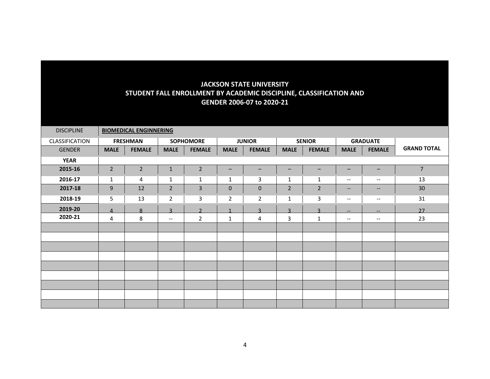| <b>DISCIPLINE</b> |                | <b>BIOMEDICAL ENGINNERING</b> |                          |                  |                   |                         |                         |                   |                               |                          |                    |
|-------------------|----------------|-------------------------------|--------------------------|------------------|-------------------|-------------------------|-------------------------|-------------------|-------------------------------|--------------------------|--------------------|
| CLASSIFICATION    |                | <b>FRESHMAN</b>               |                          | <b>SOPHOMORE</b> |                   | <b>JUNIOR</b>           | <b>SENIOR</b>           |                   | <b>GRADUATE</b>               |                          |                    |
| <b>GENDER</b>     | <b>MALE</b>    | <b>FEMALE</b>                 | <b>MALE</b>              | <b>FEMALE</b>    | <b>MALE</b>       | <b>FEMALE</b>           | <b>MALE</b>             | <b>FEMALE</b>     | <b>MALE</b>                   | <b>FEMALE</b>            | <b>GRAND TOTAL</b> |
| <b>YEAR</b>       |                |                               |                          |                  |                   |                         |                         |                   |                               |                          |                    |
| 2015-16           | $\overline{2}$ | $\overline{2}$                | $\mathbf 1$              | $\mathbf 2$      | $\qquad \qquad -$ | $\qquad \qquad -$       | $\qquad \qquad -$       | $\qquad \qquad -$ | $\qquad \qquad -$             | $\qquad \qquad -$        | $7\overline{ }$    |
| 2016-17           | $\mathbf{1}$   | 4                             | $\mathbf{1}$             | 1                | 1                 | 3                       | 1                       | 1                 | $\overline{\phantom{m}}$      | $\overline{\phantom{m}}$ | 13                 |
| 2017-18           | 9              | 12                            | $\overline{2}$           | 3                | $\mathbf 0$       | $\pmb{0}$               | $\overline{2}$          | $\overline{2}$    | $\overline{\phantom{m}}$      | $--$                     | 30                 |
| 2018-19           | 5              | 13                            | $\overline{2}$           | 3                | $\overline{2}$    | $\overline{2}$          | 1                       | 3                 | $\overline{\phantom{m}}$      | $--$                     | 31                 |
| 2019-20           | $\Delta$       | $\mathbf{8}$                  | $\overline{a}$           | $\mathbf{D}$     |                   | $\overline{\mathbf{z}}$ | $\overline{\mathbf{z}}$ | $\overline{a}$    | $\hspace{0.05cm} \ldots$      | --                       | 27                 |
| 2020-21           | 4              | 8                             | $\overline{\phantom{a}}$ | $\overline{2}$   | $\mathbf{1}$      | 4                       | 3                       | $\mathbf{1}$      | $\hspace{0.05cm} \textbf{--}$ | $\qquad \qquad -$        | 23                 |
|                   |                |                               |                          |                  |                   |                         |                         |                   |                               |                          |                    |
|                   |                |                               |                          |                  |                   |                         |                         |                   |                               |                          |                    |
|                   |                |                               |                          |                  |                   |                         |                         |                   |                               |                          |                    |
|                   |                |                               |                          |                  |                   |                         |                         |                   |                               |                          |                    |
|                   |                |                               |                          |                  |                   |                         |                         |                   |                               |                          |                    |
|                   |                |                               |                          |                  |                   |                         |                         |                   |                               |                          |                    |
|                   |                |                               |                          |                  |                   |                         |                         |                   |                               |                          |                    |
|                   |                |                               |                          |                  |                   |                         |                         |                   |                               |                          |                    |
|                   |                |                               |                          |                  |                   |                         |                         |                   |                               |                          |                    |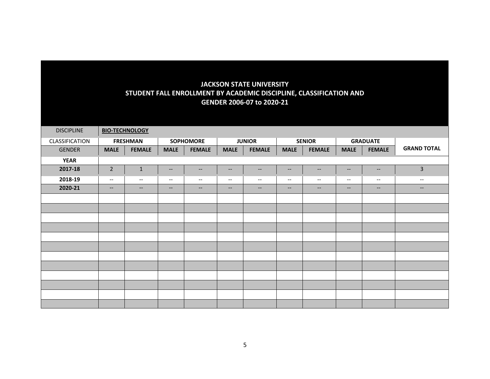| <b>DISCIPLINE</b> |                          | <b>BIO-TECHNOLOGY</b>    |                                                                                                   |                          |                                                     |                          |                          |                          |                          |                                                     |                          |
|-------------------|--------------------------|--------------------------|---------------------------------------------------------------------------------------------------|--------------------------|-----------------------------------------------------|--------------------------|--------------------------|--------------------------|--------------------------|-----------------------------------------------------|--------------------------|
| CLASSIFICATION    |                          | <b>FRESHMAN</b>          |                                                                                                   | <b>SOPHOMORE</b>         |                                                     | <b>JUNIOR</b>            |                          | <b>SENIOR</b>            |                          | <b>GRADUATE</b>                                     |                          |
| <b>GENDER</b>     | <b>MALE</b>              | <b>FEMALE</b>            | <b>MALE</b>                                                                                       | <b>FEMALE</b>            | <b>MALE</b>                                         | <b>FEMALE</b>            | <b>MALE</b>              | <b>FEMALE</b>            | <b>MALE</b>              | <b>FEMALE</b>                                       | <b>GRAND TOTAL</b>       |
| <b>YEAR</b>       |                          |                          |                                                                                                   |                          |                                                     |                          |                          |                          |                          |                                                     |                          |
| 2017-18           | $\overline{2}$           | $\mathbf 1$              | $\hspace{0.05cm} \hspace{0.02cm} \hspace{0.02cm} \hspace{0.02cm} \hspace{0.02cm} \hspace{0.02cm}$ | $--$                     | $\overline{\phantom{m}}$                            | $\overline{\phantom{m}}$ | $\overline{\phantom{a}}$ | $\overline{\phantom{m}}$ | $\hspace{0.05cm} \dashv$ | $\hspace{0.05cm} -\hspace{0.05cm} -\hspace{0.05cm}$ | $\mathsf{3}$             |
| 2018-19           | $\overline{\phantom{a}}$ | $\hspace{0.05cm} \ldots$ | $\overline{\phantom{a}}$                                                                          | $\hspace{0.05cm} \ldots$ | $--$                                                | $--$                     | $--$                     | $\overline{\phantom{a}}$ | $\overline{\phantom{a}}$ | $\overline{\phantom{a}}$                            | $\overline{\phantom{a}}$ |
| 2020-21           | $--$                     | $--$                     | $\qquad \qquad -$                                                                                 | $--$                     | $\hspace{0.05cm} -\hspace{0.05cm} -\hspace{0.05cm}$ | $--$                     | $\qquad \qquad -$        | $--$                     | $\overline{\phantom{a}}$ | $--$                                                | $\overline{\phantom{a}}$ |
|                   |                          |                          |                                                                                                   |                          |                                                     |                          |                          |                          |                          |                                                     |                          |
|                   |                          |                          |                                                                                                   |                          |                                                     |                          |                          |                          |                          |                                                     |                          |
|                   |                          |                          |                                                                                                   |                          |                                                     |                          |                          |                          |                          |                                                     |                          |
|                   |                          |                          |                                                                                                   |                          |                                                     |                          |                          |                          |                          |                                                     |                          |
|                   |                          |                          |                                                                                                   |                          |                                                     |                          |                          |                          |                          |                                                     |                          |
|                   |                          |                          |                                                                                                   |                          |                                                     |                          |                          |                          |                          |                                                     |                          |
|                   |                          |                          |                                                                                                   |                          |                                                     |                          |                          |                          |                          |                                                     |                          |
|                   |                          |                          |                                                                                                   |                          |                                                     |                          |                          |                          |                          |                                                     |                          |
|                   |                          |                          |                                                                                                   |                          |                                                     |                          |                          |                          |                          |                                                     |                          |
|                   |                          |                          |                                                                                                   |                          |                                                     |                          |                          |                          |                          |                                                     |                          |
|                   |                          |                          |                                                                                                   |                          |                                                     |                          |                          |                          |                          |                                                     |                          |
|                   |                          |                          |                                                                                                   |                          |                                                     |                          |                          |                          |                          |                                                     |                          |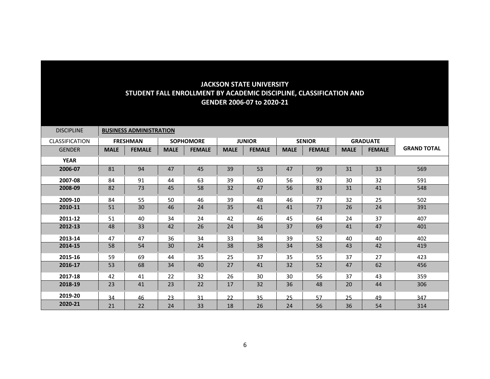| <b>DISCIPLINE</b>     |             | <b>BUSINESS ADMINISTRATION</b> |             |                  |             |               |               |               |                 |               |                    |
|-----------------------|-------------|--------------------------------|-------------|------------------|-------------|---------------|---------------|---------------|-----------------|---------------|--------------------|
| <b>CLASSIFICATION</b> |             | <b>FRESHMAN</b>                |             | <b>SOPHOMORE</b> |             | <b>JUNIOR</b> | <b>SENIOR</b> |               | <b>GRADUATE</b> |               |                    |
| <b>GENDER</b>         | <b>MALE</b> | <b>FEMALE</b>                  | <b>MALE</b> | <b>FEMALE</b>    | <b>MALE</b> | <b>FEMALE</b> | <b>MALE</b>   | <b>FEMALE</b> | <b>MALE</b>     | <b>FEMALE</b> | <b>GRAND TOTAL</b> |
| <b>YEAR</b>           |             |                                |             |                  |             |               |               |               |                 |               |                    |
| 2006-07               | 81          | 94                             | 47          | 45               | 39          | 53            | 47            | 99            | 31              | 33            | 569                |
| 2007-08               | 84          | 91                             | 44          | 63               | 39          | 60            | 56            | 92            | 30              | 32            | 591                |
| 2008-09               | 82          | 73                             | 45          | 58               | 32          | 47            | 56            | 83            | 31              | 41            | 548                |
| 2009-10               | 84          | 55                             | 50          | 46               | 39          | 48            | 46            | 77            | 32              | 25            | 502                |
| 2010-11               | 51          | 30                             | 46          | 24               | 35          | 41            | 41            | 73            | 26              | 24            | 391                |
| 2011-12               | 51          | 40                             | 34          | 24               | 42          | 46            | 45            | 64            | 24              | 37            | 407                |
| 2012-13               | 48          | 33                             | 42          | 26               | 24          | 34            | 37            | 69            | 41              | 47            | 401                |
| 2013-14               | 47          | 47                             | 36          | 34               | 33          | 34            | 39            | 52            | 40              | 40            | 402                |
| 2014-15               | 58          | 54                             | 30          | 24               | 38          | 38            | 34            | 58            | 43              | 42            | 419                |
| 2015-16               | 59          | 69                             | 44          | 35               | 25          | 37            | 35            | 55            | 37              | 27            | 423                |
| 2016-17               | 53          | 68                             | 34          | 40               | 27          | 41            | 32            | 52            | 47              | 62            | 456                |
| 2017-18               | 42          | 41                             | 22          | 32               | 26          | 30            | 30            | 56            | 37              | 43            | 359                |
| 2018-19               | 23          | 41                             | 23          | 22               | 17          | 32            | 36            | 48            | 20              | 44            | 306                |
| 2019-20               | 34          | 46                             | 23          | 31               | 22          | 35            | 25            | 57            | 25              | 49            | 347                |
| 2020-21               | 21          | 22                             | 24          | 33               | 18          | 26            | 24            | 56            | 36              | 54            | 314                |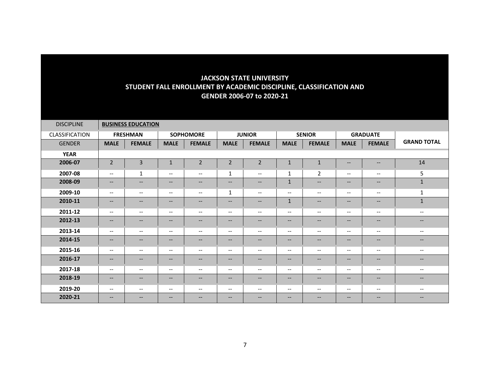| <b>DISCIPLINE</b> |                               | <b>BUSINESS EDUCATION</b> |                          |                                                                                                                                                   |                               |                               |                          |                                                         |                                                                                                                   |                          |                          |
|-------------------|-------------------------------|---------------------------|--------------------------|---------------------------------------------------------------------------------------------------------------------------------------------------|-------------------------------|-------------------------------|--------------------------|---------------------------------------------------------|-------------------------------------------------------------------------------------------------------------------|--------------------------|--------------------------|
| CLASSIFICATION    |                               | <b>FRESHMAN</b>           |                          | <b>SOPHOMORE</b>                                                                                                                                  |                               | <b>JUNIOR</b>                 |                          | <b>SENIOR</b>                                           | <b>GRADUATE</b>                                                                                                   |                          |                          |
| <b>GENDER</b>     | <b>MALE</b>                   | <b>FEMALE</b>             | <b>MALE</b>              | <b>FEMALE</b>                                                                                                                                     | <b>MALE</b>                   | <b>FEMALE</b>                 | <b>MALE</b>              | <b>FEMALE</b>                                           | <b>MALE</b>                                                                                                       | <b>FEMALE</b>            | <b>GRAND TOTAL</b>       |
| <b>YEAR</b>       |                               |                           |                          |                                                                                                                                                   |                               |                               |                          |                                                         |                                                                                                                   |                          |                          |
| 2006-07           | $\overline{2}$                | $\overline{3}$            | $\mathbf{1}$             | $\overline{2}$                                                                                                                                    | $\overline{2}$                | $\overline{2}$                | $\mathbf{1}$             | $\mathbf{1}$                                            | $\overline{\phantom{m}}$                                                                                          | $\qquad \qquad -$        | 14                       |
| 2007-08           | $\overline{\phantom{a}}$      | 1                         | $--$                     | $\overline{\phantom{a}}$                                                                                                                          | 1                             | $\qquad \qquad -$             | 1                        | $\overline{2}$                                          | $\overline{\phantom{m}}$                                                                                          | $--$                     | 5                        |
| 2008-09           | $\overline{\phantom{a}}$      | $\qquad \qquad -$         | --                       | $\overline{\phantom{m}}$                                                                                                                          | $\overline{\phantom{a}}$      | $\overline{\phantom{a}}$      | $\mathbf{1}$             | $\overline{\phantom{m}}$                                | $\overline{\phantom{m}}$                                                                                          | $\qquad \qquad -$        | $\mathbf{1}$             |
| 2009-10           | $\overline{\phantom{a}}$      | $\overline{\phantom{a}}$  | $--$                     | $\hspace{0.05cm} \ldots$                                                                                                                          | 1                             | $\overline{\phantom{a}}$      | $\overline{\phantom{m}}$ | $\overline{\phantom{m}}$                                | $\overline{\phantom{m}}$                                                                                          | $--$                     | $\mathbf{1}$             |
| 2010-11           | $\overline{\phantom{a}}$      | $\qquad \qquad -$         | $\overline{\phantom{a}}$ | $\hspace{0.05cm} \hspace{0.02cm} \hspace{0.02cm} \hspace{0.02cm} \hspace{0.02cm} \hspace{0.02cm}$                                                 | $\hspace{0.05cm} \textbf{--}$ | $\qquad \qquad -$             | $\mathbf{1}$             | $--$                                                    | $\overline{\phantom{m}}$                                                                                          | $\qquad \qquad -$        | $\mathbf{1}$             |
| 2011-12           | $\overline{\phantom{a}}$      | $\overline{\phantom{a}}$  | $\overline{\phantom{a}}$ | $\hspace{0.05cm} \ldots$                                                                                                                          | $--$                          | $\overline{\phantom{a}}$      | $\overline{\phantom{a}}$ | $--$                                                    | $\overline{\phantom{m}}$                                                                                          | $--$                     | $--$                     |
| 2012-13           | $\overline{\phantom{a}}$      | $\qquad \qquad -$         | $\qquad \qquad -$        | $\hspace{0.05cm} \hspace{0.02cm} \hspace{0.02cm} \hspace{0.02cm} \hspace{0.02cm} \hspace{0.02cm}$                                                 | $\hspace{0.05cm} \textbf{--}$ | $\overline{\phantom{a}}$      | $\qquad \qquad -$        | $\qquad \qquad -$                                       | $\overline{\phantom{a}}$                                                                                          | $--$                     | $\qquad \qquad -$        |
| 2013-14           | $\overline{\phantom{a}}$      | $\qquad \qquad -$         | $\overline{\phantom{a}}$ | $--$                                                                                                                                              | $--$                          | $\overline{\phantom{a}}$      | $\overline{\phantom{a}}$ | $\overline{\phantom{a}}$                                | $\overline{\phantom{a}}$                                                                                          | $\overline{\phantom{a}}$ | $\overline{\phantom{a}}$ |
| 2014-15           | $\overline{\phantom{a}}$      | $\qquad \qquad -$         | $\qquad \qquad -$        | $\hspace{0.05cm} \hspace{0.02cm} \hspace{0.02cm} \hspace{0.02cm} \hspace{0.02cm} \hspace{0.02cm}$                                                 | $\hspace{0.05cm} \textbf{--}$ | $\hspace{0.05cm} \textbf{--}$ | $\qquad \qquad -$        | $\overline{\phantom{m}}$                                | $\overline{\phantom{a}}$                                                                                          | $\qquad \qquad -$        | $\qquad \qquad -$        |
| 2015-16           | $\overline{\phantom{a}}$      | $\qquad \qquad -$         | $--$                     | $--$                                                                                                                                              | $--$                          | $\qquad \qquad -$             | $\overline{\phantom{a}}$ | $--$                                                    | $\overline{\phantom{m}}$                                                                                          | $- -$                    | $\overline{\phantom{a}}$ |
| 2016-17           | $--$                          | $\qquad \qquad -$         | $\qquad \qquad -$        | $--$                                                                                                                                              | $\hspace{0.05cm} \textbf{--}$ | $\hspace{0.05cm} \textbf{--}$ | --                       | $\overline{\phantom{a}}$                                | $\overline{\phantom{a}}$                                                                                          | $\qquad \qquad -$        | $\qquad \qquad -$        |
| 2017-18           | $\overline{\phantom{a}}$      | $\overline{\phantom{a}}$  | $\overline{\phantom{a}}$ | $\overline{\phantom{a}}$                                                                                                                          | $\overline{\phantom{a}}$      | $\overline{\phantom{a}}$      | --                       | $-\!$ $\!-$                                             | $\overline{\phantom{m}}$                                                                                          | $\qquad \qquad -$        | $- -$                    |
| 2018-19           | $\hspace{0.05cm} \textbf{--}$ | $--$                      | $\qquad \qquad -$        | $\hspace{0.05cm} \textbf{--}$                                                                                                                     | $\hspace{0.05cm} \textbf{--}$ | $\hspace{0.05cm} \textbf{--}$ | $\qquad \qquad -$        | $\hspace{0.05cm} \hspace{0.02cm} \hspace{0.02cm} \dots$ | $\hspace{0.05cm} \hspace{0.02cm} \hspace{0.02cm} \hspace{0.02cm} \hspace{0.02cm} \hspace{0.02cm} \hspace{0.02cm}$ | $--$                     | $\qquad \qquad -$        |
| 2019-20           | $\overline{\phantom{a}}$      | $\overline{\phantom{a}}$  | $--$                     | $\hspace{0.05cm} \ldots$                                                                                                                          | $\overline{\phantom{a}}$      | $\overline{\phantom{a}}$      | $\overline{\phantom{m}}$ | $\overline{\phantom{m}}$                                | $\overline{\phantom{m}}$                                                                                          | $--$                     | $\overline{\phantom{a}}$ |
| 2020-21           | $\qquad \qquad -$             | $\qquad \qquad -$         | $\qquad \qquad -$        | $\hspace{0.05cm} \hspace{0.02cm} \hspace{0.02cm} \hspace{0.02cm} \hspace{0.02cm} \hspace{0.02cm} \hspace{0.02cm} \hspace{0.02cm} \hspace{0.02cm}$ | $\hspace{0.05cm} \textbf{--}$ | $\hspace{0.05cm} \textbf{--}$ | $\qquad \qquad -$        | $\qquad \qquad -$                                       | $\hspace{0.05cm} \hspace{0.02cm} \hspace{0.02cm} \hspace{0.02cm} \hspace{0.02cm} \hspace{0.02cm} \hspace{0.02cm}$ | $--$                     | $- -$                    |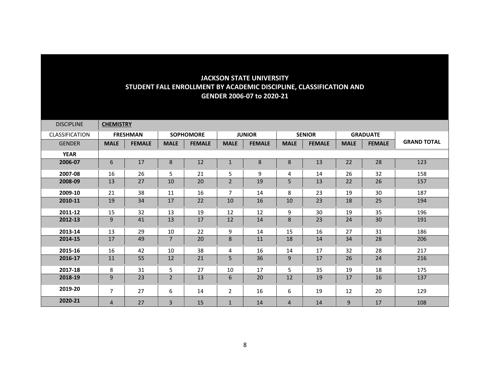| <b>DISCIPLINE</b>     | <b>CHEMISTRY</b> |                 |                |                  |                |               |             |               |             |                 |                    |
|-----------------------|------------------|-----------------|----------------|------------------|----------------|---------------|-------------|---------------|-------------|-----------------|--------------------|
| <b>CLASSIFICATION</b> |                  | <b>FRESHMAN</b> |                | <b>SOPHOMORE</b> |                | <b>JUNIOR</b> |             | <b>SENIOR</b> |             | <b>GRADUATE</b> |                    |
| <b>GENDER</b>         | <b>MALE</b>      | <b>FEMALE</b>   | <b>MALE</b>    | <b>FEMALE</b>    | <b>MALE</b>    | <b>FEMALE</b> | <b>MALE</b> | <b>FEMALE</b> | <b>MALE</b> | <b>FEMALE</b>   | <b>GRAND TOTAL</b> |
| <b>YEAR</b>           |                  |                 |                |                  |                |               |             |               |             |                 |                    |
| 2006-07               | 6                | 17              | 8              | 12               | $\mathbf{1}$   | 8             | 8           | 13            | 22          | 28              | 123                |
| 2007-08               | 16               | 26              | 5              | 21               | 5              | 9             | 4           | 14            | 26          | 32              | 158                |
| 2008-09               | 13               | 27              | 10             | 20               | $\overline{2}$ | 19            | 5           | 13            | 22          | 26              | 157                |
| 2009-10               | 21               | 38              | 11             | 16               | $\overline{7}$ | 14            | 8           | 23            | 19          | 30              | 187                |
| 2010-11               | 19               | 34              | 17             | 22               | 10             | 16            | 10          | 23            | 18          | 25              | 194                |
| 2011-12               | 15               | 32              | 13             | 19               | 12             | 12            | 9           | 30            | 19          | 35              | 196                |
| 2012-13               | 9                | 41              | 13             | 17               | 12             | 14            | 8           | 23            | 24          | 30              | 191                |
| 2013-14               | 13               | 29              | 10             | 22               | 9              | 14            | 15          | 16            | 27          | 31              | 186                |
| 2014-15               | 17               | 49              | $7^{\circ}$    | 20               | 8              | 11            | 18          | 14            | 34          | 28              | 206                |
| 2015-16               | 16               | 42              | 10             | 38               | 4              | 16            | 14          | 17            | 32          | 28              | 217                |
| 2016-17               | 11               | 55              | 12             | 21               | 5              | 36            | 9           | 17            | 26          | 24              | 216                |
| 2017-18               | 8                | 31              | 5              | 27               | 10             | 17            | 5           | 35            | 19          | 18              | 175                |
| 2018-19               | 9                | 23              | $\overline{2}$ | 13               | 6              | 20            | 12          | 19            | 17          | 16              | 137                |
| 2019-20               | $\overline{7}$   | 27              | 6              | 14               | $\overline{2}$ | 16            | 6           | 19            | 12          | 20              | 129                |
| 2020-21               | 4                | 27              | 3              | 15               | $\mathbf{1}$   | 14            | 4           | 14            | 9           | 17              | 108                |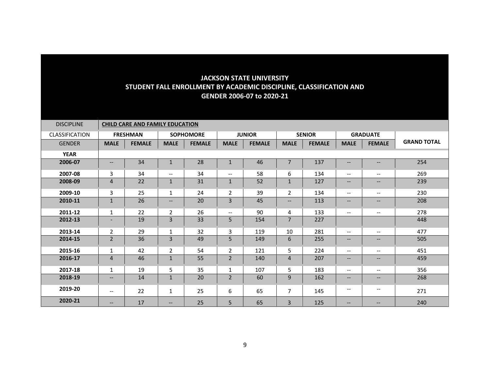| <b>DISCIPLINE</b>     | <b>CHILD CARE AND FAMILY EDUCATION</b> |                 |                   |                  |                          |               |                |               |                                                                                                                                                   |                          |                    |  |  |
|-----------------------|----------------------------------------|-----------------|-------------------|------------------|--------------------------|---------------|----------------|---------------|---------------------------------------------------------------------------------------------------------------------------------------------------|--------------------------|--------------------|--|--|
| <b>CLASSIFICATION</b> |                                        | <b>FRESHMAN</b> |                   | <b>SOPHOMORE</b> |                          | <b>JUNIOR</b> |                | <b>SENIOR</b> | <b>GRADUATE</b>                                                                                                                                   |                          |                    |  |  |
| <b>GENDER</b>         | <b>MALE</b>                            | <b>FEMALE</b>   | <b>MALE</b>       | <b>FEMALE</b>    | <b>MALE</b>              | <b>FEMALE</b> | <b>MALE</b>    | <b>FEMALE</b> | <b>MALE</b>                                                                                                                                       | <b>FEMALE</b>            | <b>GRAND TOTAL</b> |  |  |
| <b>YEAR</b>           |                                        |                 |                   |                  |                          |               |                |               |                                                                                                                                                   |                          |                    |  |  |
| 2006-07               | $\qquad \qquad -$                      | 34              | $\mathbf{1}$      | 28               | $\mathbf{1}$             | 46            | $\overline{7}$ | 137           | $\qquad \qquad -$                                                                                                                                 | $\qquad \qquad -$        | 254                |  |  |
| 2007-08               | 3                                      | 34              | $- -$             | 34               | $\overline{\phantom{a}}$ | 58            | 6              | 134           | $\overline{\phantom{m}}$                                                                                                                          | $\qquad \qquad -$        | 269                |  |  |
| 2008-09               | $\overline{4}$                         | 22              | $\mathbf{1}$      | 31               | $\mathbf{1}$             | 52            | $\mathbf{1}$   | 127           | $\overline{\phantom{a}}$                                                                                                                          | --                       | 239                |  |  |
| 2009-10               | 3                                      | 25              | $\mathbf{1}$      | 24               | 2                        | 39            | $\overline{2}$ | 134           | $\hspace{0.05cm} \ldots$                                                                                                                          | $\qquad \qquad -$        | 230                |  |  |
| 2010-11               | 1                                      | 26              | $\qquad \qquad -$ | 20               | 3                        | 45            | --             | 113           | $\overline{\phantom{m}}$                                                                                                                          | $--$                     | 208                |  |  |
| 2011-12               | $\mathbf{1}$                           | 22              | $\overline{2}$    | 26               | $\overline{\phantom{a}}$ | 90            | 4              | 133           | $\overline{\phantom{a}}$                                                                                                                          | $\overline{\phantom{a}}$ | 278                |  |  |
| 2012-13               | $\overline{\phantom{a}}$               | 19              | $\overline{3}$    | 33               | 5                        | 154           | $\overline{7}$ | 227           |                                                                                                                                                   |                          | 448                |  |  |
| 2013-14               | $\overline{2}$                         | 29              | $\mathbf{1}$      | 32               | 3                        | 119           | 10             | 281           | $\overline{\phantom{a}}$                                                                                                                          | $- -$                    | 477                |  |  |
| 2014-15               | $\overline{2}$                         | 36              | $\overline{3}$    | 49               | 5                        | 149           | 6              | 255           | $\qquad \qquad -$                                                                                                                                 | --                       | 505                |  |  |
| 2015-16               | $\mathbf{1}$                           | 42              | $\overline{2}$    | 54               | $\overline{2}$           | 121           | 5              | 224           | $\overline{\phantom{a}}$                                                                                                                          | $- -$                    | 451                |  |  |
| 2016-17               | $\overline{4}$                         | 46              | $\mathbf{1}$      | 55               | $\overline{2}$           | 140           | 4              | 207           | $-\!$                                                                                                                                             | $\qquad \qquad -$        | 459                |  |  |
| 2017-18               | $\mathbf{1}$                           | 19              | 5                 | 35               | $\mathbf{1}$             | 107           | 5              | 183           | $\overline{\phantom{a}}$                                                                                                                          | $\qquad \qquad -$        | 356                |  |  |
| 2018-19               | $\overline{\phantom{a}}$               | 14              | $\mathbf{1}$      | 20               | $\overline{2}$           | 60            | 9              | 162           | $\overline{\phantom{m}}$                                                                                                                          | $--$                     | 268                |  |  |
| 2019-20               | $\overline{\phantom{a}}$               | 22              | $\mathbf{1}$      | 25               | 6                        | 65            | 7              | 145           | $\overline{\phantom{a}}$                                                                                                                          | $\qquad \qquad -$        | 271                |  |  |
| 2020-21               | $-$                                    | 17              | --                | 25               | 5                        | 65            | 3              | 125           | $\hspace{0.05cm} \hspace{0.02cm} \hspace{0.02cm} \hspace{0.02cm} \hspace{0.02cm} \hspace{0.02cm} \hspace{0.02cm} \hspace{0.02cm} \hspace{0.02cm}$ | --                       | 240                |  |  |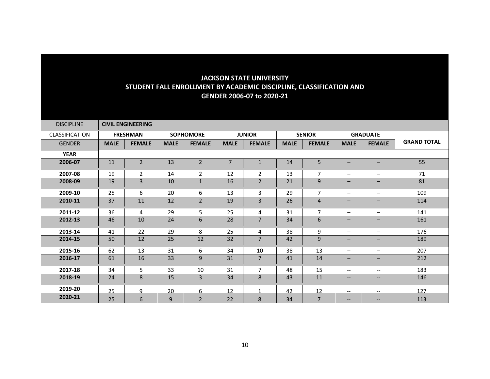| <b>DISCIPLINE</b> |             | <b>CIVIL ENGINEERING</b> |             |                  |                |                |             |                |                                                                                                                   |                          |                    |
|-------------------|-------------|--------------------------|-------------|------------------|----------------|----------------|-------------|----------------|-------------------------------------------------------------------------------------------------------------------|--------------------------|--------------------|
| CLASSIFICATION    |             | <b>FRESHMAN</b>          |             | <b>SOPHOMORE</b> |                | <b>JUNIOR</b>  |             | <b>SENIOR</b>  |                                                                                                                   | <b>GRADUATE</b>          |                    |
| <b>GENDER</b>     | <b>MALE</b> | <b>FEMALE</b>            | <b>MALE</b> | <b>FEMALE</b>    | <b>MALE</b>    | <b>FEMALE</b>  | <b>MALE</b> | <b>FEMALE</b>  | <b>MALE</b>                                                                                                       | <b>FEMALE</b>            | <b>GRAND TOTAL</b> |
| <b>YEAR</b>       |             |                          |             |                  |                |                |             |                |                                                                                                                   |                          |                    |
| 2006-07           | 11          | $\overline{2}$           | 13          | $\overline{2}$   | $\overline{7}$ | $\mathbf{1}$   | 14          | 5              | $\overline{\phantom{0}}$                                                                                          |                          | 55                 |
| 2007-08           | 19          | 2                        | 14          | $\overline{2}$   | 12             | $\overline{2}$ | 13          | $\overline{7}$ |                                                                                                                   | $\overline{\phantom{0}}$ | 71                 |
| 2008-09           | 19          | 3                        | 10          | $\mathbf 1$      | 16             | $\overline{2}$ | 21          | 9              | $\qquad \qquad -$                                                                                                 |                          | 81                 |
| 2009-10           | 25          | 6                        | 20          | 6                | 13             | 3              | 29          | $\overline{7}$ | $\overline{\phantom{m}}$                                                                                          | $\overline{\phantom{0}}$ | 109                |
| 2010-11           | 37          | 11                       | 12          | $\overline{2}$   | 19             | 3              | 26          | 4              | $\qquad \qquad -$                                                                                                 | $\overline{\phantom{0}}$ | 114                |
| 2011-12           | 36          | 4                        | 29          | 5                | 25             | 4              | 31          | $\overline{7}$ | $\overline{\phantom{m}}$                                                                                          | —                        | 141                |
| 2012-13           | 46          | 10                       | 24          | 6                | 28             | $\overline{7}$ | 34          | 6              | $\qquad \qquad -$                                                                                                 | $\qquad \qquad -$        | 161                |
| 2013-14           | 41          | 22                       | 29          | 8                | 25             | 4              | 38          | 9              | $\overline{\phantom{m}}$                                                                                          | $\overline{\phantom{0}}$ | 176                |
| 2014-15           | 50          | 12                       | 25          | 12               | 32             | $\overline{7}$ | 42          | 9              | $\qquad \qquad -$                                                                                                 | $\overline{\phantom{0}}$ | 189                |
| 2015-16           | 62          | 13                       | 31          | 6                | 34             | 10             | 38          | 13             | $\qquad \qquad -$                                                                                                 | —                        | 207                |
| 2016-17           | 61          | 16                       | 33          | $\mathsf 9$      | 31             | 7              | 41          | 14             | $\qquad \qquad -$                                                                                                 | $\qquad \qquad -$        | 212                |
| 2017-18           | 34          | 5                        | 33          | 10               | 31             | $\overline{7}$ | 48          | 15             | $\overline{\phantom{m}}$                                                                                          | $- -$                    | 183                |
| 2018-19           | 24          | 8                        | 15          | 3                | 34             | 8              | 43          | 11             | $\hspace{0.05cm} \hspace{0.02cm} \hspace{0.02cm} \hspace{0.02cm} \hspace{0.02cm} \hspace{0.02cm} \hspace{0.02cm}$ | --                       | 146                |
| 2019-20           | 25          | $\mathbf{q}$             | 20          | 6                | 12             | $\mathbf{A}$   | 42          | 12             | $\overline{\phantom{a}}$                                                                                          | --                       | 127                |
| 2020-21           | 25          | 6                        | 9           | $\overline{2}$   | 22             | 8              | 34          | $\overline{7}$ | $\overline{\phantom{m}}$                                                                                          | --                       | 113                |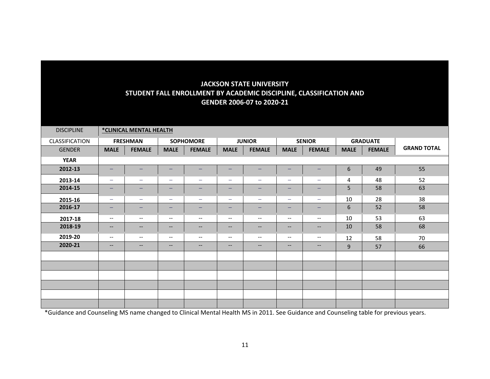| <b>DISCIPLINE</b> |                                   | *CLINICAL MENTAL HEALTH  |                          |                          |                                                     |                               |                          |                          |             |                 |                    |
|-------------------|-----------------------------------|--------------------------|--------------------------|--------------------------|-----------------------------------------------------|-------------------------------|--------------------------|--------------------------|-------------|-----------------|--------------------|
| CLASSIFICATION    |                                   | <b>FRESHMAN</b>          |                          | <b>SOPHOMORE</b>         |                                                     | <b>JUNIOR</b>                 |                          | <b>SENIOR</b>            |             | <b>GRADUATE</b> |                    |
| <b>GENDER</b>     | <b>MALE</b>                       | <b>FEMALE</b>            | <b>MALE</b>              | <b>FEMALE</b>            | <b>MALE</b>                                         | <b>FEMALE</b>                 | <b>MALE</b>              | <b>FEMALE</b>            | <b>MALE</b> | <b>FEMALE</b>   | <b>GRAND TOTAL</b> |
| <b>YEAR</b>       |                                   |                          |                          |                          |                                                     |                               |                          |                          |             |                 |                    |
| 2012-13           | -                                 | -                        | -                        | -                        | $\qquad \qquad -$                                   | -                             | -                        | -                        | 6           | 49              | 55                 |
| 2013-14           | $\qquad \qquad -$                 | $\qquad \qquad -$        | $\overline{\phantom{0}}$ | -                        | $\overline{\phantom{m}}$                            | $\overline{\phantom{m}}$      | $\overline{\phantom{m}}$ | $\qquad \qquad -$        | 4           | 48              | 52                 |
| 2014-15           | $\qquad \qquad -$                 | -                        | $\overline{\phantom{m}}$ | -                        | $\qquad \qquad \longleftarrow$                      | $\qquad \qquad -$             | $\qquad \qquad -$        | -                        | 5           | 58              | 63                 |
| 2015-16           | $\overline{\phantom{m}}$          | $\overline{\phantom{m}}$ |                          | -                        | $\overline{\phantom{m}}$                            | $\overline{\phantom{m}}$      | $\qquad \qquad -$        | $\qquad \qquad -$        | 10          | 28              | 38                 |
| 2016-17           | $\qquad \qquad -$                 | -                        | -                        | -                        | $\overline{\phantom{0}}$                            | -                             | $\overline{\phantom{0}}$ | -                        | 6           | 52              | 58                 |
| 2017-18           | $\overline{\phantom{m}}$          | $\overline{\phantom{m}}$ | $--$                     | --                       | $\hspace{0.05cm} \textbf{--}$                       | $-\, -$                       | $\overline{\phantom{m}}$ | $\overline{\phantom{m}}$ | 10          | 53              | 63                 |
| 2018-19           | $\hspace{0.05cm} \dashrightarrow$ | $\overline{\phantom{m}}$ | $\qquad \qquad -$        | $--$                     | $\hspace{0.05cm} \textbf{--}$                       | $\hspace{0.05cm} \textbf{--}$ | $\overline{\phantom{a}}$ | $-\!$ $\!-$              | 10          | 58              | 68                 |
| 2019-20           | $\overline{\phantom{a}}$          | $\overline{\phantom{a}}$ | $\overline{\phantom{a}}$ | $\overline{\phantom{a}}$ | $\hspace{0.05cm} -\hspace{0.05cm} -\hspace{0.05cm}$ | $\overline{\phantom{m}}$      | $\overline{\phantom{m}}$ | $-\!$ $\!-$              | 12          | 58              | 70                 |
| 2020-21           | $\overline{\phantom{m}}$          | $\qquad \qquad -$        | $\qquad \qquad -$        | $\qquad \qquad -$        | $\hspace{0.05cm} \ldots$                            | $\hspace{0.05cm} \ldots$      | $\qquad \qquad -$        | $\qquad \qquad -$        | 9           | 57              | 66                 |
|                   |                                   |                          |                          |                          |                                                     |                               |                          |                          |             |                 |                    |
|                   |                                   |                          |                          |                          |                                                     |                               |                          |                          |             |                 |                    |
|                   |                                   |                          |                          |                          |                                                     |                               |                          |                          |             |                 |                    |
|                   |                                   |                          |                          |                          |                                                     |                               |                          |                          |             |                 |                    |
|                   |                                   |                          |                          |                          |                                                     |                               |                          |                          |             |                 |                    |
|                   |                                   |                          |                          |                          |                                                     |                               |                          |                          |             |                 |                    |

\*Guidance and Counseling MS name changed to Clinical Mental Health MS in 2011. See Guidance and Counseling table for previous years.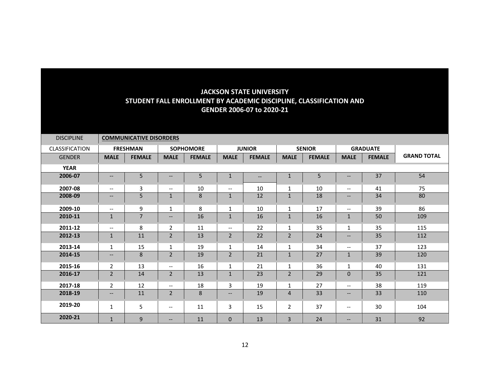| <b>DISCIPLINE</b>     |                                                     | <b>COMMUNICATIVE DISORDERS</b> |                   |                  |                          |               |                |               |                                                     |                 |                    |
|-----------------------|-----------------------------------------------------|--------------------------------|-------------------|------------------|--------------------------|---------------|----------------|---------------|-----------------------------------------------------|-----------------|--------------------|
| <b>CLASSIFICATION</b> |                                                     | <b>FRESHMAN</b>                |                   | <b>SOPHOMORE</b> |                          | <b>JUNIOR</b> |                | <b>SENIOR</b> |                                                     | <b>GRADUATE</b> |                    |
| <b>GENDER</b>         | <b>MALE</b>                                         | <b>FEMALE</b>                  | <b>MALE</b>       | <b>FEMALE</b>    | <b>MALE</b>              | <b>FEMALE</b> | <b>MALE</b>    | <b>FEMALE</b> | <b>MALE</b>                                         | <b>FEMALE</b>   | <b>GRAND TOTAL</b> |
| <b>YEAR</b>           |                                                     |                                |                   |                  |                          |               |                |               |                                                     |                 |                    |
| 2006-07               | $\qquad \qquad -$                                   | 5                              | --                | 5                | $\mathbf{1}$             | $- -$         | $\mathbf{1}$   | 5             | $\overline{\phantom{m}}$                            | 37              | 54                 |
| 2007-08               | $\overline{\phantom{a}}$                            | 3                              | $- -$             | 10               | $\overline{\phantom{a}}$ | 10            | $\mathbf{1}$   | 10            | $\hspace{0.05cm} -\hspace{0.05cm} -\hspace{0.05cm}$ | 41              | 75                 |
| 2008-09               | $\qquad \qquad -$                                   | $\overline{5}$                 | $\mathbf{1}$      | 8                | $\mathbf{1}$             | 12            | $\mathbf 1$    | 18            | $-\!$                                               | 34              | 80                 |
| 2009-10               | $\overline{\phantom{a}}$                            | 9                              | $\mathbf{1}$      | 8                | $\mathbf{1}$             | 10            | $\mathbf{1}$   | 17            | $\overline{\phantom{a}}$                            | 39              | 86                 |
| 2010-11               | $\mathbf{1}$                                        | $\overline{7}$                 | $\qquad \qquad -$ | 16               | $\mathbf{1}$             | 16            | $\mathbf{1}$   | 16            | $\mathbf{1}$                                        | 50              | 109                |
| 2011-12               | $\hspace{0.05cm} -\hspace{0.05cm} -\hspace{0.05cm}$ | 8                              | $\overline{2}$    | 11               | $\overline{\phantom{m}}$ | 22            | 1              | 35            | 1                                                   | 35              | 115                |
| 2012-13               | $\mathbf{1}$                                        | 11                             | $\overline{2}$    | 13               | $\overline{2}$           | 22            | $\overline{2}$ | 24            | $--$                                                | 35              | 112                |
| 2013-14               | $\mathbf{1}$                                        | 15                             | 1                 | 19               | 1                        | 14            | 1              | 34            | $\hspace{0.05cm} -\hspace{0.05cm} -\hspace{0.05cm}$ | 37              | 123                |
| 2014-15               | $\qquad \qquad -$                                   | 8                              | $\overline{2}$    | 19               | $\overline{2}$           | 21            | $\mathbf{1}$   | 27            | $\mathbf{1}$                                        | 39              | 120                |
| 2015-16               | $\overline{2}$                                      | 13                             | $- -$             | 16               | $\mathbf{1}$             | 21            | 1              | 36            | $\mathbf{1}$                                        | 40              | 131                |
| 2016-17               | $\overline{2}$                                      | 14                             | $\overline{2}$    | 13               | $\mathbf{1}$             | 23            | $\overline{2}$ | 29            | $\mathbf 0$                                         | 35              | 121                |
| 2017-18               | $\overline{2}$                                      | 12                             | $- -$             | 18               | 3                        | 19            | $\mathbf{1}$   | 27            | $\overline{\phantom{m}}$                            | 38              | 119                |
| 2018-19               | $\qquad \qquad -$                                   | 11                             | $\overline{2}$    | $\,8\,$          | $\hspace{0.05cm} \ldots$ | 19            | $\overline{4}$ | 33            | $\overline{\phantom{a}}$                            | 33              | 110                |
| 2019-20               | $\mathbf{1}$                                        | 5                              | $--$              | 11               | $\overline{3}$           | 15            | $\overline{2}$ | 37            | $\overline{\phantom{a}}$                            | 30              | 104                |
| 2020-21               | $\mathbf{1}$                                        | 9                              | --                | 11               | $\mathbf{0}$             | 13            | $\overline{3}$ | 24            | $\qquad \qquad -$                                   | 31              | 92                 |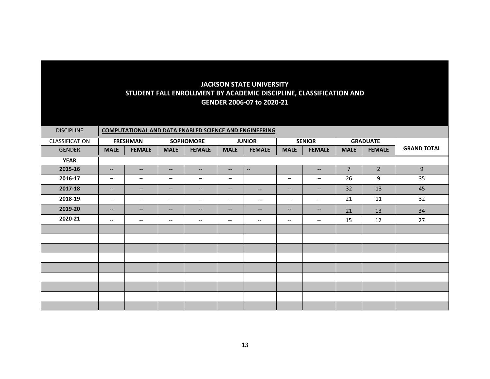| <b>DISCIPLINE</b> |                          | <b>COMPUTATIONAL AND DATA ENABLED SCIENCE AND ENGINEERING</b> |                          |                                                     |                               |                          |                                       |                          |                |                 |                    |  |  |
|-------------------|--------------------------|---------------------------------------------------------------|--------------------------|-----------------------------------------------------|-------------------------------|--------------------------|---------------------------------------|--------------------------|----------------|-----------------|--------------------|--|--|
| CLASSIFICATION    |                          | <b>FRESHMAN</b>                                               |                          | <b>SOPHOMORE</b>                                    |                               | <b>JUNIOR</b>            |                                       | <b>SENIOR</b>            |                | <b>GRADUATE</b> |                    |  |  |
| <b>GENDER</b>     | <b>MALE</b>              | <b>FEMALE</b>                                                 | <b>MALE</b>              | <b>FEMALE</b>                                       | <b>MALE</b>                   | <b>FEMALE</b>            | <b>MALE</b>                           | <b>FEMALE</b>            | <b>MALE</b>    | <b>FEMALE</b>   | <b>GRAND TOTAL</b> |  |  |
| <b>YEAR</b>       |                          |                                                               |                          |                                                     |                               |                          |                                       |                          |                |                 |                    |  |  |
| 2015-16           | $\overline{\phantom{a}}$ | $\overline{\phantom{a}}$                                      | $--$                     | $\overline{\phantom{a}}$                            | $\overline{\phantom{a}}$      | $\overline{\phantom{a}}$ |                                       | $\overline{\phantom{a}}$ | $\overline{7}$ | $\overline{2}$  | 9                  |  |  |
| 2016-17           | $\qquad \qquad -$        | $\qquad \qquad -$                                             | -                        | -                                                   | $\qquad \qquad -$             |                          | $\qquad \qquad -$                     | -                        | 26             | 9               | 35                 |  |  |
| 2017-18           | $\overline{\phantom{a}}$ | $\overline{\phantom{a}}$                                      | $\qquad \qquad -$        | $--$                                                | $\hspace{0.05cm} \dashv$      | $\hspace{0.05cm} \ldots$ | $\overline{\phantom{a}}$              | $\qquad \qquad -$        | 32             | 13              | 45                 |  |  |
| 2018-19           | $-\!$                    | $--$                                                          | $\overline{\phantom{a}}$ | $\overline{\phantom{a}}$                            | $--$                          | $\overline{\phantom{a}}$ | $\overline{\phantom{a}}$              | $\overline{\phantom{m}}$ | 21             | 11              | 32                 |  |  |
| 2019-20           | $\overline{\phantom{a}}$ | $\hspace{0.05cm} \hspace{0.02cm} \hspace{0.02cm} \dots$       | $\qquad \qquad -$        | $\overline{\phantom{a}}$                            | $\hspace{0.05cm} \dashv$      | $\hspace{0.05cm}$        | $\overline{\phantom{a}}$              | --                       | 21             | 13              | 34                 |  |  |
| 2020-21           | $\overline{\phantom{m}}$ | $\overline{\phantom{m}}$                                      | $\qquad \qquad -$        | $\hspace{0.05cm} -\hspace{0.05cm} -\hspace{0.05cm}$ | $\hspace{0.05cm} \textbf{--}$ | $\overline{\phantom{a}}$ | $\hspace{0.05cm}$ – $\hspace{0.05cm}$ | $\overline{\phantom{a}}$ | 15             | 12              | 27                 |  |  |
|                   |                          |                                                               |                          |                                                     |                               |                          |                                       |                          |                |                 |                    |  |  |
|                   |                          |                                                               |                          |                                                     |                               |                          |                                       |                          |                |                 |                    |  |  |
|                   |                          |                                                               |                          |                                                     |                               |                          |                                       |                          |                |                 |                    |  |  |
|                   |                          |                                                               |                          |                                                     |                               |                          |                                       |                          |                |                 |                    |  |  |
|                   |                          |                                                               |                          |                                                     |                               |                          |                                       |                          |                |                 |                    |  |  |
|                   |                          |                                                               |                          |                                                     |                               |                          |                                       |                          |                |                 |                    |  |  |
|                   |                          |                                                               |                          |                                                     |                               |                          |                                       |                          |                |                 |                    |  |  |
|                   |                          |                                                               |                          |                                                     |                               |                          |                                       |                          |                |                 |                    |  |  |
|                   |                          |                                                               |                          |                                                     |                               |                          |                                       |                          |                |                 |                    |  |  |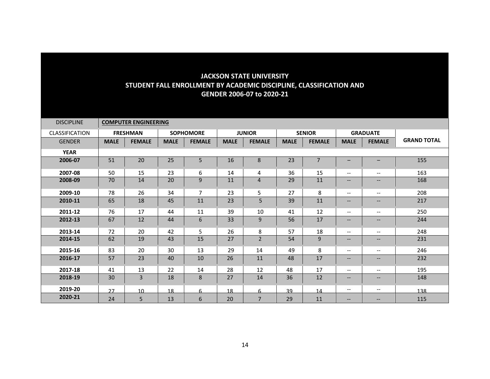| <b>DISCIPLINE</b>     |             | <b>COMPUTER ENGINEERING</b> |             |                  |             |                |             |                |                          |                          |                    |
|-----------------------|-------------|-----------------------------|-------------|------------------|-------------|----------------|-------------|----------------|--------------------------|--------------------------|--------------------|
| <b>CLASSIFICATION</b> |             | <b>FRESHMAN</b>             |             | <b>SOPHOMORE</b> |             | <b>JUNIOR</b>  |             | <b>SENIOR</b>  |                          | <b>GRADUATE</b>          |                    |
| <b>GENDER</b>         | <b>MALE</b> | <b>FEMALE</b>               | <b>MALE</b> | <b>FEMALE</b>    | <b>MALE</b> | <b>FEMALE</b>  | <b>MALE</b> | <b>FEMALE</b>  | <b>MALE</b>              | <b>FEMALE</b>            | <b>GRAND TOTAL</b> |
| <b>YEAR</b>           |             |                             |             |                  |             |                |             |                |                          |                          |                    |
| 2006-07               | 51          | 20                          | 25          | 5                | 16          | 8              | 23          | $\overline{7}$ | —                        |                          | 155                |
| 2007-08               | 50          | 15                          | 23          | 6                | 14          | 4              | 36          | 15             | $\overline{\phantom{a}}$ | $\overline{\phantom{a}}$ | 163                |
| 2008-09               | 70          | 14                          | 20          | 9                | 11          | 4              | 29          | 11             | $\qquad \qquad -$        | --                       | 168                |
| 2009-10               | 78          | 26                          | 34          | $\overline{7}$   | 23          | 5              | 27          | 8              | $\overline{\phantom{a}}$ | $\overline{\phantom{a}}$ | 208                |
| 2010-11               | 65          | 18                          | 45          | $11\,$           | 23          | 5              | 39          | 11             | $\overline{\phantom{a}}$ | $\qquad \qquad -$        | 217                |
| 2011-12               | 76          | 17                          | 44          | 11               | 39          | 10             | 41          | 12             | --                       | $\overline{\phantom{m}}$ | 250                |
| 2012-13               | 67          | 12                          | 44          | $\boldsymbol{6}$ | 33          | 9              | 56          | 17             | $\overline{\phantom{a}}$ | $\qquad \qquad -$        | 244                |
| 2013-14               | 72          | 20                          | 42          | 5                | 26          | 8              | 57          | 18             | $\overline{\phantom{a}}$ | $\overline{\phantom{a}}$ | 248                |
| 2014-15               | 62          | 19                          | 43          | 15               | 27          | $\overline{2}$ | 54          | 9              | $\qquad \qquad -$        | $--$                     | 231                |
| 2015-16               | 83          | 20                          | 30          | 13               | 29          | 14             | 49          | 8              | $\overline{\phantom{a}}$ | $\overline{\phantom{a}}$ | 246                |
| 2016-17               | 57          | 23                          | 40          | 10               | 26          | 11             | 48          | 17             | $\overline{\phantom{a}}$ | $\qquad \qquad -$        | 232                |
| 2017-18               | 41          | 13                          | 22          | 14               | 28          | 12             | 48          | 17             | $\overline{\phantom{a}}$ | $\qquad \qquad -$        | 195                |
| 2018-19               | 30          | 3                           | 18          | 8                | 27          | 14             | 36          | 12             | $\qquad \qquad -$        | $- -$                    | 148                |
| 2019-20               | 27          | 10 <sup>1</sup>             | 18          | 6                | 18          | 6              | 39          | 14             | $\overline{\phantom{m}}$ | $--$                     | 138                |
| 2020-21               | 24          | 5                           | 13          | 6                | 20          | $\overline{7}$ | 29          | 11             | --                       | $\qquad \qquad -$        | 115                |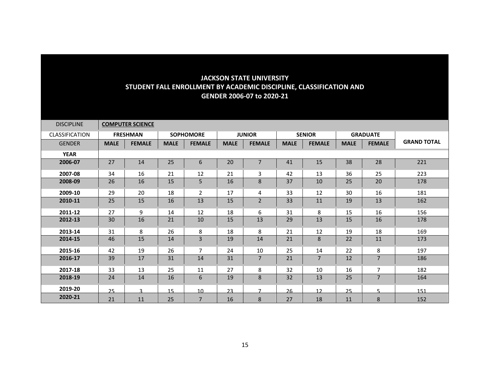| <b>DISCIPLINE</b>     |             | <b>COMPUTER SCIENCE</b> |             |                  |             |                |             |                |             |                 |                    |
|-----------------------|-------------|-------------------------|-------------|------------------|-------------|----------------|-------------|----------------|-------------|-----------------|--------------------|
| <b>CLASSIFICATION</b> |             | <b>FRESHMAN</b>         |             | <b>SOPHOMORE</b> |             | <b>JUNIOR</b>  |             | <b>SENIOR</b>  |             | <b>GRADUATE</b> |                    |
| <b>GENDER</b>         | <b>MALE</b> | <b>FEMALE</b>           | <b>MALE</b> | <b>FEMALE</b>    | <b>MALE</b> | <b>FEMALE</b>  | <b>MALE</b> | <b>FEMALE</b>  | <b>MALE</b> | <b>FEMALE</b>   | <b>GRAND TOTAL</b> |
| <b>YEAR</b>           |             |                         |             |                  |             |                |             |                |             |                 |                    |
| 2006-07               | 27          | 14                      | 25          | 6                | 20          | $\overline{7}$ | 41          | 15             | 38          | 28              | 221                |
| 2007-08               | 34          | 16                      | 21          | 12               | 21          | 3              | 42          | 13             | 36          | 25              | 223                |
| 2008-09               | 26          | 16                      | 15          | 5                | 16          | 8              | 37          | 10             | 25          | 20              | 178                |
| 2009-10               | 29          | 20                      | 18          | $\overline{2}$   | 17          | 4              | 33          | 12             | 30          | 16              | 181                |
| 2010-11               | 25          | 15                      | 16          | 13               | 15          | $\overline{2}$ | 33          | 11             | 19          | 13              | 162                |
| 2011-12               | 27          | 9                       | 14          | 12               | 18          | 6              | 31          | 8              | 15          | 16              | 156                |
| 2012-13               | 30          | 16                      | 21          | 10               | 15          | 13             | 29          | 13             | 15          | 16              | 178                |
| 2013-14               | 31          | 8                       | 26          | 8                | 18          | 8              | 21          | 12             | 19          | 18              | 169                |
| 2014-15               | 46          | 15                      | 14          | 3                | 19          | 14             | 21          | 8              | 22          | 11              | 173                |
| 2015-16               | 42          | 19                      | 26          | $\overline{7}$   | 24          | 10             | 25          | 14             | 22          | 8               | 197                |
| 2016-17               | 39          | 17                      | 31          | 14               | 31          | $\overline{7}$ | 21          | $\overline{7}$ | 12          | $\overline{7}$  | 186                |
| 2017-18               | 33          | 13                      | 25          | 11               | 27          | 8              | 32          | 10             | 16          | $\overline{7}$  | 182                |
| 2018-19               | 24          | 14                      | 16          | 6                | 19          | 8              | 32          | 13             | 25          | $\overline{7}$  | 164                |
| 2019-20               | 25          | $\mathbf{R}$            | 15          | 10               | 23          | $\overline{7}$ | 26          | 12             | 25          | 5.              | 151                |
| 2020-21               | 21          | 11                      | 25          | $\overline{7}$   | 16          | 8              | 27          | 18             | 11          | 8               | 152                |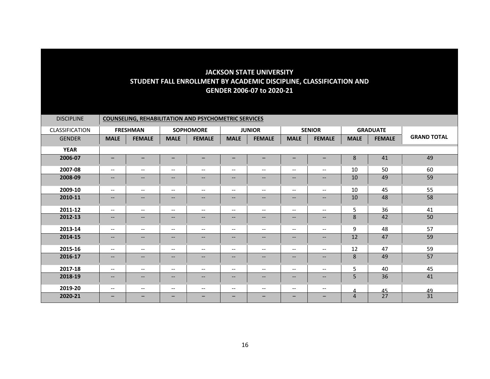| <b>DISCIPLINE</b> | <b>COUNSELING, REHABILITATION AND PSYCHOMETRIC SERVICES</b> |                          |                               |                          |                                       |                               |                          |                                                     |                |                 |                    |  |
|-------------------|-------------------------------------------------------------|--------------------------|-------------------------------|--------------------------|---------------------------------------|-------------------------------|--------------------------|-----------------------------------------------------|----------------|-----------------|--------------------|--|
| CLASSIFICATION    |                                                             | <b>FRESHMAN</b>          |                               | <b>SOPHOMORE</b>         |                                       | <b>JUNIOR</b>                 |                          | <b>SENIOR</b>                                       |                | <b>GRADUATE</b> |                    |  |
| <b>GENDER</b>     | <b>MALE</b>                                                 | <b>FEMALE</b>            | <b>MALE</b>                   | <b>FEMALE</b>            | <b>MALE</b>                           | <b>FEMALE</b>                 | <b>MALE</b>              | <b>FEMALE</b>                                       | <b>MALE</b>    | <b>FEMALE</b>   | <b>GRAND TOTAL</b> |  |
| <b>YEAR</b>       |                                                             |                          |                               |                          |                                       |                               |                          |                                                     |                |                 |                    |  |
| 2006-07           | $\qquad \qquad -$                                           | -                        | $\qquad \qquad -$             | -                        | -                                     | -                             | -                        | $\overline{\phantom{m}}$                            | $\,8\,$        | 41              | 49                 |  |
| 2007-08           | $\overline{\phantom{m}}$                                    | $\overline{\phantom{a}}$ | $\hspace{0.05cm} \textbf{--}$ | $\overline{\phantom{m}}$ | $\hspace{0.05cm}$ – $\hspace{0.05cm}$ | $\hspace{0.05cm} \textbf{--}$ | $\qquad \qquad -$        | $\hspace{0.05cm} -\hspace{0.05cm} -\hspace{0.05cm}$ | 10             | 50              | 60                 |  |
| 2008-09           | $\overline{\phantom{a}}$                                    | $\qquad \qquad -$        | $\overline{\phantom{m}}$      | $\qquad \qquad -$        | $\qquad \qquad -$                     | --                            | $\qquad \qquad -$        | $\overline{\phantom{m}}$                            | 10             | 49              | 59                 |  |
| 2009-10           | $\overline{\phantom{m}}$                                    | $\overline{\phantom{a}}$ | $\hspace{0.05cm} \textbf{--}$ | $\overline{\phantom{m}}$ | $\hspace{0.05cm}$ – $\hspace{0.05cm}$ | $\hspace{0.05cm} \textbf{--}$ | $\qquad \qquad -$        | $\hspace{0.05cm} -\hspace{0.05cm} -\hspace{0.05cm}$ | 10             | 45              | 55                 |  |
| 2010-11           | $--$                                                        | $--$                     | $\overline{\phantom{a}}$      | $\overline{\phantom{a}}$ | $\overline{\phantom{a}}$              | $--$                          | $\qquad \qquad -$        | $\hspace{0.05cm} -\hspace{0.05cm} -\hspace{0.05cm}$ | 10             | 48              | 58                 |  |
| 2011-12           | $\qquad \qquad -$                                           | $\overline{\phantom{a}}$ | $\overline{\phantom{m}}$      | $\overline{\phantom{a}}$ | $\overline{\phantom{a}}$              | $--$                          | $\qquad \qquad -$        | $\hspace{0.05cm} -\hspace{0.05cm} -\hspace{0.05cm}$ | 5              | 36              | 41                 |  |
| 2012-13           | $\qquad \qquad -$                                           | $--$                     | $\qquad \qquad -$             | $\qquad \qquad -$        | $\qquad \qquad -$                     | $\qquad \qquad -$             | $\qquad \qquad -$        | $--$                                                | 8              | 42              | 50                 |  |
| 2013-14           | $\qquad \qquad -$                                           | $--$                     | $\overline{\phantom{m}}$      | $\qquad \qquad -$        | $\overline{\phantom{m}}$              | $\overline{\phantom{a}}$      | $\qquad \qquad -$        | $--$                                                | 9              | 48              | 57                 |  |
| 2014-15           | $\qquad \qquad -$                                           | $--$                     | $\qquad \qquad -$             | $\overline{\phantom{a}}$ | $\hspace{0.05cm} \textbf{--}$         | $--$                          | $\qquad \qquad -$        | $- -$                                               | 12             | 47              | 59                 |  |
| 2015-16           | $\qquad \qquad -$                                           | $\overline{\phantom{a}}$ | $\overline{\phantom{a}}$      | $\overline{\phantom{a}}$ | $\overline{\phantom{a}}$              | $--$                          | $\overline{\phantom{a}}$ | $--$                                                | 12             | 47              | 59                 |  |
| 2016-17           | $--$                                                        | $\overline{\phantom{a}}$ | $\qquad \qquad -$             | $--$                     | $\overline{\phantom{a}}$              | $\qquad \qquad -$             | $--$                     | $\hspace{0.05cm} \ldots$                            | 8              | 49              | 57                 |  |
| 2017-18           | $\overline{\phantom{m}}$                                    | $\overline{\phantom{a}}$ | $\overline{\phantom{m}}$      | $\overline{\phantom{a}}$ | $\overline{\phantom{a}}$              | $\overline{\phantom{a}}$      | $\overline{\phantom{a}}$ | $\overline{\phantom{m}}$                            | 5              | 40              | 45                 |  |
| 2018-19           | $\qquad \qquad -$                                           | $--$                     | $\qquad \qquad -$             | $\qquad \qquad -$        | $\qquad \qquad -$                     | $\qquad \qquad -$             | $\qquad \qquad -$        | $\overline{\phantom{m}}$                            | 5              | 36              | 41                 |  |
| 2019-20           | $\overline{\phantom{m}}$                                    | $--$                     | $\overline{\phantom{m}}$      | $\overline{\phantom{a}}$ | $\overline{\phantom{a}}$              | $--$                          | $\overline{\phantom{a}}$ | $\hspace{0.05cm} -\hspace{0.05cm} -\hspace{0.05cm}$ | Δ              | 45              | 49                 |  |
| 2020-21           | -                                                           | -                        | $\overline{\phantom{0}}$      |                          | $\qquad \qquad -$                     | -                             | —                        | –                                                   | $\overline{4}$ | 27              | 31                 |  |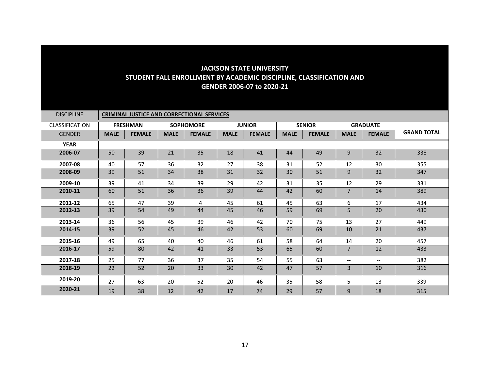| <b>DISCIPLINE</b>     | <b>CRIMINAL JUSTICE AND CORRECTIONAL SERVICES</b> |                 |             |                  |             |               |             |               |                          |                 |                    |  |
|-----------------------|---------------------------------------------------|-----------------|-------------|------------------|-------------|---------------|-------------|---------------|--------------------------|-----------------|--------------------|--|
| <b>CLASSIFICATION</b> |                                                   | <b>FRESHMAN</b> |             | <b>SOPHOMORE</b> |             | <b>JUNIOR</b> |             | <b>SENIOR</b> |                          | <b>GRADUATE</b> |                    |  |
| <b>GENDER</b>         | <b>MALE</b>                                       | <b>FEMALE</b>   | <b>MALE</b> | <b>FEMALE</b>    | <b>MALE</b> | <b>FEMALE</b> | <b>MALE</b> | <b>FEMALE</b> | <b>MALE</b>              | <b>FEMALE</b>   | <b>GRAND TOTAL</b> |  |
| <b>YEAR</b>           |                                                   |                 |             |                  |             |               |             |               |                          |                 |                    |  |
| 2006-07               | 50                                                | 39              | 21          | 35               | 18          | 41            | 44          | 49            | 9                        | 32              | 338                |  |
| 2007-08               | 40                                                | 57              | 36          | 32               | 27          | 38            | 31          | 52            | 12                       | 30              | 355                |  |
| 2008-09               | 39                                                | 51              | 34          | 38               | 31          | 32            | 30          | 51            | 9                        | 32              | 347                |  |
| 2009-10               | 39                                                | 41              | 34          | 39               | 29          | 42            | 31          | 35            | 12                       | 29              | 331                |  |
| 2010-11               | 60                                                | 51              | 36          | 36               | 39          | 44            | 42          | 60            | 7                        | 14              | 389                |  |
| 2011-12               | 65                                                | 47              | 39          | 4                | 45          | 61            | 45          | 63            | 6                        | 17              | 434                |  |
| 2012-13               | 39                                                | 54              | 49          | 44               | 45          | 46            | 59          | 69            | $5\phantom{.}$           | 20              | 430                |  |
| 2013-14               | 36                                                | 56              | 45          | 39               | 46          | 42            | 70          | 75            | 13                       | 27              | 449                |  |
| 2014-15               | 39                                                | 52              | 45          | 46               | 42          | 53            | 60          | 69            | 10                       | 21              | 437                |  |
| 2015-16               | 49                                                | 65              | 40          | 40               | 46          | 61            | 58          | 64            | 14                       | 20              | 457                |  |
| 2016-17               | 59                                                | 80              | 42          | 41               | 33          | 53            | 65          | 60            | $\overline{7}$           | 12              | 433                |  |
| 2017-18               | 25                                                | 77              | 36          | 37               | 35          | 54            | 55          | 63            | $\overline{\phantom{m}}$ | $- -$           | 382                |  |
| 2018-19               | 22                                                | 52              | 20          | 33               | 30          | 42            | 47          | 57            | 3                        | 10              | 316                |  |
| 2019-20               | 27                                                | 63              | 20          | 52               | 20          | 46            | 35          | 58            | 5                        | 13              | 339                |  |
| 2020-21               | 19                                                | 38              | 12          | 42               | 17          | 74            | 29          | 57            | 9                        | 18              | 315                |  |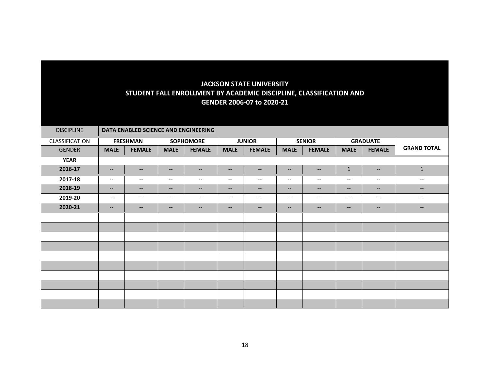| <b>DISCIPLINE</b> |                                                                                                                   |                          |                                                                                                                   | DATA ENABLED SCIENCE AND ENGINEERING |                          |                               |                                                                                                                   |                          |                          |                          |                                                                                                                   |
|-------------------|-------------------------------------------------------------------------------------------------------------------|--------------------------|-------------------------------------------------------------------------------------------------------------------|--------------------------------------|--------------------------|-------------------------------|-------------------------------------------------------------------------------------------------------------------|--------------------------|--------------------------|--------------------------|-------------------------------------------------------------------------------------------------------------------|
| CLASSIFICATION    |                                                                                                                   | <b>FRESHMAN</b>          |                                                                                                                   | <b>SOPHOMORE</b>                     |                          | <b>JUNIOR</b>                 |                                                                                                                   | <b>SENIOR</b>            |                          | <b>GRADUATE</b>          |                                                                                                                   |
| <b>GENDER</b>     | <b>MALE</b>                                                                                                       | <b>FEMALE</b>            | <b>MALE</b>                                                                                                       | <b>FEMALE</b>                        | <b>MALE</b>              | <b>FEMALE</b>                 | <b>MALE</b>                                                                                                       | <b>FEMALE</b>            | <b>MALE</b>              | <b>FEMALE</b>            | <b>GRAND TOTAL</b>                                                                                                |
| <b>YEAR</b>       |                                                                                                                   |                          |                                                                                                                   |                                      |                          |                               |                                                                                                                   |                          |                          |                          |                                                                                                                   |
| 2016-17           | $\overline{\phantom{a}}$                                                                                          | $\overline{\phantom{a}}$ | $\overline{\phantom{m}}$                                                                                          | $-\!$                                | $\overline{\phantom{a}}$ | $\qquad \qquad -$             | $\overline{\phantom{a}}$                                                                                          | $-\!$                    | $\mathbf 1$              | $\overline{\phantom{m}}$ | $\mathbf 1$                                                                                                       |
| 2017-18           | $\overline{\phantom{a}}$                                                                                          | $\hspace{0.05cm} \ldots$ | $\overline{\phantom{a}}$                                                                                          | $\overline{\phantom{m}}$             | $\overline{\phantom{a}}$ | $--$                          | $\overline{\phantom{m}}$                                                                                          | $\overline{\phantom{m}}$ | $\overline{\phantom{m}}$ | $\overline{\phantom{m}}$ | $\overline{\phantom{m}}$                                                                                          |
| 2018-19           | $\hspace{0.05cm} \hspace{0.02cm} \hspace{0.02cm} \hspace{0.02cm} \hspace{0.02cm} \hspace{0.02cm} \hspace{0.02cm}$ | $\qquad \qquad -$        | $\hspace{0.05cm} \hspace{0.02cm} \hspace{0.02cm} \hspace{0.02cm} \hspace{0.02cm} \hspace{0.02cm} \hspace{0.02cm}$ | $\overline{\phantom{a}}$             | $--$                     | $\hspace{0.05cm} \textbf{--}$ | $\hspace{0.05cm} \hspace{0.02cm} \hspace{0.02cm} \hspace{0.02cm} \hspace{0.02cm} \hspace{0.02cm} \hspace{0.02cm}$ | $\hspace{0.05cm} \ldots$ | --                       | $\qquad \qquad -$        | $\hspace{0.05cm} \hspace{0.02cm} \hspace{0.02cm} \hspace{0.02cm} \hspace{0.02cm} \hspace{0.02cm} \hspace{0.02cm}$ |
| 2019-20           | $\hspace{0.05cm} \textbf{--}$                                                                                     | $\overline{\phantom{m}}$ | $\overline{\phantom{m}}$                                                                                          | $\overline{\phantom{m}}$             | $\hspace{0.05cm} \ldots$ | $\overline{\phantom{a}}$      | $\overline{\phantom{m}}$                                                                                          | $\hspace{0.05cm} \ldots$ | $\overline{\phantom{m}}$ | $\overline{\phantom{m}}$ | $\overline{\phantom{m}}$                                                                                          |
| 2020-21           | $\overline{\phantom{a}}$                                                                                          | $\overline{\phantom{a}}$ | $\overline{\phantom{m}}$                                                                                          | $\overline{\phantom{a}}$             | $\overline{\phantom{a}}$ | $\overline{\phantom{a}}$      | $\qquad \qquad -$                                                                                                 | $\hspace{0.05cm} \ldots$ | $\qquad \qquad -$        | $\overline{\phantom{m}}$ | $\overline{\phantom{a}}$                                                                                          |
|                   |                                                                                                                   |                          |                                                                                                                   |                                      |                          |                               |                                                                                                                   |                          |                          |                          |                                                                                                                   |
|                   |                                                                                                                   |                          |                                                                                                                   |                                      |                          |                               |                                                                                                                   |                          |                          |                          |                                                                                                                   |
|                   |                                                                                                                   |                          |                                                                                                                   |                                      |                          |                               |                                                                                                                   |                          |                          |                          |                                                                                                                   |
|                   |                                                                                                                   |                          |                                                                                                                   |                                      |                          |                               |                                                                                                                   |                          |                          |                          |                                                                                                                   |
|                   |                                                                                                                   |                          |                                                                                                                   |                                      |                          |                               |                                                                                                                   |                          |                          |                          |                                                                                                                   |
|                   |                                                                                                                   |                          |                                                                                                                   |                                      |                          |                               |                                                                                                                   |                          |                          |                          |                                                                                                                   |
|                   |                                                                                                                   |                          |                                                                                                                   |                                      |                          |                               |                                                                                                                   |                          |                          |                          |                                                                                                                   |
|                   |                                                                                                                   |                          |                                                                                                                   |                                      |                          |                               |                                                                                                                   |                          |                          |                          |                                                                                                                   |
|                   |                                                                                                                   |                          |                                                                                                                   |                                      |                          |                               |                                                                                                                   |                          |                          |                          |                                                                                                                   |
|                   |                                                                                                                   |                          |                                                                                                                   |                                      |                          |                               |                                                                                                                   |                          |                          |                          |                                                                                                                   |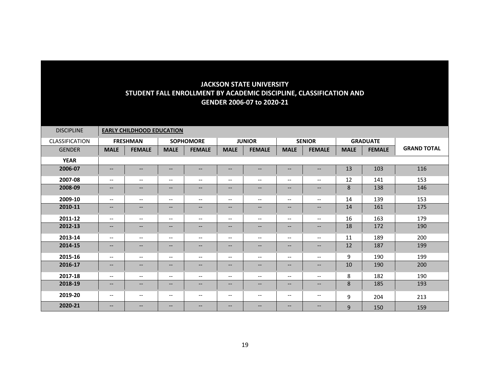| <b>DISCIPLINE</b> |                                   | <b>EARLY CHILDHOOD EDUCATION</b> |                          |                          |                               |                          |                          |                                       |             |                 |                    |
|-------------------|-----------------------------------|----------------------------------|--------------------------|--------------------------|-------------------------------|--------------------------|--------------------------|---------------------------------------|-------------|-----------------|--------------------|
| CLASSIFICATION    |                                   | <b>FRESHMAN</b>                  |                          | <b>SOPHOMORE</b>         |                               | <b>JUNIOR</b>            |                          | <b>SENIOR</b>                         |             | <b>GRADUATE</b> |                    |
| <b>GENDER</b>     | <b>MALE</b>                       | <b>FEMALE</b>                    | <b>MALE</b>              | <b>FEMALE</b>            | <b>MALE</b>                   | <b>FEMALE</b>            | <b>MALE</b>              | <b>FEMALE</b>                         | <b>MALE</b> | <b>FEMALE</b>   | <b>GRAND TOTAL</b> |
| <b>YEAR</b>       |                                   |                                  |                          |                          |                               |                          |                          |                                       |             |                 |                    |
| 2006-07           | $\hspace{0.05cm} \ldots$          | $\qquad \qquad -$                | $\qquad \qquad -$        | $\qquad \qquad -$        | $\qquad \qquad -$             | $\qquad \qquad -$        | --                       | $\qquad \qquad -$                     | 13          | 103             | 116                |
| 2007-08           | $--$                              | $\overline{\phantom{a}}$         | $\qquad \qquad -$        | $--$                     | $\overline{\phantom{a}}$      | $\overline{\phantom{a}}$ | $\overline{\phantom{a}}$ | $\overline{\phantom{a}}$              | 12          | 141             | 153                |
| 2008-09           | $\hspace{0.05cm} \dashv$          | $\qquad \qquad -$                | $\qquad \qquad -$        | $\overline{\phantom{a}}$ | $\hspace{0.05cm} \textbf{--}$ | $\hspace{0.05cm} \ldots$ | --                       | $\overline{\phantom{a}}$              | 8           | 138             | 146                |
| 2009-10           | $\hspace{0.05cm} \ldots$          | $\overline{\phantom{m}}$         | $\qquad \qquad -$        | $\overline{\phantom{a}}$ | $\overline{\phantom{a}}$      | $\overline{\phantom{a}}$ | $\overline{\phantom{a}}$ | $\overline{\phantom{m}}$              | 14          | 139             | 153                |
| 2010-11           | $\hspace{0.05cm} \dashv$          | $\qquad \qquad -$                | $\qquad \qquad -$        | $\qquad \qquad -$        | $\overline{\phantom{a}}$      | $\hspace{0.05cm} \ldots$ | $\qquad \qquad -$        | $\overline{\phantom{a}}$              | 14          | 161             | 175                |
| 2011-12           | $--$                              | $--$                             | $\overline{\phantom{a}}$ | $--$                     | $\overline{\phantom{a}}$      | $\overline{\phantom{a}}$ | $\overline{\phantom{a}}$ | $--$                                  | 16          | 163             | 179                |
| 2012-13           | $\hspace{0.05cm} \dashv$          | $--$                             | $\qquad \qquad -$        | $\hspace{0.05cm} \ldots$ | $\overline{\phantom{a}}$      | $\qquad \qquad -$        | $\overline{\phantom{a}}$ | $\overline{\phantom{a}}$              | 18          | 172             | 190                |
| 2013-14           | $\overline{\phantom{m}}$          | $\overline{\phantom{a}}$         | $\overline{\phantom{a}}$ | $\overline{\phantom{m}}$ | $\overline{\phantom{a}}$      | $\overline{\phantom{a}}$ | $\qquad \qquad -$        | $\overline{\phantom{m}}$              | 11          | 189             | 200                |
| 2014-15           | $\qquad \qquad -$                 | $\qquad \qquad -$                | $\qquad \qquad -$        | $\qquad \qquad -$        | $\hspace{0.05cm} \ldots$      | $\hspace{0.05cm} \ldots$ | --                       | $\qquad \qquad -$                     | 12          | 187             | 199                |
| 2015-16           | $\overline{\phantom{m}}$          | $\overline{\phantom{a}}$         | $\overline{\phantom{a}}$ | $\overline{\phantom{a}}$ | $\overline{\phantom{m}}$      | $\overline{\phantom{m}}$ | $\overline{\phantom{a}}$ | $\overline{\phantom{a}}$              | 9           | 190             | 199                |
| 2016-17           | $\overline{\phantom{a}}$          | $--$                             | $\qquad \qquad -$        | $--$                     | $\hspace{0.05cm} \ldots$      | $\hspace{0.05cm} \ldots$ | --                       | $\overline{\phantom{a}}$              | 10          | 190             | 200                |
| 2017-18           | $\overline{\phantom{a}}$          | $\qquad \qquad -$                | $\overline{\phantom{a}}$ | $\overline{\phantom{a}}$ | $\overline{\phantom{m}}$      | $\overline{\phantom{a}}$ | $\overline{\phantom{a}}$ | $\overline{\phantom{m}}$              | 8           | 182             | 190                |
| 2018-19           | $\hspace{0.05cm} \dashrightarrow$ | $--$                             | $\qquad \qquad -$        | $--$                     | $\hspace{0.05cm} \textbf{--}$ | $- -$                    | --                       | $\overline{\phantom{a}}$              | 8           | 185             | 193                |
| 2019-20           | $\hspace{0.05cm} \ldots$          | $\overline{\phantom{m}}$         | $\qquad \qquad -$        | $\overline{\phantom{a}}$ | $\hspace{0.05cm} \ldots$      | $\overline{\phantom{m}}$ | $\overline{\phantom{a}}$ | $\hspace{0.05cm}$ – $\hspace{0.05cm}$ | 9           | 204             | 213                |
| 2020-21           | $\overline{\phantom{m}}$          | $\qquad \qquad -$                | $\qquad \qquad -$        | $\qquad \qquad -$        | $\qquad \qquad -$             | $\hspace{0.05cm} \ldots$ | --                       | $\qquad \qquad -$                     | 9           | 150             | 159                |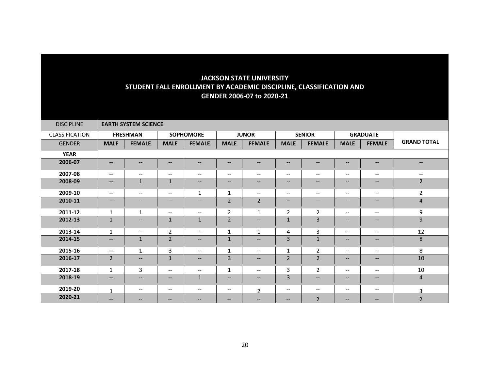| <b>DISCIPLINE</b> |                          | <b>EARTH SYSTEM SCIENCE</b> |                                                                                                                   |                          |                          |                          |                          |                          |                                                                                                                   |                                                                                                                   |                                                                                                   |
|-------------------|--------------------------|-----------------------------|-------------------------------------------------------------------------------------------------------------------|--------------------------|--------------------------|--------------------------|--------------------------|--------------------------|-------------------------------------------------------------------------------------------------------------------|-------------------------------------------------------------------------------------------------------------------|---------------------------------------------------------------------------------------------------|
| CLASSIFICATION    |                          | <b>FRESHMAN</b>             |                                                                                                                   | <b>SOPHOMORE</b>         |                          | <b>JUNOR</b>             |                          | <b>SENIOR</b>            |                                                                                                                   | <b>GRADUATE</b>                                                                                                   |                                                                                                   |
| <b>GENDER</b>     | <b>MALE</b>              | <b>FEMALE</b>               | <b>MALE</b>                                                                                                       | <b>FEMALE</b>            | <b>MALE</b>              | <b>FEMALE</b>            | <b>MALE</b>              | <b>FEMALE</b>            | <b>MALE</b>                                                                                                       | <b>FEMALE</b>                                                                                                     | <b>GRAND TOTAL</b>                                                                                |
| <b>YEAR</b>       |                          |                             |                                                                                                                   |                          |                          |                          |                          |                          |                                                                                                                   |                                                                                                                   |                                                                                                   |
| 2006-07           | $\overline{\phantom{a}}$ | $--$                        | $\qquad \qquad -$                                                                                                 | $\overline{\phantom{a}}$ | --                       | $\qquad \qquad -$        | --                       | $\qquad \qquad -$        | $\hspace{0.05cm} \hspace{0.02cm} \hspace{0.02cm} \hspace{0.02cm} \hspace{0.02cm} \hspace{0.02cm} \hspace{0.02cm}$ | $\hspace{0.05cm} \ldots$                                                                                          | $\hspace{0.05cm} \hspace{0.02cm} \hspace{0.02cm} \hspace{0.02cm} \hspace{0.02cm} \hspace{0.02cm}$ |
| 2007-08           | $\overline{\phantom{m}}$ | $\overline{\phantom{a}}$    | $\qquad \qquad -$                                                                                                 | $\overline{\phantom{m}}$ | $\overline{\phantom{a}}$ | $\overline{\phantom{m}}$ | $\qquad \qquad -$        | $\qquad \qquad -$        | $\overline{\phantom{m}}$                                                                                          | $\overline{\phantom{m}}$                                                                                          | $\hspace{0.05cm} \ldots$                                                                          |
| 2008-09           | $\qquad \qquad -$        | $\mathbf 1$                 | $\mathbf{1}$                                                                                                      | $\qquad \qquad -$        | --                       | $\qquad \qquad -$        | $\qquad \qquad -$        | $\qquad \qquad -$        | $--$                                                                                                              | $\hspace{0.05cm} \ldots$                                                                                          | $\overline{2}$                                                                                    |
| 2009-10           | $\qquad \qquad -$        | $\overline{\phantom{a}}$    | $\overline{\phantom{m}}$                                                                                          | $\mathbf{1}$             | $\mathbf{1}$             | $\overline{\phantom{m}}$ | $\overline{\phantom{m}}$ | $\overline{\phantom{a}}$ | $\overline{\phantom{m}}$                                                                                          | $\qquad \qquad -$                                                                                                 | $\overline{2}$                                                                                    |
| 2010-11           | $\qquad \qquad -$        | $--$                        | $\qquad \qquad -$                                                                                                 | $\qquad \qquad -$        | $\overline{2}$           | $\overline{2}$           | $\overline{\phantom{0}}$ | $- -$                    | $\qquad \qquad -$                                                                                                 | $\qquad \qquad -$                                                                                                 | $\overline{4}$                                                                                    |
| 2011-12           | $\mathbf{1}$             | $\mathbf{1}$                | $\overline{\phantom{a}}$                                                                                          | $\overline{\phantom{a}}$ | $\overline{2}$           | 1                        | 2                        | $\overline{2}$           | $\overline{\phantom{m}}$                                                                                          | $\overline{\phantom{a}}$                                                                                          | 9                                                                                                 |
| 2012-13           | $\mathbf{1}$             | $\qquad \qquad -$           | $\mathbf{1}$                                                                                                      | $\mathbf{1}$             | $\overline{2}$           | $\overline{\phantom{a}}$ | $\mathbf{1}$             | $\overline{3}$           | $\qquad \qquad -$                                                                                                 | $\hspace{0.05cm} \hspace{0.02cm} \hspace{0.02cm} \hspace{0.02cm} \hspace{0.02cm} \hspace{0.02cm} \hspace{0.02cm}$ | 9                                                                                                 |
| 2013-14           | $\mathbf{1}$             | $\overline{\phantom{a}}$    | $\overline{2}$                                                                                                    | $\overline{\phantom{m}}$ | $\mathbf{1}$             | $\mathbf{1}$             | 4                        | 3                        | $--$                                                                                                              | $\overline{\phantom{m}}$                                                                                          | 12                                                                                                |
| 2014-15           | $\qquad \qquad -$        | $\mathbf{1}$                | $\overline{2}$                                                                                                    | $\overline{\phantom{a}}$ | $\mathbf{1}$             | $\qquad \qquad -$        | $\overline{3}$           | $\mathbf{1}$             | $\qquad \qquad -$                                                                                                 | $\hspace{0.05cm} \ldots$                                                                                          | 8                                                                                                 |
| 2015-16           | $\qquad \qquad -$        | 1                           | 3                                                                                                                 | $\overline{\phantom{a}}$ | $\mathbf{1}$             | $\overline{\phantom{a}}$ | $\mathbf{1}$             | $\overline{2}$           | $--$                                                                                                              | $\hspace{0.05cm} \ldots$                                                                                          | 8                                                                                                 |
| 2016-17           | $\overline{2}$           | $--$                        | $\mathbf{1}$                                                                                                      | $\overline{\phantom{a}}$ | 3                        | $\qquad \qquad -$        | $\overline{2}$           | $\overline{2}$           | $- -$                                                                                                             | $\hspace{0.05cm} \ldots$                                                                                          | 10                                                                                                |
| 2017-18           | $\mathbf{1}$             | 3                           | $\overline{\phantom{m}}$                                                                                          | $\overline{\phantom{m}}$ | 1                        | $\overline{\phantom{m}}$ | 3                        | $\overline{2}$           | $\hspace{0.05cm}$ – $\hspace{0.05cm}$                                                                             | $\hspace{0.05cm} \ldots$                                                                                          | 10                                                                                                |
| 2018-19           | $\overline{\phantom{a}}$ | $--$                        | $\hspace{0.05cm} \hspace{0.02cm} \hspace{0.02cm} \hspace{0.02cm} \hspace{0.02cm} \hspace{0.02cm} \hspace{0.02cm}$ | $\mathbf{1}$             | --                       | $\qquad \qquad -$        | $\overline{3}$           | $\overline{\phantom{a}}$ | $\hspace{0.05cm} \hspace{0.02cm} \hspace{0.02cm} \hspace{0.02cm} \hspace{0.02cm} \hspace{0.02cm}$                 | $\hspace{0.05cm} \textbf{--}$                                                                                     | $\overline{4}$                                                                                    |
| 2019-20           | $\blacktriangleleft$     | $--$                        | $--$                                                                                                              | $\overline{\phantom{m}}$ | $\overline{\phantom{a}}$ | $\mathcal{D}$            | $\overline{\phantom{m}}$ | $\qquad \qquad -$        | $--$                                                                                                              | $\overline{\phantom{m}}$                                                                                          | $\mathbf{R}$                                                                                      |
| 2020-21           | $\qquad \qquad -$        | --                          | $\overline{\phantom{m}}$                                                                                          | --                       | --                       | --                       | $\qquad \qquad -$        | $\overline{2}$           | $\overline{\phantom{m}}$                                                                                          | $\qquad \qquad -$                                                                                                 | $\overline{2}$                                                                                    |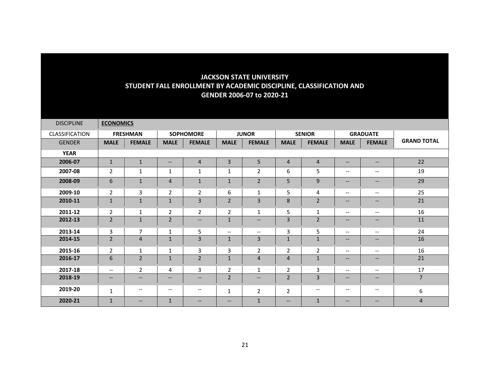| <b>DISCIPLINE</b> | <b>ECONOMICS</b>         |                          |                          |                          |                          |                          |                |                          |                          |                          |                    |
|-------------------|--------------------------|--------------------------|--------------------------|--------------------------|--------------------------|--------------------------|----------------|--------------------------|--------------------------|--------------------------|--------------------|
| CLASSIFICATION    |                          | <b>FRESHMAN</b>          |                          | <b>SOPHOMORE</b>         |                          | <b>JUNOR</b>             |                | <b>SENIOR</b>            |                          | <b>GRADUATE</b>          |                    |
| <b>GENDER</b>     | <b>MALE</b>              | <b>FEMALE</b>            | <b>MALE</b>              | <b>FEMALE</b>            | <b>MALE</b>              | <b>FEMALE</b>            | <b>MALE</b>    | <b>FEMALE</b>            | <b>MALE</b>              | <b>FEMALE</b>            | <b>GRAND TOTAL</b> |
| <b>YEAR</b>       |                          |                          |                          |                          |                          |                          |                |                          |                          |                          |                    |
| 2006-07           | $\mathbf{1}$             | $\mathbf{1}$             | $\overline{\phantom{a}}$ | $\overline{4}$           | 3                        | 5                        | $\overline{4}$ | $\overline{4}$           | $\qquad \qquad -$        | $\qquad \qquad -$        | 22                 |
| 2007-08           | $\overline{2}$           | $\mathbf{1}$             | $\mathbf{1}$             | $\mathbf{1}$             | 1                        | $\overline{2}$           | 6              | 5 <sup>1</sup>           | $\overline{\phantom{m}}$ | $\overline{\phantom{m}}$ | 19                 |
| 2008-09           | 6                        | $1\,$                    | $\overline{4}$           | $\mathbf 1$              | $\mathbf 1$              | $\overline{2}$           | 5              | 9                        | $\qquad \qquad -$        | $\overline{\phantom{a}}$ | 29                 |
| 2009-10           | $\overline{2}$           | 3                        | $\overline{2}$           | $\overline{2}$           | 6                        | $\mathbf{1}$             | 5              | 4                        | $\overline{\phantom{a}}$ | $\overline{\phantom{a}}$ | 25                 |
| 2010-11           | $\mathbf{1}$             | $\mathbf{1}$             | $\mathbf{1}$             | 3                        | $\overline{2}$           | 3                        | 8              | $\overline{2}$           | $\overline{\phantom{a}}$ | $\overline{\phantom{a}}$ | 21                 |
| 2011-12           | $\overline{2}$           | $\mathbf{1}$             | $\overline{2}$           | $\overline{2}$           | $\overline{2}$           | $\mathbf{1}$             | 5              | $\mathbf{1}$             | $\overline{\phantom{a}}$ | $\overline{\phantom{m}}$ | 16                 |
| 2012-13           | $\overline{2}$           | $\mathbf 1$              | $\overline{2}$           | $\overline{\phantom{a}}$ | $\mathbf{1}$             | $\overline{\phantom{m}}$ | 3              | $\overline{2}$           | $\qquad \qquad -$        | $\qquad \qquad -$        | 11                 |
| 2013-14           | 3                        | $\overline{7}$           | $\mathbf{1}$             | 5                        | $\overline{\phantom{m}}$ | $\overline{\phantom{m}}$ | 3              | 5                        | $\overline{\phantom{m}}$ | $\overline{\phantom{a}}$ | 24                 |
| 2014-15           | $\overline{2}$           | $\overline{4}$           | $\mathbf{1}$             | 3                        | $\mathbf{1}$             | 3                        | $\mathbf{1}$   | $\mathbf{1}$             | $\qquad \qquad -$        | $\qquad \qquad -$        | 16                 |
| 2015-16           | $\overline{2}$           | $\mathbf{1}$             | 1                        | 3                        | 3                        | $\overline{2}$           | $\overline{2}$ | $\overline{2}$           | $\overline{\phantom{a}}$ | $\overline{\phantom{a}}$ | 16                 |
| 2016-17           | 6                        | $\overline{2}$           | $\mathbf{1}$             | $\overline{2}$           | $\mathbf{1}$             | 4                        | $\overline{4}$ | $\mathbf{1}$             | $\overline{\phantom{a}}$ | $\qquad \qquad -$        | 21                 |
| 2017-18           | $\overline{\phantom{a}}$ | $\overline{2}$           | 4                        | 3                        | $\overline{2}$           | $\mathbf{1}$             | $\overline{2}$ | 3                        | $\overline{\phantom{m}}$ | $\qquad \qquad -$        | 17                 |
| 2018-19           | $\qquad \qquad -$        | $\qquad \qquad -$        | $\hspace{0.05cm} \ldots$ | $\qquad \qquad -$        | $\overline{2}$           | $\overline{\phantom{a}}$ | $\overline{2}$ | 3                        | $\overline{\phantom{a}}$ | $\overline{\phantom{a}}$ | $\overline{7}$     |
| 2019-20           | $\mathbf{1}$             | $\overline{\phantom{a}}$ | $\hspace{0.05cm} \ldots$ | $\overline{\phantom{m}}$ | $\mathbf{1}$             | $\overline{2}$           | $\overline{2}$ | $\overline{\phantom{a}}$ | $\overline{\phantom{m}}$ | $\qquad \qquad -$        | 6                  |
| 2020-21           | $\mathbf{1}$             | $\qquad \qquad -$        | $\mathbf{1}$             | $\qquad \qquad -$        | $\qquad \qquad -$        | $\mathbf{1}$             | $--$           | $\mathbf{1}$             | $\hspace{0.05cm} \ldots$ | $\qquad \qquad -$        | $\overline{4}$     |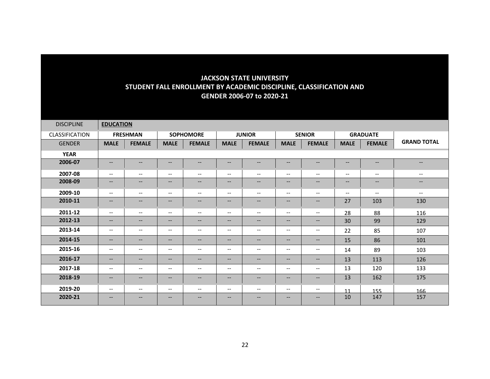| <b>DISCIPLINE</b> | <b>EDUCATION</b>         |                   |                                                                                                                   |                                                                                                                   |                               |                          |                                                                                                   |                          |                                                                                                                   |                               |                          |
|-------------------|--------------------------|-------------------|-------------------------------------------------------------------------------------------------------------------|-------------------------------------------------------------------------------------------------------------------|-------------------------------|--------------------------|---------------------------------------------------------------------------------------------------|--------------------------|-------------------------------------------------------------------------------------------------------------------|-------------------------------|--------------------------|
| CLASSIFICATION    |                          | <b>FRESHMAN</b>   |                                                                                                                   | <b>SOPHOMORE</b>                                                                                                  |                               | <b>JUNIOR</b>            |                                                                                                   | <b>SENIOR</b>            |                                                                                                                   | <b>GRADUATE</b>               |                          |
| <b>GENDER</b>     | <b>MALE</b>              | <b>FEMALE</b>     | <b>MALE</b>                                                                                                       | <b>FEMALE</b>                                                                                                     | <b>MALE</b>                   | <b>FEMALE</b>            | <b>MALE</b>                                                                                       | <b>FEMALE</b>            | <b>MALE</b>                                                                                                       | <b>FEMALE</b>                 | <b>GRAND TOTAL</b>       |
| <b>YEAR</b>       |                          |                   |                                                                                                                   |                                                                                                                   |                               |                          |                                                                                                   |                          |                                                                                                                   |                               |                          |
| 2006-07           | $- -$                    | $--$              | $\hspace{0.05cm} \hspace{0.02cm} \hspace{0.02cm} \dots$                                                           | $\overline{\phantom{a}}$                                                                                          | --                            | $\qquad \qquad -$        | --                                                                                                | $\qquad \qquad -$        | $\hspace{0.05cm} \hspace{0.02cm} \hspace{0.02cm} \hspace{0.02cm} \hspace{0.02cm} \hspace{0.02cm} \hspace{0.02cm}$ | $\hspace{0.05cm} \textbf{--}$ | $\overline{\phantom{a}}$ |
| 2007-08           | $--$                     | $- -$             | $\hspace{0.05cm} \ldots$                                                                                          | $\overline{\phantom{a}}$                                                                                          | $\overline{\phantom{a}}$      | $\overline{\phantom{m}}$ | $\overline{\phantom{a}}$                                                                          | $--$                     | $\hspace{0.05cm}$ – $\hspace{0.05cm}$                                                                             | $\hspace{0.05cm} \ldots$      | $\hspace{0.05cm} \ldots$ |
| 2008-09           | $- -$                    | $--$              | $\hspace{0.05cm} \hspace{0.02cm} \hspace{0.02cm} \dots$                                                           | $\qquad \qquad -$                                                                                                 | --                            | $\overline{\phantom{m}}$ | $- -$                                                                                             | $- -$                    | $\overline{\phantom{m}}$                                                                                          | $\qquad \qquad -$             | $\overline{\phantom{m}}$ |
| 2009-10           | $--$                     | $- -$             | $\overline{\phantom{a}}$                                                                                          | $\overline{\phantom{a}}$                                                                                          | $\overline{\phantom{a}}$      | $\overline{\phantom{a}}$ | $\overline{\phantom{m}}$                                                                          | $--$                     | $\overline{\phantom{a}}$                                                                                          | $--$                          | $--$                     |
| 2010-11           | $- -$                    | $--$              | $\hspace{0.05cm} \hspace{0.02cm} \hspace{0.02cm} \dots$                                                           | $\qquad \qquad -$                                                                                                 | $\hspace{0.05cm} \textbf{--}$ | $\qquad \qquad -$        | $- -$                                                                                             | $- -$                    | 27                                                                                                                | 103                           | 130                      |
| 2011-12           | $--$                     | $- -$             | $\overline{\phantom{m}}$                                                                                          | $\overline{\phantom{m}}$                                                                                          | $\overline{\phantom{a}}$      | $\overline{\phantom{m}}$ | $\overline{\phantom{m}}$                                                                          | $\overline{\phantom{a}}$ | 28                                                                                                                | 88                            | 116                      |
| 2012-13           | $- -$                    | --                | $\hspace{0.05cm} \hspace{0.02cm} \hspace{0.02cm} \dots$                                                           | $\qquad \qquad -$                                                                                                 | --                            | $\overline{\phantom{a}}$ | $- -$                                                                                             | $- -$                    | 30                                                                                                                | 99                            | 129                      |
| 2013-14           | $\overline{\phantom{m}}$ | $--$              | $\hspace{0.05cm} \ldots$                                                                                          | $\overline{\phantom{m}}$                                                                                          | $\hspace{0.05cm} \ldots$      | $\overline{\phantom{m}}$ | $\overline{\phantom{a}}$                                                                          | $--$                     | 22                                                                                                                | 85                            | 107                      |
| 2014-15           | $\qquad \qquad -$        | $\qquad \qquad -$ | $\hspace{0.05cm} \ldots$                                                                                          | $\qquad \qquad -$                                                                                                 | $\hspace{0.05cm} \ldots$      | $\qquad \qquad -$        | $\qquad \qquad -$                                                                                 | $--$                     | 15                                                                                                                | 86                            | 101                      |
| 2015-16           | $\overline{\phantom{m}}$ | $- -$             | $\hspace{0.05cm} \ldots$                                                                                          | $\overline{\phantom{m}}$                                                                                          | --                            | $\overline{\phantom{a}}$ | $\hspace{0.05cm} \ldots$                                                                          | $- -$                    | 14                                                                                                                | 89                            | 103                      |
| 2016-17           | $- -$                    | $--$              | $\hspace{0.05cm} \hspace{0.02cm} \hspace{0.02cm} \dots$                                                           | $\hspace{0.05cm} \hspace{0.02cm} \hspace{0.02cm} \hspace{0.02cm} \hspace{0.02cm} \hspace{0.02cm} \hspace{0.02cm}$ | --                            | $\overline{\phantom{m}}$ | --                                                                                                | $--$                     | 13                                                                                                                | 113                           | 126                      |
| 2017-18           | $\overline{\phantom{m}}$ | --                | $\overline{\phantom{m}}$                                                                                          | $\overline{\phantom{m}}$                                                                                          | $\overline{\phantom{a}}$      | $\overline{\phantom{m}}$ | $--$                                                                                              | $\overline{\phantom{a}}$ | 13                                                                                                                | 120                           | 133                      |
| 2018-19           | $- -$                    | $--$              | $\hspace{0.05cm} \hspace{0.02cm} \hspace{0.02cm} \hspace{0.02cm} \hspace{0.02cm} \hspace{0.02cm} \hspace{0.02cm}$ | $\hspace{0.05cm} \hspace{0.02cm} \hspace{0.02cm} \hspace{0.02cm} \hspace{0.02cm} \hspace{0.02cm} \hspace{0.02cm}$ | --                            | $\overline{\phantom{m}}$ | $\hspace{0.05cm} \hspace{0.02cm} \hspace{0.02cm} \hspace{0.02cm} \hspace{0.02cm} \hspace{0.02cm}$ | $--$                     | 13                                                                                                                | 162                           | 175                      |
| 2019-20           | $\overline{\phantom{m}}$ | --                | $\hspace{0.05cm} \ldots$                                                                                          | $\overline{\phantom{m}}$                                                                                          | $\hspace{0.05cm} \ldots$      | $\overline{\phantom{m}}$ | $\hspace{0.05cm} \ldots$                                                                          | $--$                     | 11                                                                                                                | 155                           | 166                      |
| 2020-21           | $\qquad \qquad -$        | $- -$             | $\overline{\phantom{m}}$                                                                                          | $\qquad \qquad -$                                                                                                 | $\qquad \qquad -$             | $\overline{\phantom{m}}$ | $\qquad \qquad -$                                                                                 | $--$                     | 10                                                                                                                | 147                           | 157                      |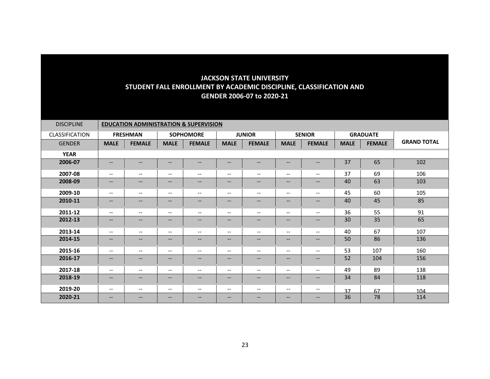| <b>DISCIPLINE</b>     | <b>EDUCATION ADMINISTRATION &amp; SUPERVISION</b> |                   |                          |                          |                                                     |                          |                          |                          |             |                 |                    |  |
|-----------------------|---------------------------------------------------|-------------------|--------------------------|--------------------------|-----------------------------------------------------|--------------------------|--------------------------|--------------------------|-------------|-----------------|--------------------|--|
| <b>CLASSIFICATION</b> |                                                   | <b>FRESHMAN</b>   |                          | <b>SOPHOMORE</b>         |                                                     | <b>JUNIOR</b>            |                          | <b>SENIOR</b>            |             | <b>GRADUATE</b> |                    |  |
| <b>GENDER</b>         | <b>MALE</b>                                       | <b>FEMALE</b>     | <b>MALE</b>              | <b>FEMALE</b>            | <b>MALE</b>                                         | <b>FEMALE</b>            | <b>MALE</b>              | <b>FEMALE</b>            | <b>MALE</b> | <b>FEMALE</b>   | <b>GRAND TOTAL</b> |  |
| <b>YEAR</b>           |                                                   |                   |                          |                          |                                                     |                          |                          |                          |             |                 |                    |  |
| 2006-07               | $\hspace{0.05cm} \ldots$                          | $--$              | $\hspace{0.05cm} \ldots$ | $\qquad \qquad -$        | --                                                  | --                       | $\qquad \qquad -$        | $\qquad \qquad -$        | 37          | 65              | 102                |  |
| 2007-08               | $--$                                              | $- -$             | $\overline{\phantom{a}}$ | $\overline{\phantom{a}}$ | $\overline{\phantom{m}}$                            | $\overline{\phantom{a}}$ | $\overline{\phantom{m}}$ | $- -$                    | 37          | 69              | 106                |  |
| 2008-09               | $- -$                                             | --                | $\overline{\phantom{m}}$ | $\qquad \qquad -$        | --                                                  | $\overline{\phantom{m}}$ | $\qquad \qquad -$        | $--$                     | 40          | 63              | 103                |  |
| 2009-10               | $--$                                              | $- -$             | $\overline{\phantom{a}}$ | $\overline{\phantom{a}}$ | --                                                  | $\overline{\phantom{a}}$ | $\overline{\phantom{m}}$ | $\overline{\phantom{a}}$ | 45          | 60              | 105                |  |
| 2010-11               | $\overline{\phantom{a}}$                          | $-$               | $\overline{\phantom{a}}$ | $\qquad \qquad -$        | $- -$                                               | $\qquad \qquad -$        | $- -$                    | $\overline{\phantom{a}}$ | 40          | 45              | 85                 |  |
| 2011-12               | $--$                                              | $- -$             | $\overline{\phantom{a}}$ | $\overline{\phantom{a}}$ | $\hspace{0.05cm} -\hspace{0.05cm} -\hspace{0.05cm}$ | $\overline{\phantom{a}}$ | $\overline{\phantom{m}}$ | $\overline{\phantom{a}}$ | 36          | 55              | 91                 |  |
| 2012-13               | $- -$                                             | $--$              | $\hspace{0.05cm} \ldots$ | $\overline{\phantom{a}}$ | --                                                  | $\qquad \qquad -$        | $\qquad \qquad -$        | $- -$                    | 30          | 35              | 65                 |  |
| 2013-14               | $- -$                                             | --                | $\hspace{0.05cm} \ldots$ | $\overline{\phantom{m}}$ | $\overline{\phantom{a}}$                            | $\overline{\phantom{m}}$ | $\overline{\phantom{m}}$ | $\overline{\phantom{a}}$ | 40          | 67              | 107                |  |
| 2014-15               | --                                                | $--$              | $\overline{\phantom{m}}$ | $\overline{\phantom{a}}$ | --                                                  | $\overline{\phantom{m}}$ | --                       | $- -$                    | 50          | 86              | 136                |  |
| 2015-16               | $\overline{\phantom{a}}$                          | $- -$             | $\hspace{0.05cm} \ldots$ | $\hspace{0.05cm} \ldots$ | --                                                  | $\overline{\phantom{a}}$ | $\overline{\phantom{m}}$ | $\hspace{0.05cm} \ldots$ | 53          | 107             | 160                |  |
| 2016-17               | $\qquad \qquad -$                                 | $\qquad \qquad -$ | $\overline{\phantom{m}}$ | $\qquad \qquad -$        | $\qquad \qquad -$                                   | $\qquad \qquad -$        | $- -$                    | $\qquad \qquad -$        | 52          | 104             | 156                |  |
| 2017-18               | $--$                                              | $- -$             | $\overline{\phantom{a}}$ | $\overline{\phantom{a}}$ | $\overline{\phantom{a}}$                            | $\overline{\phantom{a}}$ | $\overline{\phantom{a}}$ | $--$                     | 49          | 89              | 138                |  |
| 2018-19               | $\qquad \qquad -$                                 | $\qquad \qquad -$ | $\overline{\phantom{m}}$ | $\overline{\phantom{m}}$ | --                                                  | $\overline{\phantom{m}}$ | $\qquad \qquad -$        | $- -$                    | 34          | 84              | 118                |  |
| 2019-20               | $\overline{\phantom{m}}$                          | $--$              | $\hspace{0.05cm} \ldots$ | $\overline{\phantom{m}}$ | $\hspace{0.05cm} \ldots$                            | $\overline{\phantom{m}}$ | $\overline{\phantom{m}}$ | $--$                     | 37          | 67              | 104                |  |
| 2020-21               | $\overline{\phantom{m}}$                          | --                | $\overline{\phantom{m}}$ | $\qquad \qquad -$        | $\qquad \qquad -$                                   | --                       | $\qquad \qquad -$        | $- -$                    | 36          | 78              | 114                |  |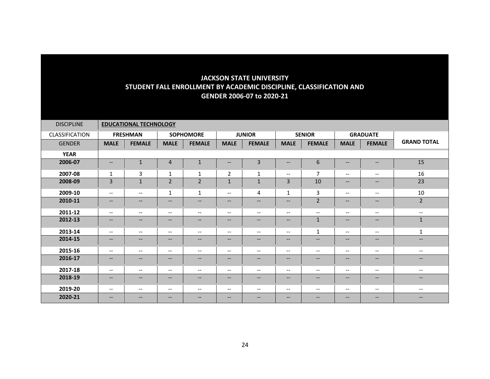| <b>DISCIPLINE</b> |                          | <b>EDUCATIONAL TECHNOLOGY</b> |                                                                                                                   |                                                                                                                   |                               |                          |                                                                                                   |                          |                                                                                                   |                                                                                                                   |                                                                                                                   |
|-------------------|--------------------------|-------------------------------|-------------------------------------------------------------------------------------------------------------------|-------------------------------------------------------------------------------------------------------------------|-------------------------------|--------------------------|---------------------------------------------------------------------------------------------------|--------------------------|---------------------------------------------------------------------------------------------------|-------------------------------------------------------------------------------------------------------------------|-------------------------------------------------------------------------------------------------------------------|
| CLASSIFICATION    |                          | <b>FRESHMAN</b>               |                                                                                                                   | <b>SOPHOMORE</b>                                                                                                  |                               | <b>JUNIOR</b>            |                                                                                                   | <b>SENIOR</b>            |                                                                                                   | <b>GRADUATE</b>                                                                                                   |                                                                                                                   |
| <b>GENDER</b>     | <b>MALE</b>              | <b>FEMALE</b>                 | <b>MALE</b>                                                                                                       | <b>FEMALE</b>                                                                                                     | <b>MALE</b>                   | <b>FEMALE</b>            | <b>MALE</b>                                                                                       | <b>FEMALE</b>            | <b>MALE</b>                                                                                       | <b>FEMALE</b>                                                                                                     | <b>GRAND TOTAL</b>                                                                                                |
| <b>YEAR</b>       |                          |                               |                                                                                                                   |                                                                                                                   |                               |                          |                                                                                                   |                          |                                                                                                   |                                                                                                                   |                                                                                                                   |
| 2006-07           | $\qquad \qquad -$        | $\mathbf{1}$                  | $\overline{4}$                                                                                                    | $\mathbf{1}$                                                                                                      | --                            | 3                        | --                                                                                                | 6                        | $- -$                                                                                             | $\hspace{0.05cm} \ldots$                                                                                          | 15                                                                                                                |
| 2007-08           | $\mathbf{1}$             | 3                             | 1                                                                                                                 | 1                                                                                                                 | $\overline{2}$                | $\mathbf{1}$             | $\overline{\phantom{a}}$                                                                          | $\overline{7}$           | $--$                                                                                              | $- -$                                                                                                             | 16                                                                                                                |
| 2008-09           | 3                        | $\mathbf{1}$                  | $\overline{2}$                                                                                                    | $\overline{2}$                                                                                                    | $\mathbf 1$                   | $\mathbf 1$              | $\overline{3}$                                                                                    | 10                       | $\overline{\phantom{m}}$                                                                          | $\hspace{0.05cm} \ldots$                                                                                          | 23                                                                                                                |
| 2009-10           | $\overline{\phantom{a}}$ | $- -$                         | 1                                                                                                                 | $\mathbf{1}$                                                                                                      | $\overline{\phantom{a}}$      | 4                        | $\mathbf{1}$                                                                                      | 3                        | $\overline{\phantom{a}}$                                                                          | $\overline{\phantom{a}}$                                                                                          | 10                                                                                                                |
| 2010-11           | $\qquad \qquad -$        | $--$                          | $\qquad \qquad -$                                                                                                 | $\qquad \qquad -$                                                                                                 | --                            | $\qquad \qquad -$        | $- -$                                                                                             | $\overline{2}$           | $\qquad \qquad -$                                                                                 | $\hspace{0.05cm} \ldots$                                                                                          | $\overline{2}$                                                                                                    |
| 2011-12           | $- -$                    | $\qquad \qquad -$             | $\overline{\phantom{a}}$                                                                                          | $- -$                                                                                                             | $\overline{\phantom{a}}$      | $\overline{\phantom{a}}$ | $\overline{\phantom{a}}$                                                                          | $\overline{\phantom{a}}$ | $\overline{\phantom{a}}$                                                                          | $- -$                                                                                                             | $--$                                                                                                              |
| 2012-13           | $\qquad \qquad -$        | $--$                          | $\qquad \qquad -$                                                                                                 | $\qquad \qquad -$                                                                                                 | --                            | $\qquad \qquad -$        | $--$                                                                                              | $\mathbf{1}$             | $\qquad \qquad -$                                                                                 | $\hspace{0.05cm} \ldots$                                                                                          | $\mathbf{1}$                                                                                                      |
| 2013-14           | $\qquad \qquad -$        | $\qquad \qquad -$             | $--$                                                                                                              | $\overline{\phantom{m}}$                                                                                          | $\overline{\phantom{a}}$      | $\overline{\phantom{m}}$ | $\overline{\phantom{m}}$                                                                          | $\mathbf{1}$             | $--$                                                                                              | $\hspace{0.05cm} \textbf{--}$                                                                                     | 1                                                                                                                 |
| 2014-15           | $\qquad \qquad -$        | $--$                          | $\overline{\phantom{a}}$                                                                                          | $\overline{\phantom{a}}$                                                                                          | $\hspace{0.05cm} \textbf{--}$ | $\overline{\phantom{m}}$ | $\hspace{0.05cm} \hspace{0.02cm} \hspace{0.02cm} \hspace{0.02cm} \hspace{0.02cm} \hspace{0.02cm}$ | $\qquad \qquad -$        | $\qquad \qquad -$                                                                                 | $\hspace{0.05cm} \hspace{0.02cm} \hspace{0.02cm} \hspace{0.02cm} \hspace{0.02cm} \hspace{0.02cm} \hspace{0.02cm}$ | $\hspace{0.05cm} \hspace{0.02cm} \hspace{0.02cm} \hspace{0.02cm} \hspace{0.02cm} \hspace{0.02cm} \hspace{0.02cm}$ |
| 2015-16           | $--$                     | $\qquad \qquad -$             | $\overline{\phantom{m}}$                                                                                          | $\overline{\phantom{m}}$                                                                                          | $\overline{\phantom{a}}$      | $\overline{\phantom{m}}$ | $\overline{\phantom{m}}$                                                                          | $--$                     | $\overline{\phantom{m}}$                                                                          | $\overline{\phantom{m}}$                                                                                          | $\hspace{0.05cm} \textbf{--}$                                                                                     |
| 2016-17           | $\qquad \qquad -$        | $\overline{\phantom{a}}$      | $\qquad \qquad -$                                                                                                 | $\qquad \qquad -$                                                                                                 | $\hspace{0.05cm} \ldots$      | $\overline{\phantom{a}}$ | $\qquad \qquad -$                                                                                 | $\qquad \qquad -$        | $--$                                                                                              | $\hspace{0.05cm} \ldots$                                                                                          | $\overline{\phantom{a}}$                                                                                          |
| 2017-18           | $\qquad \qquad -$        | $\qquad \qquad -$             | $\overline{\phantom{a}}$                                                                                          | $\overline{\phantom{a}}$                                                                                          | $\overline{\phantom{a}}$      | $\overline{\phantom{a}}$ | $\qquad \qquad -$                                                                                 | $\overline{\phantom{a}}$ | $\hspace{0.05cm} \ldots$                                                                          | $\hspace{0.05cm} \ldots$                                                                                          | $\overline{\phantom{m}}$                                                                                          |
| 2018-19           | $\qquad \qquad -$        | $--$                          | $\hspace{0.05cm} \hspace{0.02cm} \hspace{0.02cm} \hspace{0.02cm} \hspace{0.02cm} \hspace{0.02cm} \hspace{0.02cm}$ | $\hspace{0.05cm} \hspace{0.02cm} \hspace{0.02cm} \hspace{0.02cm} \hspace{0.02cm} \hspace{0.02cm} \hspace{0.02cm}$ | --                            | $\overline{\phantom{m}}$ | $\hspace{0.05cm} \hspace{0.02cm} \hspace{0.02cm} \hspace{0.02cm} \hspace{0.02cm} \hspace{0.02cm}$ | $\qquad \qquad -$        | $\hspace{0.05cm} \hspace{0.02cm} \hspace{0.02cm} \hspace{0.02cm} \hspace{0.02cm} \hspace{0.02cm}$ | $\overline{\phantom{m}}$                                                                                          | $\hspace{0.05cm} \hspace{0.02cm} \hspace{0.02cm} \hspace{0.02cm} \hspace{0.02cm} \hspace{0.02cm} \hspace{0.02cm}$ |
| 2019-20           | $\qquad \qquad -$        | $\qquad \qquad -$             | $\overline{\phantom{a}}$                                                                                          | $\overline{\phantom{a}}$                                                                                          | $\overline{\phantom{a}}$      | $\overline{\phantom{a}}$ | $\overline{\phantom{a}}$                                                                          | $\overline{\phantom{a}}$ | $\overline{\phantom{a}}$                                                                          | $\overline{\phantom{a}}$                                                                                          | $\hspace{0.05cm} \ldots$                                                                                          |
| 2020-21           | $\qquad \qquad -$        | $- -$                         | $\overline{\phantom{m}}$                                                                                          | $- -$                                                                                                             | --                            | $\overline{\phantom{m}}$ | $- -$                                                                                             | $- -$                    | $\overline{\phantom{m}}$                                                                          | $\overline{\phantom{m}}$                                                                                          | $- -$                                                                                                             |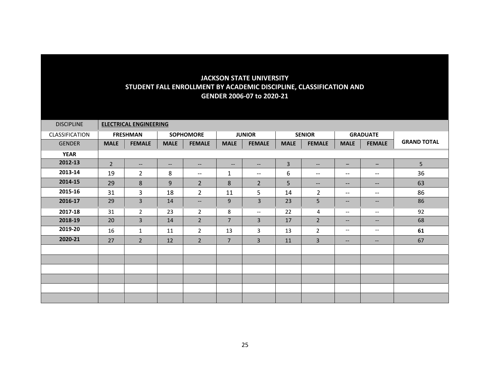| <b>DISCIPLINE</b> | <b>ELECTRICAL ENGINEERING</b> |                   |                          |                          |                          |                             |             |                                                                                                                   |                                                                                                   |                                                         |                    |
|-------------------|-------------------------------|-------------------|--------------------------|--------------------------|--------------------------|-----------------------------|-------------|-------------------------------------------------------------------------------------------------------------------|---------------------------------------------------------------------------------------------------|---------------------------------------------------------|--------------------|
| CLASSIFICATION    |                               | <b>FRESHMAN</b>   |                          | <b>SOPHOMORE</b>         |                          | <b>JUNIOR</b>               |             | <b>SENIOR</b>                                                                                                     |                                                                                                   | <b>GRADUATE</b>                                         |                    |
| <b>GENDER</b>     | <b>MALE</b>                   | <b>FEMALE</b>     | <b>MALE</b>              | <b>FEMALE</b>            | <b>MALE</b>              | <b>FEMALE</b>               | <b>MALE</b> | <b>FEMALE</b>                                                                                                     | <b>MALE</b>                                                                                       | <b>FEMALE</b>                                           | <b>GRAND TOTAL</b> |
| <b>YEAR</b>       |                               |                   |                          |                          |                          |                             |             |                                                                                                                   |                                                                                                   |                                                         |                    |
| 2012-13           | $\overline{2}$                | $\qquad \qquad -$ | $\overline{\phantom{a}}$ | $\qquad \qquad -$        | $\overline{\phantom{a}}$ | $\qquad \qquad -$           | 3           | $\hspace{0.05cm} \hspace{0.02cm} \hspace{0.02cm} \hspace{0.02cm} \hspace{0.02cm} \hspace{0.02cm} \hspace{0.02cm}$ | -                                                                                                 | $\qquad \qquad -$                                       | 5                  |
| 2013-14           | 19                            | $\overline{2}$    | 8                        | $\overline{\phantom{m}}$ | 1                        | $-\!$                       | 6           | $\overline{\phantom{a}}$                                                                                          | $\hspace{0.05cm} \hspace{0.02cm} \hspace{0.02cm} \hspace{0.02cm} \hspace{0.02cm} \hspace{0.02cm}$ | $\hspace{0.05cm} \textbf{--}$                           | 36                 |
| 2014-15           | 29                            | 8                 | 9                        | $\overline{2}$           | 8                        | $\overline{2}$              | 5           | $\qquad \qquad -$                                                                                                 | $\qquad \qquad -$                                                                                 | $\qquad \qquad -$                                       | 63                 |
| 2015-16           | 31                            | 3                 | 18                       | $\overline{2}$           | 11                       | 5                           | 14          | $\overline{2}$                                                                                                    | $\qquad \qquad -$                                                                                 | $\overline{\phantom{a}}$                                | 86                 |
| 2016-17           | 29                            | $\overline{3}$    | 14                       | $\overline{\phantom{m}}$ | 9                        | $\overline{3}$              | 23          | 5                                                                                                                 | $\qquad \qquad -$                                                                                 | $\hspace{0.05cm} \ldots$                                | 86                 |
| 2017-18           | 31                            | $\overline{2}$    | 23                       | $\overline{2}$           | 8                        | $\mathcal{L}_{\mathcal{F}}$ | 22          | 4                                                                                                                 | $--$                                                                                              | $\overline{\phantom{m}}$                                | 92                 |
| 2018-19           | 20                            | $\overline{3}$    | 14                       | $\overline{2}$           | $\overline{7}$           | 3                           | 17          | $\overline{2}$                                                                                                    | $- -$                                                                                             | $\qquad \qquad -$                                       | 68                 |
| 2019-20           | 16                            | $\mathbf{1}$      | 11                       | $\overline{2}$           | 13                       | 3                           | 13          | $\overline{2}$                                                                                                    | $--$                                                                                              | $--$                                                    | 61                 |
| 2020-21           | 27                            | $\overline{2}$    | 12                       | $\overline{2}$           | $\overline{7}$           | 3                           | 11          | $\overline{3}$                                                                                                    | $\qquad \qquad -$                                                                                 | $\hspace{0.05cm} \hspace{0.02cm} \hspace{0.02cm} \dots$ | 67                 |
|                   |                               |                   |                          |                          |                          |                             |             |                                                                                                                   |                                                                                                   |                                                         |                    |
|                   |                               |                   |                          |                          |                          |                             |             |                                                                                                                   |                                                                                                   |                                                         |                    |
|                   |                               |                   |                          |                          |                          |                             |             |                                                                                                                   |                                                                                                   |                                                         |                    |
|                   |                               |                   |                          |                          |                          |                             |             |                                                                                                                   |                                                                                                   |                                                         |                    |
|                   |                               |                   |                          |                          |                          |                             |             |                                                                                                                   |                                                                                                   |                                                         |                    |
|                   |                               |                   |                          |                          |                          |                             |             |                                                                                                                   |                                                                                                   |                                                         |                    |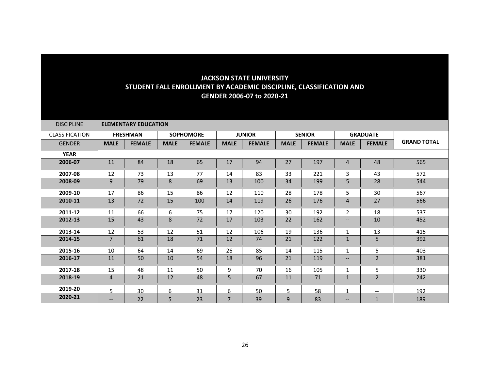| <b>DISCIPLINE</b>     |                | <b>ELEMENTARY EDUCATION</b> |             |                  |                |               |             |               |                          |                          |                    |
|-----------------------|----------------|-----------------------------|-------------|------------------|----------------|---------------|-------------|---------------|--------------------------|--------------------------|--------------------|
| <b>CLASSIFICATION</b> |                | <b>FRESHMAN</b>             |             | <b>SOPHOMORE</b> |                | <b>JUNIOR</b> |             | <b>SENIOR</b> |                          | <b>GRADUATE</b>          |                    |
| <b>GENDER</b>         | <b>MALE</b>    | <b>FEMALE</b>               | <b>MALE</b> | <b>FEMALE</b>    | <b>MALE</b>    | <b>FEMALE</b> | <b>MALE</b> | <b>FEMALE</b> | <b>MALE</b>              | <b>FEMALE</b>            | <b>GRAND TOTAL</b> |
| <b>YEAR</b>           |                |                             |             |                  |                |               |             |               |                          |                          |                    |
| 2006-07               | 11             | 84                          | 18          | 65               | 17             | 94            | 27          | 197           | 4                        | 48                       | 565                |
| 2007-08               | 12             | 73                          | 13          | 77               | 14             | 83            | 33          | 221           | 3                        | 43                       | 572                |
| 2008-09               | 9              | 79                          | 8           | 69               | 13             | 100           | 34          | 199           | 5                        | 28                       | 544                |
| 2009-10               | 17             | 86                          | 15          | 86               | 12             | 110           | 28          | 178           | 5                        | 30                       | 567                |
| 2010-11               | 13             | 72                          | 15          | 100              | 14             | 119           | 26          | 176           | $\overline{4}$           | 27                       | 566                |
| 2011-12               | 11             | 66                          | 6           | 75               | 17             | 120           | 30          | 192           | $\overline{2}$           | 18                       | 537                |
| 2012-13               | 15             | 43                          | 8           | 72               | 17             | 103           | 22          | 162           | $\overline{\phantom{a}}$ | 10                       | 452                |
| 2013-14               | 12             | 53                          | 12          | 51               | 12             | 106           | 19          | 136           | 1                        | 13                       | 415                |
| 2014-15               | $\overline{7}$ | 61                          | 18          | 71               | 12             | 74            | 21          | 122           | $\mathbf 1$              | 5                        | 392                |
| 2015-16               | 10             | 64                          | 14          | 69               | 26             | 85            | 14          | 115           | $\mathbf{1}$             | 5                        | 403                |
| 2016-17               | 11             | 50                          | 10          | 54               | 18             | 96            | 21          | 119           | $\overline{\phantom{a}}$ | $\overline{2}$           | 381                |
| 2017-18               | 15             | 48                          | 11          | 50               | 9              | 70            | 16          | 105           | 1                        | 5                        | 330                |
| 2018-19               | $\overline{4}$ | 21                          | 12          | 48               | 5              | 67            | 11          | 71            | $\mathbf{1}$             | $\overline{2}$           | 242                |
| 2019-20               | 5.             | 30                          | 6           | 31               | 6              | 50            | 5           | 58            |                          | $\overline{\phantom{m}}$ | 192                |
| 2020-21               | $--$           | 22                          | 5           | 23               | $\overline{7}$ | 39            | 9           | 83            | $\qquad \qquad -$        | $\mathbf{1}$             | 189                |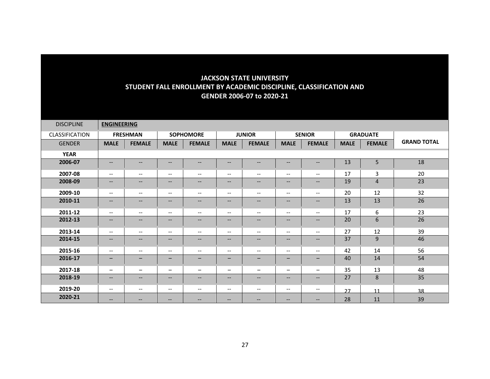| <b>DISCIPLINE</b>     | <b>ENGINEERING</b>       |                          |                                                                                                                   |                          |                                       |                          |                          |                          |             |                 |                    |
|-----------------------|--------------------------|--------------------------|-------------------------------------------------------------------------------------------------------------------|--------------------------|---------------------------------------|--------------------------|--------------------------|--------------------------|-------------|-----------------|--------------------|
| <b>CLASSIFICATION</b> |                          | <b>FRESHMAN</b>          |                                                                                                                   | <b>SOPHOMORE</b>         |                                       | <b>JUNIOR</b>            |                          | <b>SENIOR</b>            |             | <b>GRADUATE</b> |                    |
| <b>GENDER</b>         | <b>MALE</b>              | <b>FEMALE</b>            | <b>MALE</b>                                                                                                       | <b>FEMALE</b>            | <b>MALE</b>                           | <b>FEMALE</b>            | <b>MALE</b>              | <b>FEMALE</b>            | <b>MALE</b> | <b>FEMALE</b>   | <b>GRAND TOTAL</b> |
| <b>YEAR</b>           |                          |                          |                                                                                                                   |                          |                                       |                          |                          |                          |             |                 |                    |
| 2006-07               | $\qquad \qquad -$        | $\qquad \qquad -$        | $\overline{\phantom{m}}$                                                                                          | $\overline{\phantom{a}}$ | $\overline{\phantom{a}}$              | $\hspace{0.05cm} \ldots$ | $\qquad \qquad -$        | $\hspace{0.05cm} \ldots$ | 13          | 5               | 18                 |
| 2007-08               | $\overline{\phantom{m}}$ | $\overline{\phantom{m}}$ | $\hspace{0.05cm} \ldots$                                                                                          | $\qquad \qquad -$        | $\overline{\phantom{a}}$              | $\overline{\phantom{m}}$ | $\overline{\phantom{a}}$ | $\overline{\phantom{a}}$ | 17          | $\overline{3}$  | 20                 |
| 2008-09               | $--$                     | $\qquad \qquad -$        | $\overline{\phantom{m}}$                                                                                          | $\qquad \qquad -$        | $\overline{\phantom{m}}$              | $\qquad \qquad -$        | $\qquad \qquad -$        | $\overline{\phantom{a}}$ | 19          | $\overline{4}$  | 23                 |
| 2009-10               | $\overline{\phantom{m}}$ | $\overline{\phantom{m}}$ | $\hspace{0.05cm} \ldots$                                                                                          | $\qquad \qquad -$        | $\overline{\phantom{m}}$              | $\overline{\phantom{m}}$ | $\overline{\phantom{a}}$ | $\overline{\phantom{a}}$ | 20          | 12              | 32                 |
| 2010-11               | $--$                     | $--$                     | $\overline{\phantom{m}}$                                                                                          | $\qquad \qquad -$        | $\hspace{0.05cm} \ldots$              | $\hspace{0.05cm} \ldots$ | $--$                     | $- -$                    | 13          | 13              | 26                 |
| 2011-12               | $\qquad \qquad -$        | $\overline{\phantom{a}}$ | $\overline{\phantom{m}}$                                                                                          | $\overline{\phantom{a}}$ | $\overline{\phantom{m}}$              | $\overline{\phantom{m}}$ | $\overline{\phantom{a}}$ | $--$                     | 17          | 6               | 23                 |
| 2012-13               | $--$                     | $- -$                    | $\hspace{0.05cm} \hspace{0.02cm} \hspace{0.02cm} \hspace{0.02cm} \hspace{0.02cm} \hspace{0.02cm} \hspace{0.02cm}$ | $\qquad \qquad -$        | $\hspace{0.05cm} \ldots$              | $\hspace{0.05cm} \ldots$ | $\qquad \qquad -$        | $- -$                    | 20          | 6               | 26                 |
| 2013-14               | $\overline{\phantom{a}}$ | $\overline{\phantom{a}}$ | $\overline{\phantom{a}}$                                                                                          | $\qquad \qquad -$        | $\overline{\phantom{a}}$              | $\overline{\phantom{m}}$ | $\overline{\phantom{a}}$ | $--$                     | 27          | 12              | 39                 |
| 2014-15               | $--$                     | $\qquad \qquad -$        | $\overline{\phantom{m}}$                                                                                          | $\qquad \qquad -$        | $\overline{\phantom{a}}$              | $\overline{\phantom{m}}$ | $--$                     | $\qquad \qquad -$        | 37          | 9               | 46                 |
| 2015-16               | $- -$                    | $\overline{\phantom{a}}$ | $\hspace{0.05cm} \ldots$                                                                                          | $\qquad \qquad -$        | $\hspace{0.05cm}$ – $\hspace{0.05cm}$ | $\overline{\phantom{m}}$ | $\overline{\phantom{a}}$ | $- -$                    | 42          | 14              | 56                 |
| 2016-17               | $\overline{\phantom{0}}$ | -                        | $\overline{\phantom{m}}$                                                                                          | $\qquad \qquad -$        | $\qquad \qquad -$                     | $\qquad \qquad -$        | $\qquad \qquad =$        | —                        | 40          | 14              | 54                 |
| 2017-18               | -                        | —                        | $\overline{\phantom{m}}$                                                                                          | $\overline{\phantom{m}}$ | $\overline{\phantom{m}}$              | $\overline{\phantom{0}}$ | -                        | $\qquad \qquad -$        | 35          | 13              | 48                 |
| 2018-19               | $\qquad \qquad -$        | $--$                     | $\overline{\phantom{m}}$                                                                                          | $\qquad \qquad -$        | $\qquad \qquad -$                     | $\hspace{0.05cm} \ldots$ | $--$                     | $\qquad \qquad -$        | 27          | 8               | 35                 |
| 2019-20               | $\qquad \qquad -$        | $--$                     | $\overline{\phantom{m}}$                                                                                          | $\overline{\phantom{a}}$ | $\overline{\phantom{m}}$              | $\overline{\phantom{m}}$ | $\overline{\phantom{a}}$ | $--$                     | 27          | 11              | 38                 |
| 2020-21               | $\qquad \qquad -$        | $\qquad \qquad -$        | $\qquad \qquad -$                                                                                                 | $\hspace{0.05cm} \ldots$ | $\overline{\phantom{m}}$              | $\qquad \qquad -$        | $\qquad \qquad -$        | $\qquad \qquad -$        | 28          | 11              | 39                 |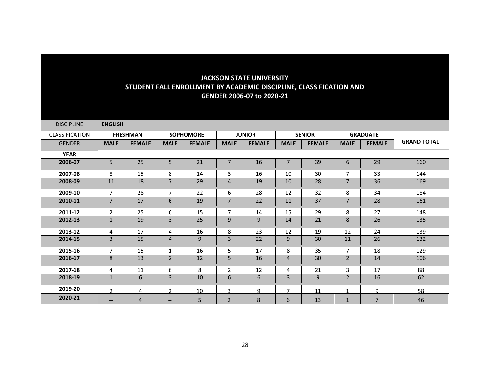| <b>DISCIPLINE</b> | <b>ENGLISH</b> |                 |                   |                  |                 |               |                |               |                |                 |                    |
|-------------------|----------------|-----------------|-------------------|------------------|-----------------|---------------|----------------|---------------|----------------|-----------------|--------------------|
| CLASSIFICATION    |                | <b>FRESHMAN</b> |                   | <b>SOPHOMORE</b> |                 | <b>JUNIOR</b> |                | <b>SENIOR</b> |                | <b>GRADUATE</b> |                    |
| <b>GENDER</b>     | <b>MALE</b>    | <b>FEMALE</b>   | <b>MALE</b>       | <b>FEMALE</b>    | <b>MALE</b>     | <b>FEMALE</b> | <b>MALE</b>    | <b>FEMALE</b> | <b>MALE</b>    | <b>FEMALE</b>   | <b>GRAND TOTAL</b> |
| <b>YEAR</b>       |                |                 |                   |                  |                 |               |                |               |                |                 |                    |
| 2006-07           | 5              | 25              | 5                 | 21               | 7               | 16            | $\overline{7}$ | 39            | 6              | 29              | 160                |
| 2007-08           | 8              | 15              | 8                 | 14               | 3               | 16            | 10             | 30            | 7              | 33              | 144                |
| 2008-09           | 11             | 18              | $\overline{7}$    | 29               | $\overline{4}$  | 19            | 10             | 28            | $\overline{7}$ | 36              | 169                |
| 2009-10           | $\overline{7}$ | 28              | $\overline{7}$    | 22               | 6               | 28            | 12             | 32            | 8              | 34              | 184                |
| 2010-11           | $\overline{7}$ | 17              | 6                 | 19               | $\overline{7}$  | 22            | 11             | 37            | $\overline{7}$ | 28              | 161                |
| 2011-12           | $\overline{2}$ | 25              | 6                 | 15               | $\overline{7}$  | 14            | 15             | 29            | 8              | 27              | 148                |
| 2012-13           | $\mathbf{1}$   | 19              | 3                 | 25               | 9               | 9             | 14             | 21            | 8              | 26              | 135                |
| 2013-12           | 4              | 17              | 4                 | 16               | 8               | 23            | 12             | 19            | 12             | 24              | 139                |
| 2014-15           | 3              | 15              | $\overline{4}$    | 9                | 3               | 22            | 9              | 30            | 11             | 26              | 132                |
| 2015-16           | $\overline{7}$ | 15              | 1                 | 16               | 5               | 17            | 8              | 35            | $\overline{7}$ | 18              | 129                |
| 2016-17           | 8              | 13              | $\overline{2}$    | 12               | 5               | 16            | $\overline{4}$ | 30            | $\overline{2}$ | 14              | 106                |
| 2017-18           | 4              | 11              | 6                 | 8                | $\overline{2}$  | 12            | 4              | 21            | 3              | 17              | 88                 |
| 2018-19           | $\mathbf{1}$   | 6               | 3                 | 10               | $6\phantom{1}6$ | 6             | 3              | 9             | $\overline{2}$ | 16              | 62                 |
| 2019-20           | $\mathcal{P}$  | 4               | $\mathcal{P}$     | 10               | 3               | 9             | $\overline{7}$ | 11            |                | 9               | 58                 |
| 2020-21           | $--$           | $\overline{4}$  | $\qquad \qquad -$ | 5                | $\overline{2}$  | 8             | 6              | 13            | $\mathbf{1}$   | $\overline{7}$  | 46                 |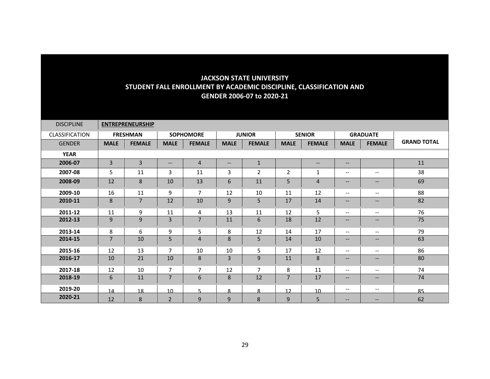| <b>DISCIPLINE</b>     |             | <b>ENTREPRENEURSHIP</b> |                          |                  |                   |                |                |                 |                                                                                                                   |                               |                    |
|-----------------------|-------------|-------------------------|--------------------------|------------------|-------------------|----------------|----------------|-----------------|-------------------------------------------------------------------------------------------------------------------|-------------------------------|--------------------|
| <b>CLASSIFICATION</b> |             | <b>FRESHMAN</b>         |                          | <b>SOPHOMORE</b> |                   | <b>JUNIOR</b>  |                | <b>SENIOR</b>   |                                                                                                                   | <b>GRADUATE</b>               |                    |
| <b>GENDER</b>         | <b>MALE</b> | <b>FEMALE</b>           | <b>MALE</b>              | <b>FEMALE</b>    | <b>MALE</b>       | <b>FEMALE</b>  | <b>MALE</b>    | <b>FEMALE</b>   | <b>MALE</b>                                                                                                       | <b>FEMALE</b>                 | <b>GRAND TOTAL</b> |
| <b>YEAR</b>           |             |                         |                          |                  |                   |                |                |                 |                                                                                                                   |                               |                    |
| 2006-07               | 3           | $\overline{3}$          | $\overline{\phantom{a}}$ | $\overline{4}$   | $\qquad \qquad -$ | $\mathbf{1}$   |                | $-$             | $--$                                                                                                              |                               | 11                 |
| 2007-08               | 5           | 11                      | 3                        | 11               | 3                 | $\overline{2}$ | $\overline{2}$ | $\mathbf{1}$    | $\overline{\phantom{m}}$                                                                                          | $\overline{\phantom{a}}$      | 38                 |
| 2008-09               | 12          | 8                       | 10                       | 13               | 6                 | 11             | 5              | $\overline{4}$  | $\overline{\phantom{m}}$                                                                                          | $\hspace{0.05cm} \textbf{--}$ | 69                 |
| 2009-10               | 16          | 11                      | 9                        | $\overline{7}$   | 12                | 10             | 11             | 12              | $\overline{\phantom{a}}$                                                                                          | $\overline{\phantom{a}}$      | 88                 |
| 2010-11               | 8           | $\overline{7}$          | 12                       | 10               | 9                 | 5              | 17             | 14              | $\qquad \qquad -$                                                                                                 | $\qquad \qquad -$             | 82                 |
| 2011-12               | 11          | 9                       | 11                       | 4                | 13                | 11             | 12             | 5               | $--$                                                                                                              | $\overline{\phantom{a}}$      | 76                 |
| 2012-13               | 9           | 9                       | $\overline{3}$           | $\overline{7}$   | 11                | 6              | 18             | 12              | $\qquad \qquad -$                                                                                                 | $\qquad \qquad -$             | 75                 |
| 2013-14               | 8           | 6                       | 9                        | 5                | 8                 | 12             | 14             | 17              | $\overline{\phantom{a}}$                                                                                          | $\overline{\phantom{m}}$      | 79                 |
| 2014-15               | 7           | 10                      | 5                        | $\overline{4}$   | 8                 | 5              | 14             | 10              | $\qquad \qquad -$                                                                                                 | $\overline{\phantom{a}}$      | 63                 |
| 2015-16               | 12          | 13                      | $\overline{7}$           | 10               | 10                | 5              | 17             | 12              | $-\!$ $\!-$                                                                                                       | $\overline{\phantom{m}}$      | 86                 |
| 2016-17               | 10          | 21                      | 10                       | 8                | 3                 | 9              | 11             | 8               | $\qquad \qquad -$                                                                                                 | $\overline{\phantom{a}}$      | 80                 |
| 2017-18               | 12          | 10                      | $\overline{7}$           | $\overline{7}$   | 12                | $\overline{7}$ | 8              | 11              | $\overline{\phantom{a}}$                                                                                          | $\overline{\phantom{a}}$      | 74                 |
| 2018-19               | 6           | 11                      | $\overline{7}$           | 6                | 8                 | 12             | $\overline{7}$ | 17              | $\hspace{0.05cm} \hspace{0.02cm} \hspace{0.02cm} \hspace{0.02cm} \hspace{0.02cm} \hspace{0.02cm} \hspace{0.02cm}$ | $\overline{\phantom{a}}$      | 74                 |
| 2019-20               | 14          | 18                      | 10                       | 5                | 8                 | 8              | 12             | 10 <sup>1</sup> | $-\!$ $\!-$                                                                                                       | $\overline{\phantom{a}}$      | 85                 |
| 2020-21               | 12          | 8                       | $\overline{2}$           | 9                | 9                 | 8              | 9              | 5               | $\qquad \qquad -$                                                                                                 | $\qquad \qquad -$             | 62                 |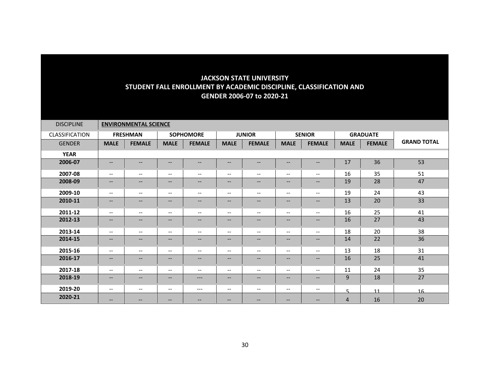| <b>DISCIPLINE</b> |                                                                                                   | <b>ENVIRONMENTAL SCIENCE</b> |                                                         |                          |                                                     |                                                     |                          |                          |                |                 |                    |
|-------------------|---------------------------------------------------------------------------------------------------|------------------------------|---------------------------------------------------------|--------------------------|-----------------------------------------------------|-----------------------------------------------------|--------------------------|--------------------------|----------------|-----------------|--------------------|
| CLASSIFICATION    |                                                                                                   | <b>FRESHMAN</b>              |                                                         | <b>SOPHOMORE</b>         |                                                     | <b>JUNIOR</b>                                       |                          | <b>SENIOR</b>            |                | <b>GRADUATE</b> |                    |
| <b>GENDER</b>     | <b>MALE</b>                                                                                       | <b>FEMALE</b>                | <b>MALE</b>                                             | <b>FEMALE</b>            | <b>MALE</b>                                         | <b>FEMALE</b>                                       | <b>MALE</b>              | <b>FEMALE</b>            | <b>MALE</b>    | <b>FEMALE</b>   | <b>GRAND TOTAL</b> |
| <b>YEAR</b>       |                                                                                                   |                              |                                                         |                          |                                                     |                                                     |                          |                          |                |                 |                    |
| 2006-07           | $\overline{\phantom{m}}$                                                                          | $--$                         | $\overline{\phantom{m}}$                                | $\qquad \qquad -$        | --                                                  | $\qquad \qquad -$                                   | $\qquad \qquad -$        | --                       | 17             | 36              | 53                 |
| 2007-08           | $- -$                                                                                             | $- -$                        | $-$                                                     | $- -$                    | $-$                                                 | $- -$                                               | $\overline{\phantom{a}}$ | $- -$                    | 16             | 35              | 51                 |
| 2008-09           | $\qquad \qquad -$                                                                                 | $--$                         | $\hspace{0.05cm} \ldots$                                | $\overline{\phantom{m}}$ | --                                                  | $\qquad \qquad -$                                   | $\qquad \qquad -$        | $--$                     | 19             | 28              | 47                 |
| 2009-10           | $--$                                                                                              | $- -$                        | $\overline{\phantom{a}}$                                | $\overline{\phantom{a}}$ | $\hspace{0.05cm} -\hspace{0.05cm} -\hspace{0.05cm}$ | $\overline{\phantom{a}}$                            | $\overline{\phantom{m}}$ | $\overline{\phantom{a}}$ | 19             | 24              | 43                 |
| 2010-11           | $\overline{\phantom{a}}$                                                                          | --                           | $\hspace{0.05cm} \hspace{0.02cm} \hspace{0.02cm} \dots$ | $\overline{\phantom{a}}$ | --                                                  | $\overline{\phantom{a}}$                            | --                       | $--$                     | 13             | 20              | 33                 |
| 2011-12           | $--$                                                                                              | $- -$                        | $\overline{\phantom{a}}$                                | $\overline{\phantom{a}}$ | $\overline{\phantom{a}}$                            | $\overline{\phantom{a}}$                            | $\overline{\phantom{a}}$ | $--$                     | 16             | 25              | 41                 |
| 2012-13           | $- -$                                                                                             | --                           | $\hspace{0.05cm} \hspace{0.02cm} \hspace{0.02cm} \dots$ | $\qquad \qquad -$        | --                                                  | $\qquad \qquad -$                                   | --                       | --                       | 16             | 27              | 43                 |
| 2013-14           | $\overline{\phantom{m}}$                                                                          | $- -$                        | $\overline{\phantom{m}}$                                | $\overline{\phantom{m}}$ | $\overline{\phantom{m}}$                            | $\overline{\phantom{m}}$                            | $\overline{\phantom{a}}$ | $\overline{\phantom{a}}$ | 18             | 20              | 38                 |
| 2014-15           | $- -$                                                                                             | --                           | $\overline{\phantom{m}}$                                | $\overline{\phantom{a}}$ | --                                                  | $\overline{\phantom{a}}$                            | --                       | --                       | 14             | 22              | 36                 |
| 2015-16           | $\overline{\phantom{m}}$                                                                          | $- -$                        | $\overline{\phantom{m}}$                                | $\overline{\phantom{m}}$ | $\hspace{0.05cm} \ldots$                            | $\overline{\phantom{m}}$                            | $\overline{\phantom{a}}$ | $\overline{\phantom{a}}$ | 13             | 18              | 31                 |
| 2016-17           | $\qquad \qquad -$                                                                                 | $--$                         | $\overline{\phantom{m}}$                                | $\qquad \qquad -$        | $--$                                                | $\qquad \qquad -$                                   | $\qquad \qquad -$        | $--$                     | 16             | 25              | 41                 |
| 2017-18           | $--$                                                                                              | $- -$                        | $\overline{\phantom{a}}$                                | $\overline{\phantom{a}}$ | $\overline{\phantom{a}}$                            | $\overline{\phantom{m}}$                            | $\overline{\phantom{m}}$ | $--$                     | 11             | 24              | 35                 |
| 2018-19           | $\hspace{0.05cm} \hspace{0.02cm} \hspace{0.02cm} \hspace{0.02cm} \hspace{0.02cm} \hspace{0.02cm}$ | $\qquad \qquad -$            | $\overline{\phantom{m}}$                                | $---$                    | --                                                  | $\qquad \qquad -$                                   | --                       | $--$                     | 9              | 18              | 27                 |
| 2019-20           | $--$                                                                                              | $\overline{\phantom{a}}$     | $\overline{\phantom{a}}$                                | $---$                    | $\overline{\phantom{a}}$                            | $\hspace{0.05cm} -\hspace{0.05cm} -\hspace{0.05cm}$ | $\overline{\phantom{m}}$ | $--$                     | 5              | 11              | 16                 |
| 2020-21           | $\qquad \qquad -$                                                                                 | $\qquad \qquad -$            | $\overline{\phantom{m}}$                                | --                       | --                                                  | --                                                  | --                       | --                       | $\overline{4}$ | 16              | 20                 |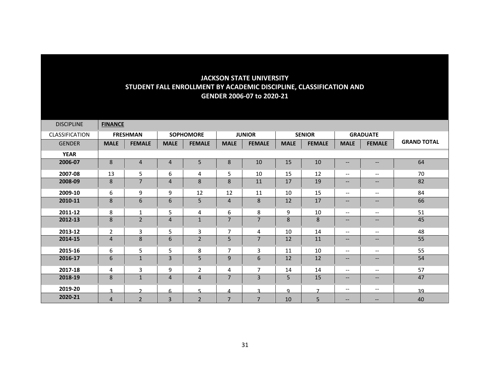| <b>DISCIPLINE</b>     | <b>FINANCE</b> |                 |                |                  |                |                |             |                |                                                                                                                   |                               |                    |
|-----------------------|----------------|-----------------|----------------|------------------|----------------|----------------|-------------|----------------|-------------------------------------------------------------------------------------------------------------------|-------------------------------|--------------------|
| <b>CLASSIFICATION</b> |                | <b>FRESHMAN</b> |                | <b>SOPHOMORE</b> |                | <b>JUNIOR</b>  |             | <b>SENIOR</b>  |                                                                                                                   | <b>GRADUATE</b>               |                    |
| <b>GENDER</b>         | <b>MALE</b>    | <b>FEMALE</b>   | <b>MALE</b>    | <b>FEMALE</b>    | <b>MALE</b>    | <b>FEMALE</b>  | <b>MALE</b> | <b>FEMALE</b>  | <b>MALE</b>                                                                                                       | <b>FEMALE</b>                 | <b>GRAND TOTAL</b> |
| <b>YEAR</b>           |                |                 |                |                  |                |                |             |                |                                                                                                                   |                               |                    |
| 2006-07               | 8              | $\overline{4}$  | $\overline{4}$ | 5                | 8              | 10             | 15          | 10             | $\overline{\phantom{m}}$                                                                                          | $\qquad \qquad -$             | 64                 |
| 2007-08               | 13             | 5               | 6              | 4                | 5              | 10             | 15          | 12             | $\overline{\phantom{a}}$                                                                                          | $\overline{\phantom{a}}$      | 70                 |
| 2008-09               | 8              | $\overline{7}$  | $\overline{4}$ | 8                | 8              | 11             | 17          | 19             | $\overline{\phantom{m}}$                                                                                          | $\hspace{0.05cm} \textbf{--}$ | 82                 |
| 2009-10               | 6              | 9               | 9              | 12               | 12             | 11             | 10          | 15             | $\overline{\phantom{a}}$                                                                                          | $\overline{\phantom{a}}$      | 84                 |
| 2010-11               | 8              | 6               | 6              | 5                | $\overline{4}$ | 8              | 12          | 17             | $\qquad \qquad -$                                                                                                 | $\qquad \qquad -$             | 66                 |
| 2011-12               | 8              | $\mathbf{1}$    | 5              | 4                | 6              | 8              | 9           | 10             | $--$                                                                                                              | $\overline{\phantom{a}}$      | 51                 |
| 2012-13               | 8              | $\overline{2}$  | $\overline{4}$ | $\mathbf{1}$     | $\overline{7}$ | $\overline{7}$ | 8           | 8              | $\qquad \qquad -$                                                                                                 | $\qquad \qquad -$             | 45                 |
| 2013-12               | $\mathbf{2}$   | 3               | 5              | 3                | 7              | 4              | 10          | 14             | $-\!$ $\!-$                                                                                                       | $\overline{\phantom{m}}$      | 48                 |
| 2014-15               | 4              | 8               | 6              | $\overline{2}$   | 5              | 7              | 12          | 11             | $\qquad \qquad -$                                                                                                 | $\overline{\phantom{a}}$      | 55                 |
| 2015-16               | 6              | 5               | 5              | 8                | $\overline{7}$ | 3              | 11          | 10             | $-\!$ $\!-$                                                                                                       | $\overline{\phantom{m}}$      | 55                 |
| 2016-17               | 6              | $\mathbf{1}$    | 3              | 5                | 9              | 6              | 12          | 12             | $\qquad \qquad -$                                                                                                 | $\overline{\phantom{a}}$      | 54                 |
| 2017-18               | 4              | 3               | 9              | $\overline{2}$   | 4              | $\overline{7}$ | 14          | 14             | $\overline{\phantom{a}}$                                                                                          | $\overline{\phantom{a}}$      | 57                 |
| 2018-19               | 8              | $\mathbf 1$     | $\overline{4}$ | $\overline{4}$   | $\overline{7}$ | 3              | 5           | 15             | $\hspace{0.05cm} \hspace{0.02cm} \hspace{0.02cm} \hspace{0.02cm} \hspace{0.02cm} \hspace{0.02cm} \hspace{0.02cm}$ | $\overline{\phantom{a}}$      | 47                 |
| 2019-20               | $\mathbf{a}$   | $\mathcal{D}$   | 6              | 5                | 4              | ર              | q           | $\overline{7}$ | $-\!$ $\!-$                                                                                                       | $\overline{\phantom{a}}$      | 39                 |
| 2020-21               | $\overline{4}$ | $\overline{2}$  | $\overline{3}$ | $\overline{2}$   | $\overline{7}$ | $\overline{7}$ | 10          | 5              | $\qquad \qquad -$                                                                                                 | $\qquad \qquad -$             | 40                 |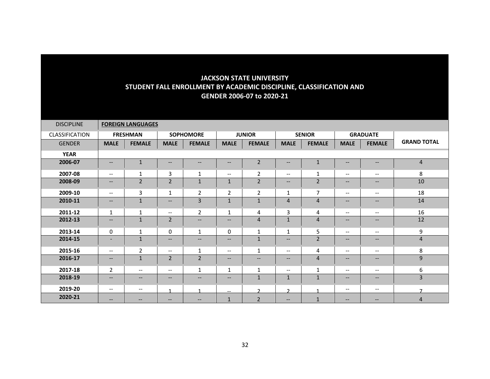| <b>DISCIPLINE</b>     |                          | <b>FOREIGN LANGUAGES</b> |                                                                                                                   |                                                                                                                   |                          |                   |                          |                |                                                                                                   |                                                                                                                   |                    |
|-----------------------|--------------------------|--------------------------|-------------------------------------------------------------------------------------------------------------------|-------------------------------------------------------------------------------------------------------------------|--------------------------|-------------------|--------------------------|----------------|---------------------------------------------------------------------------------------------------|-------------------------------------------------------------------------------------------------------------------|--------------------|
| <b>CLASSIFICATION</b> |                          | <b>FRESHMAN</b>          |                                                                                                                   | <b>SOPHOMORE</b>                                                                                                  |                          | <b>JUNIOR</b>     |                          | <b>SENIOR</b>  |                                                                                                   | <b>GRADUATE</b>                                                                                                   |                    |
| <b>GENDER</b>         | <b>MALE</b>              | <b>FEMALE</b>            | <b>MALE</b>                                                                                                       | <b>FEMALE</b>                                                                                                     | <b>MALE</b>              | <b>FEMALE</b>     | <b>MALE</b>              | <b>FEMALE</b>  | <b>MALE</b>                                                                                       | <b>FEMALE</b>                                                                                                     | <b>GRAND TOTAL</b> |
| <b>YEAR</b>           |                          |                          |                                                                                                                   |                                                                                                                   |                          |                   |                          |                |                                                                                                   |                                                                                                                   |                    |
| 2006-07               | $\qquad \qquad -$        | $\mathbf{1}$             | $\overline{\phantom{a}}$                                                                                          | $\overline{\phantom{a}}$                                                                                          | --                       | $\overline{2}$    | --                       | $\mathbf{1}$   | $- -$                                                                                             | $\hspace{0.05cm} \ldots$                                                                                          | $\overline{4}$     |
| 2007-08               | $\qquad \qquad -$        | 1                        | 3                                                                                                                 | $\mathbf{1}$                                                                                                      | $\overline{\phantom{a}}$ | $\overline{2}$    | $\overline{\phantom{a}}$ | $\mathbf{1}$   | $--$                                                                                              | $\hspace{0.05cm} \ldots$                                                                                          | 8                  |
| 2008-09               | $\qquad \qquad -$        | $\overline{2}$           | $\overline{2}$                                                                                                    | $\mathbf{1}$                                                                                                      | $\mathbf{1}$             | $\overline{2}$    | $--$                     | $\overline{2}$ | $\overline{\phantom{m}}$                                                                          | $\hspace{0.05cm} \ldots$                                                                                          | 10                 |
| 2009-10               | $\overline{\phantom{a}}$ | 3                        | 1                                                                                                                 | $\overline{2}$                                                                                                    | $\overline{2}$           | $\overline{2}$    | $\mathbf{1}$             | $\overline{7}$ | $\overline{\phantom{a}}$                                                                          | $\overline{\phantom{a}}$                                                                                          | 18                 |
| 2010-11               | $\qquad \qquad -$        | $\mathbf{1}$             | $\qquad \qquad -$                                                                                                 | 3                                                                                                                 | $\mathbf{1}$             | $\mathbf 1$       | $\overline{4}$           | $\overline{4}$ | $\qquad \qquad -$                                                                                 | $\hspace{0.05cm} \ldots$                                                                                          | 14                 |
| 2011-12               | $\mathbf{1}$             | $\mathbf{1}$             | $\overline{\phantom{a}}$                                                                                          | $\overline{2}$                                                                                                    | $\mathbf{1}$             | 4                 | 3                        | 4              | $--$                                                                                              | $\overline{\phantom{a}}$                                                                                          | 16                 |
| 2012-13               | $\qquad \qquad -$        | $\mathbf{1}$             | $\overline{2}$                                                                                                    | $\qquad \qquad -$                                                                                                 | $\hspace{0.05cm} \ldots$ | 4                 | $\mathbf{1}$             | $\overline{4}$ | $\qquad \qquad -$                                                                                 | $\hspace{0.05cm} \ldots$                                                                                          | 12                 |
| 2013-14               | $\Omega$                 | 1                        | $\Omega$                                                                                                          | 1                                                                                                                 | $\mathbf{0}$             | 1                 | 1                        | 5              | $--$                                                                                              | $\overline{\phantom{m}}$                                                                                          | 9                  |
| 2014-15               | $\overline{\phantom{a}}$ | $\mathbf{1}$             | $\overline{\phantom{a}}$                                                                                          | $\hspace{0.05cm} \hspace{0.02cm} \hspace{0.02cm} \hspace{0.02cm} \hspace{0.02cm} \hspace{0.02cm} \hspace{0.02cm}$ | --                       | 1                 | --                       | $\overline{2}$ | $\qquad \qquad -$                                                                                 | $\hspace{0.05cm} \hspace{0.02cm} \hspace{0.02cm} \hspace{0.02cm} \hspace{0.02cm} \hspace{0.02cm} \hspace{0.02cm}$ | $\overline{4}$     |
| 2015-16               | $--$                     | $\overline{2}$           | $\overline{\phantom{m}}$                                                                                          | $\mathbf{1}$                                                                                                      | $\overline{\phantom{m}}$ | 1                 | $--$                     | 4              | $\overline{\phantom{m}}$                                                                          | $\hspace{0.05cm} \textbf{--}$                                                                                     | 8                  |
| 2016-17               | $\qquad \qquad -$        | $\mathbf{1}$             | $\overline{2}$                                                                                                    | $\overline{2}$                                                                                                    | $\hspace{0.05cm} \ldots$ | $\qquad \qquad -$ | $\qquad \qquad -$        | $\overline{4}$ | $--$                                                                                              | $\hspace{0.05cm} \ldots$                                                                                          | 9                  |
| 2017-18               | $\overline{2}$           | $\overline{\phantom{a}}$ | $\overline{\phantom{a}}$                                                                                          | $\mathbf{1}$                                                                                                      | $\mathbf{1}$             | $\mathbf{1}$      | $\overline{\phantom{a}}$ | $\mathbf{1}$   | $\overline{\phantom{a}}$                                                                          | $\hspace{0.05cm} \ldots$                                                                                          | 6                  |
| 2018-19               | $\qquad \qquad -$        | $--$                     | $\hspace{0.05cm} \hspace{0.02cm} \hspace{0.02cm} \hspace{0.02cm} \hspace{0.02cm} \hspace{0.02cm} \hspace{0.02cm}$ | $\hspace{0.05cm} \hspace{0.02cm} \hspace{0.02cm} \hspace{0.02cm} \hspace{0.02cm} \hspace{0.02cm} \hspace{0.02cm}$ | --                       | $\mathbf{1}$      | $\mathbf{1}$             | $\mathbf{1}$   | $\hspace{0.05cm} \hspace{0.02cm} \hspace{0.02cm} \hspace{0.02cm} \hspace{0.02cm} \hspace{0.02cm}$ | $\hspace{0.05cm} \hspace{0.02cm} \hspace{0.02cm} \hspace{0.02cm} \hspace{0.02cm} \hspace{0.02cm} \hspace{0.02cm}$ | $\overline{3}$     |
| 2019-20               | $\qquad \qquad -$        | $\overline{\phantom{a}}$ |                                                                                                                   |                                                                                                                   | $- -$                    | $\mathbf{r}$      | C.                       |                | $\overline{\phantom{m}}$                                                                          | $\overline{\phantom{a}}$                                                                                          | $\overline{ }$     |
| 2020-21               | $\qquad \qquad -$        | $\qquad \qquad -$        | $\overline{\phantom{m}}$                                                                                          | $- -$                                                                                                             | $\mathbf{1}$             | $\overline{2}$    | $\qquad \qquad -$        | $\mathbf{1}$   | $\overline{\phantom{m}}$                                                                          | $\qquad \qquad -$                                                                                                 | $\overline{4}$     |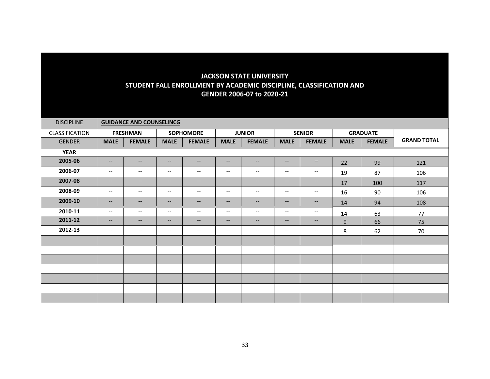| <b>DISCIPLINE</b> |                                   | <b>GUIDANCE AND COUNSELINCG</b> |                          |                                   |                          |                               |                          |                               |             |                 |                    |
|-------------------|-----------------------------------|---------------------------------|--------------------------|-----------------------------------|--------------------------|-------------------------------|--------------------------|-------------------------------|-------------|-----------------|--------------------|
| CLASSIFICATION    |                                   | <b>FRESHMAN</b>                 |                          | <b>SOPHOMORE</b>                  |                          | <b>JUNIOR</b>                 |                          | <b>SENIOR</b>                 |             | <b>GRADUATE</b> |                    |
| <b>GENDER</b>     | <b>MALE</b>                       | <b>FEMALE</b>                   | <b>MALE</b>              | <b>FEMALE</b>                     | <b>MALE</b>              | <b>FEMALE</b>                 | <b>MALE</b>              | <b>FEMALE</b>                 | <b>MALE</b> | <b>FEMALE</b>   | <b>GRAND TOTAL</b> |
| <b>YEAR</b>       |                                   |                                 |                          |                                   |                          |                               |                          |                               |             |                 |                    |
| 2005-06           | $\qquad \qquad -$                 | $--$                            | $\qquad \qquad -$        | $\overline{\phantom{m}}$          | $\overline{\phantom{a}}$ | $--$                          | $\qquad \qquad -$        | $\qquad \qquad -$             | 22          | 99              | 121                |
| 2006-07           | $\overline{\phantom{a}}$          | $\overline{\phantom{m}}$        | $\overline{\phantom{a}}$ | $\hspace{0.05cm} \dashrightarrow$ | $-\,-$                   | $\hspace{0.05cm} \textbf{--}$ | $-\!$ $\!-$              | $\overline{\phantom{m}}$      | 19          | 87              | 106                |
| 2007-08           | $--$                              | $- -$                           | $\qquad \qquad -$        | $\overline{\phantom{a}}$          | $\overline{\phantom{a}}$ | $--$                          | $\overline{\phantom{a}}$ | $\hspace{0.05cm} \dashv$      | 17          | 100             | 117                |
| 2008-09           | $\overline{\phantom{a}}$          | $\qquad \qquad -$               | $\overline{\phantom{a}}$ | $\overline{\phantom{m}}$          | $\qquad \qquad -$        | $--$                          | $\overline{\phantom{a}}$ | $\hspace{0.05cm} \textbf{--}$ | 16          | 90              | 106                |
| 2009-10           | $\hspace{0.05cm} \dashrightarrow$ | $--$                            | $\overline{\phantom{a}}$ | $-\!$                             | $\qquad \qquad -$        | $--$                          | $\qquad \qquad -$        | $\overline{\phantom{m}}$      | 14          | 94              | 108                |
| 2010-11           | $\overline{\phantom{a}}$          | $\overline{\phantom{m}}$        | $\overline{\phantom{a}}$ | $\overline{\phantom{a}}$          | $\overline{\phantom{a}}$ | $--$                          | $\overline{\phantom{a}}$ | $\overline{\phantom{a}}$      | 14          | 63              | 77                 |
| 2011-12           | $\qquad \qquad -$                 | $\qquad \qquad -$               | $\overline{\phantom{a}}$ | $\overline{\phantom{a}}$          | $\qquad \qquad -$        | $\overline{\phantom{a}}$      | $\overline{\phantom{a}}$ | $\hspace{0.05cm} \textbf{--}$ | 9           | 66              | 75                 |
| 2012-13           | $\overline{\phantom{a}}$          | $\overline{\phantom{m}}$        | $\overline{\phantom{a}}$ | $\hspace{0.05cm} \dashrightarrow$ | $\overline{\phantom{a}}$ | $\overline{\phantom{a}}$      | $\overline{\phantom{a}}$ | $\overline{\phantom{m}}$      | 8           | 62              | 70                 |
|                   |                                   |                                 |                          |                                   |                          |                               |                          |                               |             |                 |                    |
|                   |                                   |                                 |                          |                                   |                          |                               |                          |                               |             |                 |                    |
|                   |                                   |                                 |                          |                                   |                          |                               |                          |                               |             |                 |                    |
|                   |                                   |                                 |                          |                                   |                          |                               |                          |                               |             |                 |                    |
|                   |                                   |                                 |                          |                                   |                          |                               |                          |                               |             |                 |                    |
|                   |                                   |                                 |                          |                                   |                          |                               |                          |                               |             |                 |                    |
|                   |                                   |                                 |                          |                                   |                          |                               |                          |                               |             |                 |                    |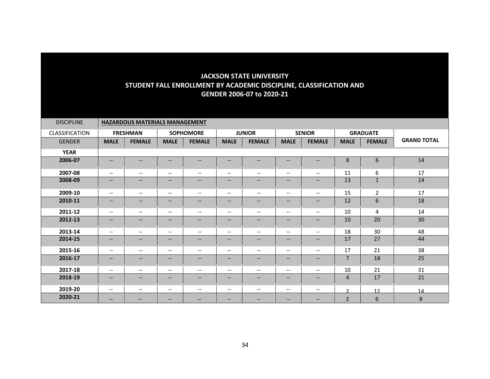| <b>DISCIPLINE</b> | <b>HAZARDOUS MATERIALS MANAGEMENT</b> |                          |                                                         |                          |                               |                                                         |                          |                                                                                                                   |                |                 |                    |  |
|-------------------|---------------------------------------|--------------------------|---------------------------------------------------------|--------------------------|-------------------------------|---------------------------------------------------------|--------------------------|-------------------------------------------------------------------------------------------------------------------|----------------|-----------------|--------------------|--|
| CLASSIFICATION    |                                       | <b>FRESHMAN</b>          |                                                         | <b>SOPHOMORE</b>         |                               | <b>JUNIOR</b>                                           |                          | <b>SENIOR</b>                                                                                                     |                | <b>GRADUATE</b> |                    |  |
| <b>GENDER</b>     | <b>MALE</b>                           | <b>FEMALE</b>            | <b>MALE</b>                                             | <b>FEMALE</b>            | <b>MALE</b>                   | <b>FEMALE</b>                                           | <b>MALE</b>              | <b>FEMALE</b>                                                                                                     | <b>MALE</b>    | <b>FEMALE</b>   | <b>GRAND TOTAL</b> |  |
| <b>YEAR</b>       |                                       |                          |                                                         |                          |                               |                                                         |                          |                                                                                                                   |                |                 |                    |  |
| 2006-07           | $\overline{\phantom{m}}$              | $\qquad \qquad -$        | $- -$                                                   | $\hspace{0.05cm} \ldots$ | --                            | $\qquad \qquad -$                                       | --                       | $\overline{\phantom{a}}$                                                                                          | 8              | 6               | 14                 |  |
| 2007-08           | $\overline{\phantom{a}}$              | $\qquad \qquad -$        | $\hspace{0.05cm} \ldots$                                | $\overline{\phantom{m}}$ | $\overline{\phantom{m}}$      | $\overline{\phantom{m}}$                                | $\overline{\phantom{m}}$ | $\overline{\phantom{a}}$                                                                                          | 11             | 6               | 17                 |  |
| 2008-09           | $\overline{\phantom{a}}$              | $\qquad \qquad -$        | $\hspace{0.05cm} \ldots$                                | $\overline{\phantom{a}}$ | --                            | $\overline{\phantom{a}}$                                | $\overline{\phantom{a}}$ | $\hspace{0.05cm} \hspace{0.02cm} \hspace{0.02cm} \hspace{0.02cm} \hspace{0.02cm} \hspace{0.02cm} \hspace{0.02cm}$ | 13             | $\mathbf{1}$    | 14                 |  |
| 2009-10           | $\overline{\phantom{m}}$              | $\qquad \qquad -$        | $\hspace{0.05cm} \ldots$                                | $\overline{\phantom{m}}$ | $\hspace{0.05cm} \ldots$      | $\overline{\phantom{m}}$                                | $\overline{\phantom{m}}$ | $\overline{\phantom{a}}$                                                                                          | 15             | $\overline{2}$  | 17                 |  |
| 2010-11           | $\overline{\phantom{a}}$              | $\qquad \qquad -$        | $\hspace{0.05cm} \ldots$                                | $\overline{\phantom{a}}$ | $\hspace{0.05cm} \textbf{--}$ | $\overline{\phantom{m}}$                                | $\overline{\phantom{a}}$ | $\qquad \qquad -$                                                                                                 | 12             | 6               | 18                 |  |
| 2011-12           | $\overline{\phantom{a}}$              | $\overline{\phantom{a}}$ | $\hspace{0.05cm} \ldots$                                | $\overline{\phantom{a}}$ | $\overline{\phantom{a}}$      | $\overline{\phantom{m}}$                                | $\overline{\phantom{a}}$ | $--$                                                                                                              | 10             | 4               | 14                 |  |
| 2012-13           | $\overline{\phantom{a}}$              | $\qquad \qquad -$        | $\overline{\phantom{m}}$                                | $\overline{\phantom{m}}$ | --                            | $\overline{\phantom{a}}$                                | $\qquad \qquad -$        | $\qquad \qquad -$                                                                                                 | 10             | 20              | 30                 |  |
| 2013-14           | $\overline{\phantom{a}}$              | $\overline{\phantom{a}}$ | $\overline{\phantom{a}}$                                | $\overline{\phantom{a}}$ | $\overline{\phantom{m}}$      | $\overline{\phantom{m}}$                                | $\overline{\phantom{m}}$ | $--$                                                                                                              | 18             | 30              | 48                 |  |
| 2014-15           | $\overline{\phantom{a}}$              | $\qquad \qquad -$        | $\hspace{0.05cm} \ldots$                                | $\overline{\phantom{a}}$ | --                            | $\hspace{0.05cm} \hspace{0.02cm} \hspace{0.02cm} \dots$ | $\qquad \qquad -$        | $\qquad \qquad -$                                                                                                 | 17             | 27              | 44                 |  |
| 2015-16           | $\overline{\phantom{a}}$              | $\overline{\phantom{a}}$ | $\overline{\phantom{m}}$                                | $\overline{\phantom{m}}$ | $\hspace{0.05cm} \dashv$      | $\overline{\phantom{m}}$                                | $\overline{\phantom{m}}$ | $\hspace{0.05cm}$ – $\hspace{0.05cm}$                                                                             | 17             | 21              | 38                 |  |
| 2016-17           | $\qquad \qquad -$                     | $\qquad \qquad -$        | $\overline{\phantom{m}}$                                | $\overline{\phantom{m}}$ | $\hspace{0.05cm} \ldots$      | $\hspace{0.05cm} \ldots$                                | $\qquad \qquad -$        | $\qquad \qquad -$                                                                                                 | $\overline{7}$ | 18              | 25                 |  |
| 2017-18           | $\overline{\phantom{a}}$              | $--$                     | $\hspace{0.05cm} \ldots$                                | $\overline{\phantom{m}}$ | $\overline{\phantom{m}}$      | $\overline{\phantom{m}}$                                | $\overline{\phantom{a}}$ | $--$                                                                                                              | 10             | 21              | 31                 |  |
| 2018-19           | $\overline{\phantom{a}}$              | $\qquad \qquad -$        | $\hspace{0.05cm} \hspace{0.02cm} \hspace{0.02cm} \dots$ | $\overline{\phantom{a}}$ | $\qquad \qquad -$             | $--$                                                    | $\overline{\phantom{a}}$ | $\hspace{0.05cm} \dashrightarrow$                                                                                 | $\overline{4}$ | 17              | 21                 |  |
| 2019-20           | $\overline{\phantom{a}}$              | $\overline{\phantom{a}}$ | $\overline{\phantom{a}}$                                | $\overline{\phantom{a}}$ | $\overline{\phantom{a}}$      | $\overline{\phantom{a}}$                                | $\overline{\phantom{a}}$ | $--$                                                                                                              | $\mathbf{r}$   | 12              | 14                 |  |
| 2020-21           | $\overline{\phantom{m}}$              | --                       | $-$                                                     | --                       | $\overline{\phantom{m}}$      | $\hspace{0.05cm} \hspace{0.02cm} \hspace{0.02cm} \dots$ | $\qquad \qquad -$        | $- -$                                                                                                             | $\overline{2}$ | 6               | $\bf 8$            |  |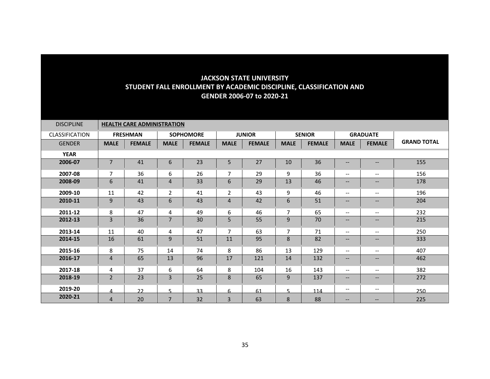| <b>DISCIPLINE</b>     |                | <b>HEALTH CARE ADMINISTRATION</b> |                |                  |                |               |                |               |                                                                                                                   |                                                                                                                   |                    |
|-----------------------|----------------|-----------------------------------|----------------|------------------|----------------|---------------|----------------|---------------|-------------------------------------------------------------------------------------------------------------------|-------------------------------------------------------------------------------------------------------------------|--------------------|
| <b>CLASSIFICATION</b> |                | <b>FRESHMAN</b>                   |                | <b>SOPHOMORE</b> |                | <b>JUNIOR</b> |                | <b>SENIOR</b> |                                                                                                                   | <b>GRADUATE</b>                                                                                                   |                    |
| <b>GENDER</b>         | <b>MALE</b>    | <b>FEMALE</b>                     | <b>MALE</b>    | <b>FEMALE</b>    | <b>MALE</b>    | <b>FEMALE</b> | <b>MALE</b>    | <b>FEMALE</b> | <b>MALE</b>                                                                                                       | <b>FEMALE</b>                                                                                                     | <b>GRAND TOTAL</b> |
| <b>YEAR</b>           |                |                                   |                |                  |                |               |                |               |                                                                                                                   |                                                                                                                   |                    |
| 2006-07               | 7              | 41                                | 6              | 23               | 5              | 27            | 10             | 36            | $\overline{\phantom{m}}$                                                                                          | --                                                                                                                | 155                |
| 2007-08               | $\overline{7}$ | 36                                | 6              | 26               | $\overline{7}$ | 29            | 9              | 36            | $\overline{\phantom{m}}$                                                                                          | $\qquad \qquad -$                                                                                                 | 156                |
| 2008-09               | 6              | 41                                | $\overline{4}$ | 33               | 6              | 29            | 13             | 46            | $\hspace{0.05cm} \ldots$                                                                                          | $\qquad \qquad -$                                                                                                 | 178                |
| 2009-10               | 11             | 42                                | $\overline{2}$ | 41               | $\overline{2}$ | 43            | 9              | 46            | $\overline{\phantom{a}}$                                                                                          | $\overline{\phantom{a}}$                                                                                          | 196                |
| 2010-11               | 9              | 43                                | 6              | 43               | $\overline{4}$ | 42            | 6              | 51            | $\qquad \qquad -$                                                                                                 | $\hspace{0.05cm} \ldots$                                                                                          | 204                |
| 2011-12               | 8              | 47                                | 4              | 49               | 6              | 46            | 7              | 65            | $\overline{\phantom{a}}$                                                                                          | $\overline{\phantom{a}}$                                                                                          | 232                |
| 2012-13               | 3              | 36                                | $\overline{7}$ | 30               | 5              | 55            | 9              | 70            | $\qquad \qquad -$                                                                                                 | --                                                                                                                | 215                |
| 2013-14               | 11             | 40                                | 4              | 47               | $\overline{7}$ | 63            | $\overline{7}$ | 71            | $\overline{\phantom{a}}$                                                                                          | $\overline{\phantom{a}}$                                                                                          | 250                |
| 2014-15               | 16             | 61                                | 9              | 51               | 11             | 95            | 8              | 82            | $- -$                                                                                                             | $\hspace{0.05cm} \hspace{0.02cm} \hspace{0.02cm} \hspace{0.02cm} \hspace{0.02cm} \hspace{0.02cm} \hspace{0.02cm}$ | 333                |
| 2015-16               | 8              | 75                                | 14             | 74               | 8              | 86            | 13             | 129           | $\hspace{0.05cm} \dashrightarrow$                                                                                 | $\overline{\phantom{m}}$                                                                                          | 407                |
| 2016-17               | $\overline{4}$ | 65                                | 13             | 96               | 17             | 121           | 14             | 132           | $- -$                                                                                                             | $\overline{\phantom{a}}$                                                                                          | 462                |
| 2017-18               | 4              | 37                                | 6              | 64               | 8              | 104           | 16             | 143           | $\hspace{0.05cm} \ldots$                                                                                          | $- -$                                                                                                             | 382                |
| 2018-19               | $\overline{2}$ | 23                                | $\overline{3}$ | 25               | 8              | 65            | 9              | 137           | $\hspace{0.05cm} \hspace{0.02cm} \hspace{0.02cm} \hspace{0.02cm} \hspace{0.02cm} \hspace{0.02cm} \hspace{0.02cm}$ | --                                                                                                                | 272                |
| 2019-20               | 4              | 22                                | $\sqrt{2}$     | 33               | 6              | 61            | 5              | 114           | $\overline{\phantom{m}}$                                                                                          | $\overline{\phantom{a}}$                                                                                          | 250                |
| 2020-21               | $\overline{4}$ | 20                                | $\overline{7}$ | 32               | 3              | 63            | 8              | 88            | $\qquad \qquad -$                                                                                                 | $\qquad \qquad -$                                                                                                 | 225                |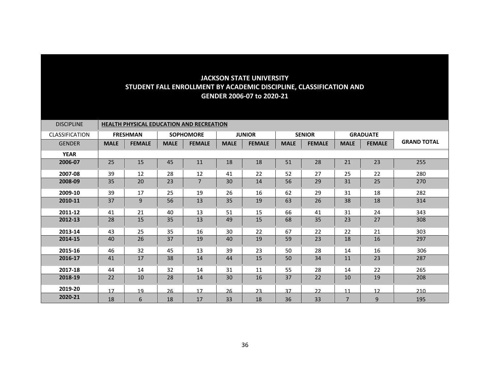| <b>DISCIPLINE</b>     |             | <b>HEALTH PHYSICAL EDUCATION AND RECREATION</b> |             |                  |             |               |             |               |                |                 |                    |  |  |  |
|-----------------------|-------------|-------------------------------------------------|-------------|------------------|-------------|---------------|-------------|---------------|----------------|-----------------|--------------------|--|--|--|
| <b>CLASSIFICATION</b> |             | <b>FRESHMAN</b>                                 |             | <b>SOPHOMORE</b> |             | <b>JUNIOR</b> |             | <b>SENIOR</b> |                | <b>GRADUATE</b> |                    |  |  |  |
| <b>GENDER</b>         | <b>MALE</b> | <b>FEMALE</b>                                   | <b>MALE</b> | <b>FEMALE</b>    | <b>MALE</b> | <b>FEMALE</b> | <b>MALE</b> | <b>FEMALE</b> | <b>MALE</b>    | <b>FEMALE</b>   | <b>GRAND TOTAL</b> |  |  |  |
| <b>YEAR</b>           |             |                                                 |             |                  |             |               |             |               |                |                 |                    |  |  |  |
| 2006-07               | 25          | 15                                              | 45          | 11               | 18          | 18            | 51          | 28            | 21             | 23              | 255                |  |  |  |
| 2007-08               | 39          | 12                                              | 28          | 12               | 41          | 22            | 52          | 27            | 25             | 22              | 280                |  |  |  |
| 2008-09               | 35          | 20                                              | 23          | $\overline{7}$   | 30          | 14            | 56          | 29            | 31             | 25              | 270                |  |  |  |
| 2009-10               | 39          | 17                                              | 25          | 19               | 26          | 16            | 62          | 29            | 31             | 18              | 282                |  |  |  |
| 2010-11               | 37          | 9                                               | 56          | 13               | 35          | 19            | 63          | 26            | 38             | 18              | 314                |  |  |  |
| 2011-12               | 41          | 21                                              | 40          | 13               | 51          | 15            | 66          | 41            | 31             | 24              | 343                |  |  |  |
| 2012-13               | 28          | 15                                              | 35          | 13               | 49          | 15            | 68          | 35            | 23             | 27              | 308                |  |  |  |
| 2013-14               | 43          | 25                                              | 35          | 16               | 30          | 22            | 67          | 22            | 22             | 21              | 303                |  |  |  |
| 2014-15               | 40          | 26                                              | 37          | 19               | 40          | 19            | 59          | 23            | 18             | 16              | 297                |  |  |  |
| 2015-16               | 46          | 32                                              | 45          | 13               | 39          | 23            | 50          | 28            | 14             | 16              | 306                |  |  |  |
| 2016-17               | 41          | 17                                              | 38          | 14               | 44          | 15            | 50          | 34            | 11             | 23              | 287                |  |  |  |
| 2017-18               | 44          | 14                                              | 32          | 14               | 31          | 11            | 55          | 28            | 14             | 22              | 265                |  |  |  |
| 2018-19               | 22          | 10                                              | 28          | 14               | 30          | 16            | 37          | 22            | 10             | 19              | 208                |  |  |  |
| 2019-20               | 17          | 19                                              | 26          | 17               | 26          | 23            | 37          | 22            | 11             | 12              | 210                |  |  |  |
| 2020-21               | 18          | 6                                               | 18          | 17               | 33          | 18            | 36          | 33            | $\overline{7}$ | 9               | 195                |  |  |  |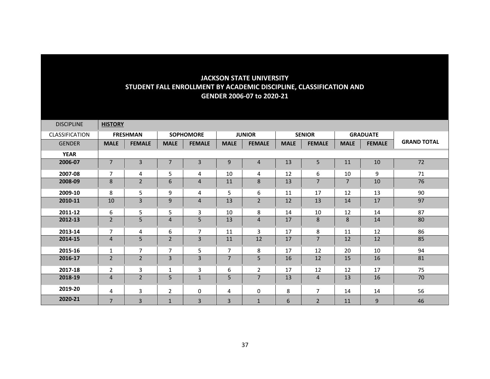| <b>DISCIPLINE</b> | <b>HISTORY</b> |                 |                |                  |                |                |             |                |                |                 |                    |
|-------------------|----------------|-----------------|----------------|------------------|----------------|----------------|-------------|----------------|----------------|-----------------|--------------------|
| CLASSIFICATION    |                | <b>FRESHMAN</b> |                | <b>SOPHOMORE</b> |                | <b>JUNIOR</b>  |             | <b>SENIOR</b>  |                | <b>GRADUATE</b> |                    |
| <b>GENDER</b>     | <b>MALE</b>    | <b>FEMALE</b>   | <b>MALE</b>    | <b>FEMALE</b>    | <b>MALE</b>    | <b>FEMALE</b>  | <b>MALE</b> | <b>FEMALE</b>  | <b>MALE</b>    | <b>FEMALE</b>   | <b>GRAND TOTAL</b> |
| <b>YEAR</b>       |                |                 |                |                  |                |                |             |                |                |                 |                    |
| 2006-07           | $\overline{7}$ | 3               | 7              | 3                | 9              | 4              | 13          | 5              | 11             | 10              | 72                 |
| 2007-08           | $\overline{7}$ | 4               | 5              | 4                | 10             | 4              | 12          | 6              | 10             | 9               | 71                 |
| 2008-09           | 8              | $\overline{2}$  | 6              | $\overline{4}$   | 11             | 8              | 13          | $\overline{7}$ | $\overline{7}$ | 10              | 76                 |
| 2009-10           | 8              | 5               | 9              | 4                | 5              | 6              | 11          | 17             | 12             | 13              | 90                 |
| 2010-11           | 10             | 3               | 9              | 4                | 13             | $\overline{2}$ | 12          | 13             | 14             | 17              | 97                 |
| 2011-12           | 6              | 5               | 5              | 3                | 10             | 8              | 14          | 10             | 12             | 14              | 87                 |
| 2012-13           | $\overline{2}$ | 5               | $\overline{4}$ | 5                | 13             | 4              | 17          | 8              | 8              | 14              | 80                 |
| 2013-14           | $\overline{7}$ | 4               | 6              | $\overline{7}$   | 11             | 3              | 17          | 8              | 11             | 12              | 86                 |
| 2014-15           | $\overline{4}$ | 5               | $\overline{2}$ | 3                | 11             | 12             | 17          | $\overline{7}$ | 12             | 12              | 85                 |
| 2015-16           | $\mathbf{1}$   | 7               | 7              | 5                | 7              | 8              | 17          | 12             | 20             | 10              | 94                 |
| 2016-17           | $\overline{2}$ | $\overline{2}$  | $\overline{3}$ | 3                | $\overline{7}$ | 5              | 16          | 12             | 15             | 16              | 81                 |
| 2017-18           | $\overline{2}$ | 3               | 1              | 3                | 6              | $\overline{2}$ | 17          | 12             | 12             | 17              | 75                 |
| 2018-19           | $\overline{4}$ | $\overline{2}$  | 5              | $\mathbf{1}$     | 5              | $\overline{7}$ | 13          | $\overline{4}$ | 13             | 16              | 70                 |
| 2019-20           | 4              | 3               | 2              | 0                | 4              | 0              | 8           | $\overline{7}$ | 14             | 14              | 56                 |
| 2020-21           | $\overline{7}$ | 3               | $\mathbf{1}$   | 3                | 3              | $\mathbf{1}$   | 6           | $\overline{2}$ | 11             | 9               | 46                 |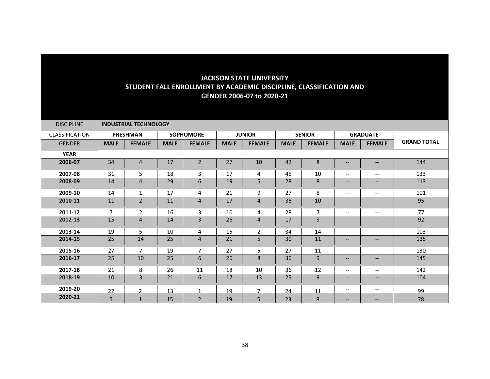| <b>DISCIPLINE</b>     |                | <b>INDUSTRIAL TECHNOLOGY</b> |             |                  |             |                 |             |                |                                                                                                                   |                          |                    |
|-----------------------|----------------|------------------------------|-------------|------------------|-------------|-----------------|-------------|----------------|-------------------------------------------------------------------------------------------------------------------|--------------------------|--------------------|
| <b>CLASSIFICATION</b> |                | <b>FRESHMAN</b>              |             | <b>SOPHOMORE</b> |             | <b>JUNIOR</b>   |             | <b>SENIOR</b>  |                                                                                                                   | <b>GRADUATE</b>          |                    |
| <b>GENDER</b>         | <b>MALE</b>    | <b>FEMALE</b>                | <b>MALE</b> | <b>FEMALE</b>    | <b>MALE</b> | <b>FEMALE</b>   | <b>MALE</b> | <b>FEMALE</b>  | <b>MALE</b>                                                                                                       | <b>FEMALE</b>            | <b>GRAND TOTAL</b> |
| <b>YEAR</b>           |                |                              |             |                  |             |                 |             |                |                                                                                                                   |                          |                    |
| 2006-07               | 34             | $\overline{4}$               | 17          | $\mathbf 2$      | 27          | 10              | 42          | 8              | $\qquad \qquad -$                                                                                                 | $\qquad \qquad -$        | 144                |
| 2007-08               | 31             | 5                            | 18          | 3                | 17          | 4               | 45          | 10             | $\overline{\phantom{a}}$                                                                                          | $\overline{\phantom{m}}$ | 133                |
| 2008-09               | 14             | $\overline{4}$               | 29          | 6                | 19          | 5               | 28          | 8              | $\qquad \qquad -$                                                                                                 | $\hspace{0.05cm} \ldots$ | 113                |
| 2009-10               | 14             | 1                            | 17          | 4                | 21          | 9               | 27          | 8              | $\overline{\phantom{a}}$                                                                                          | $\overline{\phantom{a}}$ | 101                |
| 2010-11               | 11             | $\overline{2}$               | 11          | $\overline{4}$   | 17          | $\overline{4}$  | 36          | 10             | $\overline{\phantom{a}}$                                                                                          | $\qquad \qquad -$        | 95                 |
| 2011-12               | $\overline{7}$ | $\overline{2}$               | 16          | 3                | 10          | 4               | 28          | $\overline{7}$ | $\overline{\phantom{a}}$                                                                                          | $\hspace{0.05cm} \ldots$ | 77                 |
| 2012-13               | 15             | $\overline{4}$               | 14          | 3                | 26          | $\overline{4}$  | 17          | 9              | $\qquad \qquad -$                                                                                                 | $\hspace{0.05cm} \ldots$ | 92                 |
| 2013-14               | 19             | 5                            | 10          | 4                | 15          | $\overline{2}$  | 34          | 14             | $\overline{\phantom{a}}$                                                                                          | $\overline{\phantom{a}}$ | 103                |
| 2014-15               | 25             | 14                           | 25          | $\overline{4}$   | 21          | 5               | 30          | 11             | $\qquad \qquad -$                                                                                                 | $\qquad \qquad \cdots$   | 135                |
| 2015-16               | 27             | $\overline{7}$               | 19          | $\overline{7}$   | 27          | 5               | 27          | 11             | $\overline{\phantom{a}}$                                                                                          | $- -$                    | 130                |
| 2016-17               | 25             | 10                           | 25          | 6                | 26          | 8               | 36          | 9              | $\overline{\phantom{a}}$                                                                                          | $\overline{\phantom{a}}$ | 145                |
| 2017-18               | 21             | 8                            | 26          | 11               | 18          | 10              | 36          | 12             | $\hspace{0.05cm} \ldots$                                                                                          | $- -$                    | 142                |
| 2018-19               | 10             | 3                            | 21          | 6                | 17          | 13              | 25          | 9              | $\hspace{0.05cm} \hspace{0.02cm} \hspace{0.02cm} \hspace{0.02cm} \hspace{0.02cm} \hspace{0.02cm} \hspace{0.02cm}$ | $\qquad \qquad -$        | 104                |
| 2019-20               | 22             | $\mathcal{D}$                | 13          |                  | 19          | $\overline{ }$  | 24          | 11             | $\overline{\phantom{m}}$                                                                                          | $\overline{\phantom{a}}$ | 99                 |
| 2020-21               | 5 <sup>5</sup> | $\mathbf{1}$                 | 15          | $\overline{2}$   | 19          | $5\overline{)}$ | 23          | 8              | $\qquad \qquad -$                                                                                                 | $\qquad \qquad -$        | 78                 |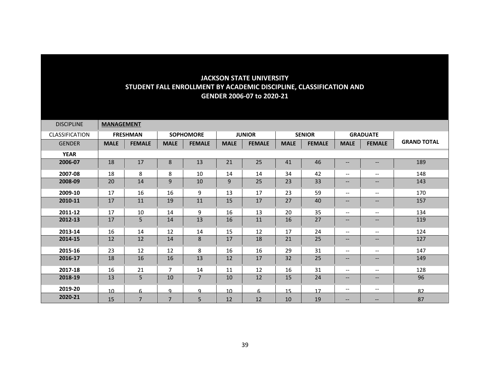| <b>DISCIPLINE</b> | <b>MANAGEMENT</b> |                 |                |                  |             |               |             |               |                                                                                                   |                                                                                                                   |                    |
|-------------------|-------------------|-----------------|----------------|------------------|-------------|---------------|-------------|---------------|---------------------------------------------------------------------------------------------------|-------------------------------------------------------------------------------------------------------------------|--------------------|
| CLASSIFICATION    |                   | <b>FRESHMAN</b> |                | <b>SOPHOMORE</b> |             | <b>JUNIOR</b> |             | <b>SENIOR</b> |                                                                                                   | <b>GRADUATE</b>                                                                                                   |                    |
| <b>GENDER</b>     | <b>MALE</b>       | <b>FEMALE</b>   | <b>MALE</b>    | <b>FEMALE</b>    | <b>MALE</b> | <b>FEMALE</b> | <b>MALE</b> | <b>FEMALE</b> | <b>MALE</b>                                                                                       | <b>FEMALE</b>                                                                                                     | <b>GRAND TOTAL</b> |
| <b>YEAR</b>       |                   |                 |                |                  |             |               |             |               |                                                                                                   |                                                                                                                   |                    |
| 2006-07           | 18                | 17              | 8              | 13               | 21          | 25            | 41          | 46            | $\hspace{0.05cm} \ldots$                                                                          | $- -$                                                                                                             | 189                |
| 2007-08           | 18                | 8               | 8              | 10               | 14          | 14            | 34          | 42            | $\overline{\phantom{a}}$                                                                          | $- -$                                                                                                             | 148                |
| 2008-09           | 20                | 14              | 9              | 10               | 9           | 25            | 23          | 33            | $\hspace{0.05cm} \hspace{0.02cm} \hspace{0.02cm} \hspace{0.02cm} \hspace{0.02cm} \hspace{0.02cm}$ | --                                                                                                                | 143                |
| 2009-10           | 17                | 16              | 16             | 9                | 13          | 17            | 23          | 59            | $\hspace{0.05cm} \dashrightarrow$                                                                 | $\overline{\phantom{a}}$                                                                                          | 170                |
| 2010-11           | 17                | 11              | 19             | 11               | 15          | 17            | 27          | 40            | $- -$                                                                                             | --                                                                                                                | 157                |
| 2011-12           | 17                | 10              | 14             | 9                | 16          | 13            | 20          | 35            | $\overline{\phantom{a}}$                                                                          | $\overline{\phantom{a}}$                                                                                          | 134                |
| 2012-13           | 17                | 5               | 14             | 13               | 16          | 11            | 16          | 27            | $\hspace{0.05cm} \hspace{0.02cm} \hspace{0.02cm} \hspace{0.02cm} \hspace{0.02cm} \hspace{0.02cm}$ | $\overline{\phantom{a}}$                                                                                          | 119                |
| 2013-14           | 16                | 14              | 12             | 14               | 15          | 12            | 17          | 24            | $\hspace{0.05cm} \ldots$                                                                          | $\hspace{0.05cm} \ldots$                                                                                          | 124                |
| 2014-15           | 12                | 12              | 14             | $\bf 8$          | 17          | 18            | 21          | 25            | $- -$                                                                                             | $\hspace{0.05cm} \hspace{0.02cm} \hspace{0.02cm} \hspace{0.02cm} \hspace{0.02cm} \hspace{0.02cm}$                 | 127                |
| 2015-16           | 23                | 12              | 12             | 8                | 16          | 16            | 29          | 31            | $\overline{\phantom{a}}$                                                                          | $- -$                                                                                                             | 147                |
| 2016-17           | 18                | 16              | 16             | 13               | 12          | 17            | 32          | 25            | $\hspace{0.05cm} \hspace{0.02cm} \hspace{0.02cm} \hspace{0.02cm} \hspace{0.02cm} \hspace{0.02cm}$ | $\hspace{0.05cm} \hspace{0.02cm} \hspace{0.02cm} \hspace{0.02cm} \hspace{0.02cm} \hspace{0.02cm} \hspace{0.02cm}$ | 149                |
| 2017-18           | 16                | 21              | $\overline{7}$ | 14               | 11          | 12            | 16          | 31            | $\overline{\phantom{m}}$                                                                          | --                                                                                                                | 128                |
| 2018-19           | 13                | 5               | 10             | $\overline{7}$   | 10          | 12            | 15          | 24            | $\qquad \qquad -$                                                                                 | $\qquad \qquad -$                                                                                                 | 96                 |
| 2019-20           | 10 <sup>1</sup>   | 6               | q              | Q                | 10          | 6             | 15          | 17            | $\overline{\phantom{m}}$                                                                          | $\overline{\phantom{m}}$                                                                                          | 82                 |
| 2020-21           | 15                | $\overline{7}$  | $\overline{7}$ | 5                | 12          | 12            | 10          | 19            | $\overline{\phantom{m}}$                                                                          | $\qquad \qquad -$                                                                                                 | 87                 |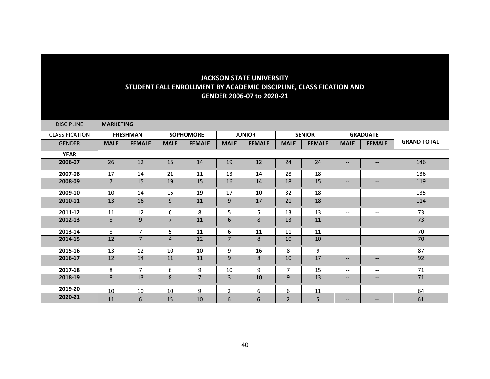| <b>DISCIPLINE</b>     | <b>MARKETING</b> |                 |                 |                  |               |               |                |                |                                                                                                                   |                                                                                                                   |                    |
|-----------------------|------------------|-----------------|-----------------|------------------|---------------|---------------|----------------|----------------|-------------------------------------------------------------------------------------------------------------------|-------------------------------------------------------------------------------------------------------------------|--------------------|
| <b>CLASSIFICATION</b> |                  | <b>FRESHMAN</b> |                 | <b>SOPHOMORE</b> |               | <b>JUNIOR</b> |                | <b>SENIOR</b>  |                                                                                                                   | <b>GRADUATE</b>                                                                                                   |                    |
| <b>GENDER</b>         | <b>MALE</b>      | <b>FEMALE</b>   | <b>MALE</b>     | <b>FEMALE</b>    | <b>MALE</b>   | <b>FEMALE</b> | <b>MALE</b>    | <b>FEMALE</b>  | <b>MALE</b>                                                                                                       | <b>FEMALE</b>                                                                                                     | <b>GRAND TOTAL</b> |
| <b>YEAR</b>           |                  |                 |                 |                  |               |               |                |                |                                                                                                                   |                                                                                                                   |                    |
| 2006-07               | 26               | 12              | 15              | 14               | 19            | 12            | 24             | 24             | $\qquad \qquad -$                                                                                                 | $\hspace{0.05cm} \ldots$                                                                                          | 146                |
| 2007-08               | 17               | 14              | 21              | 11               | 13            | 14            | 28             | 18             | $\overline{\phantom{a}}$                                                                                          | $- -$                                                                                                             | 136                |
| 2008-09               | $\overline{7}$   | 15              | 19              | 15               | 16            | 14            | 18             | 15             | $\qquad \qquad -$                                                                                                 | $\hspace{0.05cm} \ldots$                                                                                          | 119                |
| 2009-10               | 10               | 14              | 15              | 19               | 17            | 10            | 32             | 18             | $\overline{\phantom{a}}$                                                                                          | $\overline{\phantom{a}}$                                                                                          | 135                |
| 2010-11               | 13               | 16              | 9               | 11               | 9             | 17            | 21             | 18             | $\qquad \qquad -$                                                                                                 | $\qquad \qquad -$                                                                                                 | 114                |
| 2011-12               | 11               | 12              | 6               | 8                | 5             | 5             | 13             | 13             | $\overline{\phantom{a}}$                                                                                          | $- -$                                                                                                             | 73                 |
| 2012-13               | 8                | 9               | $\overline{7}$  | 11               | 6             | 8             | 13             | 11             | $\qquad \qquad -$                                                                                                 | $\qquad \qquad -$                                                                                                 | 73                 |
| 2013-14               | 8                | $\overline{7}$  | 5               | 11               | 6             | 11            | 11             | 11             | $\overline{\phantom{a}}$                                                                                          | $\overline{\phantom{m}}$                                                                                          | 70                 |
| 2014-15               | 12               | 7               | $\overline{4}$  | 12               | 7             | 8             | 10             | 10             | $\hspace{0.05cm} \hspace{0.02cm} \hspace{0.02cm} \hspace{0.02cm} \hspace{0.02cm} \hspace{0.02cm} \hspace{0.02cm}$ | $\hspace{0.05cm} \hspace{0.02cm} \hspace{0.02cm} \hspace{0.02cm} \hspace{0.02cm} \hspace{0.02cm} \hspace{0.02cm}$ | 70                 |
| 2015-16               | 13               | 12              | 10              | 10               | 9             | 16            | 8              | 9              | $\overline{\phantom{a}}$                                                                                          | $\overline{\phantom{m}}$                                                                                          | 87                 |
| 2016-17               | 12               | 14              | 11              | 11               | 9             | 8             | 10             | 17             | $\qquad \qquad -$                                                                                                 | $\qquad \qquad -$                                                                                                 | 92                 |
| 2017-18               | 8                | $\overline{7}$  | 6               | 9                | 10            | 9             | 7              | 15             | $\overline{\phantom{a}}$                                                                                          | $- -$                                                                                                             | 71                 |
| 2018-19               | 8                | 13              | 8               | $\overline{7}$   | 3             | 10            | 9              | 13             | $\hspace{0.05cm} \hspace{0.02cm} \hspace{0.02cm} \hspace{0.02cm} \hspace{0.02cm} \hspace{0.02cm} \hspace{0.02cm}$ | $\hspace{0.05cm} \hspace{0.02cm} \hspace{0.02cm} \hspace{0.02cm} \hspace{0.02cm} \hspace{0.02cm} \hspace{0.02cm}$ | 71                 |
| 2019-20               | 10               | 10 <sup>1</sup> | 10 <sup>1</sup> | q                | $\mathcal{D}$ | 6             | 6              | 11             | $\overline{\phantom{m}}$                                                                                          | $\overline{\phantom{a}}$                                                                                          | 64                 |
| 2020-21               | 11               | 6               | 15              | 10               | 6             | 6             | $\overline{2}$ | $5\phantom{.}$ | $\qquad \qquad -$                                                                                                 | $\qquad \qquad -$                                                                                                 | 61                 |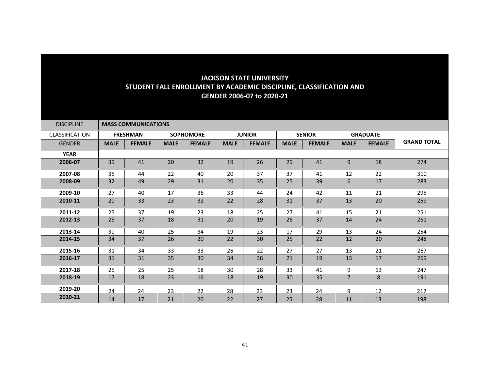| <b>DISCIPLINE</b> |             | <b>MASS COMMUNICATIONS</b> |             |                  |             |               |             |               |                |                 |                    |
|-------------------|-------------|----------------------------|-------------|------------------|-------------|---------------|-------------|---------------|----------------|-----------------|--------------------|
| CLASSIFICATION    |             | <b>FRESHMAN</b>            |             | <b>SOPHOMORE</b> |             | <b>JUNIOR</b> |             | <b>SENIOR</b> |                | <b>GRADUATE</b> |                    |
| <b>GENDER</b>     | <b>MALE</b> | <b>FEMALE</b>              | <b>MALE</b> | <b>FEMALE</b>    | <b>MALE</b> | <b>FEMALE</b> | <b>MALE</b> | <b>FEMALE</b> | <b>MALE</b>    | <b>FEMALE</b>   | <b>GRAND TOTAL</b> |
| <b>YEAR</b>       |             |                            |             |                  |             |               |             |               |                |                 |                    |
| 2006-07           | 39          | 41                         | 20          | 32               | 19          | 26            | 29          | 41            | $\mathsf g$    | 18              | 274                |
| 2007-08           | 35          | 44                         | 22          | 40               | 20          | 37            | 37          | 41            | 12             | 22              | 310                |
| 2008-09           | 32          | 49                         | 29          | 31               | 20          | 35            | 25          | 39            | 6              | 17              | 283                |
| 2009-10           | 27          | 40                         | 17          | 36               | 33          | 44            | 24          | 42            | 11             | 21              | 295                |
| 2010-11           | 20          | 33                         | 23          | 32               | 22          | 28            | 31          | 37            | 13             | 20              | 259                |
| 2011-12           | 25          | 37                         | 19          | 23               | 18          | 25            | 27          | 41            | 15             | 21              | 251                |
| 2012-13           | 25          | 37                         | 18          | 31               | 20          | 19            | 26          | 37            | 14             | 24              | 251                |
| 2013-14           | 30          | 40                         | 25          | 34               | 19          | 23            | 17          | 29            | 13             | 24              | 254                |
| 2014-15           | 34          | 37                         | 26          | 20               | 22          | 30            | 25          | 22            | 12             | 20              | 248                |
| 2015-16           | 31          | 34                         | 33          | 33               | 26          | 22            | 27          | 27            | 13             | 21              | 267                |
| 2016-17           | 31          | 31                         | 35          | 30               | 34          | 38            | 21          | 19            | 13             | 17              | 269                |
| 2017-18           | 25          | 25                         | 25          | 18               | 30          | 28            | 33          | 41            | 9              | 13              | 247                |
| 2018-19           | 17          | 18                         | 23          | 16               | 18          | 19            | 30          | 35            | $\overline{7}$ | 8               | 191                |
| 2019-20           | 24          | 24                         | 23          | 22               | 28          | 23            | 23          | 24            | q              | 12              | 212                |
| 2020-21           | 14          | 17                         | 21          | 20               | 22          | 27            | 25          | 28            | 11             | 13              | 198                |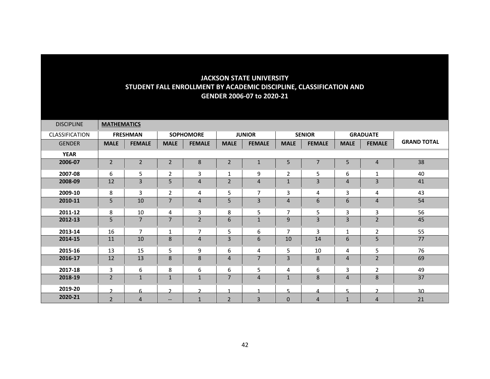| <b>DISCIPLINE</b>     | <b>MATHEMATICS</b> |                 |                   |                  |                |                |                          |                |                |                 |                    |
|-----------------------|--------------------|-----------------|-------------------|------------------|----------------|----------------|--------------------------|----------------|----------------|-----------------|--------------------|
| <b>CLASSIFICATION</b> |                    | <b>FRESHMAN</b> |                   | <b>SOPHOMORE</b> |                | <b>JUNIOR</b>  |                          | <b>SENIOR</b>  |                | <b>GRADUATE</b> |                    |
| <b>GENDER</b>         | <b>MALE</b>        | <b>FEMALE</b>   | <b>MALE</b>       | <b>FEMALE</b>    | <b>MALE</b>    | <b>FEMALE</b>  | <b>MALE</b>              | <b>FEMALE</b>  | <b>MALE</b>    | <b>FEMALE</b>   | <b>GRAND TOTAL</b> |
| <b>YEAR</b>           |                    |                 |                   |                  |                |                |                          |                |                |                 |                    |
| 2006-07               | $\overline{2}$     | $\mathbf 2$     | $\overline{2}$    | $\bf 8$          | $\mathbf 2$    | $\mathbf{1}$   | 5                        | $\overline{7}$ | 5              | $\overline{4}$  | 38                 |
| 2007-08               | 6                  | 5               | 2                 | 3                | 1              | 9              | $\overline{2}$           | 5              | 6              | 1               | 40                 |
| 2008-09               | 12                 | 3               | 5                 | $\overline{4}$   | $\overline{2}$ | 4              | $\mathbf 1$              | 3              | 4              | $\overline{3}$  | 41                 |
| 2009-10               | 8                  | 3               | $\overline{2}$    | 4                | 5              | $\overline{7}$ | 3                        | 4              | 3              | 4               | 43                 |
| 2010-11               | 5                  | 10              | $\overline{7}$    | $\overline{4}$   | 5              | 3              | $\overline{4}$           | 6              | 6              | $\overline{4}$  | 54                 |
| 2011-12               | 8                  | 10              | 4                 | 3                | 8              | 5              | 7                        | 5              | 3              | 3               | 56                 |
| 2012-13               | 5                  | $\overline{7}$  | $\overline{7}$    | $\overline{2}$   | 6              | $\mathbf{1}$   | 9                        | $\overline{3}$ | 3              | $\overline{2}$  | 45                 |
| 2013-14               | 16                 | $\overline{7}$  | 1                 | $\overline{7}$   | 5              | 6              | $\overline{7}$           | 3              | 1              | 2               | 55                 |
| 2014-15               | 11                 | 10              | 8                 | $\overline{4}$   | 3              | 6              | 10                       | 14             | 6              | 5               | 77                 |
| 2015-16               | 13                 | 15              | 5                 | 9                | 6              | 4              | 5                        | 10             | 4              | 5               | 76                 |
| 2016-17               | 12                 | 13              | 8                 | 8                | 4              | $\overline{7}$ | 3                        | 8              | $\overline{4}$ | $\overline{2}$  | 69                 |
| 2017-18               | 3                  | 6               | 8                 | 6                | 6              | 5              | 4                        | 6              | 3              | $\overline{2}$  | 49                 |
| 2018-19               | $\overline{2}$     | $\mathbf{1}$    | $\mathbf{1}$      | $\mathbf{1}$     | $\overline{7}$ | 4              | $\mathbf{1}$             | 8              | $\overline{4}$ | 8               | 37                 |
| 2019-20               | <sup>-</sup>       | 6               | $\mathcal{L}$     | C.               | 4              |                | $\overline{\phantom{a}}$ | 4              | 5              | $\mathbf{r}$    | 30                 |
| 2020-21               | $\overline{2}$     | $\overline{4}$  | $\qquad \qquad -$ | $\mathbf{1}$     | $\overline{2}$ | $\overline{3}$ | $\mathbf{0}$             | 4              | $\mathbf{1}$   | $\overline{4}$  | 21                 |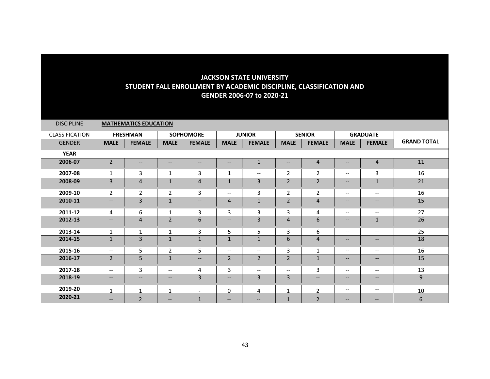| <b>DISCIPLINE</b> |                          | <b>MATHEMATICS EDUCATION</b> |                          |                          |                          |                          |                          |                          |                                                                                                                   |                                                                                                                   |                    |
|-------------------|--------------------------|------------------------------|--------------------------|--------------------------|--------------------------|--------------------------|--------------------------|--------------------------|-------------------------------------------------------------------------------------------------------------------|-------------------------------------------------------------------------------------------------------------------|--------------------|
| CLASSIFICATION    |                          | <b>FRESHMAN</b>              |                          | <b>SOPHOMORE</b>         |                          | <b>JUNIOR</b>            |                          | <b>SENIOR</b>            |                                                                                                                   | <b>GRADUATE</b>                                                                                                   |                    |
| <b>GENDER</b>     | <b>MALE</b>              | <b>FEMALE</b>                | <b>MALE</b>              | <b>FEMALE</b>            | <b>MALE</b>              | <b>FEMALE</b>            | <b>MALE</b>              | <b>FEMALE</b>            | <b>MALE</b>                                                                                                       | <b>FEMALE</b>                                                                                                     | <b>GRAND TOTAL</b> |
| <b>YEAR</b>       |                          |                              |                          |                          |                          |                          |                          |                          |                                                                                                                   |                                                                                                                   |                    |
| 2006-07           | $\overline{2}$           | --                           | $\overline{\phantom{a}}$ | $\overline{\phantom{a}}$ | --                       | $\mathbf{1}$             | --                       | $\overline{4}$           | $\overline{\phantom{m}}$                                                                                          | $\overline{4}$                                                                                                    | 11                 |
| 2007-08           | $\mathbf{1}$             | 3                            | 1                        | 3                        | 1                        | $\overline{\phantom{m}}$ | $\overline{2}$           | $\overline{2}$           | $\overline{\phantom{m}}$                                                                                          | $\overline{3}$                                                                                                    | 16                 |
| 2008-09           | 3                        | 4                            | $\mathbf{1}$             | $\overline{4}$           | $\mathbf{1}$             | 3                        | $\overline{2}$           | $\overline{2}$           | $\qquad \qquad -$                                                                                                 | $\mathbf{1}$                                                                                                      | 21                 |
| 2009-10           | $\overline{2}$           | $\overline{2}$               | $\overline{2}$           | 3                        | $\overline{\phantom{m}}$ | 3                        | $\overline{2}$           | $\overline{2}$           | $\overline{\phantom{m}}$                                                                                          | $\hspace{0.05cm} \ldots$                                                                                          | 16                 |
| 2010-11           | $\overline{\phantom{a}}$ | 3                            | $1\,$                    | $\qquad \qquad -$        | 4                        | $\mathbf{1}$             | $\overline{2}$           | $\overline{4}$           | $\qquad \qquad -$                                                                                                 | $\hspace{0.05cm} \ldots$                                                                                          | 15                 |
| 2011-12           | 4                        | 6                            | 1                        | 3                        | 3                        | 3                        | 3                        | 4                        | $\overline{\phantom{m}}$                                                                                          | $\hspace{0.05cm} \ldots$                                                                                          | 27                 |
| 2012-13           | $- -$                    | 4                            | $\overline{2}$           | 6                        | $\hspace{0.05cm} \ldots$ | 3                        | $\overline{4}$           | 6                        | $\qquad \qquad -$                                                                                                 | $\mathbf{1}$                                                                                                      | 26                 |
| 2013-14           | $\mathbf{1}$             | $\mathbf{1}$                 | $\mathbf{1}$             | 3                        | 5                        | 5                        | 3                        | 6                        | $\overline{\phantom{a}}$                                                                                          | $\overline{\phantom{a}}$                                                                                          | 25                 |
| 2014-15           | $\mathbf{1}$             | 3                            | $\mathbf{1}$             | $\mathbf{1}$             | $\mathbf{1}$             | $\mathbf{1}$             | 6                        | $\overline{4}$           | $- -$                                                                                                             | $\hspace{0.05cm} \ldots$                                                                                          | 18                 |
| 2015-16           | $--$                     | 5                            | $\overline{2}$           | 5                        | $\hspace{0.05cm} \dashv$ | $\overline{\phantom{m}}$ | 3                        | $\mathbf{1}$             | $\overline{\phantom{m}}$                                                                                          | $\hspace{0.05cm} \ldots$                                                                                          | 16                 |
| 2016-17           | 2                        | 5                            | $\mathbf{1}$             | $\qquad \qquad -$        | $\overline{2}$           | $\overline{2}$           | $\overline{2}$           | $\mathbf{1}$             | $- -$                                                                                                             | $\overline{\phantom{a}}$                                                                                          | 15                 |
| 2017-18           | $\overline{\phantom{a}}$ | 3                            | $\overline{\phantom{a}}$ | 4                        | 3                        | $\overline{\phantom{m}}$ | $\overline{\phantom{a}}$ | 3                        | $\overline{\phantom{m}}$                                                                                          | $\overline{\phantom{a}}$                                                                                          | 13                 |
| 2018-19           | $- -$                    | $\qquad \qquad -$            | $\qquad \qquad -$        | 3                        | $\overline{\phantom{a}}$ | 3                        | $\overline{3}$           | $\overline{\phantom{a}}$ | $\hspace{0.05cm} \hspace{0.02cm} \hspace{0.02cm} \hspace{0.02cm} \hspace{0.02cm} \hspace{0.02cm} \hspace{0.02cm}$ | $\hspace{0.05cm} \hspace{0.02cm} \hspace{0.02cm} \hspace{0.02cm} \hspace{0.02cm} \hspace{0.02cm} \hspace{0.02cm}$ | 9                  |
| 2019-20           |                          | $\mathbf{1}$                 |                          | $\overline{\phantom{a}}$ | $\Omega$                 | 4                        |                          | C.                       | $\overline{\phantom{m}}$                                                                                          | $\overline{\phantom{a}}$                                                                                          | 10                 |
| 2020-21           | $\hspace{0.05cm} \ldots$ | $\overline{2}$               | $\overline{\phantom{m}}$ | $\mathbf{1}$             | $\qquad \qquad -$        | $- -$                    | $\mathbf{1}$             | $\overline{2}$           | $\qquad \qquad -$                                                                                                 | $\qquad \qquad -$                                                                                                 | 6                  |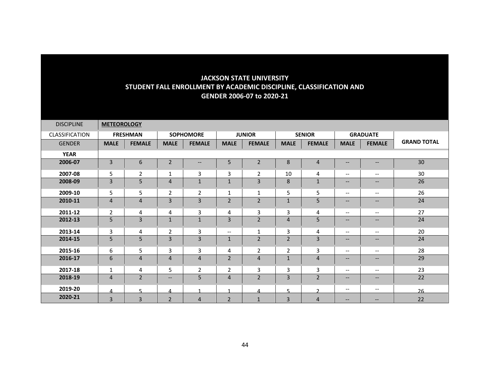| <b>DISCIPLINE</b>     | <b>METEOROLOGY</b> |                 |                          |                   |                          |                |                |                |                                                                                                   |                          |                    |
|-----------------------|--------------------|-----------------|--------------------------|-------------------|--------------------------|----------------|----------------|----------------|---------------------------------------------------------------------------------------------------|--------------------------|--------------------|
| <b>CLASSIFICATION</b> |                    | <b>FRESHMAN</b> |                          | <b>SOPHOMORE</b>  |                          | <b>JUNIOR</b>  |                | <b>SENIOR</b>  |                                                                                                   | <b>GRADUATE</b>          |                    |
| <b>GENDER</b>         | <b>MALE</b>        | <b>FEMALE</b>   | <b>MALE</b>              | <b>FEMALE</b>     | <b>MALE</b>              | <b>FEMALE</b>  | <b>MALE</b>    | <b>FEMALE</b>  | <b>MALE</b>                                                                                       | <b>FEMALE</b>            | <b>GRAND TOTAL</b> |
| <b>YEAR</b>           |                    |                 |                          |                   |                          |                |                |                |                                                                                                   |                          |                    |
| 2006-07               | $\overline{3}$     | 6               | $\overline{2}$           | $\qquad \qquad -$ | 5                        | $\overline{2}$ | 8              | $\overline{4}$ | $\hspace{0.05cm} \ldots$                                                                          | $\hspace{0.05cm} \ldots$ | 30                 |
| 2007-08               | 5                  | $\overline{2}$  | $\mathbf{1}$             | 3                 | 3                        | $\overline{2}$ | 10             | 4              | $\overline{\phantom{m}}$                                                                          | $\overline{\phantom{a}}$ | 30                 |
| 2008-09               | 3                  | 5               | $\overline{4}$           | $\mathbf 1$       | $\mathbf{1}$             | 3              | $\bf 8$        | $\mathbf{1}$   | $\overline{\phantom{m}}$                                                                          | $\hspace{0.05cm} \ldots$ | 26                 |
| 2009-10               | 5                  | 5               | $\overline{2}$           | $\overline{2}$    | 1                        | 1              | 5              | 5              | $\overline{\phantom{m}}$                                                                          | $\overline{\phantom{a}}$ | 26                 |
| 2010-11               | 4                  | 4               | $\overline{3}$           | $\overline{3}$    | $\overline{2}$           | $\overline{2}$ | $\mathbf{1}$   | 5              | $\overline{\phantom{a}}$                                                                          | $--$                     | 24                 |
| 2011-12               | $\overline{2}$     | 4               | 4                        | 3                 | 4                        | 3              | 3              | 4              | $\overline{\phantom{a}}$                                                                          | $\overline{\phantom{a}}$ | 27                 |
| 2012-13               | 5                  | 3               | $\mathbf{1}$             | $\mathbf{1}$      | 3                        | $\overline{2}$ | $\overline{4}$ | 5              | $- -$                                                                                             | $\hspace{0.05cm} \ldots$ | 24                 |
| 2013-14               | 3                  | 4               | 2                        | 3                 | $\overline{\phantom{a}}$ | $\mathbf{1}$   | 3              | 4              | $\overline{\phantom{m}}$                                                                          | $\overline{\phantom{m}}$ | 20                 |
| 2014-15               | 5                  | 5               | $\overline{3}$           | 3                 | $\mathbf{1}$             | $\overline{2}$ | $\overline{2}$ | 3              | $- -$                                                                                             | $\overline{\phantom{a}}$ | 24                 |
| 2015-16               | 6                  | 5               | $\mathbf{3}$             | 3                 | 4                        | $\overline{2}$ | 2              | 3              | $\overline{\phantom{m}}$                                                                          | $\hspace{0.05cm} \ldots$ | 28                 |
| 2016-17               | 6                  | 4               | $\overline{4}$           | $\overline{4}$    | $\overline{2}$           | $\overline{4}$ | $\mathbf{1}$   | $\overline{4}$ | $- -$                                                                                             | $\qquad \qquad -$        | 29                 |
| 2017-18               | $\mathbf{1}$       | 4               | 5                        | $\overline{2}$    | $\overline{2}$           | 3              | 3              | 3              | $\overline{\phantom{a}}$                                                                          | $\overline{\phantom{a}}$ | 23                 |
| 2018-19               | $\overline{4}$     | $\overline{2}$  | $\overline{\phantom{a}}$ | 5                 | $\overline{4}$           | $\overline{2}$ | 3              | $\overline{2}$ | $\hspace{0.05cm} \hspace{0.02cm} \hspace{0.02cm} \hspace{0.02cm} \hspace{0.02cm} \hspace{0.02cm}$ | $\hspace{0.05cm} \ldots$ | 22                 |
| 2019-20               | 4                  | 5               | 4                        | $\mathbf{1}$      | 4                        | 4              | 5              | $\mathcal{D}$  | $\overline{\phantom{m}}$                                                                          | $\overline{\phantom{m}}$ | 26                 |
| 2020-21               | $\overline{3}$     | $\overline{3}$  | $\overline{2}$           | $\overline{4}$    | $\overline{2}$           | $\mathbf{1}$   | $\overline{3}$ | $\overline{4}$ | $\overline{\phantom{m}}$                                                                          | $\qquad \qquad -$        | 22                 |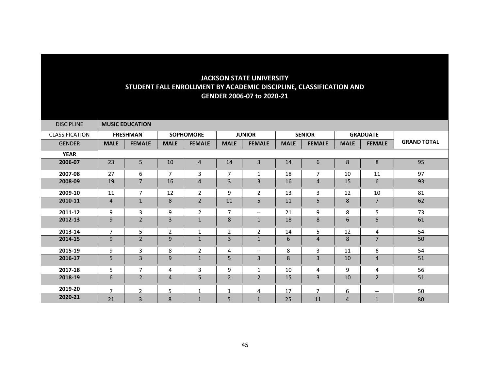| <b>DISCIPLINE</b> |                          | <b>MUSIC EDUCATION</b> |                |                  |                |                          |             |                |                |                          |                    |
|-------------------|--------------------------|------------------------|----------------|------------------|----------------|--------------------------|-------------|----------------|----------------|--------------------------|--------------------|
| CLASSIFICATION    |                          | <b>FRESHMAN</b>        |                | <b>SOPHOMORE</b> |                | <b>JUNIOR</b>            |             | <b>SENIOR</b>  |                | <b>GRADUATE</b>          |                    |
| <b>GENDER</b>     | <b>MALE</b>              | <b>FEMALE</b>          | <b>MALE</b>    | <b>FEMALE</b>    | <b>MALE</b>    | <b>FEMALE</b>            | <b>MALE</b> | <b>FEMALE</b>  | <b>MALE</b>    | <b>FEMALE</b>            | <b>GRAND TOTAL</b> |
| <b>YEAR</b>       |                          |                        |                |                  |                |                          |             |                |                |                          |                    |
| 2006-07           | 23                       | 5                      | 10             | 4                | 14             | 3                        | 14          | 6              | 8              | 8                        | 95                 |
| 2007-08           | 27                       | 6                      | $\overline{7}$ | 3                | $\overline{7}$ | 1                        | 18          | 7              | 10             | 11                       | 97                 |
| 2008-09           | 19                       | $\overline{7}$         | 16             | $\overline{4}$   | 3              | 3                        | 16          | $\overline{4}$ | 15             | $6\phantom{1}$           | 93                 |
| 2009-10           | 11                       | $\overline{7}$         | 12             | $\overline{2}$   | 9              | $\overline{2}$           | 13          | 3              | 12             | 10                       | 81                 |
| 2010-11           | 4                        | $\mathbf{1}$           | 8              | $\overline{2}$   | 11             | 5                        | 11          | 5              | 8              | $\overline{7}$           | 62                 |
| 2011-12           | 9                        | 3                      | 9              | $\overline{2}$   | $\overline{7}$ | $\overline{\phantom{a}}$ | 21          | 9              | 8              | 5                        | 73                 |
| 2012-13           | 9                        | $\overline{2}$         | 3              | $\mathbf{1}$     | 8              | $\mathbf{1}$             | 18          | 8              | 6              | 5                        | 61                 |
| 2013-14           | $\overline{7}$           | 5                      | $\overline{2}$ | 1                | 2              | 2                        | 14          | 5              | 12             | 4                        | 54                 |
| 2014-15           | 9                        | $\overline{2}$         | 9              | $\mathbf{1}$     | 3              | $\mathbf{1}$             | 6           | $\overline{4}$ | 8              | $\overline{7}$           | 50                 |
| 2015-19           | 9                        | 3                      | 8              | $\overline{2}$   | 4              | $\overline{\phantom{m}}$ | 8           | 3              | 11             | 6                        | 54                 |
| 2016-17           | 5                        | 3                      | 9              | $\mathbf{1}$     | 5              | 3                        | 8           | 3              | 10             | $\overline{4}$           | 51                 |
| 2017-18           | 5                        | 7                      | 4              | 3                | 9              | $\mathbf{1}$             | 10          | 4              | 9              | 4                        | 56                 |
| 2018-19           | 6                        | $\overline{2}$         | $\overline{4}$ | 5                | $\overline{2}$ | $\overline{2}$           | 15          | 3              | 10             | $\overline{2}$           | 51                 |
| 2019-20           | $\overline{\phantom{a}}$ | $\mathcal{D}$          | $\sqrt{2}$     | 1                | 4              | 4                        | 17          | $\overline{ }$ | 6              | $\overline{\phantom{a}}$ | 50                 |
| 2020-21           | 21                       | 3                      | 8              | $\mathbf{1}$     | 5              | $\mathbf{1}$             | 25          | 11             | $\overline{4}$ | $\mathbf{1}$             | 80                 |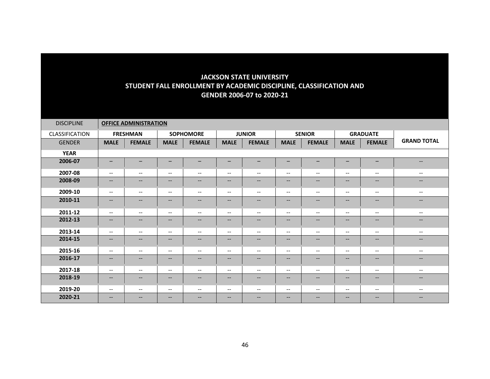| <b>DISCIPLINE</b> | <b>OFFICE ADMINISTRATION</b> |                          |                                                                                                                   |                                                                                                                   |                                                     |                                                                                                   |                                                                                                   |                                                                                                   |                                                                                                                   |                                                                                                                   |                          |  |
|-------------------|------------------------------|--------------------------|-------------------------------------------------------------------------------------------------------------------|-------------------------------------------------------------------------------------------------------------------|-----------------------------------------------------|---------------------------------------------------------------------------------------------------|---------------------------------------------------------------------------------------------------|---------------------------------------------------------------------------------------------------|-------------------------------------------------------------------------------------------------------------------|-------------------------------------------------------------------------------------------------------------------|--------------------------|--|
| CLASSIFICATION    |                              | <b>FRESHMAN</b>          |                                                                                                                   | <b>SOPHOMORE</b>                                                                                                  |                                                     | <b>JUNIOR</b>                                                                                     |                                                                                                   | <b>SENIOR</b>                                                                                     |                                                                                                                   | <b>GRADUATE</b>                                                                                                   |                          |  |
| <b>GENDER</b>     | <b>MALE</b>                  | <b>FEMALE</b>            | <b>MALE</b>                                                                                                       | <b>FEMALE</b>                                                                                                     | <b>MALE</b>                                         | <b>FEMALE</b>                                                                                     | <b>MALE</b>                                                                                       | <b>FEMALE</b>                                                                                     | <b>MALE</b>                                                                                                       | <b>FEMALE</b>                                                                                                     | <b>GRAND TOTAL</b>       |  |
| <b>YEAR</b>       |                              |                          |                                                                                                                   |                                                                                                                   |                                                     |                                                                                                   |                                                                                                   |                                                                                                   |                                                                                                                   |                                                                                                                   |                          |  |
| 2006-07           | $\qquad \qquad -$            | —                        |                                                                                                                   |                                                                                                                   | $\overline{\phantom{m}}$                            | —                                                                                                 |                                                                                                   |                                                                                                   |                                                                                                                   | $\overline{\phantom{m}}$                                                                                          | $\overline{\phantom{a}}$ |  |
| 2007-08           | $\overline{\phantom{a}}$     | $\overline{\phantom{a}}$ | $\hspace{0.05cm} \ldots$                                                                                          | $\overline{\phantom{m}}$                                                                                          | $\overline{\phantom{a}}$                            | $\overline{\phantom{m}}$                                                                          | $--$                                                                                              | $\overline{\phantom{a}}$                                                                          | $\hspace{0.05cm} \ldots$                                                                                          | $\overline{\phantom{m}}$                                                                                          | $\overline{\phantom{a}}$ |  |
| 2008-09           | $\overline{\phantom{a}}$     | $\qquad \qquad -$        | $\hspace{0.05cm} \hspace{0.02cm} \hspace{0.02cm} \hspace{0.02cm} \hspace{0.02cm} \hspace{0.02cm} \hspace{0.02cm}$ | $\qquad \qquad -$                                                                                                 | $\overline{\phantom{a}}$                            | $\hspace{0.05cm} \hspace{0.02cm} \hspace{0.02cm} \dots$                                           | $- -$                                                                                             | $\qquad \qquad -$                                                                                 | $\hspace{0.05cm} \hspace{0.02cm} \hspace{0.02cm} \hspace{0.02cm} \hspace{0.02cm} \hspace{0.02cm} \hspace{0.02cm}$ | $\hspace{0.05cm} \ldots$                                                                                          | $\qquad \qquad -$        |  |
| 2009-10           | $--$                         | $--$                     | $\hspace{0.05cm} \ldots$                                                                                          | $\overline{\phantom{a}}$                                                                                          | $\overline{\phantom{m}}$                            | $\overline{\phantom{a}}$                                                                          | $--$                                                                                              | $--$                                                                                              | $\hspace{0.05cm} \ldots$                                                                                          | $\overline{\phantom{a}}$                                                                                          | $\overline{\phantom{a}}$ |  |
| 2010-11           | $-\!$ $\!-$                  | $\qquad \qquad -$        | $\hspace{0.05cm} \hspace{0.02cm} \hspace{0.02cm} \hspace{0.02cm} \hspace{0.02cm} \hspace{0.02cm} \hspace{0.02cm}$ | $\hspace{0.05cm} \hspace{0.02cm} \hspace{0.02cm} \hspace{0.02cm} \hspace{0.02cm} \hspace{0.02cm} \hspace{0.02cm}$ | $\hspace{0.05cm} \textbf{--}$                       | $\hspace{0.05cm} \hspace{0.02cm} \hspace{0.02cm} \dots$                                           | $- -$                                                                                             | --                                                                                                | $\hspace{0.05cm} \hspace{0.02cm} \hspace{0.02cm} \hspace{0.02cm} \hspace{0.02cm} \hspace{0.02cm} \hspace{0.02cm}$ | $\hspace{0.05cm} \hspace{0.02cm} \hspace{0.02cm} \hspace{0.02cm} \hspace{0.02cm} \hspace{0.02cm} \hspace{0.02cm}$ | $\qquad \qquad -$        |  |
| 2011-12           | $\overline{\phantom{a}}$     | $\overline{\phantom{a}}$ | $\hspace{0.05cm} \textbf{--}$                                                                                     | $\hspace{0.05cm} \hspace{0.02cm} \hspace{0.02cm} \hspace{0.02cm} \hspace{0.02cm} \hspace{0.02cm} \hspace{0.02cm}$ | $\overline{\phantom{a}}$                            | $\overline{\phantom{m}}$                                                                          | $\hspace{0.05cm} \hspace{0.02cm} \hspace{0.02cm} \hspace{0.02cm} \hspace{0.02cm} \hspace{0.02cm}$ | $\overline{\phantom{a}}$                                                                          | $\hspace{0.05cm} \textbf{--}$                                                                                     | $\hspace{0.05cm} \textbf{--}$                                                                                     | $\overline{\phantom{m}}$ |  |
| 2012-13           | $-\!$ $\!-$                  | $\qquad \qquad -$        | $\overline{\phantom{m}}$                                                                                          | $\qquad \qquad -$                                                                                                 | $\hspace{0.05cm} \textbf{--}$                       | $\qquad \qquad -$                                                                                 | $- -$                                                                                             | $\hspace{0.05cm} \ldots$                                                                          | $\hspace{0.05cm} \hspace{0.02cm} \hspace{0.02cm} \hspace{0.02cm} \hspace{0.02cm} \hspace{0.02cm} \hspace{0.02cm}$ | $\overline{\phantom{a}}$                                                                                          | $\qquad \qquad -$        |  |
| 2013-14           | $\overline{\phantom{a}}$     | $\overline{\phantom{a}}$ | $--$                                                                                                              | $\overline{\phantom{a}}$                                                                                          | $\hspace{0.05cm} -\hspace{0.05cm} -\hspace{0.05cm}$ | $--$                                                                                              | $--$                                                                                              | $--$                                                                                              | $\overline{\phantom{m}}$                                                                                          | $\overline{\phantom{a}}$                                                                                          | $\overline{\phantom{a}}$ |  |
| 2014-15           | $-\!$ $\!-$                  | $\qquad \qquad -$        | $\hspace{0.05cm} \hspace{0.02cm} \hspace{0.02cm} \dots$                                                           | $\qquad \qquad -$                                                                                                 | $\hspace{0.05cm} \textbf{--}$                       | $\hspace{0.05cm} \hspace{0.02cm} \hspace{0.02cm} \dots$                                           | $\hspace{0.05cm} \hspace{0.02cm} \hspace{0.02cm} \hspace{0.02cm} \hspace{0.02cm} \hspace{0.02cm}$ | $--$                                                                                              | $\hspace{0.05cm} \hspace{0.02cm} \hspace{0.02cm} \hspace{0.02cm} \hspace{0.02cm} \hspace{0.02cm} \hspace{0.02cm}$ | $\hspace{0.05cm} \hspace{0.02cm} \hspace{0.02cm} \hspace{0.02cm} \hspace{0.02cm} \hspace{0.02cm} \hspace{0.02cm}$ | $\qquad \qquad -$        |  |
| 2015-16           | $\overline{\phantom{a}}$     | $\qquad \qquad -$        | $\hspace{0.05cm} \ldots$                                                                                          | $\overline{\phantom{m}}$                                                                                          | $\hspace{0.05cm} \ldots$                            | $\overline{\phantom{a}}$                                                                          | $\overline{\phantom{m}}$                                                                          | $\overline{\phantom{a}}$                                                                          | $\overline{\phantom{m}}$                                                                                          | $\overline{\phantom{m}}$                                                                                          | $\overline{\phantom{a}}$ |  |
| 2016-17           | $-\!$ $\!-$                  | $\qquad \qquad -$        | $--$                                                                                                              | $\qquad \qquad -$                                                                                                 | $\qquad \qquad -$                                   | $\hspace{0.05cm} \hspace{0.02cm} \hspace{0.02cm} \hspace{0.02cm} \hspace{0.02cm} \hspace{0.02cm}$ | $- -$                                                                                             | $\hspace{0.05cm} \hspace{0.02cm} \hspace{0.02cm} \hspace{0.02cm} \hspace{0.02cm} \hspace{0.02cm}$ | $\qquad \qquad -$                                                                                                 | $\hspace{0.05cm} \hspace{0.02cm} \hspace{0.02cm} \hspace{0.02cm} \hspace{0.02cm} \hspace{0.02cm} \hspace{0.02cm}$ | $\overline{\phantom{a}}$ |  |
| 2017-18           | $--$                         | $\overline{\phantom{a}}$ | $\hspace{0.05cm} \ldots$                                                                                          | $\overline{\phantom{a}}$                                                                                          | $\overline{\phantom{m}}$                            | $-\!$ $\!-$                                                                                       | $--$                                                                                              | $\overline{\phantom{a}}$                                                                          | $\hspace{0.05cm} \ldots$                                                                                          | $\overline{\phantom{a}}$                                                                                          | $\overline{\phantom{m}}$ |  |
| 2018-19           | $\qquad \qquad -$            | $\qquad \qquad -$        | $\overline{\phantom{a}}$                                                                                          | $\qquad \qquad -$                                                                                                 | $\qquad \qquad -$                                   | $\hspace{0.05cm} \hspace{0.02cm} \hspace{0.02cm} \dots$                                           | $\qquad \qquad -$                                                                                 | $\qquad \qquad -$                                                                                 | $\overline{\phantom{m}}$                                                                                          | $\overline{\phantom{a}}$                                                                                          | $\qquad \qquad -$        |  |
| 2019-20           | $\overline{\phantom{m}}$     | $\overline{\phantom{a}}$ | $\overline{\phantom{m}}$                                                                                          | $\overline{\phantom{m}}$                                                                                          | $\overline{\phantom{m}}$                            | $-\!$ $\!-$                                                                                       | $-\!$ $\!-$                                                                                       | $--$                                                                                              | $\overline{\phantom{a}}$                                                                                          | $--$                                                                                                              | $\overline{\phantom{m}}$ |  |
| 2020-21           | $\overline{\phantom{m}}$     | $--$                     | $\overline{\phantom{a}}$                                                                                          | $- -$                                                                                                             | $- -$                                               | $-$                                                                                               | $\overline{\phantom{m}}$                                                                          | --                                                                                                | $\overline{\phantom{m}}$                                                                                          | $-$                                                                                                               | $-$                      |  |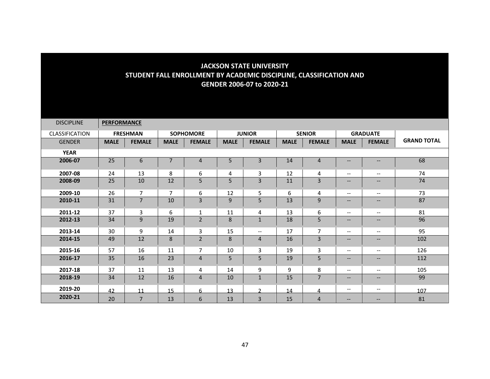| <b>DISCIPLINE</b>     | <b>PERFORMANCE</b> |                 |                |                  |             |                          |             |                |                                                         |                                       |                    |
|-----------------------|--------------------|-----------------|----------------|------------------|-------------|--------------------------|-------------|----------------|---------------------------------------------------------|---------------------------------------|--------------------|
| <b>CLASSIFICATION</b> |                    | <b>FRESHMAN</b> |                | <b>SOPHOMORE</b> |             | <b>JUNIOR</b>            |             | <b>SENIOR</b>  |                                                         | <b>GRADUATE</b>                       |                    |
| <b>GENDER</b>         | <b>MALE</b>        | <b>FEMALE</b>   | <b>MALE</b>    | <b>FEMALE</b>    | <b>MALE</b> | <b>FEMALE</b>            | <b>MALE</b> | <b>FEMALE</b>  | <b>MALE</b>                                             | <b>FEMALE</b>                         | <b>GRAND TOTAL</b> |
| <b>YEAR</b>           |                    |                 |                |                  |             |                          |             |                |                                                         |                                       |                    |
| 2006-07               | 25                 | 6               |                | 4                | 5           | $\overline{3}$           | 14          | 4              | $\overline{\phantom{a}}$                                | $\qquad \qquad -$                     | 68                 |
| 2007-08               | 24                 | 13              | 8              | 6                | 4           | 3                        | 12          | 4              | $\overline{\phantom{m}}$                                | $\overline{\phantom{m}}$              | 74                 |
| 2008-09               | 25                 | 10              | 12             | 5                | 5           | $\overline{3}$           | 11          | 3              | $\overline{\phantom{a}}$                                | $\overline{\phantom{a}}$              | 74                 |
| 2009-10               | 26                 | $\overline{7}$  | $\overline{7}$ | 6                | 12          | 5                        | 6           | 4              | $\overline{\phantom{a}}$                                | $\overline{\phantom{a}}$              | 73                 |
| 2010-11               | 31                 | $\overline{7}$  | 10             | 3                | 9           | 5                        | 13          | 9              | $\overline{\phantom{a}}$                                | $\qquad \qquad -$                     | 87                 |
| 2011-12               | 37                 | 3               | 6              | $\mathbf{1}$     | 11          | 4                        | 13          | 6              | $\overline{\phantom{a}}$                                | $\hspace{0.05cm}$ – $\hspace{0.05cm}$ | 81                 |
| 2012-13               | 34                 | 9               | 19             | $\overline{2}$   | 8           | $1\,$                    | 18          | 5              | $\overline{\phantom{a}}$                                | $\qquad \qquad -$                     | 96                 |
| 2013-14               | 30                 | 9               | 14             | 3                | 15          | $\overline{\phantom{m}}$ | 17          | 7              | $\overline{\phantom{m}}$                                | $- -$                                 | 95                 |
| 2014-15               | 49                 | 12              | 8              | $\overline{2}$   | 8           | $\overline{4}$           | 16          | 3              | $\overline{\phantom{m}}$                                | $--$                                  | 102                |
| 2015-16               | 57                 | 16              | 11             | 7                | 10          | 3                        | 19          | 3              | $\overline{\phantom{a}}$                                | $\overline{\phantom{a}}$              | 126                |
| 2016-17               | 35                 | 16              | 23             | 4                | 5           | 5                        | 19          | 5              | $\hspace{0.05cm} \ldots$                                | $\qquad \qquad -$                     | 112                |
| 2017-18               | 37                 | 11              | 13             | 4                | 14          | 9                        | 9           | 8              | $\overline{\phantom{m}}$                                | $\overline{\phantom{m}}$              | 105                |
| 2018-19               | 34                 | 12              | 16             | 4                | 10          | $\mathbf{1}$             | 15          | $\overline{7}$ | $\hspace{0.05cm} \hspace{0.02cm} \hspace{0.02cm} \dots$ | $\qquad \qquad -$                     | 99                 |
| 2019-20               | 42                 | 11              | 15             | 6                | 13          | $\mathcal{L}$            | 14          | 4              | $\overline{\phantom{a}}$                                | $\overline{\phantom{a}}$              | 107                |
| 2020-21               | 20                 | $\overline{7}$  | 13             | 6                | 13          | $\overline{3}$           | 15          | 4              | $\qquad \qquad -$                                       | $- -$                                 | 81                 |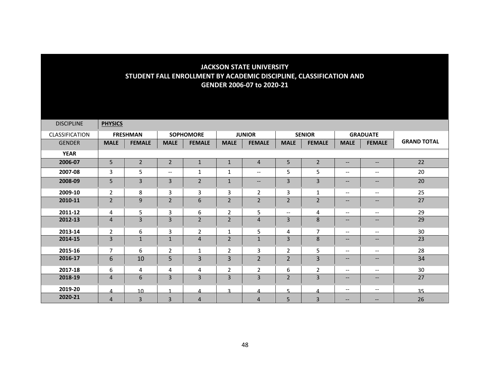| <b>DISCIPLINE</b> | <b>PHYSICS</b> |                 |                          |                  |                |                                                         |                          |                |                                                                                                   |                                                                                                                   |                    |
|-------------------|----------------|-----------------|--------------------------|------------------|----------------|---------------------------------------------------------|--------------------------|----------------|---------------------------------------------------------------------------------------------------|-------------------------------------------------------------------------------------------------------------------|--------------------|
| CLASSIFICATION    |                | <b>FRESHMAN</b> |                          | <b>SOPHOMORE</b> |                | <b>JUNIOR</b>                                           |                          | <b>SENIOR</b>  |                                                                                                   | <b>GRADUATE</b>                                                                                                   |                    |
| <b>GENDER</b>     | <b>MALE</b>    | <b>FEMALE</b>   | <b>MALE</b>              | <b>FEMALE</b>    | <b>MALE</b>    | <b>FEMALE</b>                                           | <b>MALE</b>              | <b>FEMALE</b>  | <b>MALE</b>                                                                                       | <b>FEMALE</b>                                                                                                     | <b>GRAND TOTAL</b> |
| <b>YEAR</b>       |                |                 |                          |                  |                |                                                         |                          |                |                                                                                                   |                                                                                                                   |                    |
| 2006-07           | 5              | $\overline{2}$  | $\overline{2}$           | $\mathbf{1}$     | $\mathbf{1}$   | $\overline{4}$                                          | 5                        | $\overline{2}$ | $\hspace{0.05cm} \ldots$                                                                          | $- -$                                                                                                             | 22                 |
| 2007-08           | 3              | 5               | $\overline{\phantom{m}}$ | 1                | $\mathbf{1}$   | $\overline{\phantom{a}}$                                | 5                        | 5              | $\overline{\phantom{m}}$                                                                          | $\hspace{0.05cm} \ldots$                                                                                          | 20                 |
| 2008-09           | 5              | 3               | $\overline{3}$           | $\overline{2}$   | $\mathbf 1$    | $\hspace{0.05cm} \hspace{0.02cm} \hspace{0.02cm} \dots$ | 3                        | $\overline{3}$ | $\qquad \qquad -$                                                                                 | $\qquad \qquad -$                                                                                                 | 20                 |
| 2009-10           | $\overline{2}$ | 8               | 3                        | 3                | 3              | $\overline{2}$                                          | 3                        | $\mathbf{1}$   | $--$                                                                                              | $\overline{\phantom{m}}$                                                                                          | 25                 |
| 2010-11           | $\overline{2}$ | 9               | $\overline{2}$           | 6                | $\overline{2}$ | $\overline{2}$                                          | $\overline{2}$           | $\overline{2}$ | $\qquad \qquad -$                                                                                 | $\qquad \qquad -$                                                                                                 | 27                 |
| 2011-12           | 4              | 5               | 3                        | 6                | $\overline{2}$ | 5                                                       | $\overline{\phantom{a}}$ | 4              | $\overline{\phantom{a}}$                                                                          | $\overline{\phantom{a}}$                                                                                          | 29                 |
| 2012-13           | $\overline{4}$ | 3               | 3                        | $\overline{2}$   | $\overline{2}$ | 4                                                       | 3                        | 8              | $\qquad \qquad -$                                                                                 | $\hspace{0.05cm} \hspace{0.02cm} \hspace{0.02cm} \hspace{0.02cm} \hspace{0.02cm} \hspace{0.02cm} \hspace{0.02cm}$ | 29                 |
| 2013-14           | $\overline{2}$ | 6               | 3                        | $\overline{2}$   | 1              | 5                                                       | 4                        | $\overline{7}$ | $\overline{\phantom{m}}$                                                                          | $\hspace{0.05cm} \ldots$                                                                                          | 30                 |
| 2014-15           | 3              | $\mathbf{1}$    | $\mathbf{1}$             | $\overline{4}$   | $\overline{2}$ | 1                                                       | 3                        | 8              | $- -$                                                                                             | $\overline{\phantom{a}}$                                                                                          | 23                 |
| 2015-16           | $\overline{7}$ | 6               | $\overline{2}$           | $\mathbf{1}$     | $\overline{2}$ | 3                                                       | $\overline{2}$           | 5              | $\overline{\phantom{m}}$                                                                          | --                                                                                                                | 28                 |
| 2016-17           | 6              | 10              | 5                        | 3                | 3              | $\overline{2}$                                          | $\overline{2}$           | 3              | $\qquad \qquad -$                                                                                 | $\qquad \qquad -$                                                                                                 | 34                 |
| 2017-18           | 6              | 4               | 4                        | 4                | $\overline{2}$ | $\overline{2}$                                          | 6                        | $\overline{2}$ | $\overline{\phantom{m}}$                                                                          | $\hspace{0.05cm} \ldots$                                                                                          | 30                 |
| 2018-19           | $\overline{4}$ | 6               | 3                        | 3                | 3              | $\overline{3}$                                          | $\overline{2}$           | 3              | $\hspace{0.05cm} \hspace{0.02cm} \hspace{0.02cm} \hspace{0.02cm} \hspace{0.02cm} \hspace{0.02cm}$ | $\hspace{0.05cm} \hspace{0.02cm} \hspace{0.02cm} \hspace{0.02cm} \hspace{0.02cm} \hspace{0.02cm} \hspace{0.02cm}$ | 27                 |
| 2019-20           | $\Lambda$      | 10 <sup>1</sup> |                          | 4                | $\mathbf{z}$   | 4                                                       | $\overline{a}$           | Δ              | $\overline{\phantom{m}}$                                                                          | $\overline{\phantom{a}}$                                                                                          | 35                 |
| 2020-21           | 4              | 3               | $\overline{3}$           | $\overline{4}$   |                | 4                                                       | 5                        | $\overline{3}$ | $\overline{\phantom{m}}$                                                                          | --                                                                                                                | 26                 |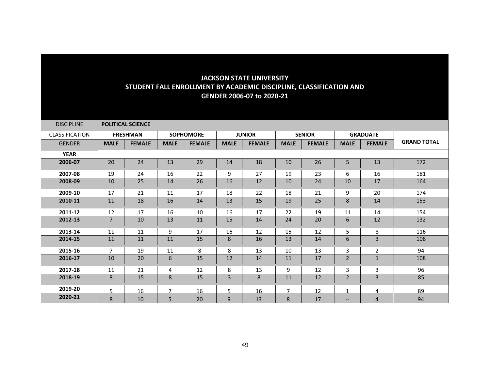| <b>DISCIPLINE</b>     |                | <b>POLITICAL SCIENCE</b> |                |                  |             |               |                |               |                          |                 |                    |
|-----------------------|----------------|--------------------------|----------------|------------------|-------------|---------------|----------------|---------------|--------------------------|-----------------|--------------------|
| <b>CLASSIFICATION</b> |                | <b>FRESHMAN</b>          |                | <b>SOPHOMORE</b> |             | <b>JUNIOR</b> |                | <b>SENIOR</b> |                          | <b>GRADUATE</b> |                    |
| <b>GENDER</b>         | <b>MALE</b>    | <b>FEMALE</b>            | <b>MALE</b>    | <b>FEMALE</b>    | <b>MALE</b> | <b>FEMALE</b> | <b>MALE</b>    | <b>FEMALE</b> | <b>MALE</b>              | <b>FEMALE</b>   | <b>GRAND TOTAL</b> |
| <b>YEAR</b>           |                |                          |                |                  |             |               |                |               |                          |                 |                    |
| 2006-07               | 20             | 24                       | 13             | 29               | 14          | 18            | 10             | 26            | 5                        | 13              | 172                |
| 2007-08               | 19             | 24                       | 16             | 22               | 9           | 27            | 19             | 23            | 6                        | 16              | 181                |
| 2008-09               | 10             | 25                       | 14             | 26               | 16          | 12            | 10             | 24            | 10                       | 17              | 164                |
| 2009-10               | 17             | 21                       | 11             | 17               | 18          | 22            | 18             | 21            | 9                        | 20              | 174                |
| 2010-11               | 11             | 18                       | 16             | 14               | 13          | 15            | 19             | 25            | 8                        | 14              | 153                |
| 2011-12               | 12             | 17                       | 16             | 10               | 16          | 17            | 22             | 19            | 11                       | 14              | 154                |
| 2012-13               | $\overline{7}$ | 10                       | 13             | 11               | 15          | 14            | 24             | 20            | 6                        | 12              | 132                |
| 2013-14               | 11             | 11                       | 9              | 17               | 16          | 12            | 15             | 12            | 5                        | 8               | 116                |
| 2014-15               | 11             | 11                       | 11             | 15               | 8           | 16            | 13             | 14            | $\boldsymbol{6}$         | 3               | 108                |
| 2015-16               | $\overline{7}$ | 19                       | 11             | 8                | 8           | 13            | 10             | 13            | 3                        | $\overline{2}$  | 94                 |
| 2016-17               | 10             | 20                       | 6              | 15               | 12          | 14            | 11             | 17            | $\overline{2}$           | $1\,$           | 108                |
| 2017-18               | 11             | 21                       | 4              | 12               | 8           | 13            | 9              | 12            | 3                        | 3               | 96                 |
| 2018-19               | 8              | 15                       | 8              | 15               | 3           | 8             | 11             | 12            | $\overline{2}$           | $\overline{3}$  | 85                 |
| 2019-20               | 5.             | 16                       | $\overline{7}$ | 16               | 5           | 16            | $\overline{ }$ | 12            |                          | 4               | 89                 |
| 2020-21               | 8              | 10                       | 5              | 20               | 9           | 13            | 8              | 17            | $\overline{\phantom{m}}$ | 4               | 94                 |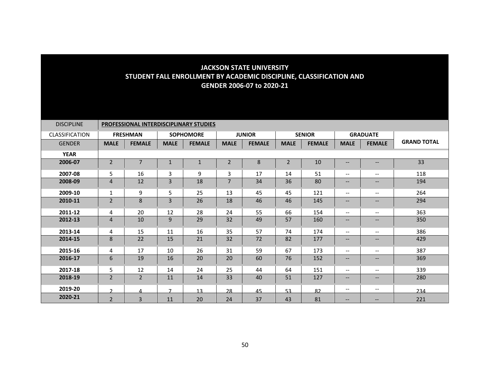| <b>DISCIPLINE</b>     | <b>PROFESSIONAL INTERDISCIPLINARY STUDIES</b> |                 |                |                  |                |               |                |               |                                       |                          |                    |  |
|-----------------------|-----------------------------------------------|-----------------|----------------|------------------|----------------|---------------|----------------|---------------|---------------------------------------|--------------------------|--------------------|--|
| <b>CLASSIFICATION</b> |                                               | <b>FRESHMAN</b> |                | <b>SOPHOMORE</b> |                | <b>JUNIOR</b> |                | <b>SENIOR</b> |                                       | <b>GRADUATE</b>          |                    |  |
| <b>GENDER</b>         | <b>MALE</b>                                   | <b>FEMALE</b>   | <b>MALE</b>    | <b>FEMALE</b>    | <b>MALE</b>    | <b>FEMALE</b> | <b>MALE</b>    | <b>FEMALE</b> | <b>MALE</b>                           | <b>FEMALE</b>            | <b>GRAND TOTAL</b> |  |
| <b>YEAR</b>           |                                               |                 |                |                  |                |               |                |               |                                       |                          |                    |  |
| 2006-07               | $\overline{2}$                                | 7               | $\mathbf{1}$   | $\mathbf{1}$     | $\mathbf 2$    | 8             | $\overline{2}$ | 10            | $\qquad \qquad -$                     | $\qquad \qquad -$        | 33                 |  |
| 2007-08               | 5.                                            | 16              | 3              | 9                | $\mathbf{3}$   | 17            | 14             | 51            | $\hspace{0.05cm}$ – $\hspace{0.05cm}$ | $\qquad \qquad -$        | 118                |  |
| 2008-09               | 4                                             | 12              | $\overline{3}$ | 18               | $\overline{7}$ | 34            | 36             | 80            | $\qquad \qquad -$                     | $-$                      | 194                |  |
| 2009-10               | $\mathbf{1}$                                  | 9               | 5              | 25               | 13             | 45            | 45             | 121           | $\overline{\phantom{a}}$              | --                       | 264                |  |
| 2010-11               | $\overline{2}$                                | 8               | $\overline{3}$ | 26               | 18             | 46            | 46             | 145           | $--$                                  | $-$                      | 294                |  |
| 2011-12               | 4                                             | 20              | 12             | 28               | 24             | 55            | 66             | 154           | $\overline{\phantom{m}}$              | --                       | 363                |  |
| 2012-13               | $\overline{4}$                                | 10              | 9              | 29               | 32             | 49            | 57             | 160           | --                                    | --                       | 350                |  |
| 2013-14               | 4                                             | 15              | 11             | 16               | 35             | 57            | 74             | 174           | $\overline{\phantom{a}}$              | $\overline{\phantom{a}}$ | 386                |  |
| 2014-15               | 8                                             | 22              | 15             | 21               | 32             | 72            | 82             | 177           | --                                    | --                       | 429                |  |
| 2015-16               | 4                                             | 17              | 10             | 26               | 31             | 59            | 67             | 173           | $\overline{\phantom{a}}$              | $\qquad \qquad -$        | 387                |  |
| 2016-17               | 6                                             | 19              | 16             | 20               | 20             | 60            | 76             | 152           | $\qquad \qquad -$                     | $\overline{\phantom{a}}$ | 369                |  |
| 2017-18               | 5                                             | 12              | 14             | 24               | 25             | 44            | 64             | 151           | $\overline{\phantom{a}}$              | $-$                      | 339                |  |
| 2018-19               | $\overline{2}$                                | $\overline{2}$  | 11             | 14               | 33             | 40            | 51             | 127           | $\qquad \qquad -$                     | --                       | 280                |  |
| 2019-20               | $\mathcal{D}$                                 | 4               | $\overline{ }$ | 13               | 28             | 45            | 53             | 82            | $--$                                  | $\qquad \qquad -$        | 234                |  |
| 2020-21               | $\overline{2}$                                | 3               | 11             | 20               | 24             | 37            | 43             | 81            | $\qquad \qquad -$                     | $\overline{\phantom{m}}$ | 221                |  |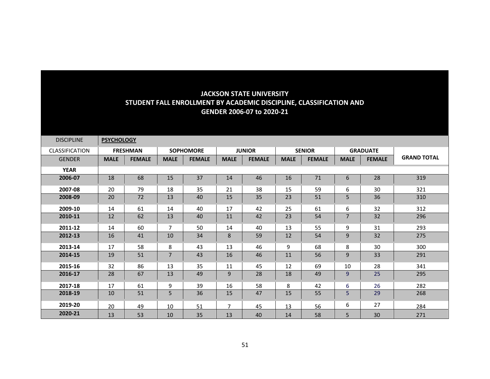| <b>DISCIPLINE</b>     | <b>PSYCHOLOGY</b> |                 |                |                  |                |               |             |               |                |                 |                    |
|-----------------------|-------------------|-----------------|----------------|------------------|----------------|---------------|-------------|---------------|----------------|-----------------|--------------------|
| <b>CLASSIFICATION</b> |                   | <b>FRESHMAN</b> |                | <b>SOPHOMORE</b> |                | <b>JUNIOR</b> |             | <b>SENIOR</b> |                | <b>GRADUATE</b> |                    |
| <b>GENDER</b>         | <b>MALE</b>       | <b>FEMALE</b>   | <b>MALE</b>    | <b>FEMALE</b>    | <b>MALE</b>    | <b>FEMALE</b> | <b>MALE</b> | <b>FEMALE</b> | <b>MALE</b>    | <b>FEMALE</b>   | <b>GRAND TOTAL</b> |
| <b>YEAR</b>           |                   |                 |                |                  |                |               |             |               |                |                 |                    |
| 2006-07               | 18                | 68              | 15             | 37               | 14             | 46            | 16          | 71            | 6              | 28              | 319                |
| 2007-08               | 20                | 79              | 18             | 35               | 21             | 38            | 15          | 59            | 6              | 30              | 321                |
| 2008-09               | 20                | 72              | 13             | 40               | 15             | 35            | 23          | 51            | 5              | 36              | 310                |
| 2009-10               | 14                | 61              | 14             | 40               | 17             | 42            | 25          | 61            | 6              | 32              | 312                |
| 2010-11               | 12                | 62              | 13             | 40               | 11             | 42            | 23          | 54            | $\overline{7}$ | 32              | 296                |
| 2011-12               | 14                | 60              | $\overline{7}$ | 50               | 14             | 40            | 13          | 55            | 9              | 31              | 293                |
| 2012-13               | 16                | 41              | 10             | 34               | 8              | 59            | 12          | 54            | 9              | 32              | 275                |
| 2013-14               | 17                | 58              | 8              | 43               | 13             | 46            | 9           | 68            | 8              | 30              | 300                |
| 2014-15               | 19                | 51              | $\overline{7}$ | 43               | 16             | 46            | 11          | 56            | 9              | 33              | 291                |
| 2015-16               | 32                | 86              | 13             | 35               | 11             | 45            | 12          | 69            | 10             | 28              | 341                |
| 2016-17               | 28                | 67              | 13             | 49               | 9              | 28            | 18          | 49            | 9              | 25              | 295                |
| 2017-18               | 17                | 61              | 9              | 39               | 16             | 58            | 8           | 42            | 6              | 26              | 282                |
| 2018-19               | 10                | 51              | 5              | 36               | 15             | 47            | 15          | 55            | 5              | 29              | 268                |
| 2019-20               | 20                | 49              | 10             | 51               | $\overline{7}$ | 45            | 13          | 56            | 6              | 27              | 284                |
| 2020-21               | 13                | 53              | 10             | 35               | 13             | 40            | 14          | 58            | 5              | 30              | 271                |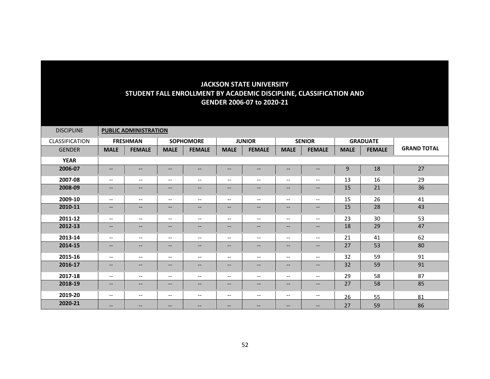| <b>DISCIPLINE</b> |                                                                                                                   | <b>PUBLIC ADMINISTRATION</b> |                                                                                                                   |                          |                                       |                                                         |                          |                                                         |             |                 |                    |
|-------------------|-------------------------------------------------------------------------------------------------------------------|------------------------------|-------------------------------------------------------------------------------------------------------------------|--------------------------|---------------------------------------|---------------------------------------------------------|--------------------------|---------------------------------------------------------|-------------|-----------------|--------------------|
| CLASSIFICATION    |                                                                                                                   | <b>FRESHMAN</b>              |                                                                                                                   | <b>SOPHOMORE</b>         |                                       | <b>JUNIOR</b>                                           |                          | <b>SENIOR</b>                                           |             | <b>GRADUATE</b> |                    |
| <b>GENDER</b>     | <b>MALE</b>                                                                                                       | <b>FEMALE</b>                | <b>MALE</b>                                                                                                       | <b>FEMALE</b>            | <b>MALE</b>                           | <b>FEMALE</b>                                           | <b>MALE</b>              | <b>FEMALE</b>                                           | <b>MALE</b> | <b>FEMALE</b>   | <b>GRAND TOTAL</b> |
| <b>YEAR</b>       |                                                                                                                   |                              |                                                                                                                   |                          |                                       |                                                         |                          |                                                         |             |                 |                    |
| 2006-07           | $\overline{\phantom{a}}$                                                                                          | $--$                         | $\overline{\phantom{a}}$                                                                                          | $\qquad \qquad -$        | --                                    | $\overline{\phantom{m}}$                                | $\qquad \qquad -$        | $\qquad \qquad -$                                       | 9           | 18              | 27                 |
| 2007-08           | $--$                                                                                                              | $--$                         | $\overline{\phantom{m}}$                                                                                          | $\overline{\phantom{a}}$ | $\hspace{0.05cm}$ – $\hspace{0.05cm}$ | $\hspace{0.05cm} \textbf{--}$                           | $\overline{\phantom{a}}$ | $--$                                                    | 13          | 16              | 29                 |
| 2008-09           | $\overline{\phantom{a}}$                                                                                          | $\qquad \qquad -$            | $\overline{\phantom{a}}$                                                                                          | $\qquad \qquad -$        | $\overline{\phantom{a}}$              | $\overline{\phantom{a}}$                                | $\qquad \qquad -$        | $\hspace{0.05cm} \hspace{0.02cm} \hspace{0.02cm} \dots$ | 15          | 21              | 36                 |
| 2009-10           | $--$                                                                                                              | $- -$                        | $\overline{\phantom{m}}$                                                                                          | $\qquad \qquad -$        | $\qquad \qquad -$                     | $\overline{\phantom{m}}$                                | $\overline{\phantom{a}}$ | $--$                                                    | 15          | 26              | 41                 |
| 2010-11           | $- -$                                                                                                             | --                           | $\qquad \qquad -$                                                                                                 | $\qquad \qquad -$        | $\overline{\phantom{a}}$              | $\hspace{0.05cm} \hspace{0.02cm} \hspace{0.02cm} \dots$ | $\qquad \qquad -$        | $\qquad \qquad -$                                       | 15          | 28              | 43                 |
| 2011-12           | $--$                                                                                                              | $- -$                        | $\overline{\phantom{m}}$                                                                                          | $\overline{\phantom{a}}$ | $\overline{\phantom{a}}$              | $\overline{\phantom{m}}$                                | $\overline{\phantom{a}}$ | $--$                                                    | 23          | 30              | 53                 |
| 2012-13           | $- -$                                                                                                             | $--$                         | $\hspace{0.05cm} \hspace{0.02cm} \hspace{0.02cm} \hspace{0.02cm} \hspace{0.02cm} \hspace{0.02cm} \hspace{0.02cm}$ | $\overline{\phantom{a}}$ | --                                    | $\overline{\phantom{a}}$                                | $\overline{\phantom{a}}$ | $--$                                                    | 18          | 29              | 47                 |
| 2013-14           | $--$                                                                                                              | $- -$                        | $\overline{\phantom{m}}$                                                                                          | $\overline{\phantom{a}}$ | $\overline{\phantom{m}}$              | $\overline{\phantom{m}}$                                | $\overline{\phantom{a}}$ | $--$                                                    | 21          | 41              | 62                 |
| 2014-15           | $\overline{\phantom{a}}$                                                                                          | $--$                         | $\overline{\phantom{a}}$                                                                                          | $\qquad \qquad -$        | $\overline{\phantom{a}}$              | $\overline{\phantom{m}}$                                | $\qquad \qquad -$        | $\overline{\phantom{a}}$                                | 27          | 53              | 80                 |
| 2015-16           | $--$                                                                                                              | $- -$                        | $\overline{\phantom{a}}$                                                                                          | $\overline{\phantom{a}}$ | $\hspace{0.05cm} \dashrightarrow$     | $\overline{\phantom{a}}$                                | $\overline{\phantom{a}}$ | $--$                                                    | 32          | 59              | 91                 |
| 2016-17           | $- -$                                                                                                             | $--$                         | $\overline{\phantom{a}}$                                                                                          | $\overline{\phantom{a}}$ | --                                    | $\hspace{0.05cm} \hspace{0.02cm} \hspace{0.02cm} \dots$ | $\overline{\phantom{a}}$ | $\qquad \qquad -$                                       | 32          | 59              | 91                 |
| 2017-18           | $\overline{\phantom{m}}$                                                                                          | $- -$                        | $\overline{\phantom{m}}$                                                                                          | $\overline{\phantom{a}}$ | $\hspace{0.05cm} \dashrightarrow$     | $\overline{\phantom{m}}$                                | $\overline{\phantom{a}}$ | $--$                                                    | 29          | 58              | 87                 |
| 2018-19           | $\overline{\phantom{a}}$                                                                                          | $\qquad \qquad -$            | $\overline{\phantom{a}}$                                                                                          | $\qquad \qquad -$        | $\overline{\phantom{a}}$              | $\overline{\phantom{a}}$                                | $\qquad \qquad -$        | $\overline{\phantom{a}}$                                | 27          | 58              | 85                 |
| 2019-20           | $\overline{\phantom{m}}$                                                                                          | $- -$                        | $\overline{\phantom{m}}$                                                                                          | $\qquad \qquad -$        | $\overline{\phantom{a}}$              | $\hspace{0.05cm} \textbf{--}$                           | $\overline{\phantom{a}}$ | $- -$                                                   | 26          | 55              | 81                 |
| 2020-21           | $\hspace{0.05cm} \hspace{0.02cm} \hspace{0.02cm} \hspace{0.02cm} \hspace{0.02cm} \hspace{0.02cm} \hspace{0.02cm}$ | $\qquad \qquad -$            | $\overline{\phantom{m}}$                                                                                          | $\overline{\phantom{a}}$ | --                                    | $\qquad \qquad -$                                       | $\qquad \qquad -$        | $\qquad \qquad -$                                       | 27          | 59              | 86                 |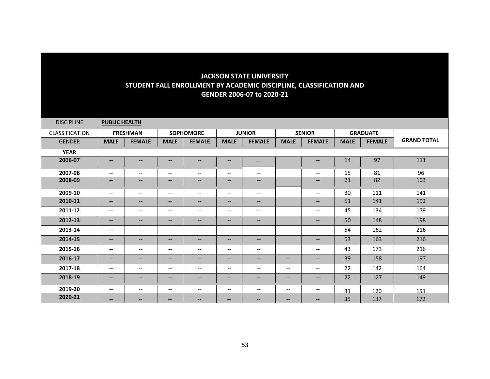| <b>DISCIPLINE</b>     | <b>PUBLIC HEALTH</b>     |                   |                          |                          |                                                     |                          |             |                                                                                                                   |             |                 |                    |
|-----------------------|--------------------------|-------------------|--------------------------|--------------------------|-----------------------------------------------------|--------------------------|-------------|-------------------------------------------------------------------------------------------------------------------|-------------|-----------------|--------------------|
| <b>CLASSIFICATION</b> |                          | <b>FRESHMAN</b>   |                          | <b>SOPHOMORE</b>         |                                                     | <b>JUNIOR</b>            |             | <b>SENIOR</b>                                                                                                     |             | <b>GRADUATE</b> |                    |
| <b>GENDER</b>         | <b>MALE</b>              | <b>FEMALE</b>     | <b>MALE</b>              | <b>FEMALE</b>            | <b>MALE</b>                                         | <b>FEMALE</b>            | <b>MALE</b> | <b>FEMALE</b>                                                                                                     | <b>MALE</b> | <b>FEMALE</b>   | <b>GRAND TOTAL</b> |
| <b>YEAR</b>           |                          |                   |                          |                          |                                                     |                          |             |                                                                                                                   |             |                 |                    |
| 2006-07               | $\overline{\phantom{a}}$ | $--$              | $\overline{\phantom{a}}$ | $\overline{\phantom{m}}$ | $\overline{\phantom{m}}$                            | $\qquad \qquad -$        |             | $\hspace{0.05cm} \ldots$                                                                                          | 14          | 97              | 111                |
| 2007-08               | $\overline{\phantom{m}}$ | --                | $\overline{\phantom{m}}$ | $\overline{\phantom{m}}$ | $\overline{\phantom{a}}$                            | $\overline{\phantom{m}}$ |             | $\hspace{0.05cm} \textbf{--}$                                                                                     | 15          | 81              | 96                 |
| 2008-09               | $\qquad \qquad -$        | --                | $\qquad \qquad -$        | $\qquad \qquad -$        | $\overline{\phantom{m}}$                            | $\overline{\phantom{a}}$ |             | $\hspace{0.05cm} \ldots$                                                                                          | 21          | 82              | 103                |
| 2009-10               | $\overline{\phantom{a}}$ | $- -$             | $\overline{\phantom{m}}$ | $\overline{\phantom{a}}$ | $\overline{\phantom{a}}$                            | $\overline{\phantom{a}}$ |             | $\overline{\phantom{m}}$                                                                                          | 30          | 111             | 141                |
| 2010-11               | $- -$                    | --                | $\qquad \qquad -$        | $\overline{\phantom{a}}$ | $\hspace{0.05cm} \textbf{--}$                       | $\overline{\phantom{a}}$ |             | $\hspace{0.05cm} \dashv$                                                                                          | 51          | 141             | 192                |
| 2011-12               | $\qquad \qquad -$        | $- -$             | $\overline{\phantom{m}}$ | $\overline{\phantom{a}}$ | $\overline{\phantom{m}}$                            | $\overline{\phantom{a}}$ |             | $\hspace{0.05cm} \ldots$                                                                                          | 45          | 134             | 179                |
| 2012-13               | $\overline{\phantom{a}}$ | --                | $\qquad \qquad -$        | $\qquad \qquad -$        | $\overline{\phantom{m}}$                            | $\overline{\phantom{a}}$ |             | $\hspace{0.05cm} \ldots$                                                                                          | 50          | 148             | 198                |
| 2013-14               | $--$                     | --                | $\overline{\phantom{a}}$ | $\overline{\phantom{m}}$ | $\overline{\phantom{a}}$                            | $\overline{\phantom{a}}$ |             | $\overline{\phantom{m}}$                                                                                          | 54          | 162             | 216                |
| 2014-15               | $\overline{\phantom{a}}$ | $--$              | $\qquad \qquad -$        | $\qquad \qquad -$        | $\hspace{0.05cm} \textbf{--}$                       | $\qquad \qquad -$        |             | $\hspace{0.05cm} \ldots$                                                                                          | 53          | 163             | 216                |
| 2015-16               | $\qquad \qquad -$        | $- -$             | $\overline{\phantom{m}}$ | $\overline{\phantom{a}}$ | $\hspace{0.05cm} \ldots$                            | $\qquad \qquad -$        |             | $\hspace{0.05cm} \ldots$                                                                                          | 43          | 173             | 216                |
| 2016-17               | $\overline{\phantom{a}}$ | $\qquad \qquad -$ | $\overline{\phantom{a}}$ | $\qquad \qquad -$        | $\hspace{0.05cm} \textbf{--}$                       | $\overline{\phantom{a}}$ | $- -$       | $\hspace{0.05cm} \hspace{0.02cm} \hspace{0.02cm} \hspace{0.02cm} \hspace{0.02cm} \hspace{0.02cm} \hspace{0.02cm}$ | 39          | 158             | 197                |
| 2017-18               | $\overline{\phantom{m}}$ | --                | $\overline{\phantom{m}}$ | $\overline{\phantom{a}}$ | $\overline{\phantom{a}}$                            | $\overline{\phantom{a}}$ | $- -$       | $\hspace{0.05cm} -\hspace{0.05cm} -\hspace{0.05cm}$                                                               | 22          | 142             | 164                |
| 2018-19               | $\qquad \qquad -$        | $\qquad \qquad -$ | $\qquad \qquad -$        | $\qquad \qquad -$        | $\qquad \qquad -$                                   | $\qquad \qquad -$        | $--$        | $\hspace{0.05cm} \ldots$                                                                                          | 22          | 127             | 149                |
| 2019-20               | $\overline{\phantom{m}}$ | --                | $\overline{\phantom{m}}$ | $\overline{\phantom{a}}$ | $\hspace{0.05cm} -\hspace{0.05cm} -\hspace{0.05cm}$ | $\overline{\phantom{a}}$ | --          | $--$                                                                                                              | 31          | 120             | 151                |
| 2020-21               | $\qquad \qquad -$        | --                | $-$                      | $- -$                    | $\qquad \qquad -$                                   | $\qquad \qquad -$        | $--$        | $\overline{\phantom{m}}$                                                                                          | 35          | 137             | 172                |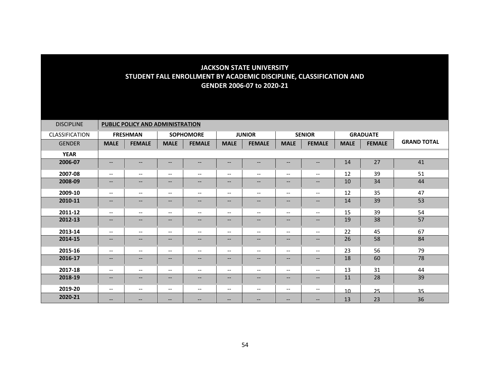| <b>DISCIPLINE</b> | PUBLIC POLICY AND ADMINISTRATION |                          |                               |                          |                                   |                                                                                                                   |                          |                          |                 |                 |                    |  |
|-------------------|----------------------------------|--------------------------|-------------------------------|--------------------------|-----------------------------------|-------------------------------------------------------------------------------------------------------------------|--------------------------|--------------------------|-----------------|-----------------|--------------------|--|
| CLASSIFICATION    |                                  | <b>FRESHMAN</b>          |                               | <b>SOPHOMORE</b>         |                                   | <b>JUNIOR</b>                                                                                                     |                          | <b>SENIOR</b>            |                 | <b>GRADUATE</b> |                    |  |
| <b>GENDER</b>     | <b>MALE</b>                      | <b>FEMALE</b>            | <b>MALE</b>                   | <b>FEMALE</b>            | <b>MALE</b>                       | <b>FEMALE</b>                                                                                                     | <b>MALE</b>              | <b>FEMALE</b>            | <b>MALE</b>     | <b>FEMALE</b>   | <b>GRAND TOTAL</b> |  |
| <b>YEAR</b>       |                                  |                          |                               |                          |                                   |                                                                                                                   |                          |                          |                 |                 |                    |  |
| 2006-07           | $\qquad \qquad -$                | $\overline{\phantom{a}}$ | $\overline{\phantom{a}}$      | $\qquad \qquad -$        | $\overline{\phantom{m}}$          | $\overline{\phantom{m}}$                                                                                          | $\qquad \qquad -$        | $\overline{\phantom{a}}$ | 14              | 27              | 41                 |  |
| 2007-08           | $\overline{\phantom{a}}$         | $- -$                    | $\qquad \qquad -$             | $\overline{\phantom{a}}$ | $\overline{\phantom{a}}$          | $\overline{\phantom{m}}$                                                                                          | $\overline{\phantom{a}}$ | $--$                     | 12              | 39              | 51                 |  |
| 2008-09           | $- -$                            | --                       | $\qquad \qquad -$             | $\overline{\phantom{a}}$ | $\overline{\phantom{a}}$          | $\qquad \qquad -$                                                                                                 | $\qquad \qquad -$        | $\qquad \qquad -$        | 10              | 34              | 44                 |  |
| 2009-10           | $--$                             | $--$                     | $\overline{\phantom{a}}$      | $\overline{\phantom{a}}$ | $\overline{\phantom{a}}$          | $\overline{\phantom{a}}$                                                                                          | $\overline{\phantom{a}}$ | $--$                     | 12              | 35              | 47                 |  |
| 2010-11           | $--$                             | $- -$                    | $\qquad \qquad -$             | $\qquad \qquad -$        | --                                | $\overline{\phantom{m}}$                                                                                          | $\qquad \qquad -$        | $- -$                    | 14              | 39              | 53                 |  |
| 2011-12           | $--$                             | $- -$                    | $\overline{\phantom{a}}$      | $\overline{\phantom{a}}$ | $\overline{\phantom{a}}$          | $\overline{\phantom{a}}$                                                                                          | $\qquad \qquad -$        | $--$                     | 15              | 39              | 54                 |  |
| 2012-13           | $- -$                            | $--$                     | $\qquad \qquad -$             | $\qquad \qquad -$        | $\qquad \qquad -$                 | $\hspace{0.05cm} \ldots$                                                                                          | $\qquad \qquad -$        | $--$                     | 19              | 38              | 57                 |  |
| 2013-14           | $--$                             | $\overline{\phantom{a}}$ | $\overline{\phantom{a}}$      | $\overline{\phantom{a}}$ | $\hspace{0.05cm} \dashrightarrow$ | $\overline{\phantom{m}}$                                                                                          | $\overline{\phantom{a}}$ | $\overline{\phantom{a}}$ | 22              | 45              | 67                 |  |
| 2014-15           | $- -$                            | $--$                     | $\overline{\phantom{a}}$      | $\overline{\phantom{a}}$ | --                                | $\hspace{0.05cm} \hspace{0.02cm} \hspace{0.02cm} \hspace{0.02cm} \hspace{0.02cm} \hspace{0.02cm} \hspace{0.02cm}$ | $\overline{\phantom{a}}$ | $- -$                    | 26              | 58              | 84                 |  |
| 2015-16           | $--$                             | $--$                     | $\overline{\phantom{a}}$      | $\overline{\phantom{a}}$ | $\overline{\phantom{a}}$          | $\overline{\phantom{m}}$                                                                                          | $\overline{\phantom{a}}$ | $--$                     | 23              | 56              | 79                 |  |
| 2016-17           | $\qquad \qquad -$                | $--$                     | $\qquad \qquad -$             | $\qquad \qquad -$        | $\qquad \qquad -$                 | $\qquad \qquad -$                                                                                                 | $\qquad \qquad -$        | $--$                     | 18              | 60              | 78                 |  |
| 2017-18           | $--$                             | --                       | $\overline{\phantom{m}}$      | $\overline{\phantom{a}}$ | $\overline{\phantom{a}}$          | $\overline{\phantom{m}}$                                                                                          | $\overline{\phantom{a}}$ | $--$                     | 13              | 31              | 44                 |  |
| 2018-19           | $\qquad \qquad -$                | $\overline{\phantom{a}}$ | $\qquad \qquad -$             | $\qquad \qquad -$        | $\qquad \qquad -$                 | $--$                                                                                                              | $\qquad \qquad -$        | $--$                     | 11              | 28              | 39                 |  |
| 2019-20           | $--$                             | --                       | $\overline{\phantom{m}}$      | $\overline{\phantom{a}}$ | $\overline{\phantom{a}}$          | $\hspace{0.05cm} \hspace{0.02cm} \hspace{0.02cm} \hspace{0.02cm} \hspace{0.02cm} \hspace{0.02cm} \hspace{0.02cm}$ | $\overline{\phantom{a}}$ | $--$                     | 10 <sup>1</sup> | 25              | 35                 |  |
| 2020-21           | $\qquad \qquad -$                | $\qquad \qquad -$        | $\hspace{0.05cm} \textbf{--}$ | --                       | --                                | --                                                                                                                | $--$                     | $\overline{\phantom{m}}$ | 13              | 23              | 36                 |  |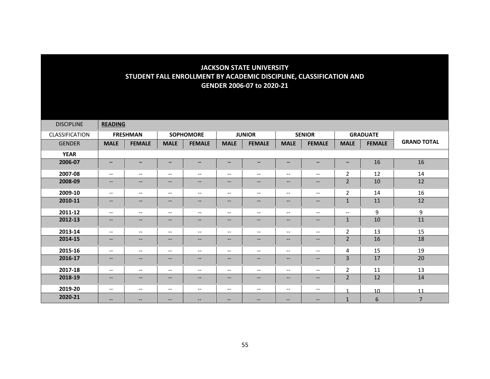| <b>DISCIPLINE</b>     | <b>READING</b>               |                          |                          |                          |                                   |                                                                                                                   |                          |                          |                          |                 |                    |
|-----------------------|------------------------------|--------------------------|--------------------------|--------------------------|-----------------------------------|-------------------------------------------------------------------------------------------------------------------|--------------------------|--------------------------|--------------------------|-----------------|--------------------|
| <b>CLASSIFICATION</b> |                              | <b>FRESHMAN</b>          |                          | <b>SOPHOMORE</b>         |                                   | <b>JUNIOR</b>                                                                                                     |                          | <b>SENIOR</b>            |                          | <b>GRADUATE</b> |                    |
| <b>GENDER</b>         | <b>MALE</b>                  | <b>FEMALE</b>            | <b>MALE</b>              | <b>FEMALE</b>            | <b>MALE</b>                       | <b>FEMALE</b>                                                                                                     | <b>MALE</b>              | <b>FEMALE</b>            | <b>MALE</b>              | <b>FEMALE</b>   | <b>GRAND TOTAL</b> |
| <b>YEAR</b>           |                              |                          |                          |                          |                                   |                                                                                                                   |                          |                          |                          |                 |                    |
| 2006-07               | $\qquad \qquad \blacksquare$ |                          |                          |                          | -                                 |                                                                                                                   |                          |                          |                          | 16              | 16                 |
| 2007-08               | $\overline{\phantom{m}}$     | $\overline{\phantom{a}}$ | $\qquad \qquad -$        | $\overline{\phantom{a}}$ | $\overline{\phantom{a}}$          | $\overline{\phantom{m}}$                                                                                          | $\overline{\phantom{a}}$ | $\overline{\phantom{a}}$ | $\overline{2}$           | 12              | 14                 |
| 2008-09               | $\qquad \qquad -$            | $--$                     | $\qquad \qquad -$        | $\qquad \qquad -$        | --                                | $\qquad \qquad -$                                                                                                 | $\qquad \qquad -$        | $--$                     | $\overline{2}$           | 10              | 12                 |
| 2009-10               | $--$                         | $--$                     | $\overline{\phantom{a}}$ | $\overline{\phantom{a}}$ | $\overline{\phantom{a}}$          | $\overline{\phantom{a}}$                                                                                          | $\overline{\phantom{a}}$ | $--$                     | $\overline{2}$           | 14              | 16                 |
| 2010-11               | $\qquad \qquad -$            | $\qquad \qquad -$        | $\qquad \qquad -$        | $\qquad \qquad -$        | $\qquad \qquad -$                 | $\overline{\phantom{m}}$                                                                                          | $\qquad \qquad -$        | $\overline{\phantom{a}}$ | $\mathbf{1}$             | 11              | 12                 |
| 2011-12               | $\overline{\phantom{m}}$     | $\overline{\phantom{a}}$ | $\overline{\phantom{m}}$ | $\overline{\phantom{a}}$ | $\hspace{0.05cm} \dashv$          | $\overline{\phantom{m}}$                                                                                          | $\overline{\phantom{a}}$ | $\overline{\phantom{a}}$ | $\overline{\phantom{m}}$ | 9               | 9                  |
| 2012-13               | $- -$                        | --                       | $--$                     | $\overline{\phantom{a}}$ | --                                | $\overline{\phantom{a}}$                                                                                          | --                       | $- -$                    | $\mathbf{1}$             | 10              | 11                 |
| 2013-14               | $--$                         | $- -$                    | $\overline{\phantom{a}}$ | $\overline{\phantom{a}}$ | $\overline{\phantom{a}}$          | $\overline{\phantom{a}}$                                                                                          | $\overline{\phantom{a}}$ | $--$                     | $\overline{2}$           | 13              | 15                 |
| 2014-15               | $\overline{\phantom{a}}$     | --                       | $--$                     | $\qquad \qquad -$        | $\overline{\phantom{a}}$          | $\hspace{0.05cm} \hspace{0.02cm} \hspace{0.02cm} \dots$                                                           | $\qquad \qquad -$        | $\qquad \qquad -$        | $\overline{2}$           | 16              | 18                 |
| 2015-16               | $--$                         | $\overline{\phantom{a}}$ | $\overline{\phantom{a}}$ | $\overline{\phantom{a}}$ | $\hspace{0.05cm} \dashrightarrow$ | $\overline{\phantom{a}}$                                                                                          | $\overline{\phantom{a}}$ | $--$                     | 4                        | 15              | 19                 |
| 2016-17               | $\qquad \qquad -$            | --                       | $\qquad \qquad -$        | $\qquad \qquad -$        | $\qquad \qquad -$                 | $\qquad \qquad -$                                                                                                 | $\qquad \qquad -$        | $--$                     | 3                        | 17              | 20                 |
| 2017-18               | $--$                         | $- -$                    | $\overline{\phantom{m}}$ | $\qquad \qquad -$        | $\overline{\phantom{a}}$          | $\overline{\phantom{m}}$                                                                                          | $\overline{\phantom{a}}$ | $\overline{\phantom{a}}$ | $\overline{2}$           | 11              | 13                 |
| 2018-19               | $\qquad \qquad -$            | $--$                     | $\qquad \qquad -$        | $\qquad \qquad -$        | $- -$                             | $\hspace{0.05cm} \hspace{0.02cm} \hspace{0.02cm} \dots$                                                           | $\qquad \qquad -$        | $\overline{\phantom{a}}$ | $\overline{2}$           | 12              | 14                 |
| 2019-20               | $--$                         | $- -$                    | $\overline{\phantom{a}}$ | $\overline{\phantom{a}}$ | $\hspace{0.05cm} \dashrightarrow$ | $\overline{\phantom{m}}$                                                                                          | $\overline{\phantom{a}}$ | $--$                     |                          | 10              | 11                 |
| 2020-21               | $\hspace{0.05cm} \ldots$     | $\qquad \qquad -$        | $\overline{\phantom{m}}$ | --                       | --                                | $\hspace{0.05cm} \hspace{0.02cm} \hspace{0.02cm} \hspace{0.02cm} \hspace{0.02cm} \hspace{0.02cm} \hspace{0.02cm}$ | $\qquad \qquad -$        | $\overline{\phantom{m}}$ | $\mathbf{1}$             | 6               | $\overline{7}$     |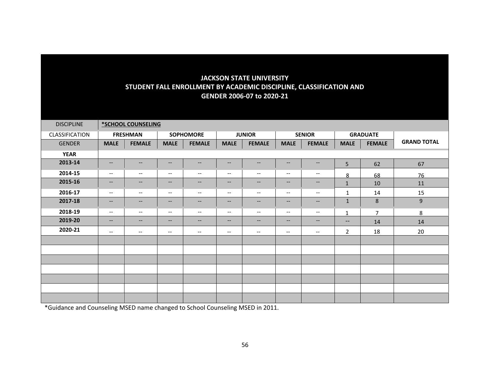| <b>DISCIPLINE</b> |                          | *SCHOOL COUNSELING       |                                                         |                                                     |                               |                                                                                                                   |                          |                          |                                                                                                                   |                 |                    |
|-------------------|--------------------------|--------------------------|---------------------------------------------------------|-----------------------------------------------------|-------------------------------|-------------------------------------------------------------------------------------------------------------------|--------------------------|--------------------------|-------------------------------------------------------------------------------------------------------------------|-----------------|--------------------|
| CLASSIFICATION    |                          | <b>FRESHMAN</b>          |                                                         | <b>SOPHOMORE</b>                                    |                               | <b>JUNIOR</b>                                                                                                     |                          | <b>SENIOR</b>            |                                                                                                                   | <b>GRADUATE</b> |                    |
| <b>GENDER</b>     | <b>MALE</b>              | <b>FEMALE</b>            | <b>MALE</b>                                             | <b>FEMALE</b>                                       | <b>MALE</b>                   | <b>FEMALE</b>                                                                                                     | <b>MALE</b>              | <b>FEMALE</b>            | <b>MALE</b>                                                                                                       | <b>FEMALE</b>   | <b>GRAND TOTAL</b> |
| <b>YEAR</b>       |                          |                          |                                                         |                                                     |                               |                                                                                                                   |                          |                          |                                                                                                                   |                 |                    |
| 2013-14           | $\overline{\phantom{a}}$ | $\qquad \qquad -$        | $\overline{\phantom{a}}$                                | $\overline{\phantom{a}}$                            | $\overline{\phantom{a}}$      | $--$                                                                                                              | $\overline{\phantom{a}}$ | $\overline{\phantom{a}}$ | 5                                                                                                                 | 62              | 67                 |
| 2014-15           | $--$                     | $\overline{\phantom{a}}$ | $\overline{\phantom{m}}$                                | $--$                                                | $\overline{\phantom{a}}$      | $\overline{\phantom{m}}$                                                                                          | $\overline{\phantom{m}}$ | $--$                     | 8                                                                                                                 | 68              | 76                 |
| 2015-16           | $- -$                    | $\qquad \qquad -$        | $\hspace{0.05cm} \ldots$                                | $\overline{\phantom{m}}$                            | $\hspace{0.05cm} \textbf{--}$ | $\overline{\phantom{m}}$                                                                                          | $-\!$ $\!-$              | $\qquad \qquad -$        | $1\,$                                                                                                             | 10              | 11                 |
| 2016-17           | $\overline{\phantom{m}}$ | $--$                     | $\hspace{0.05cm}$ – $\hspace{0.05cm}$                   | $\overline{\phantom{a}}$                            | $\overline{\phantom{a}}$      | $\hspace{0.05cm} \hspace{0.02cm} \hspace{0.02cm} \hspace{0.02cm} \hspace{0.02cm} \hspace{0.02cm} \hspace{0.02cm}$ | $\overline{\phantom{m}}$ | $\overline{\phantom{a}}$ | $\mathbf{1}$                                                                                                      | 14              | 15                 |
| 2017-18           | $\overline{\phantom{a}}$ | $\qquad \qquad -$        | $\hspace{0.05cm} \hspace{0.02cm} \hspace{0.02cm} \dots$ | $\hspace{0.05cm} -\hspace{0.05cm} -\hspace{0.05cm}$ | $\overline{\phantom{a}}$      | $\qquad \qquad -$                                                                                                 | $-\!$ $\!-$              | $\qquad \qquad -$        | $\mathbf{1}$                                                                                                      | 8               | $9\,$              |
| 2018-19           | $--$                     | $--$                     | $--$                                                    | $--$                                                | $--$                          | $--$                                                                                                              | $--$                     | $--$                     | $\mathbf{1}$                                                                                                      | $\overline{7}$  | 8                  |
| 2019-20           | $\overline{\phantom{a}}$ | $\qquad \qquad -$        | $\overline{\phantom{a}}$                                | $\qquad \qquad -$                                   | $\qquad \qquad -$             | $\qquad \qquad -$                                                                                                 | $-\!$ $\!-$              | $\qquad \qquad -$        | $\hspace{0.05cm} \hspace{0.02cm} \hspace{0.02cm} \hspace{0.02cm} \hspace{0.02cm} \hspace{0.02cm} \hspace{0.02cm}$ | 14              | 14                 |
| 2020-21           | $\overline{\phantom{m}}$ | $--$                     | $\overline{\phantom{m}}$                                | $\overline{\phantom{a}}$                            | $\overline{\phantom{a}}$      | $\overline{\phantom{a}}$                                                                                          | $\overline{\phantom{a}}$ | $\overline{\phantom{m}}$ | $\overline{2}$                                                                                                    | 18              | 20                 |
|                   |                          |                          |                                                         |                                                     |                               |                                                                                                                   |                          |                          |                                                                                                                   |                 |                    |
|                   |                          |                          |                                                         |                                                     |                               |                                                                                                                   |                          |                          |                                                                                                                   |                 |                    |
|                   |                          |                          |                                                         |                                                     |                               |                                                                                                                   |                          |                          |                                                                                                                   |                 |                    |
|                   |                          |                          |                                                         |                                                     |                               |                                                                                                                   |                          |                          |                                                                                                                   |                 |                    |
|                   |                          |                          |                                                         |                                                     |                               |                                                                                                                   |                          |                          |                                                                                                                   |                 |                    |
|                   |                          |                          |                                                         |                                                     |                               |                                                                                                                   |                          |                          |                                                                                                                   |                 |                    |
|                   |                          |                          |                                                         |                                                     |                               |                                                                                                                   |                          |                          |                                                                                                                   |                 |                    |

\*Guidance and Counseling MSED name changed to School Counseling MSED in 2011.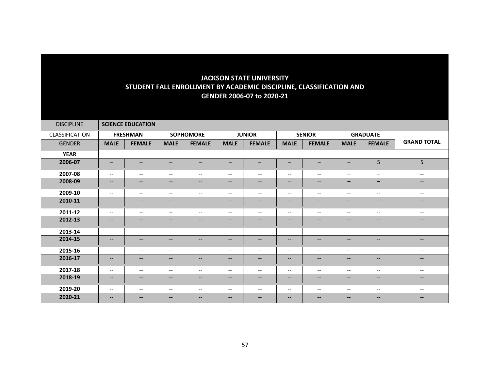| <b>DISCIPLINE</b> |                               | <b>SCIENCE EDUCATION</b> |                          |                                                                                                                   |                               |                                                                                                   |                          |                                                         |                                                                                                                   |                          |                          |
|-------------------|-------------------------------|--------------------------|--------------------------|-------------------------------------------------------------------------------------------------------------------|-------------------------------|---------------------------------------------------------------------------------------------------|--------------------------|---------------------------------------------------------|-------------------------------------------------------------------------------------------------------------------|--------------------------|--------------------------|
| CLASSIFICATION    |                               | <b>FRESHMAN</b>          |                          | <b>SOPHOMORE</b>                                                                                                  |                               | <b>JUNIOR</b>                                                                                     |                          | <b>SENIOR</b>                                           |                                                                                                                   | <b>GRADUATE</b>          |                          |
| <b>GENDER</b>     | <b>MALE</b>                   | <b>FEMALE</b>            | <b>MALE</b>              | <b>FEMALE</b>                                                                                                     | <b>MALE</b>                   | <b>FEMALE</b>                                                                                     | <b>MALE</b>              | <b>FEMALE</b>                                           | <b>MALE</b>                                                                                                       | <b>FEMALE</b>            | <b>GRAND TOTAL</b>       |
| <b>YEAR</b>       |                               |                          |                          |                                                                                                                   |                               |                                                                                                   |                          |                                                         |                                                                                                                   |                          |                          |
| 2006-07           | $\qquad \qquad$               | -                        | -                        | $\overline{\phantom{m}}$                                                                                          | $\qquad \qquad -$             | -                                                                                                 | $\qquad \qquad -$        | —                                                       | -                                                                                                                 | 5                        | 5                        |
| 2007-08           | $\overline{\phantom{a}}$      | $\overline{\phantom{a}}$ | $\overline{\phantom{m}}$ | $--$                                                                                                              | $\hspace{0.05cm} \ldots$      | $\overline{\phantom{m}}$                                                                          | $\overline{\phantom{a}}$ | $\overline{\phantom{m}}$                                | $\qquad \qquad -$                                                                                                 | $\overline{\phantom{0}}$ | $\overline{\phantom{a}}$ |
| 2008-09           | $- -$                         | $--$                     | --                       | $--$                                                                                                              | $\hspace{0.05cm} \ldots$      | $\hspace{0.05cm} \ldots$                                                                          | --                       | $\hspace{0.05cm} \ldots$                                | $\qquad \qquad$                                                                                                   | $-$                      | $\qquad \qquad -$        |
| 2009-10           | $\overline{\phantom{a}}$      | $\overline{\phantom{a}}$ | $\overline{\phantom{a}}$ | $--$                                                                                                              | $--$                          | $\overline{\phantom{a}}$                                                                          | $\overline{\phantom{a}}$ | $\overline{\phantom{a}}$                                | $\overline{\phantom{m}}$                                                                                          | $\qquad \qquad -$        | $\qquad \qquad -$        |
| 2010-11           | $- -$                         | $--$                     | $\qquad \qquad -$        | $--$                                                                                                              | $\hspace{0.05cm} \ldots$      | $\qquad \qquad -$                                                                                 | $\qquad \qquad -$        | $--$                                                    | $\hspace{0.05cm} \ldots$                                                                                          | $- -$                    | $--$                     |
| 2011-12           | $--$                          | $\qquad \qquad -$        | $--$                     | $--$                                                                                                              | $--$                          | $\qquad \qquad -$                                                                                 | $\overline{\phantom{a}}$ | $\overline{\phantom{a}}$                                | $\overline{\phantom{m}}$                                                                                          | $--$                     | $\overline{\phantom{a}}$ |
| 2012-13           | $\hspace{0.05cm} \textbf{--}$ | $\qquad \qquad -$        | $\qquad \qquad -$        | $--$                                                                                                              | $\hspace{0.05cm} \textbf{--}$ | $\hspace{0.05cm} \hspace{0.02cm} \hspace{0.02cm} \hspace{0.02cm} \hspace{0.02cm} \hspace{0.02cm}$ | $\qquad \qquad -$        | $\overline{\phantom{m}}$                                | $\hspace{0.05cm} \hspace{0.02cm} \hspace{0.02cm} \hspace{0.02cm} \hspace{0.02cm} \hspace{0.02cm} \hspace{0.02cm}$ | $--$                     | $\qquad \qquad -$        |
| 2013-14           | $\overline{\phantom{a}}$      | $\overline{\phantom{a}}$ | $- -$                    | $--$                                                                                                              | $--$                          | $\qquad \qquad -$                                                                                 | $\overline{\phantom{a}}$ | $--$                                                    | $\overline{\phantom{0}}$                                                                                          | $\overline{\phantom{0}}$ | $\overline{\phantom{a}}$ |
| 2014-15           | $\overline{\phantom{a}}$      | $\qquad \qquad -$        | $\qquad \qquad -$        | $--$                                                                                                              | $\hspace{0.05cm} \textbf{--}$ | $\hspace{0.05cm} \hspace{0.02cm} \hspace{0.02cm} \hspace{0.02cm} \hspace{0.02cm} \hspace{0.02cm}$ | $\overline{\phantom{m}}$ | $\hspace{0.05cm} \hspace{0.02cm} \hspace{0.02cm} \dots$ | $\overline{\phantom{m}}$                                                                                          | $--$                     | $\overline{\phantom{a}}$ |
| 2015-16           | $--$                          | $\overline{\phantom{a}}$ | $\overline{\phantom{a}}$ | $--$                                                                                                              | $\overline{\phantom{a}}$      | $\overline{\phantom{m}}$                                                                          | $\overline{\phantom{m}}$ | $\overline{\phantom{a}}$                                | $\overline{\phantom{m}}$                                                                                          | $--$                     | $\qquad \qquad -$        |
| 2016-17           | $\overline{\phantom{a}}$      | $\qquad \qquad -$        | $\overline{\phantom{a}}$ | $--$                                                                                                              | $\hspace{0.05cm} \ldots$      | $\hspace{0.05cm} \textbf{--}$                                                                     | $\qquad \qquad -$        | $\hspace{0.05cm} -\hspace{0.05cm} -\hspace{0.05cm}$     | $\hspace{0.05cm} -\hspace{0.05cm} -\hspace{0.05cm}$                                                               | $\qquad \qquad -$        | $\qquad \qquad -$        |
| 2017-18           | $\overline{\phantom{a}}$      | $\overline{\phantom{a}}$ | $- -$                    | $--$                                                                                                              | $--$                          | $\overline{\phantom{m}}$                                                                          | $\overline{\phantom{a}}$ | $\hspace{0.05cm} \ldots$                                | $\overline{\phantom{m}}$                                                                                          | $\qquad \qquad -$        | $\overline{\phantom{a}}$ |
| 2018-19           | $\hspace{0.05cm} \textbf{--}$ | $--$                     | $\overline{\phantom{m}}$ | $\hspace{0.05cm} \textbf{--}$                                                                                     | $\hspace{0.05cm} \textbf{--}$ | $\hspace{0.05cm} \hspace{0.02cm} \hspace{0.02cm} \hspace{0.02cm} \hspace{0.02cm} \hspace{0.02cm}$ | --                       | $\hspace{0.05cm} \hspace{0.02cm} \hspace{0.02cm} \dots$ | $\hspace{0.05cm} \hspace{0.02cm} \hspace{0.02cm} \hspace{0.02cm} \hspace{0.02cm} \hspace{0.02cm} \hspace{0.02cm}$ | $--$                     | $- -$                    |
| 2019-20           | $\overline{\phantom{a}}$      | $\overline{\phantom{a}}$ | $--$                     | $--$                                                                                                              | $--$                          | $\overline{\phantom{a}}$                                                                          | $\qquad \qquad -$        | $\overline{\phantom{a}}$                                | $\overline{\phantom{a}}$                                                                                          | $- -$                    | $\qquad \qquad -$        |
| 2020-21           | $\overline{\phantom{a}}$      | $--$                     | $- -$                    | $\hspace{0.05cm} \hspace{0.02cm} \hspace{0.02cm} \hspace{0.02cm} \hspace{0.02cm} \hspace{0.02cm} \hspace{0.02cm}$ | $\hspace{0.05cm} \ldots$      | $- -$                                                                                             | $\qquad \qquad -$        | $\overline{\phantom{m}}$                                | $\overline{\phantom{m}}$                                                                                          | $- -$                    | $- -$                    |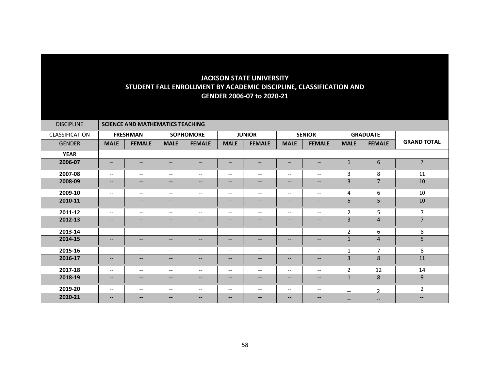| <b>DISCIPLINE</b>     | <b>SCIENCE AND MATHEMATICS TEACHING</b>                 |                          |                          |                                                                                                   |                               |                          |                          |                          |                          |                   |                    |
|-----------------------|---------------------------------------------------------|--------------------------|--------------------------|---------------------------------------------------------------------------------------------------|-------------------------------|--------------------------|--------------------------|--------------------------|--------------------------|-------------------|--------------------|
| <b>CLASSIFICATION</b> |                                                         | <b>FRESHMAN</b>          |                          | <b>SOPHOMORE</b>                                                                                  |                               | <b>JUNIOR</b>            |                          | <b>SENIOR</b>            |                          | <b>GRADUATE</b>   |                    |
| <b>GENDER</b>         | <b>MALE</b>                                             | <b>FEMALE</b>            | <b>MALE</b>              | <b>FEMALE</b>                                                                                     | <b>MALE</b>                   | <b>FEMALE</b>            | <b>MALE</b>              | <b>FEMALE</b>            | <b>MALE</b>              | <b>FEMALE</b>     | <b>GRAND TOTAL</b> |
| <b>YEAR</b>           |                                                         |                          |                          |                                                                                                   |                               |                          |                          |                          |                          |                   |                    |
| 2006-07               | $\qquad \qquad -$                                       | -                        |                          | -                                                                                                 | $\overline{\phantom{m}}$      | -                        | $\qquad \qquad$          | <u>.</u>                 | $\mathbf{1}$             | 6                 | $\overline{7}$     |
| 2007-08               | $\overline{\phantom{m}}$                                | $\overline{\phantom{a}}$ | $\overline{\phantom{a}}$ | $\overline{\phantom{m}}$                                                                          | $\overline{\phantom{m}}$      | $\overline{\phantom{a}}$ | $\overline{\phantom{m}}$ | --                       | 3                        | 8                 | 11                 |
| 2008-09               | $\hspace{0.05cm} \hspace{0.02cm} \hspace{0.02cm} \dots$ | $\overline{\phantom{a}}$ | $--$                     | $\hspace{0.05cm} -\hspace{0.05cm} -\hspace{0.05cm}$                                               | $\overline{\phantom{a}}$      | $--$                     | $\qquad \qquad -$        | --                       | 3                        | $\overline{7}$    | 10                 |
| 2009-10               | $\overline{\phantom{a}}$                                | $\overline{\phantom{a}}$ | $\qquad \qquad -$        | $\overline{\phantom{m}}$                                                                          | $\hspace{0.05cm} \textbf{--}$ | $\overline{\phantom{m}}$ | $\overline{\phantom{a}}$ | $\overline{\phantom{m}}$ | 4                        | 6                 | 10                 |
| 2010-11               | $\qquad \qquad -$                                       | $\qquad \qquad -$        | $--$                     | $\qquad \qquad -$                                                                                 | $\overline{\phantom{m}}$      | $\qquad \qquad -$        | $\qquad \qquad -$        | --                       | 5                        | 5                 | 10                 |
| 2011-12               | $\overline{\phantom{a}}$                                | $\overline{\phantom{a}}$ | $\qquad \qquad -$        | $--$                                                                                              | $\hspace{0.05cm} \textbf{--}$ | $\overline{\phantom{m}}$ | $\overline{\phantom{a}}$ | $\overline{\phantom{m}}$ | $\mathbf 2$              | 5                 | $\overline{7}$     |
| 2012-13               | $\overline{\phantom{a}}$                                | $\qquad \qquad -$        | $--$                     | $--$                                                                                              | $\hspace{0.05cm} \textbf{--}$ | $\qquad \qquad -$        | $\overline{\phantom{a}}$ | --                       | 3                        | $\overline{4}$    | $\overline{7}$     |
| 2013-14               | $\overline{\phantom{a}}$                                | $\overline{\phantom{a}}$ | $- -$                    | $\overline{\phantom{a}}$                                                                          | $--$                          | $\overline{\phantom{a}}$ | $\overline{\phantom{a}}$ | $\overline{\phantom{a}}$ | 2                        | 6                 | 8                  |
| 2014-15               | $\qquad \qquad -$                                       | $\qquad \qquad -$        | $--$                     | $--$                                                                                              | $\hspace{0.05cm} \textbf{--}$ | $\qquad \qquad -$        | $\qquad \qquad -$        | $\overline{\phantom{a}}$ | $\mathbf{1}$             | 4                 | 5 <sup>1</sup>     |
| 2015-16               | $\overline{\phantom{a}}$                                | $\overline{\phantom{a}}$ | $- -$                    | $--$                                                                                              | $\overline{\phantom{m}}$      | $\overline{\phantom{a}}$ | $\overline{\phantom{a}}$ | $\overline{\phantom{a}}$ | $\mathbf{1}$             | 7                 | 8                  |
| 2016-17               | $\hspace{0.05cm} \hspace{0.02cm} \hspace{0.02cm} \dots$ | $\qquad \qquad -$        | $--$                     | $\hspace{0.05cm} \hspace{0.02cm} \hspace{0.02cm} \hspace{0.02cm} \hspace{0.02cm} \hspace{0.02cm}$ | $\hspace{0.05cm} \textbf{--}$ | $--$                     | $\qquad \qquad -$        | $\overline{\phantom{a}}$ | 3                        | 8                 | 11                 |
| 2017-18               | $--$                                                    | $\overline{\phantom{a}}$ | $\qquad \qquad -$        | $\overline{\phantom{m}}$                                                                          | $--$                          | $\overline{\phantom{m}}$ | $\overline{\phantom{m}}$ | $\overline{\phantom{m}}$ | $\overline{2}$           | 12                | 14                 |
| 2018-19               | $\qquad \qquad -$                                       | $\overline{\phantom{a}}$ | $--$                     | $\overline{\phantom{m}}$                                                                          | $\qquad \qquad -$             | $\qquad \qquad -$        | $\qquad \qquad -$        | --                       | $\mathbf 1$              | 8                 | 9                  |
| 2019-20               | $\overline{\phantom{m}}$                                | $--$                     | $\qquad \qquad -$        | $\overline{\phantom{m}}$                                                                          | $\hspace{0.05cm} \textbf{--}$ | $--$                     | $\overline{\phantom{a}}$ | $--$                     | $\hspace{0.05cm} \ldots$ | $\mathcal{D}$     | $\overline{2}$     |
| 2020-21               | $\qquad \qquad -$                                       | $\qquad \qquad -$        | $- -$                    | $\overline{\phantom{m}}$                                                                          | $\overline{\phantom{m}}$      | $\qquad \qquad -$        | $\overline{\phantom{a}}$ | --                       | $\hspace{0.05cm} \ldots$ | $\qquad \qquad -$ | $\qquad \qquad -$  |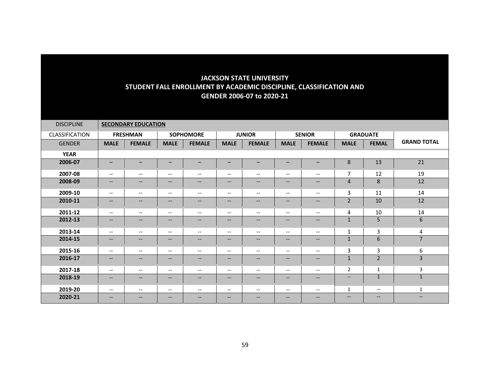| <b>DISCIPLINE</b> |                          | <b>SECONDARY EDUCATION</b>                                                                        |                               |                          |                                   |                   |                          |                          |                          |                          |                          |
|-------------------|--------------------------|---------------------------------------------------------------------------------------------------|-------------------------------|--------------------------|-----------------------------------|-------------------|--------------------------|--------------------------|--------------------------|--------------------------|--------------------------|
| CLASSIFICATION    |                          | <b>FRESHMAN</b>                                                                                   |                               | <b>SOPHOMORE</b>         |                                   | <b>JUNIOR</b>     |                          | <b>SENIOR</b>            |                          | <b>GRADUATE</b>          |                          |
| <b>GENDER</b>     | <b>MALE</b>              | <b>FEMALE</b>                                                                                     | <b>MALE</b>                   | <b>FEMALE</b>            | <b>MALE</b>                       | <b>FEMALE</b>     | <b>MALE</b>              | <b>FEMALE</b>            | <b>MALE</b>              | <b>FEMAL</b>             | <b>GRAND TOTAL</b>       |
| <b>YEAR</b>       |                          |                                                                                                   |                               |                          |                                   |                   |                          |                          |                          |                          |                          |
| 2006-07           | $-$                      |                                                                                                   | $\overline{\phantom{0}}$      | -                        | $\overline{\phantom{0}}$          |                   | —                        | -                        | $\bf 8$                  | 13                       | 21                       |
| 2007-08           | $\qquad \qquad -$        | $\overline{\phantom{a}}$                                                                          | $\overline{\phantom{a}}$      | $\overline{\phantom{a}}$ | $\hspace{0.05cm} \dashrightarrow$ | $- -$             | $\overline{\phantom{m}}$ | $\overline{\phantom{a}}$ | $\overline{7}$           | 12                       | 19                       |
| 2008-09           | $--$                     | $\qquad \qquad -$                                                                                 | $\qquad \qquad -$             | $\overline{\phantom{a}}$ | --                                | $--$              | $\qquad \qquad -$        | $- -$                    | $\overline{4}$           | 8                        | 12                       |
| 2009-10           | $\qquad \qquad -$        | $\overline{\phantom{a}}$                                                                          | $--$                          | $\overline{\phantom{a}}$ | $\hspace{0.05cm} \dashrightarrow$ | $- -$             | $\overline{\phantom{a}}$ | $--$                     | 3                        | 11                       | 14                       |
| 2010-11           | $--$                     | $\qquad \qquad -$                                                                                 | $\overline{\phantom{a}}$      | $\overline{\phantom{a}}$ | $\overline{\phantom{a}}$          | $- -$             | $\overline{\phantom{a}}$ | $- -$                    | $\overline{2}$           | 10                       | 12                       |
| 2011-12           | $- -$                    | $\qquad \qquad -$                                                                                 | $\overline{\phantom{m}}$      | $\overline{\phantom{a}}$ | $\hspace{0.05cm} \dashrightarrow$ | --                | $\overline{\phantom{a}}$ | $--$                     | 4                        | 10                       | 14                       |
| 2012-13           | $--$                     | $\qquad \qquad -$                                                                                 | $\overline{\phantom{a}}$      | $\overline{\phantom{a}}$ | $\overline{\phantom{m}}$          | $- -$             | --                       | $- -$                    | $\mathbf{1}$             | 5                        | 6                        |
| 2013-14           | $- -$                    | $--$                                                                                              | $\overline{\phantom{a}}$      | $\overline{\phantom{a}}$ | $\overline{\phantom{a}}$          | $- -$             | $\overline{\phantom{a}}$ | $- -$                    | $\mathbf{1}$             | 3                        | 4                        |
| 2014-15           | $--$                     | $\hspace{0.05cm} \hspace{0.02cm} \hspace{0.02cm} \hspace{0.02cm} \hspace{0.02cm} \hspace{0.02cm}$ | $\hspace{0.05cm} \textbf{--}$ | $\qquad \qquad -$        | $- -$                             | $\qquad \qquad -$ | $\qquad \qquad -$        | $\qquad \qquad -$        | $\mathbf{1}$             | 6                        | $\overline{7}$           |
| 2015-16           | $\qquad \qquad -$        | $\overline{\phantom{a}}$                                                                          | $--$                          | $\overline{\phantom{a}}$ | $\hspace{0.05cm} \dashrightarrow$ | $--$              | $\overline{\phantom{a}}$ | $--$                     | 3                        | $\mathbf{3}$             | 6                        |
| 2016-17           | $\overline{\phantom{a}}$ | $\qquad \qquad -$                                                                                 | $\overline{\phantom{a}}$      | $\overline{\phantom{a}}$ | $\overline{\phantom{a}}$          | --                | $\overline{\phantom{a}}$ | $- -$                    | $1\,$                    | $\overline{2}$           | $\overline{3}$           |
| 2017-18           | $\qquad \qquad -$        | $--$                                                                                              | $\overline{\phantom{m}}$      | $\overline{\phantom{a}}$ | $\overline{\phantom{a}}$          | --                | $\overline{\phantom{a}}$ | $--$                     | 2                        | $\mathbf{1}$             | 3                        |
| 2018-19           | $--$                     | $--$                                                                                              | $\qquad \qquad -$             | $\qquad \qquad -$        | $\qquad \qquad -$                 | $--$              | $\qquad \qquad -$        | $--$                     | $\overline{\phantom{a}}$ | $\mathbf{1}$             | $\mathbf{1}$             |
| 2019-20           | $\qquad \qquad -$        | $\overline{\phantom{a}}$                                                                          | $\overline{\phantom{m}}$      | $\overline{\phantom{m}}$ | $\overline{\phantom{m}}$          | --                | --                       | $--$                     | $\mathbf{1}$             | $\overline{\phantom{a}}$ | $\mathbf{1}$             |
| 2020-21           | $\qquad \qquad -$        | $--$                                                                                              | $\overline{\phantom{m}}$      | $\qquad \qquad -$        | --                                | $- -$             | --                       | --                       | $\overline{\phantom{m}}$ | $\qquad \qquad -$        | $\hspace{0.05cm} \ldots$ |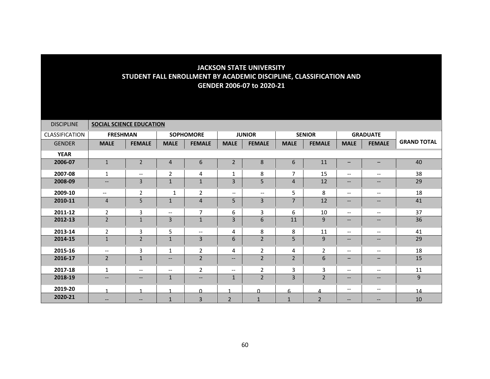| <b>DISCIPLINE</b> | <b>SOCIAL SCIENCE EDUCATION</b> |                          |                          |                          |                          |                          |                |                |                   |                   |                    |
|-------------------|---------------------------------|--------------------------|--------------------------|--------------------------|--------------------------|--------------------------|----------------|----------------|-------------------|-------------------|--------------------|
| CLASSIFICATION    | <b>FRESHMAN</b>                 |                          |                          | <b>SOPHOMORE</b>         |                          | <b>JUNIOR</b>            |                | <b>SENIOR</b>  |                   | <b>GRADUATE</b>   |                    |
| <b>GENDER</b>     | <b>MALE</b>                     | <b>FEMALE</b>            | <b>MALE</b>              | <b>FEMALE</b>            | <b>MALE</b>              | <b>FEMALE</b>            | <b>MALE</b>    | <b>FEMALE</b>  | <b>MALE</b>       | <b>FEMALE</b>     | <b>GRAND TOTAL</b> |
| <b>YEAR</b>       |                                 |                          |                          |                          |                          |                          |                |                |                   |                   |                    |
| 2006-07           | $\mathbf{1}$                    | $\overline{2}$           | $\overline{4}$           | 6                        | $\overline{2}$           | $\,8\,$                  | 6              | 11             |                   |                   | 40                 |
| 2007-08           | 1                               | $\overline{\phantom{m}}$ | $\overline{2}$           | 4                        | 1                        | 8                        | $\overline{7}$ | 15             | $- -$             | $--$              | 38                 |
| 2008-09           | $\qquad \qquad -$               | $\overline{3}$           | $\mathbf{1}$             | $\mathbf{1}$             | 3                        | 5                        | 4              | 12             | $--$              | $\qquad \qquad -$ | 29                 |
| 2009-10           | $\overline{\phantom{a}}$        | $\overline{2}$           | 1                        | $\overline{2}$           | $\overline{\phantom{a}}$ | $\overline{\phantom{a}}$ | 5              | 8              | $- -$             | $- -$             | 18                 |
| 2010-11           | $\overline{4}$                  | 5                        | $\mathbf{1}$             | $\overline{4}$           | 5                        | 3                        | $\overline{7}$ | 12             | $\qquad \qquad -$ | $--$              | 41                 |
| 2011-12           | $\overline{2}$                  | $\overline{3}$           | $\overline{\phantom{a}}$ | $\overline{7}$           | 6                        | 3                        | 6              | 10             | $- -$             | $- -$             | 37                 |
| 2012-13           | $\overline{2}$                  | $\mathbf{1}$             | 3                        | $\mathbf{1}$             | 3                        | 6                        | 11             | 9              | $--$              | $\qquad \qquad -$ | 36                 |
| 2013-14           | $\overline{2}$                  | 3                        | 5                        | $\overline{\phantom{a}}$ | 4                        | 8                        | 8              | 11             | $- -$             | $- -$             | 41                 |
| 2014-15           | $\mathbf{1}$                    | $\overline{2}$           | $\mathbf{1}$             | 3                        | 6                        | $\overline{2}$           | 5              | 9              | --                | --                | 29                 |
| 2015-16           | $--$                            | $\overline{3}$           | 1                        | $\overline{2}$           | 4                        | $\overline{2}$           | 4              | $\overline{2}$ | $- -$             | $- -$             | 18                 |
| 2016-17           | $\overline{2}$                  | $\mathbf{1}$             | $\overline{\phantom{a}}$ | $\overline{2}$           | --                       | $\overline{2}$           | $\overline{2}$ | 6              | -                 | $\qquad \qquad -$ | 15                 |
| 2017-18           | 1                               | $\overline{\phantom{m}}$ | $\overline{\phantom{a}}$ | $\overline{2}$           | $- -$                    | $\overline{2}$           | 3              | 3              | $- -$             | $--$              | 11                 |
| 2018-19           | $\qquad \qquad -$               | $\qquad \qquad -$        | $\mathbf{1}$             | $\overline{\phantom{a}}$ | $\mathbf{1}$             | $\overline{2}$           | 3              | $\overline{2}$ | $\qquad \qquad -$ | $\qquad \qquad -$ | $9\,$              |
| 2019-20           | 1                               | $\overline{ }$           | $\blacktriangleleft$     | $\Omega$                 |                          | $\Omega$                 | 6              | 4              | --                | --                | 14                 |
| 2020-21           | $- -$                           | --                       | $\mathbf{1}$             | $\overline{3}$           | $\overline{2}$           | $\mathbf{1}$             | $\mathbf{1}$   | $\overline{2}$ | --                | --                | 10                 |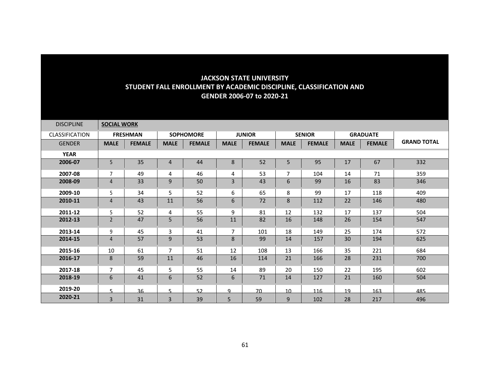| <b>DISCIPLINE</b>     | <b>SOCIAL WORK</b> |                 |                |                  |                |               |                |               |             |                 |                    |
|-----------------------|--------------------|-----------------|----------------|------------------|----------------|---------------|----------------|---------------|-------------|-----------------|--------------------|
| <b>CLASSIFICATION</b> |                    | <b>FRESHMAN</b> |                | <b>SOPHOMORE</b> |                | <b>JUNIOR</b> |                | <b>SENIOR</b> |             | <b>GRADUATE</b> |                    |
| <b>GENDER</b>         | <b>MALE</b>        | <b>FEMALE</b>   | <b>MALE</b>    | <b>FEMALE</b>    | <b>MALE</b>    | <b>FEMALE</b> | <b>MALE</b>    | <b>FEMALE</b> | <b>MALE</b> | <b>FEMALE</b>   | <b>GRAND TOTAL</b> |
| <b>YEAR</b>           |                    |                 |                |                  |                |               |                |               |             |                 |                    |
| 2006-07               | 5                  | 35              | $\overline{4}$ | 44               | 8              | 52            | 5              | 95            | 17          | 67              | 332                |
| 2007-08               | $\overline{7}$     | 49              | 4              | 46               | 4              | 53            | $\overline{7}$ | 104           | 14          | 71              | 359                |
| 2008-09               | 4                  | 33              | 9              | 50               | 3              | 43            | 6              | 99            | 16          | 83              | 346                |
| 2009-10               | 5                  | 34              | 5              | 52               | 6              | 65            | 8              | 99            | 17          | 118             | 409                |
| 2010-11               | 4                  | 43              | 11             | 56               | 6              | 72            | 8              | 112           | 22          | 146             | 480                |
| 2011-12               | 5.                 | 52              | 4              | 55               | 9              | 81            | 12             | 132           | 17          | 137             | 504                |
| 2012-13               | $\overline{2}$     | 47              | 5              | 56               | 11             | 82            | 16             | 148           | 26          | 154             | 547                |
| 2013-14               | 9                  | 45              | 3              | 41               | $\overline{7}$ | 101           | 18             | 149           | 25          | 174             | 572                |
| 2014-15               | 4                  | 57              | $\mathsf 9$    | 53               | 8              | 99            | 14             | 157           | 30          | 194             | 625                |
| 2015-16               | 10                 | 61              | $\overline{7}$ | 51               | 12             | 108           | 13             | 166           | 35          | 221             | 684                |
| 2016-17               | 8                  | 59              | 11             | 46               | 16             | 114           | 21             | 166           | 28          | 231             | 700                |
| 2017-18               | 7                  | 45              | 5              | 55               | 14             | 89            | 20             | 150           | 22          | 195             | 602                |
| 2018-19               | 6                  | 41              | 6              | 52               | 6              | 71            | 14             | 127           | 21          | 160             | 504                |
| 2019-20               | 5.                 | 36              | 5              | 52               | q              | 70            | 10             | 116           | 19          | 163             | 485                |
| 2020-21               | 3                  | 31              | $\overline{3}$ | 39               | 5              | 59            | 9              | 102           | 28          | 217             | 496                |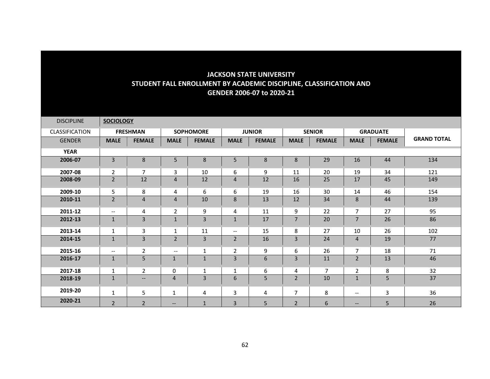| <b>DISCIPLINE</b>     | <b>SOCIOLOGY</b>         |                          |                          |                  |                          |               |                |               |                |                 |                    |
|-----------------------|--------------------------|--------------------------|--------------------------|------------------|--------------------------|---------------|----------------|---------------|----------------|-----------------|--------------------|
| <b>CLASSIFICATION</b> |                          | <b>FRESHMAN</b>          |                          | <b>SOPHOMORE</b> |                          | <b>JUNIOR</b> |                | <b>SENIOR</b> |                | <b>GRADUATE</b> |                    |
| <b>GENDER</b>         | <b>MALE</b>              | <b>FEMALE</b>            | <b>MALE</b>              | <b>FEMALE</b>    | <b>MALE</b>              | <b>FEMALE</b> | <b>MALE</b>    | <b>FEMALE</b> | <b>MALE</b>    | <b>FEMALE</b>   | <b>GRAND TOTAL</b> |
| <b>YEAR</b>           |                          |                          |                          |                  |                          |               |                |               |                |                 |                    |
| 2006-07               | 3                        | 8                        | 5                        | 8                | 5                        | 8             | 8              | 29            | 16             | 44              | 134                |
| 2007-08               | $\overline{2}$           | 7                        | 3                        | 10               | 6                        | 9             | 11             | 20            | 19             | 34              | 121                |
| 2008-09               | $\overline{2}$           | 12                       | $\overline{4}$           | 12               | $\overline{4}$           | 12            | 16             | 25            | 17             | 45              | 149                |
| 2009-10               | 5                        | 8                        | 4                        | 6                | 6                        | 19            | 16             | 30            | 14             | 46              | 154                |
| 2010-11               | $\overline{2}$           | 4                        | $\overline{4}$           | 10               | 8                        | 13            | 12             | 34            | 8              | 44              | 139                |
| 2011-12               | $\overline{\phantom{a}}$ | 4                        | $\overline{2}$           | 9                | 4                        | 11            | 9              | 22            | $\overline{7}$ | 27              | 95                 |
| 2012-13               | $\mathbf{1}$             | $\overline{\mathbf{3}}$  | $\mathbf{1}$             | 3                | $\mathbf{1}$             | 17            | $\overline{7}$ | 20            | $\overline{7}$ | 26              | 86                 |
| 2013-14               | $\mathbf{1}$             | $\mathbf{3}$             | $\mathbf{1}$             | 11               | $\overline{\phantom{m}}$ | 15            | 8              | 27            | 10             | 26              | 102                |
| 2014-15               | $\mathbf{1}$             | 3                        | $\overline{2}$           | 3                | $\overline{2}$           | 16            | $\overline{3}$ | 24            | 4              | 19              | 77                 |
| 2015-16               | $\overline{\phantom{a}}$ | $\overline{2}$           | $\overline{\phantom{m}}$ | $\mathbf{1}$     | $\overline{2}$           | 9             | 6              | 26            | $\overline{7}$ | 18              | 71                 |
| 2016-17               | $\mathbf{1}$             | 5                        | $\mathbf{1}$             | 1                | $\mathsf{3}$             | 6             | $\overline{3}$ | 11            | $\overline{2}$ | 13              | 46                 |
| 2017-18               | $\mathbf{1}$             | $\overline{2}$           | 0                        | $\mathbf{1}$     | 1                        | 6             | 4              | 7             | 2              | 8               | 32                 |
| 2018-19               | $\mathbf{1}$             | $\overline{\phantom{a}}$ | $\overline{4}$           | $\overline{3}$   | 6                        | 5             | $\overline{2}$ | 10            | $\mathbf{1}$   | $\overline{5}$  | 37                 |
| 2019-20               | $\mathbf{1}$             | 5                        | $\mathbf{1}$             | 4                | $\mathsf{3}$             | 4             | $\overline{7}$ | 8             | --             | 3               | 36                 |
| 2020-21               | $\overline{2}$           | $\overline{2}$           | $\qquad \qquad -$        | $\mathbf{1}$     | $\overline{3}$           | 5             | $\overline{2}$ | 6             | --             | 5               | 26                 |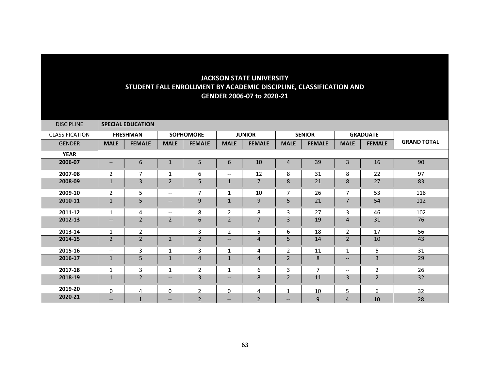| <b>DISCIPLINE</b>     |                   | <b>SPECIAL EDUCATION</b> |                          |                  |                               |                |                |                |                          |                 |                    |
|-----------------------|-------------------|--------------------------|--------------------------|------------------|-------------------------------|----------------|----------------|----------------|--------------------------|-----------------|--------------------|
| <b>CLASSIFICATION</b> |                   | <b>FRESHMAN</b>          |                          | <b>SOPHOMORE</b> |                               | <b>JUNIOR</b>  |                | <b>SENIOR</b>  |                          | <b>GRADUATE</b> |                    |
| <b>GENDER</b>         | <b>MALE</b>       | <b>FEMALE</b>            | <b>MALE</b>              | <b>FEMALE</b>    | <b>MALE</b>                   | <b>FEMALE</b>  | <b>MALE</b>    | <b>FEMALE</b>  | <b>MALE</b>              | <b>FEMALE</b>   | <b>GRAND TOTAL</b> |
| <b>YEAR</b>           |                   |                          |                          |                  |                               |                |                |                |                          |                 |                    |
| 2006-07               | $\qquad \qquad -$ | 6                        | $\mathbf{1}$             | 5                | 6                             | 10             | 4              | 39             | 3                        | 16              | 90                 |
| 2007-08               | $\overline{2}$    | 7                        | 1                        | 6                | $\overline{\phantom{a}}$      | 12             | 8              | 31             | 8                        | 22              | 97                 |
| 2008-09               | $\mathbf{1}$      | 3                        | $\overline{2}$           | 5                | $\mathbf{1}$                  | $\overline{7}$ | 8              | 21             | 8                        | 27              | 83                 |
| 2009-10               | $\overline{2}$    | 5                        | $\overline{\phantom{a}}$ | $\overline{7}$   | 1                             | 10             | $\overline{7}$ | 26             | $\overline{7}$           | 53              | 118                |
| 2010-11               | $\mathbf{1}$      | 5                        | $\qquad \qquad -$        | 9                | $\mathbf{1}$                  | 9              | 5              | 21             | $\overline{7}$           | 54              | 112                |
| 2011-12               | $\mathbf{1}$      | 4                        | $\overline{\phantom{a}}$ | 8                | $\overline{2}$                | 8              | 3              | 27             | 3                        | 46              | 102                |
| 2012-13               | $\qquad \qquad -$ | $\overline{2}$           | $\overline{2}$           | 6                | $\overline{2}$                | $\overline{7}$ | $\overline{3}$ | 19             | $\overline{4}$           | 31              | 76                 |
| 2013-14               | $\mathbf{1}$      | $\overline{2}$           | $\overline{\phantom{m}}$ | 3                | $\overline{2}$                | 5              | 6              | 18             | $\overline{2}$           | 17              | 56                 |
| 2014-15               | $\overline{2}$    | $\overline{2}$           | $\overline{2}$           | $\overline{2}$   | $\overline{\phantom{m}}$      | 4              | 5              | 14             | $\overline{2}$           | 10              | 43                 |
| 2015-16               | $--$              | 3                        | 1                        | 3                | 1                             | 4              | $\overline{2}$ | 11             | $\mathbf{1}$             | 5               | 31                 |
| 2016-17               | $\mathbf{1}$      | 5                        | $\mathbf{1}$             | $\overline{4}$   | $\mathbf{1}$                  | $\overline{4}$ | $\overline{2}$ | 8              | $\qquad \qquad -$        | 3               | 29                 |
| 2017-18               | $\mathbf{1}$      | 3                        | $\mathbf{1}$             | $\overline{2}$   | 1                             | 6              | 3              | $\overline{7}$ | $\overline{\phantom{m}}$ | 2               | 26                 |
| 2018-19               | $\mathbf{1}$      | $\overline{2}$           | $\qquad \qquad -$        | 3                | $\hspace{0.05cm} \textbf{--}$ | 8              | $\overline{2}$ | 11             | 3                        | 2               | 32                 |
| 2019-20               | $\Omega$          | 4                        | $\Omega$                 | $\mathbf{r}$     | $\Omega$                      | 4              | 1              | 10             | 5                        | 6               | 32                 |
| 2020-21               | $--$              | $\mathbf{1}$             | $\qquad \qquad -$        | $\overline{2}$   | $\overline{\phantom{m}}$      | $\overline{2}$ | $--$           | 9              | $\overline{4}$           | 10              | 28                 |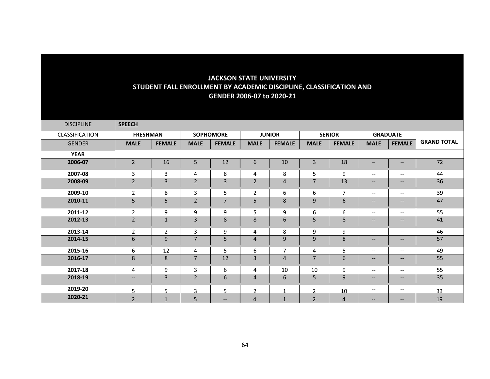| <b>DISCIPLINE</b>     | <b>SPEECH</b>                                       |                |                |                  |                |               |                |                |                                                     |                                                                                                   |                    |
|-----------------------|-----------------------------------------------------|----------------|----------------|------------------|----------------|---------------|----------------|----------------|-----------------------------------------------------|---------------------------------------------------------------------------------------------------|--------------------|
| <b>CLASSIFICATION</b> | <b>FRESHMAN</b>                                     |                |                | <b>SOPHOMORE</b> |                | <b>JUNIOR</b> |                | <b>SENIOR</b>  | <b>GRADUATE</b>                                     |                                                                                                   |                    |
| <b>GENDER</b>         | <b>MALE</b>                                         | <b>FEMALE</b>  | <b>MALE</b>    | <b>FEMALE</b>    | <b>MALE</b>    | <b>FEMALE</b> | <b>MALE</b>    | <b>FEMALE</b>  | <b>MALE</b>                                         | <b>FEMALE</b>                                                                                     | <b>GRAND TOTAL</b> |
| <b>YEAR</b>           |                                                     |                |                |                  |                |               |                |                |                                                     |                                                                                                   |                    |
| 2006-07               | $\overline{2}$                                      | 16             | 5              | 12               | 6              | 10            | 3              | 18             | $\qquad \qquad -$                                   | $\qquad \qquad -$                                                                                 | 72                 |
| 2007-08               | 3                                                   | 3              | 4              | 8                | 4              | 8             | 5              | 9              | $\hspace{0.05cm} \ldots$                            | $\overline{\phantom{m}}$                                                                          | 44                 |
| 2008-09               | $\overline{2}$                                      | 3              | $\mathbf 2$    | 3                | $\overline{2}$ | 4             | 7              | 13             | $\hspace{0.05cm} -\hspace{0.05cm} -\hspace{0.05cm}$ | $\hspace{0.05cm} \hspace{0.02cm} \hspace{0.02cm} \hspace{0.02cm} \hspace{0.02cm} \hspace{0.02cm}$ | 36                 |
| 2009-10               | $\overline{2}$                                      | 8              | 3              | 5                | $\overline{2}$ | 6             | 6              | $\overline{7}$ | $\hspace{0.05cm} \ldots$                            | $\overline{\phantom{m}}$                                                                          | 39                 |
| 2010-11               | 5                                                   | 5              | $\overline{2}$ | $\overline{7}$   | 5              | 8             | 9              | 6              | $\hspace{0.05cm} \cdots$                            | $\qquad \qquad -$                                                                                 | 47                 |
| 2011-12               | $\overline{2}$                                      | 9              | 9              | 9                | 5              | 9             | 6              | 6              | $--$                                                | $\overline{\phantom{a}}$                                                                          | 55                 |
| 2012-13               | $\overline{2}$                                      | $\mathbf{1}$   | 3              | 8                | 8              | 6             | 5              | 8              | $\hspace{0.05cm} -\hspace{0.05cm} -\hspace{0.05cm}$ | $\hspace{0.05cm} \hspace{0.02cm} \hspace{0.02cm} \hspace{0.02cm} \hspace{0.02cm} \hspace{0.02cm}$ | 41                 |
| 2013-14               | $\overline{2}$                                      | $\overline{2}$ | 3              | 9                | 4              | 8             | 9              | 9              | $--$                                                | $--$                                                                                              | 46                 |
| 2014-15               | 6                                                   | 9              | $\overline{7}$ | 5                | 4              | 9             | 9              | 8              | $\hspace{0.05cm} \ldots$                            | $\qquad \qquad -$                                                                                 | 57                 |
| 2015-16               | 6                                                   | 12             | 4              | 5                | 6              | 7             | 4              | 5              | $--$                                                | $\hspace{0.05cm} -\hspace{0.05cm} -\hspace{0.05cm}$                                               | 49                 |
| 2016-17               | $\bf 8$                                             | 8              | $\overline{7}$ | 12               | 3              | 4             | 7              | 6              | $\hspace{0.05cm} \ldots$                            | $\overline{\phantom{a}}$                                                                          | 55                 |
| 2017-18               | 4                                                   | 9              | 3              | 6                | 4              | 10            | 10             | 9              | $\hspace{0.05cm} \ldots$                            | $\overline{\phantom{m}}$                                                                          | 55                 |
| 2018-19               | $\hspace{0.05cm} -\hspace{0.05cm} -\hspace{0.05cm}$ | 3              | $\overline{2}$ | 6                | $\overline{4}$ | 6             | 5              | $\mathsf g$    | $\hspace{0.05cm} \ldots$                            | $- -$                                                                                             | 35                 |
| 2019-20               | 5                                                   | 5              | $\mathbf{a}$   | 5                | $\mathbf{D}$   |               | $\mathcal{D}$  | 10             | $\overline{\phantom{m}}$                            | $--$                                                                                              | 33                 |
| 2020-21               | $\overline{2}$                                      | $\mathbf 1$    | 5              | $--$             | $\overline{4}$ | $\mathbf{1}$  | $\overline{2}$ | $\overline{4}$ | $\hspace{0.05cm} \ldots$                            | $\hspace{0.05cm} \ldots$                                                                          | 19                 |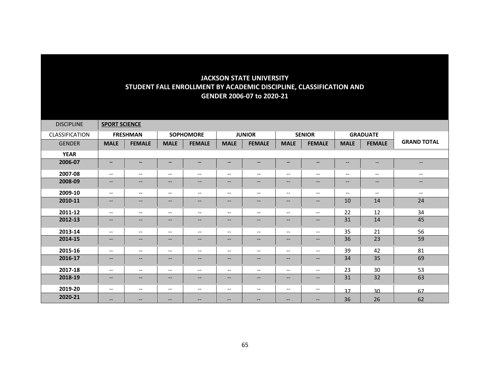| <b>DISCIPLINE</b>     | <b>SPORT SCIENCE</b>     |                   |                               |                                                                                                                   |                          |                          |                                                                                                   |                          |                                                     |                               |                          |
|-----------------------|--------------------------|-------------------|-------------------------------|-------------------------------------------------------------------------------------------------------------------|--------------------------|--------------------------|---------------------------------------------------------------------------------------------------|--------------------------|-----------------------------------------------------|-------------------------------|--------------------------|
| <b>CLASSIFICATION</b> |                          | <b>FRESHMAN</b>   |                               | <b>SOPHOMORE</b>                                                                                                  |                          | <b>JUNIOR</b>            |                                                                                                   | <b>SENIOR</b>            |                                                     | <b>GRADUATE</b>               |                          |
| <b>GENDER</b>         | <b>MALE</b>              | <b>FEMALE</b>     | <b>MALE</b>                   | <b>FEMALE</b>                                                                                                     | <b>MALE</b>              | <b>FEMALE</b>            | <b>MALE</b>                                                                                       | <b>FEMALE</b>            | <b>MALE</b>                                         | <b>FEMALE</b>                 | <b>GRAND TOTAL</b>       |
| <b>YEAR</b>           |                          |                   |                               |                                                                                                                   |                          |                          |                                                                                                   |                          |                                                     |                               |                          |
| 2006-07               | $-$                      | -                 | $\overline{\phantom{m}}$      | $\qquad \qquad -$                                                                                                 | -                        | $\overline{\phantom{m}}$ | -                                                                                                 | -                        | $\hspace{0.05cm} -\hspace{0.05cm} -\hspace{0.05cm}$ | $\hspace{0.05cm} \textbf{--}$ | $- -$                    |
| 2007-08               | $\overline{\phantom{m}}$ | --                | $\hspace{0.05cm} \ldots$      | $\overline{\phantom{m}}$                                                                                          | $\overline{\phantom{a}}$ | $\overline{\phantom{m}}$ | $\overline{\phantom{m}}$                                                                          | $--$                     | $\overline{\phantom{m}}$                            | $\overline{\phantom{a}}$      | $\overline{\phantom{m}}$ |
| 2008-09               | $\qquad \qquad -$        | $--$              | $\hspace{0.05cm} \ldots$      | $\qquad \qquad -$                                                                                                 | --                       | $\qquad \qquad -$        | $\qquad \qquad -$                                                                                 | $--$                     | $\qquad \qquad -$                                   | $\qquad \qquad -$             | $\qquad \qquad -$        |
| 2009-10               | $\overline{\phantom{m}}$ | --                | $\hspace{0.05cm} \ldots$      | $\overline{\phantom{m}}$                                                                                          | $\hspace{0.05cm} \ldots$ | $\overline{\phantom{m}}$ | $\hspace{0.05cm} \ldots$                                                                          | $\overline{\phantom{a}}$ | $\overline{\phantom{a}}$                            | $\overline{\phantom{a}}$      | $\hspace{0.05cm} \ldots$ |
| 2010-11               | $\qquad \qquad -$        | $--$              | $\hspace{0.05cm} \ldots$      | $\qquad \qquad -$                                                                                                 | --                       | $\qquad \qquad -$        | $\qquad \qquad -$                                                                                 | $--$                     | 10                                                  | 14                            | 24                       |
| 2011-12               | $\overline{\phantom{m}}$ | --                | $\hspace{0.05cm} \ldots$      | $\overline{\phantom{m}}$                                                                                          | $\overline{\phantom{a}}$ | $\overline{\phantom{a}}$ | $\hspace{0.05cm} \ldots$                                                                          | $--$                     | 22                                                  | 12                            | 34                       |
| 2012-13               | $- -$                    | --                | $\hspace{0.05cm} \ldots$      | $\qquad \qquad -$                                                                                                 | --                       | $\overline{\phantom{a}}$ | $- -$                                                                                             | $- -$                    | 31                                                  | 14                            | 45                       |
| 2013-14               | $--$                     | $- -$             | $\overline{\phantom{a}}$      | $\overline{\phantom{a}}$                                                                                          | $\overline{\phantom{a}}$ | $\overline{\phantom{a}}$ | $\overline{\phantom{a}}$                                                                          | $\overline{\phantom{a}}$ | 35                                                  | 21                            | 56                       |
| 2014-15               | $\qquad \qquad -$        | $--$              | $\overline{\phantom{m}}$      | $\qquad \qquad -$                                                                                                 | --                       | $\qquad \qquad -$        | $--$                                                                                              | $--$                     | 36                                                  | 23                            | 59                       |
| 2015-16               | $--$                     | $- -$             | $\overline{\phantom{a}}$      | $\overline{\phantom{a}}$                                                                                          | $\overline{\phantom{a}}$ | $\overline{\phantom{a}}$ | $--$                                                                                              | $--$                     | 39                                                  | 42                            | 81                       |
| 2016-17               | $- -$                    | $--$              | $\overline{\phantom{m}}$      | $\hspace{0.05cm} \hspace{0.02cm} \hspace{0.02cm} \hspace{0.02cm} \hspace{0.02cm} \hspace{0.02cm} \hspace{0.02cm}$ | --                       | $\overline{\phantom{m}}$ | $\hspace{0.05cm} \hspace{0.02cm} \hspace{0.02cm} \hspace{0.02cm} \hspace{0.02cm} \hspace{0.02cm}$ | $--$                     | 34                                                  | 35                            | 69                       |
| 2017-18               | $--$                     | --                | $\hspace{0.05cm} \textbf{--}$ | $\overline{\phantom{m}}$                                                                                          | $\overline{\phantom{a}}$ | $\overline{\phantom{m}}$ | $\overline{\phantom{m}}$                                                                          | $\overline{\phantom{a}}$ | 23                                                  | 30                            | 53                       |
| 2018-19               | $\qquad \qquad -$        | $--$              | $\overline{\phantom{m}}$      | $\qquad \qquad -$                                                                                                 | $--$                     | $\overline{\phantom{a}}$ | $\qquad \qquad -$                                                                                 | $\qquad \qquad -$        | 31                                                  | 32                            | 63                       |
| 2019-20               | $--$                     | --                | $\overline{\phantom{m}}$      | $\overline{\phantom{m}}$                                                                                          | --                       | $\overline{\phantom{m}}$ | $\overline{\phantom{m}}$                                                                          | --                       | 37                                                  | 30                            | 67                       |
| 2020-21               | $\qquad \qquad -$        | $\qquad \qquad -$ | $\overline{\phantom{m}}$      | --                                                                                                                | --                       | --                       | $- -$                                                                                             | $\qquad \qquad -$        | 36                                                  | 26                            | 62                       |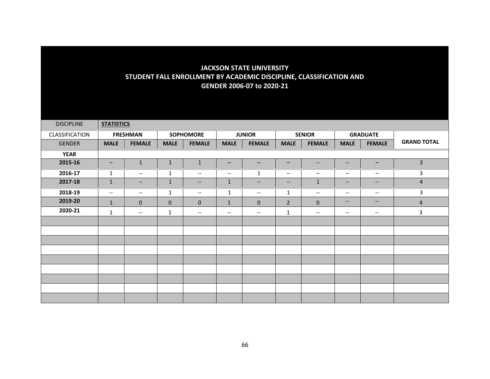| <b>DISCIPLINE</b> | <b>STATISTICS</b> |                                                                                                   |              |                          |                          |                          |                          |                                                         |                                                     |                                                                                                                   |                         |
|-------------------|-------------------|---------------------------------------------------------------------------------------------------|--------------|--------------------------|--------------------------|--------------------------|--------------------------|---------------------------------------------------------|-----------------------------------------------------|-------------------------------------------------------------------------------------------------------------------|-------------------------|
| CLASSIFICATION    |                   | <b>FRESHMAN</b>                                                                                   |              | <b>SOPHOMORE</b>         |                          | <b>JUNIOR</b>            |                          | <b>SENIOR</b>                                           |                                                     | <b>GRADUATE</b>                                                                                                   |                         |
| <b>GENDER</b>     | <b>MALE</b>       | <b>FEMALE</b>                                                                                     | <b>MALE</b>  | <b>FEMALE</b>            | <b>MALE</b>              | <b>FEMALE</b>            | <b>MALE</b>              | <b>FEMALE</b>                                           | <b>MALE</b>                                         | <b>FEMALE</b>                                                                                                     | <b>GRAND TOTAL</b>      |
| <b>YEAR</b>       |                   |                                                                                                   |              |                          |                          |                          |                          |                                                         |                                                     |                                                                                                                   |                         |
| 2015-16           | $\qquad \qquad -$ | $\mathbf{1}$                                                                                      | $\mathbf{1}$ | $\mathbf{1}$             | -                        | $\qquad \qquad -$        | -                        | $\hspace{0.05cm} \hspace{0.02cm} \hspace{0.02cm} \dots$ | $- -$                                               | $\qquad \qquad -$                                                                                                 | $\overline{\mathbf{3}}$ |
| 2016-17           | $\mathbf{1}$      | $--$                                                                                              | 1            | $--$                     | $\overline{\phantom{m}}$ | $\mathbf{1}$             | $\overline{\phantom{m}}$ | -                                                       | $\overline{\phantom{m}}$                            | $\overline{\phantom{m}}$                                                                                          | $\mathbf{3}$            |
| 2017-18           | $\mathbf{1}$      | $\hspace{0.05cm} \hspace{0.02cm} \hspace{0.02cm} \hspace{0.02cm} \hspace{0.02cm} \hspace{0.02cm}$ | $\mathbf{1}$ | $\overline{\phantom{a}}$ | $\mathbf{1}$             | $\overline{\phantom{a}}$ | $- -$                    | $\mathbf{1}$                                            | $--$                                                | $\hspace{0.05cm} \ldots$                                                                                          | $\overline{4}$          |
| 2018-19           | $--$              | $--$                                                                                              | $\mathbf{1}$ | $--$                     | $\mathbf{1}$             | $-\!$                    | $\mathbf{1}$             | $--$                                                    | $\hspace{0.05cm} -\hspace{0.05cm} -\hspace{0.05cm}$ | $\overline{\phantom{a}}$                                                                                          | $\mathbf{3}$            |
| 2019-20           | $\mathbf{1}$      | $\mathbf 0$                                                                                       | $\mathbf 0$  | $\mathbf{0}$             | $\mathbf{1}$             | $\mathbf 0$              | $\overline{2}$           | $\mathbf{0}$                                            | $- -$                                               | $\hspace{0.05cm} \hspace{0.02cm} \hspace{0.02cm} \hspace{0.02cm} \hspace{0.02cm} \hspace{0.02cm} \hspace{0.02cm}$ | $\overline{4}$          |
| 2020-21           | $\mathbf{1}$      | $\hspace{0.05cm} -\hspace{0.05cm} -\hspace{0.05cm}$                                               | $\mathbf{1}$ | $--$                     | $--$                     | $\overline{\phantom{a}}$ | $\mathbf{1}$             | $--$                                                    | $\overline{\phantom{a}}$                            | $\overline{\phantom{a}}$                                                                                          | $\mathsf{3}$            |
|                   |                   |                                                                                                   |              |                          |                          |                          |                          |                                                         |                                                     |                                                                                                                   |                         |
|                   |                   |                                                                                                   |              |                          |                          |                          |                          |                                                         |                                                     |                                                                                                                   |                         |
|                   |                   |                                                                                                   |              |                          |                          |                          |                          |                                                         |                                                     |                                                                                                                   |                         |
|                   |                   |                                                                                                   |              |                          |                          |                          |                          |                                                         |                                                     |                                                                                                                   |                         |
|                   |                   |                                                                                                   |              |                          |                          |                          |                          |                                                         |                                                     |                                                                                                                   |                         |
|                   |                   |                                                                                                   |              |                          |                          |                          |                          |                                                         |                                                     |                                                                                                                   |                         |
|                   |                   |                                                                                                   |              |                          |                          |                          |                          |                                                         |                                                     |                                                                                                                   |                         |
|                   |                   |                                                                                                   |              |                          |                          |                          |                          |                                                         |                                                     |                                                                                                                   |                         |
|                   |                   |                                                                                                   |              |                          |                          |                          |                          |                                                         |                                                     |                                                                                                                   |                         |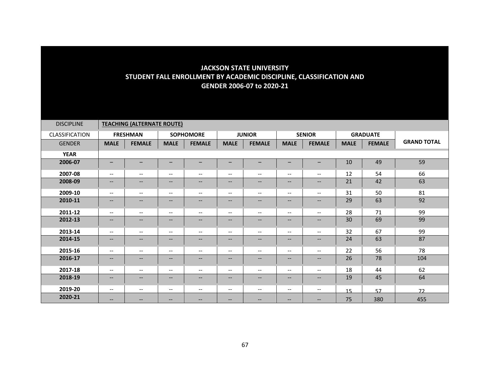| <b>DISCIPLINE</b> |                          | <b>TEACHING (ALTERNATE ROUTE)</b> |                          |                                                                                                   |                                                     |                               |                          |                                                                                                                                                   |             |                 |                    |
|-------------------|--------------------------|-----------------------------------|--------------------------|---------------------------------------------------------------------------------------------------|-----------------------------------------------------|-------------------------------|--------------------------|---------------------------------------------------------------------------------------------------------------------------------------------------|-------------|-----------------|--------------------|
| CLASSIFICATION    |                          | <b>FRESHMAN</b>                   |                          | <b>SOPHOMORE</b>                                                                                  |                                                     | <b>JUNIOR</b>                 |                          | <b>SENIOR</b>                                                                                                                                     |             | <b>GRADUATE</b> |                    |
| <b>GENDER</b>     | <b>MALE</b>              | <b>FEMALE</b>                     | <b>MALE</b>              | <b>FEMALE</b>                                                                                     | <b>MALE</b>                                         | <b>FEMALE</b>                 | <b>MALE</b>              | <b>FEMALE</b>                                                                                                                                     | <b>MALE</b> | <b>FEMALE</b>   | <b>GRAND TOTAL</b> |
| <b>YEAR</b>       |                          |                                   |                          |                                                                                                   |                                                     |                               |                          |                                                                                                                                                   |             |                 |                    |
| 2006-07           | $\overline{\phantom{0}}$ | $-$                               |                          |                                                                                                   | $\overline{\phantom{m}}$                            | -                             | —                        | —                                                                                                                                                 | 10          | 49              | 59                 |
| 2007-08           | $\overline{\phantom{a}}$ | $\overline{\phantom{a}}$          | $- -$                    | $\overline{\phantom{a}}$                                                                          | $\overline{\phantom{a}}$                            | $\overline{\phantom{m}}$      | $\overline{\phantom{a}}$ | $\overline{\phantom{a}}$                                                                                                                          | 12          | 54              | 66                 |
| 2008-09           | $\overline{\phantom{a}}$ | $\qquad \qquad -$                 | $- -$                    | $\overline{\phantom{m}}$                                                                          | $\hspace{0.05cm} \ldots$                            | --                            | $\qquad \qquad -$        | $\overline{\phantom{a}}$                                                                                                                          | 21          | 42              | 63                 |
| 2009-10           | $\overline{\phantom{a}}$ | $\overline{\phantom{a}}$          | $--$                     | $--$                                                                                              | $--$                                                | $\overline{\phantom{a}}$      | $\overline{\phantom{a}}$ | $\overline{\phantom{a}}$                                                                                                                          | 31          | 50              | 81                 |
| 2010-11           | $\overline{\phantom{a}}$ | $\qquad \qquad -$                 | $\qquad \qquad -$        | $\overline{\phantom{m}}$                                                                          | $\hspace{0.05cm} \ldots$                            | $\hspace{0.05cm} \ldots$      | --                       | $\qquad \qquad -$                                                                                                                                 | 29          | 63              | 92                 |
| 2011-12           | $\overline{\phantom{a}}$ | $\overline{\phantom{a}}$          | $- -$                    | $--$                                                                                              | $\overline{\phantom{a}}$                            | $\overline{\phantom{a}}$      | $\overline{\phantom{a}}$ | $\overline{\phantom{a}}$                                                                                                                          | 28          | 71              | 99                 |
| 2012-13           | $\overline{\phantom{a}}$ | $\qquad \qquad -$                 | $\qquad \qquad -$        | $\overline{\phantom{a}}$                                                                          | $\hspace{0.05cm} \ldots$                            | $--$                          | $\qquad \qquad -$        | $\qquad \qquad -$                                                                                                                                 | 30          | 69              | 99                 |
| 2013-14           | $\overline{\phantom{a}}$ | $\overline{\phantom{m}}$          | $\overline{\phantom{a}}$ | $\overline{\phantom{m}}$                                                                          | $\hspace{0.05cm} \dashrightarrow$                   | $\overline{\phantom{a}}$      | $\overline{\phantom{m}}$ | $\hspace{0.05cm} -\hspace{0.05cm} -\hspace{0.05cm}$                                                                                               | 32          | 67              | 99                 |
| 2014-15           | $\overline{\phantom{a}}$ | $\qquad \qquad -$                 | --                       | $\overline{\phantom{a}}$                                                                          | $\hspace{0.05cm} \textbf{--}$                       | $\hspace{0.05cm} \textbf{--}$ | $\overline{\phantom{m}}$ | $\overline{\phantom{a}}$                                                                                                                          | 24          | 63              | 87                 |
| 2015-16           | $\overline{\phantom{a}}$ | $--$                              | --                       | $\hspace{0.05cm} \textbf{--}$                                                                     | $\overline{\phantom{a}}$                            | $\overline{\phantom{a}}$      | $\overline{\phantom{m}}$ | $\overline{\phantom{m}}$                                                                                                                          | 22          | 56              | 78                 |
| 2016-17           | $\overline{\phantom{a}}$ | $\overline{\phantom{a}}$          | $\qquad \qquad -$        | $--$                                                                                              | $\overline{\phantom{a}}$                            | $\qquad \qquad -$             | $\overline{\phantom{a}}$ | $\overline{\phantom{a}}$                                                                                                                          | 26          | 78              | 104                |
| 2017-18           | $\overline{\phantom{m}}$ | $--$                              | $\overline{\phantom{a}}$ | $\hspace{0.05cm} \textbf{--}$                                                                     | $\hspace{0.05cm} -\hspace{0.05cm} -\hspace{0.05cm}$ | $\overline{\phantom{a}}$      | $\overline{\phantom{m}}$ | $\overline{\phantom{m}}$                                                                                                                          | 18          | 44              | 62                 |
| 2018-19           | $\overline{\phantom{a}}$ | $\qquad \qquad -$                 | $\qquad \qquad -$        | $\hspace{0.05cm} \hspace{0.02cm} \hspace{0.02cm} \hspace{0.02cm} \hspace{0.02cm} \hspace{0.02cm}$ | $\hspace{0.05cm} \textbf{--}$                       | $\qquad \qquad -$             | $\qquad \qquad -$        | $\overline{\phantom{a}}$                                                                                                                          | 19          | 45              | 64                 |
| 2019-20           | $\overline{\phantom{a}}$ | $--$                              | $- -$                    | $\overline{\phantom{a}}$                                                                          | $\overline{\phantom{a}}$                            | $\overline{\phantom{m}}$      | $\overline{\phantom{a}}$ | $\hspace{0.05cm} \ldots$                                                                                                                          | 15          | 57              | 72                 |
| 2020-21           | $\hspace{0.05cm} \ldots$ | --                                | --                       | $\qquad \qquad -$                                                                                 | $\overline{\phantom{m}}$                            | --                            | $\overline{\phantom{m}}$ | $\hspace{0.05cm} \hspace{0.02cm} \hspace{0.02cm} \hspace{0.02cm} \hspace{0.02cm} \hspace{0.02cm} \hspace{0.02cm} \hspace{0.02cm} \hspace{0.02cm}$ | 75          | 380             | 455                |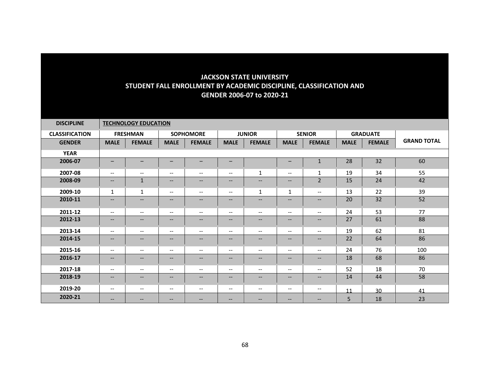| <b>DISCIPLINE</b>     |                               | <b>TECHNOLOGY EDUCATION</b>                                                                       |                                                                                                                   |                                                                                                                   |                               |                                                                                                   |                               |                          |                 |               |                    |  |  |
|-----------------------|-------------------------------|---------------------------------------------------------------------------------------------------|-------------------------------------------------------------------------------------------------------------------|-------------------------------------------------------------------------------------------------------------------|-------------------------------|---------------------------------------------------------------------------------------------------|-------------------------------|--------------------------|-----------------|---------------|--------------------|--|--|
| <b>CLASSIFICATION</b> |                               | <b>FRESHMAN</b>                                                                                   | <b>SOPHOMORE</b>                                                                                                  |                                                                                                                   | <b>JUNIOR</b>                 |                                                                                                   | <b>SENIOR</b>                 |                          | <b>GRADUATE</b> |               |                    |  |  |
| <b>GENDER</b>         | <b>MALE</b>                   | <b>FEMALE</b>                                                                                     | <b>MALE</b>                                                                                                       | <b>FEMALE</b>                                                                                                     | <b>MALE</b>                   | <b>FEMALE</b>                                                                                     | <b>MALE</b>                   | <b>FEMALE</b>            | <b>MALE</b>     | <b>FEMALE</b> | <b>GRAND TOTAL</b> |  |  |
| <b>YEAR</b>           |                               |                                                                                                   |                                                                                                                   |                                                                                                                   |                               |                                                                                                   |                               |                          |                 |               |                    |  |  |
| 2006-07               | $\overline{\phantom{m}}$      | $\overline{\phantom{m}}$                                                                          | -                                                                                                                 | -                                                                                                                 | $\overline{\phantom{m}}$      |                                                                                                   | $\overline{\phantom{0}}$      | $\mathbf{1}$             | 28              | 32            | 60                 |  |  |
| 2007-08               | $--$                          | $\qquad \qquad -$                                                                                 | $\overline{\phantom{a}}$                                                                                          | $\overline{\phantom{a}}$                                                                                          | $\overline{\phantom{a}}$      | $\mathbf{1}$                                                                                      | $\overline{\phantom{a}}$      | $\mathbf{1}$             | 19              | 34            | 55                 |  |  |
| 2008-09               | $\hspace{0.05cm} \dashv$      | $\mathbf{1}$                                                                                      | $\hspace{0.05cm} \ldots$                                                                                          | $\qquad \qquad -$                                                                                                 | $\qquad \qquad -$             | $\hspace{0.05cm} \ldots$                                                                          | $\hspace{0.05cm} \textbf{--}$ | $\overline{2}$           | 15              | 24            | 42                 |  |  |
| 2009-10               | $\mathbf{1}$                  | $\mathbf{1}$                                                                                      | $\overline{\phantom{a}}$                                                                                          | $\overline{\phantom{a}}$                                                                                          | $\overline{\phantom{a}}$      | 1                                                                                                 | $\mathbf{1}$                  | $\overline{\phantom{a}}$ | 13              | 22            | 39                 |  |  |
| 2010-11               | $\overline{\phantom{a}}$      | $\qquad \qquad -$                                                                                 | $\hspace{0.05cm} \ldots$                                                                                          | $\qquad \qquad -$                                                                                                 | $\qquad \qquad -$             | $\qquad \qquad -$                                                                                 | $\qquad \qquad -$             | $- -$                    | 20              | 32            | 52                 |  |  |
| 2011-12               | $\overline{\phantom{a}}$      | $\overline{\phantom{a}}$                                                                          | $\overline{\phantom{a}}$                                                                                          | $\overline{\phantom{a}}$                                                                                          | $--$                          | $\overline{\phantom{a}}$                                                                          | $\overline{\phantom{a}}$      | $- -$                    | 24              | 53            | 77                 |  |  |
| 2012-13               | $--$                          | $\qquad \qquad -$                                                                                 | $\qquad \qquad -$                                                                                                 | $\qquad \qquad -$                                                                                                 | $\overline{\phantom{a}}$      | $\qquad \qquad -$                                                                                 | $\qquad \qquad -$             | $- -$                    | 27              | 61            | 88                 |  |  |
| 2013-14               | $--$                          | $\overline{\phantom{a}}$                                                                          | $\overline{\phantom{m}}$                                                                                          | $\overline{\phantom{m}}$                                                                                          | $--$                          | $\overline{\phantom{m}}$                                                                          | $\overline{\phantom{m}}$      | $\overline{\phantom{a}}$ | 19              | 62            | 81                 |  |  |
| 2014-15               | $\hspace{0.05cm} \textbf{--}$ | $\hspace{0.05cm} \hspace{0.02cm} \hspace{0.02cm} \hspace{0.02cm} \hspace{0.02cm} \hspace{0.02cm}$ | $\hspace{0.05cm} \textbf{--}$                                                                                     | $\overline{\phantom{a}}$                                                                                          | $\overline{\phantom{a}}$      | $\hspace{0.05cm} \hspace{0.02cm} \hspace{0.02cm} \hspace{0.02cm} \hspace{0.02cm} \hspace{0.02cm}$ | $\overline{\phantom{m}}$      | --                       | 22              | 64            | 86                 |  |  |
| 2015-16               | $--$                          | $\overline{\phantom{a}}$                                                                          | $\overline{\phantom{m}}$                                                                                          | $-\!$ $\!-$                                                                                                       | $\qquad \qquad -$             | $--$                                                                                              | $\overline{\phantom{m}}$      | --                       | 24              | 76            | 100                |  |  |
| 2016-17               | $\overline{\phantom{a}}$      | $\qquad \qquad -$                                                                                 | $\hspace{0.05cm} \ldots$                                                                                          | $\overline{\phantom{a}}$                                                                                          | $- -$                         | $\hspace{0.05cm} \dashrightarrow$                                                                 | $\overline{\phantom{a}}$      | $- -$                    | 18              | 68            | 86                 |  |  |
| 2017-18               | $\hspace{0.05cm} \ldots$      | $\hspace{0.05cm} \ldots$                                                                          | $\overline{\phantom{m}}$                                                                                          | $\overline{\phantom{a}}$                                                                                          | $\overline{\phantom{a}}$      | $- -$                                                                                             | $\hspace{0.05cm} \ldots$      | $\qquad \qquad -$        | 52              | 18            | 70                 |  |  |
| 2018-19               | $\hspace{0.05cm} \textbf{--}$ | $\qquad \qquad -$                                                                                 | $\hspace{0.05cm} \textbf{--}$                                                                                     | $\hspace{0.05cm} \hspace{0.02cm} \hspace{0.02cm} \hspace{0.02cm} \hspace{0.02cm} \hspace{0.02cm} \hspace{0.02cm}$ | $\qquad \qquad -$             | $\hspace{0.05cm} \hspace{0.02cm} \hspace{0.02cm} \hspace{0.02cm} \hspace{0.02cm} \hspace{0.02cm}$ | $\overline{\phantom{m}}$      | $\qquad \qquad -$        | 14              | 44            | 58                 |  |  |
| 2019-20               | $\hspace{0.05cm} \textbf{--}$ | --                                                                                                | $\hspace{0.05cm} \textbf{--}$                                                                                     | $\overline{\phantom{a}}$                                                                                          | $\hspace{0.05cm} \textbf{--}$ | $\hspace{0.05cm} \textbf{--}$                                                                     | $\overline{\phantom{m}}$      | --                       | 11              | 30            | 41                 |  |  |
| 2020-21               | $\qquad \qquad -$             | --                                                                                                | $\hspace{0.05cm} \hspace{0.02cm} \hspace{0.02cm} \hspace{0.02cm} \hspace{0.02cm} \hspace{0.02cm} \hspace{0.02cm}$ | $\overline{\phantom{m}}$                                                                                          | $\qquad \qquad -$             | $\overline{\phantom{m}}$                                                                          | --                            | --                       | 5               | 18            | 23                 |  |  |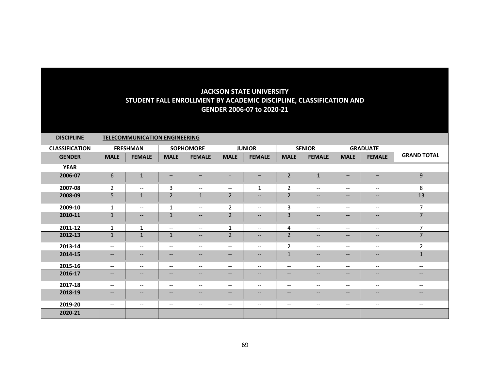| <b>DISCIPLINE</b>     | <b>TELECOMMUNICATION ENGINEERING</b> |                          |                   |                                                                                                                   |                                                                                                                   |                          |                                                     |                          |                          |                                                                                                                   |                                                     |  |
|-----------------------|--------------------------------------|--------------------------|-------------------|-------------------------------------------------------------------------------------------------------------------|-------------------------------------------------------------------------------------------------------------------|--------------------------|-----------------------------------------------------|--------------------------|--------------------------|-------------------------------------------------------------------------------------------------------------------|-----------------------------------------------------|--|
| <b>CLASSIFICATION</b> |                                      | <b>FRESHMAN</b>          | <b>SOPHOMORE</b>  |                                                                                                                   | <b>JUNIOR</b>                                                                                                     |                          | <b>SENIOR</b>                                       |                          | <b>GRADUATE</b>          |                                                                                                                   |                                                     |  |
| <b>GENDER</b>         | <b>MALE</b>                          | <b>FEMALE</b>            | <b>MALE</b>       | <b>FEMALE</b>                                                                                                     | <b>MALE</b>                                                                                                       | <b>FEMALE</b>            | <b>MALE</b>                                         | <b>FEMALE</b>            | <b>MALE</b>              | <b>FEMALE</b>                                                                                                     | <b>GRAND TOTAL</b>                                  |  |
| <b>YEAR</b>           |                                      |                          |                   |                                                                                                                   |                                                                                                                   |                          |                                                     |                          |                          |                                                                                                                   |                                                     |  |
| 2006-07               | 6                                    | $\mathbf{1}$             |                   |                                                                                                                   |                                                                                                                   |                          | $\overline{2}$                                      | $\mathbf{1}$             | -                        |                                                                                                                   | 9                                                   |  |
| 2007-08               | $\overline{2}$                       | $\overline{\phantom{m}}$ | 3                 | $\qquad \qquad -$                                                                                                 | $\overline{\phantom{m}}$                                                                                          | 1                        | $\overline{2}$                                      | $\qquad \qquad -$        | $\qquad \qquad -$        | $\overline{\phantom{a}}$                                                                                          | 8                                                   |  |
| 2008-09               | 5                                    | $\mathbf 1$              | $\overline{2}$    | $\mathbf{1}$                                                                                                      | 2                                                                                                                 | $\overline{\phantom{a}}$ | $\overline{2}$                                      | $\qquad \qquad -$        | $--$                     | $\overline{\phantom{a}}$                                                                                          | 13                                                  |  |
| 2009-10               | 1                                    | $\overline{\phantom{m}}$ | $\mathbf{1}$      | $\overline{\phantom{a}}$                                                                                          | $\overline{2}$                                                                                                    | $\overline{\phantom{m}}$ | 3                                                   | $\overline{\phantom{a}}$ | $\overline{\phantom{a}}$ | $\hspace{0.05cm} \cdots$                                                                                          | $\overline{7}$                                      |  |
| 2010-11               | $\mathbf{1}$                         | $\qquad \qquad -$        | $\mathbf{1}$      | $\qquad \qquad -$                                                                                                 | $\overline{2}$                                                                                                    | $\qquad \qquad -$        | 3                                                   | $\qquad \qquad -$        | $\qquad \qquad -$        | $\qquad \qquad -$                                                                                                 | $\overline{7}$                                      |  |
| 2011-12               | 1                                    | $\mathbf{1}$             | $- -$             | $\hspace{0.05cm} \hspace{0.02cm} \hspace{0.02cm} \hspace{0.02cm} \hspace{0.02cm} \hspace{0.02cm} \hspace{0.02cm}$ | $\mathbf{1}$                                                                                                      | $\overline{\phantom{a}}$ | 4                                                   | $\overline{\phantom{a}}$ | $--$                     | $--$                                                                                                              | 7                                                   |  |
| 2012-13               | $\mathbf{1}$                         | $\mathbf 1$              | $\mathbf{1}$      | $\hspace{0.05cm} \hspace{0.02cm} \hspace{0.02cm} \hspace{0.02cm} \hspace{0.02cm} \hspace{0.02cm}$                 | $\overline{2}$                                                                                                    | $\qquad \qquad -$        | $\overline{2}$                                      | $\overline{\phantom{a}}$ | $\qquad \qquad -$        | $\overline{\phantom{a}}$                                                                                          | $\overline{7}$                                      |  |
| 2013-14               | $- -$                                | $\overline{\phantom{m}}$ | $- -$             | $\overline{\phantom{a}}$                                                                                          | $\overline{\phantom{m}}$                                                                                          | $\overline{\phantom{a}}$ | $\overline{2}$                                      | $\overline{\phantom{a}}$ | $\overline{\phantom{a}}$ | $\hspace{0.05cm}$ – $\hspace{0.05cm}$                                                                             | $\overline{2}$                                      |  |
| 2014-15               | $-$                                  | $\qquad \qquad -$        | $\qquad \qquad -$ | $--$                                                                                                              | $\hspace{0.05cm} \ldots$                                                                                          | $\qquad \qquad -$        | $\mathbf{1}$                                        | $\qquad \qquad -$        | $\qquad \qquad -$        | $\overline{\phantom{m}}$                                                                                          | $\mathbf{1}$                                        |  |
| 2015-16               | $- -$                                | $\overline{\phantom{m}}$ | $- -$             | $\overline{\phantom{a}}$                                                                                          | $--$                                                                                                              | $\overline{\phantom{a}}$ | $\overline{\phantom{a}}$                            | $\overline{\phantom{a}}$ | $\overline{\phantom{a}}$ | $-$                                                                                                               | $\overline{\phantom{a}}$                            |  |
| 2016-17               | $--$                                 | $\qquad \qquad -$        | $\qquad \qquad -$ | $\qquad \qquad -$                                                                                                 | $\overline{\phantom{a}}$                                                                                          | $\qquad \qquad -$        | $\hspace{0.05cm} \ldots$                            | $\qquad \qquad -$        | $\qquad \qquad -$        | $\overline{\phantom{a}}$                                                                                          | $--$                                                |  |
| 2017-18               | $--$                                 | $\overline{\phantom{m}}$ | $- -$             | $\qquad \qquad -$                                                                                                 | $--$                                                                                                              | $\overline{\phantom{a}}$ | $\overline{\phantom{a}}$                            | $- -$                    | $\overline{\phantom{a}}$ | $--$                                                                                                              | $\hspace{0.05cm} -\hspace{0.05cm} -\hspace{0.05cm}$ |  |
| 2018-19               | $\qquad \qquad -$                    | $\overline{\phantom{a}}$ | $\qquad \qquad -$ | --                                                                                                                | $\hspace{0.05cm} \hspace{0.02cm} \hspace{0.02cm} \hspace{0.02cm} \hspace{0.02cm} \hspace{0.02cm} \hspace{0.02cm}$ | $\qquad \qquad -$        | $\overline{\phantom{m}}$                            | $\overline{\phantom{a}}$ | $\qquad \qquad -$        | $\hspace{0.05cm} \hspace{0.02cm} \hspace{0.02cm} \hspace{0.02cm} \hspace{0.02cm} \hspace{0.02cm} \hspace{0.02cm}$ | $- -$                                               |  |
| 2019-20               | $--$                                 | $--$                     | $--$              | $--$                                                                                                              | $--$                                                                                                              | $\qquad \qquad -$        | $\hspace{0.05cm} -\hspace{0.05cm} -\hspace{0.05cm}$ | $\overline{\phantom{a}}$ | $--$                     | $--$                                                                                                              | $\overline{\phantom{a}}$                            |  |
| 2020-21               | $- -$                                | $\overline{\phantom{m}}$ | $\qquad \qquad -$ | $\qquad \qquad -$                                                                                                 | $\overline{\phantom{a}}$                                                                                          | $\qquad \qquad -$        | $\qquad \qquad -$                                   | $\qquad \qquad -$        | $\qquad \qquad -$        | $- -$                                                                                                             | $- -$                                               |  |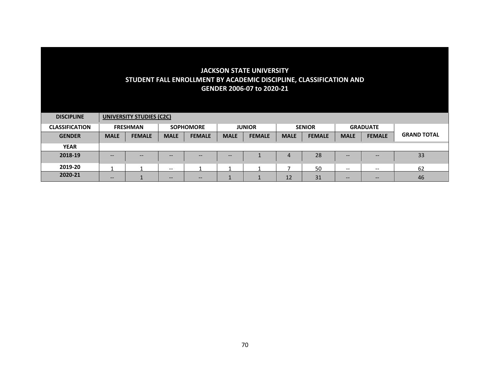| <b>DISCIPLINE</b>     | UNIVERSITY STUDIES (C2C) |               |                   |               |               |               |               |               |             |                          |                    |  |  |
|-----------------------|--------------------------|---------------|-------------------|---------------|---------------|---------------|---------------|---------------|-------------|--------------------------|--------------------|--|--|
| <b>CLASSIFICATION</b> | <b>FRESHMAN</b>          |               | <b>SOPHOMORE</b>  |               | <b>JUNIOR</b> |               | <b>SENIOR</b> |               |             | <b>GRADUATE</b>          |                    |  |  |
| <b>GENDER</b>         | <b>MALE</b>              | <b>FEMALE</b> | <b>MALE</b>       | <b>FEMALE</b> | <b>MALE</b>   | <b>FEMALE</b> | <b>MALE</b>   | <b>FEMALE</b> | <b>MALE</b> | <b>FEMALE</b>            | <b>GRAND TOTAL</b> |  |  |
| <b>YEAR</b>           |                          |               |                   |               |               |               |               |               |             |                          |                    |  |  |
| 2018-19               | --                       | $- -$         | --                | $- -$         | $- -$         |               | 4             | 28            | $- -$       | $- -$                    | 33                 |  |  |
| 2019-20               |                          |               | $- -$             |               |               |               |               | 50            | $- -$       | $\hspace{0.05cm} \cdots$ | 62                 |  |  |
| 2020-21               | $\qquad \qquad -$        |               | $\qquad \qquad -$ | $- -$         |               |               | 12            | 31            | --          | $- -$                    | 46                 |  |  |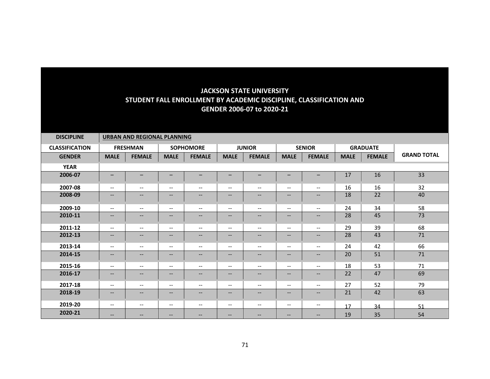| <b>DISCIPLINE</b>     | <b>URBAN AND REGIONAL PLANNING</b> |                          |                          |                          |                                                         |                   |                          |                          |                 |               |                    |  |
|-----------------------|------------------------------------|--------------------------|--------------------------|--------------------------|---------------------------------------------------------|-------------------|--------------------------|--------------------------|-----------------|---------------|--------------------|--|
| <b>CLASSIFICATION</b> | <b>FRESHMAN</b>                    |                          | <b>SOPHOMORE</b>         |                          | <b>JUNIOR</b>                                           |                   | <b>SENIOR</b>            |                          | <b>GRADUATE</b> |               |                    |  |
| <b>GENDER</b>         | <b>MALE</b>                        | <b>FEMALE</b>            | <b>MALE</b>              | <b>FEMALE</b>            | <b>MALE</b>                                             | <b>FEMALE</b>     | <b>MALE</b>              | <b>FEMALE</b>            | <b>MALE</b>     | <b>FEMALE</b> | <b>GRAND TOTAL</b> |  |
| <b>YEAR</b>           |                                    |                          |                          |                          |                                                         |                   |                          |                          |                 |               |                    |  |
| 2006-07               | $\qquad \qquad$                    | -                        |                          |                          | $\overline{\phantom{0}}$                                |                   | -                        |                          | 17              | 16            | 33                 |  |
| 2007-08               | $\overline{\phantom{a}}$           | $\overline{\phantom{m}}$ | $\qquad \qquad -$        | $\overline{\phantom{m}}$ | $\overline{\phantom{m}}$                                | $- -$             | $\hspace{0.05cm} \ldots$ | $\qquad \qquad -$        | 16              | 16            | 32                 |  |
| 2008-09               | --                                 | $\overline{\phantom{a}}$ | --                       | $\qquad \qquad -$        | $\qquad \qquad -$                                       | --                | $\overline{\phantom{m}}$ | $\qquad \qquad -$        | 18              | 22            | 40                 |  |
| 2009-10               | $\overline{\phantom{a}}$           | $\overline{\phantom{a}}$ | $\qquad \qquad -$        | $--$                     | $\overline{\phantom{a}}$                                | $- -$             | $\overline{\phantom{a}}$ | $\qquad \qquad -$        | 24              | 34            | 58                 |  |
| 2010-11               | $\qquad \qquad -$                  | $\overline{\phantom{a}}$ | $\qquad \qquad -$        | $\qquad \qquad -$        | $\hspace{0.05cm} \hspace{0.02cm} \hspace{0.02cm} \dots$ | $\qquad \qquad -$ | $\overline{\phantom{m}}$ | $\qquad \qquad -$        | 28              | 45            | 73                 |  |
| 2011-12               | $\overline{\phantom{a}}$           | $\overline{\phantom{a}}$ | $\overline{\phantom{a}}$ | $--$                     | $--$                                                    | $- -$             | $\overline{\phantom{a}}$ | $\qquad \qquad -$        | 29              | 39            | 68                 |  |
| 2012-13               | $\qquad \qquad -$                  | $\overline{\phantom{a}}$ | $\qquad \qquad -$        | $--$                     | $\hspace{0.05cm} \hspace{0.02cm} \hspace{0.02cm} \dots$ | $\qquad \qquad -$ | $-\!$ $\!-$              | $\qquad \qquad -$        | 28              | 43            | 71                 |  |
| 2013-14               | $- -$                              | $\overline{\phantom{m}}$ | $- -$                    | $\overline{\phantom{a}}$ | $\overline{\phantom{m}}$                                | $- -$             | $\overline{\phantom{m}}$ | $- -$                    | 24              | 42            | 66                 |  |
| 2014-15               | $-$                                | $\qquad \qquad -$        | $\qquad \qquad -$        | $\qquad \qquad -$        | $\qquad \qquad -$                                       | $\qquad \qquad -$ | $\hspace{0.05cm} \ldots$ | $\qquad \qquad -$        | 20              | 51            | 71                 |  |
| 2015-16               | $\overline{\phantom{a}}$           | $\overline{\phantom{a}}$ | $- -$                    | $\overline{\phantom{a}}$ | $\overline{\phantom{a}}$                                | $- -$             | $\overline{\phantom{a}}$ | $- -$                    | 18              | 53            | 71                 |  |
| 2016-17               | $\overline{\phantom{a}}$           | $\qquad \qquad -$        | $\qquad \qquad -$        | $\overline{\phantom{a}}$ | $\overline{\phantom{m}}$                                | $- -$             | $\hspace{0.05cm} \ldots$ | $\qquad \qquad -$        | 22              | 47            | 69                 |  |
| 2017-18               | $\overline{\phantom{a}}$           | $\overline{\phantom{m}}$ | $- -$                    | $--$                     | $\overline{\phantom{a}}$                                | $- -$             | $\overline{\phantom{m}}$ | $\overline{\phantom{a}}$ | 27              | 52            | 79                 |  |
| 2018-19               | $\qquad \qquad -$                  | $\qquad \qquad -$        | $\qquad \qquad -$        | $\overline{\phantom{a}}$ | $\overline{\phantom{m}}$                                | $--$              | $\hspace{0.05cm} \ldots$ | $\qquad \qquad -$        | 21              | 42            | 63                 |  |
| 2019-20               | $\overline{\phantom{a}}$           | $\overline{\phantom{m}}$ | $\qquad \qquad -$        | $--$                     | $--$                                                    | --                | $\overline{\phantom{m}}$ | $\qquad \qquad -$        | 17              | 34            | 51                 |  |
| 2020-21               | $\overline{\phantom{a}}$           | $\overline{\phantom{m}}$ | $--$                     | $\hspace{0.05cm} \ldots$ | $\qquad \qquad -$                                       | --                | $\qquad \qquad -$        | $\qquad \qquad -$        | 19              | 35            | 54                 |  |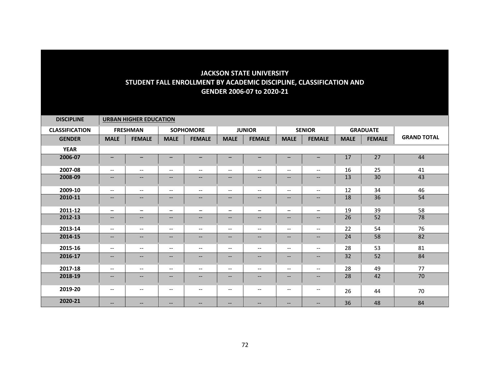| <b>DISCIPLINE</b>     | <b>URBAN HIGHER EDUCATION</b> |                                                                                                                   |                          |                                                                                                                   |                                                         |                          |                               |                          |                 |               |                    |  |
|-----------------------|-------------------------------|-------------------------------------------------------------------------------------------------------------------|--------------------------|-------------------------------------------------------------------------------------------------------------------|---------------------------------------------------------|--------------------------|-------------------------------|--------------------------|-----------------|---------------|--------------------|--|
| <b>CLASSIFICATION</b> |                               | <b>FRESHMAN</b>                                                                                                   | <b>SOPHOMORE</b>         |                                                                                                                   | <b>JUNIOR</b>                                           |                          | <b>SENIOR</b>                 |                          | <b>GRADUATE</b> |               |                    |  |
| <b>GENDER</b>         | <b>MALE</b>                   | <b>FEMALE</b>                                                                                                     | <b>MALE</b>              | <b>FEMALE</b>                                                                                                     | <b>MALE</b>                                             | <b>FEMALE</b>            | <b>MALE</b>                   | <b>FEMALE</b>            | <b>MALE</b>     | <b>FEMALE</b> | <b>GRAND TOTAL</b> |  |
| <b>YEAR</b>           |                               |                                                                                                                   |                          |                                                                                                                   |                                                         |                          |                               |                          |                 |               |                    |  |
| 2006-07               | $\qquad \qquad -$             | $\qquad \qquad -$                                                                                                 | $\qquad \qquad -$        | $\qquad \qquad -$                                                                                                 | $\qquad \qquad -$                                       | $\qquad \qquad -$        | -                             | $-$                      | 17              | 27            | 44                 |  |
| 2007-08               | $\overline{\phantom{a}}$      | $\overline{\phantom{a}}$                                                                                          | $- -$                    | $--$                                                                                                              | $\overline{\phantom{a}}$                                | $- -$                    | $\overline{\phantom{a}}$      | $\overline{\phantom{a}}$ | 16              | 25            | 41                 |  |
| 2008-09               | --                            | $\overline{\phantom{a}}$                                                                                          | $\qquad \qquad -$        | $\qquad \qquad -$                                                                                                 | $\qquad \qquad -$                                       | $--$                     | $-\!$ $\!-$                   | $\qquad \qquad -$        | 13              | 30            | 43                 |  |
| 2009-10               | $\overline{\phantom{a}}$      | $\overline{\phantom{m}}$                                                                                          | $- -$                    | $--$                                                                                                              | $\overline{\phantom{a}}$                                | $- -$                    | $\overline{\phantom{m}}$      | $\overline{\phantom{a}}$ | 12              | 34            | 46                 |  |
| 2010-11               | $-$                           | $\overline{\phantom{a}}$                                                                                          | $\qquad \qquad -$        | $\qquad \qquad -$                                                                                                 | $\qquad \qquad -$                                       | --                       | $\overline{\phantom{m}}$      | $--$                     | 18              | 36            | 54                 |  |
| 2011-12               | $\overline{\phantom{0}}$      | $\qquad \qquad -$                                                                                                 | $\overline{\phantom{0}}$ | —                                                                                                                 | $\qquad \qquad -$                                       | $\overline{\phantom{0}}$ | $\qquad \qquad -$             | $\overline{\phantom{0}}$ | 19              | 39            | 58                 |  |
| 2012-13               | --                            | $\overline{\phantom{a}}$                                                                                          | $\overline{\phantom{a}}$ | $\qquad \qquad -$                                                                                                 | $\overline{\phantom{a}}$                                | --                       | $\overline{\phantom{a}}$      | $\qquad \qquad -$        | 26              | 52            | 78                 |  |
| 2013-14               | $--$                          | $\overline{\phantom{a}}$                                                                                          | $\overline{\phantom{a}}$ | $--$                                                                                                              | $--$                                                    | $- -$                    | $\overline{\phantom{m}}$      | $\qquad \qquad -$        | 22              | 54            | 76                 |  |
| 2014-15               | $- -$                         | $\overline{\phantom{a}}$                                                                                          | $\qquad \qquad -$        | $--$                                                                                                              | $\overline{\phantom{a}}$                                | $\qquad \qquad -$        | $\overline{\phantom{m}}$      | $\qquad \qquad -$        | 24              | 58            | 82                 |  |
| 2015-16               | $\overline{\phantom{a}}$      | $\overline{\phantom{a}}$                                                                                          | $\overline{\phantom{a}}$ | $--$                                                                                                              | $\overline{\phantom{a}}$                                | $- -$                    | $\overline{\phantom{m}}$      | $\qquad \qquad -$        | 28              | 53            | 81                 |  |
| 2016-17               | $\qquad \qquad -$             | $\hspace{0.05cm} \hspace{0.02cm} \hspace{0.02cm} \hspace{0.02cm} \hspace{0.02cm} \hspace{0.02cm} \hspace{0.02cm}$ | $--$                     | $\hspace{0.05cm} \hspace{0.02cm} \hspace{0.02cm} \hspace{0.02cm} \hspace{0.02cm} \hspace{0.02cm} \hspace{0.02cm}$ | $\hspace{0.05cm} \hspace{0.02cm} \hspace{0.02cm} \dots$ | $\qquad \qquad -$        | $\overline{\phantom{m}}$      | --                       | 32              | 52            | 84                 |  |
| 2017-18               | $- -$                         | $\overline{\phantom{a}}$                                                                                          | $- -$                    | $\overline{\phantom{a}}$                                                                                          | $\overline{\phantom{a}}$                                | $- -$                    | $\overline{\phantom{a}}$      | $- -$                    | 28              | 49            | 77                 |  |
| 2018-19               | $- -$                         | $\qquad \qquad -$                                                                                                 | $- -$                    | $\overline{\phantom{a}}$                                                                                          | $\qquad \qquad -$                                       | $- -$                    | $\qquad \qquad -$             | $- -$                    | 28              | 42            | 70                 |  |
| 2019-20               | $\overline{\phantom{m}}$      | $\overline{\phantom{m}}$                                                                                          | $\overline{\phantom{a}}$ | $\overline{\phantom{m}}$                                                                                          | $\overline{\phantom{m}}$                                | --                       | $\overline{\phantom{m}}$      | $--$                     | 26              | 44            | 70                 |  |
| 2020-21               | $\qquad \qquad -$             | $\qquad \qquad -$                                                                                                 | $- -$                    | $\qquad \qquad -$                                                                                                 | $\hspace{0.05cm} \ldots$                                | --                       | $\hspace{0.05cm} \textbf{--}$ | $- -$                    | 36              | 48            | 84                 |  |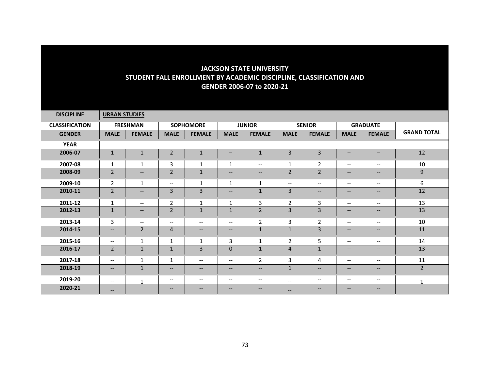| <b>DISCIPLINE</b>     | <b>URBAN STUDIES</b>     |                                                                                                   |                          |                          |                          |                               |                          |                          |                                                                                                                   |                          |                    |
|-----------------------|--------------------------|---------------------------------------------------------------------------------------------------|--------------------------|--------------------------|--------------------------|-------------------------------|--------------------------|--------------------------|-------------------------------------------------------------------------------------------------------------------|--------------------------|--------------------|
| <b>CLASSIFICATION</b> |                          | <b>FRESHMAN</b>                                                                                   | <b>SOPHOMORE</b>         |                          | <b>JUNIOR</b>            |                               | <b>SENIOR</b>            |                          | <b>GRADUATE</b>                                                                                                   |                          |                    |
| <b>GENDER</b>         | <b>MALE</b>              | <b>FEMALE</b>                                                                                     | <b>MALE</b>              | <b>FEMALE</b>            | <b>MALE</b>              | <b>FEMALE</b>                 | <b>MALE</b>              | <b>FEMALE</b>            | <b>MALE</b>                                                                                                       | <b>FEMALE</b>            | <b>GRAND TOTAL</b> |
| <b>YEAR</b>           |                          |                                                                                                   |                          |                          |                          |                               |                          |                          |                                                                                                                   |                          |                    |
| 2006-07               | $\mathbf{1}$             | $\mathbf{1}$                                                                                      | $\overline{2}$           | $\mathbf{1}$             | $\qquad \qquad -$        | $\mathbf 1$                   | $\overline{3}$           | 3                        | $\qquad \qquad -$                                                                                                 | $\qquad \qquad -$        | 12                 |
| 2007-08               | $\mathbf{1}$             | $\mathbf{1}$                                                                                      | 3                        | 1                        | $\mathbf{1}$             | $\overline{\phantom{a}}$      | 1                        | $\overline{2}$           | $\overline{\phantom{m}}$                                                                                          | $\overline{\phantom{a}}$ | 10                 |
| 2008-09               | $\overline{2}$           | $--$                                                                                              | $\overline{2}$           | $\mathbf 1$              | $--$                     | $\overline{\phantom{a}}$      | $\overline{2}$           | $\overline{2}$           | $--$                                                                                                              | $\overline{\phantom{a}}$ | 9                  |
| 2009-10               | $\overline{2}$           | $\mathbf{1}$                                                                                      | $\overline{\phantom{a}}$ | $\mathbf{1}$             | $\mathbf{1}$             | $\mathbf{1}$                  | $\overline{\phantom{m}}$ | $\overline{\phantom{a}}$ | $\overline{\phantom{m}}$                                                                                          | $- -$                    | 6                  |
| 2010-11               | $\overline{2}$           | $\hspace{0.05cm} \ldots$                                                                          | 3                        | 3                        | $\qquad \qquad -$        | $\mathbf 1$                   | 3                        | $\qquad \qquad -$        | $\qquad \qquad -$                                                                                                 | $\qquad \qquad -$        | 12                 |
| 2011-12               | $\mathbf 1$              | $\overline{\phantom{m}}$                                                                          | $\overline{2}$           | $\mathbf 1$              | $\mathbf{1}$             | 3                             | $\overline{2}$           | 3                        | $\overline{\phantom{m}}$                                                                                          | $\overline{\phantom{a}}$ | 13                 |
| 2012-13               | $\mathbf{1}$             | $\hspace{0.05cm} \hspace{0.02cm} \hspace{0.02cm} \hspace{0.02cm} \hspace{0.02cm} \hspace{0.02cm}$ | $\overline{2}$           | $\mathbf{1}$             | $\mathbf{1}$             | $\overline{2}$                | 3                        | 3                        | $\hspace{0.05cm} \hspace{0.02cm} \hspace{0.02cm} \hspace{0.02cm} \hspace{0.02cm} \hspace{0.02cm} \hspace{0.02cm}$ | $\qquad \qquad -$        | 13                 |
| 2013-14               | 3                        | $\overline{\phantom{a}}$                                                                          | $\overline{\phantom{a}}$ | $\overline{\phantom{a}}$ | $-$                      | $\overline{2}$                | 3                        | $\overline{2}$           | $\overline{\phantom{a}}$                                                                                          | $- -$                    | 10                 |
| 2014-15               | $\qquad \qquad -$        | $\overline{2}$                                                                                    | 4                        | $\overline{\phantom{a}}$ | $\qquad \qquad -$        | $\mathbf 1$                   | $\mathbf{1}$             | 3                        | $\overline{\phantom{a}}$                                                                                          | $\overline{\phantom{a}}$ | 11                 |
| 2015-16               | $\overline{\phantom{a}}$ | $\mathbf{1}$                                                                                      | 1                        | 1                        | 3                        | 1                             | $\overline{2}$           | 5                        | $\overline{\phantom{m}}$                                                                                          | $- -$                    | 14                 |
| 2016-17               | $\overline{2}$           | $\mathbf 1$                                                                                       | 1                        | $\overline{3}$           | $\mathbf{0}$             | $\mathbf 1$                   | $\overline{4}$           | $\mathbf{1}$             | $\hspace{0.05cm} \hspace{0.02cm} \hspace{0.02cm} \hspace{0.02cm} \hspace{0.02cm} \hspace{0.02cm} \hspace{0.02cm}$ | $\overline{\phantom{a}}$ | 13                 |
| 2017-18               | $\overline{\phantom{a}}$ | 1                                                                                                 | $\mathbf{1}$             | $\overline{\phantom{a}}$ | $\qquad \qquad -$        | $\mathbf 2$                   | 3                        | 4                        | $\overline{\phantom{m}}$                                                                                          | $\overline{\phantom{m}}$ | 11                 |
| 2018-19               | $\overline{\phantom{a}}$ | $\mathbf 1$                                                                                       | $\overline{\phantom{a}}$ | $\overline{\phantom{a}}$ | $\qquad \qquad -$        | $\hspace{0.05cm} \textbf{--}$ | $\mathbf{1}$             | --                       | $\overline{\phantom{m}}$                                                                                          | $\overline{\phantom{a}}$ | $\overline{2}$     |
| 2019-20               | $\overline{\phantom{a}}$ | 1                                                                                                 | $\overline{\phantom{a}}$ | $\overline{\phantom{a}}$ | $\overline{\phantom{a}}$ | $\overline{\phantom{m}}$      | $\overline{\phantom{a}}$ | $- -$                    | $\overline{\phantom{a}}$                                                                                          | $- -$                    | 1                  |
| 2020-21               | $\qquad \qquad -$        |                                                                                                   | $\qquad \qquad -$        | $--$                     | $\overline{\phantom{a}}$ | $\qquad \qquad -$             | $\qquad \qquad -$        | $\qquad \qquad -$        | $\hspace{0.05cm} -\hspace{0.05cm} -\hspace{0.05cm}$                                                               | $\qquad \qquad -$        |                    |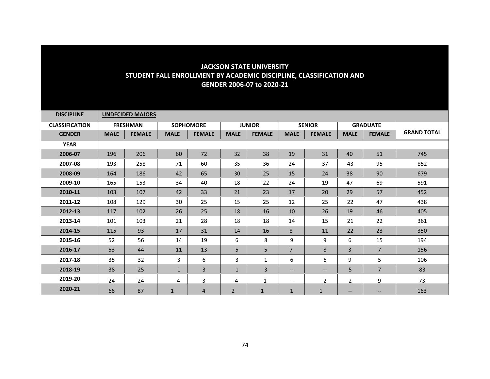| <b>DISCIPLINE</b>     |             | <b>UNDECIDED MAJORS</b> |              |                  |                |                |                          |                |                   |                          |                    |
|-----------------------|-------------|-------------------------|--------------|------------------|----------------|----------------|--------------------------|----------------|-------------------|--------------------------|--------------------|
| <b>CLASSIFICATION</b> |             | <b>FRESHMAN</b>         |              | <b>SOPHOMORE</b> |                | <b>JUNIOR</b>  |                          | <b>SENIOR</b>  |                   | <b>GRADUATE</b>          |                    |
| <b>GENDER</b>         | <b>MALE</b> | <b>FEMALE</b>           | <b>MALE</b>  | <b>FEMALE</b>    | <b>MALE</b>    | <b>FEMALE</b>  | <b>MALE</b>              | <b>FEMALE</b>  | <b>MALE</b>       | <b>FEMALE</b>            | <b>GRAND TOTAL</b> |
| <b>YEAR</b>           |             |                         |              |                  |                |                |                          |                |                   |                          |                    |
| 2006-07               | 196         | 206                     | 60           | 72               | 32             | 38             | 19                       | 31             | 40                | 51                       | 745                |
| 2007-08               | 193         | 258                     | 71           | 60               | 35             | 36             | 24                       | 37             | 43                | 95                       | 852                |
| 2008-09               | 164         | 186                     | 42           | 65               | 30             | 25             | 15                       | 24             | 38                | 90                       | 679                |
| 2009-10               | 165         | 153                     | 34           | 40               | 18             | 22             | 24                       | 19             | 47                | 69                       | 591                |
| 2010-11               | 103         | 107                     | 42           | 33               | 21             | 23             | 17                       | 20             | 29                | 57                       | 452                |
| 2011-12               | 108         | 129                     | 30           | 25               | 15             | 25             | 12                       | 25             | 22                | 47                       | 438                |
| 2012-13               | 117         | 102                     | 26           | 25               | 18             | 16             | 10                       | 26             | 19                | 46                       | 405                |
| 2013-14               | 101         | 103                     | 21           | 28               | 18             | 18             | 14                       | 15             | 21                | 22                       | 361                |
| 2014-15               | 115         | 93                      | 17           | 31               | 14             | 16             | 8                        | 11             | 22                | 23                       | 350                |
| 2015-16               | 52          | 56                      | 14           | 19               | 6              | 8              | 9                        | 9              | 6                 | 15                       | 194                |
| 2016-17               | 53          | 44                      | 11           | 13               | 5              | 5              | $\overline{7}$           | 8              | $\overline{3}$    | $\overline{7}$           | 156                |
| 2017-18               | 35          | 32                      | 3            | 6                | 3              | 1              | 6                        | 6              | 9                 | 5                        | 106                |
| 2018-19               | 38          | 25                      | $\mathbf{1}$ | 3                | $\mathbf{1}$   | 3              | $\overline{\phantom{a}}$ | --             | 5                 | $\overline{7}$           | 83                 |
| 2019-20               | 24          | 24                      | 4            | 3                | 4              | 1              | $--$                     | $\overline{2}$ | $\overline{2}$    | 9                        | 73                 |
| 2020-21               | 66          | 87                      | 1            | 4                | $\overline{2}$ | $\overline{1}$ | $\mathbf{1}$             | $\mathbf{1}$   | $\qquad \qquad -$ | $\overline{\phantom{a}}$ | 163                |